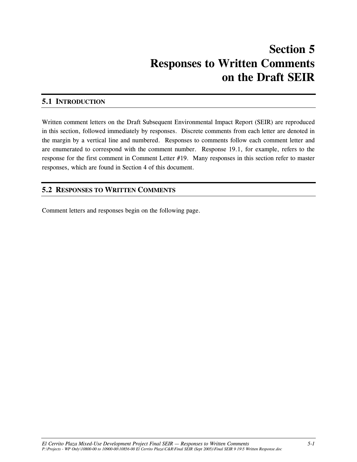# **Section 5 Responses to Written Comments on the Draft SEIR**

#### **5.1 INTRODUCTION**

Written comment letters on the Draft Subsequent Environmental Impact Report (SEIR) are reproduced in this section, followed immediately by responses. Discrete comments from each letter are denoted in the margin by a vertical line and numbered. Responses to comments follow each comment letter and are enumerated to correspond with the comment number. Response 19.1, for example, refers to the response for the first comment in Comment Letter #19. Many responses in this section refer to master responses, which are found in Section 4 of this document.

#### **5.2 RESPONSES TO WRITTEN COMMENTS**

Comment letters and responses begin on the following page.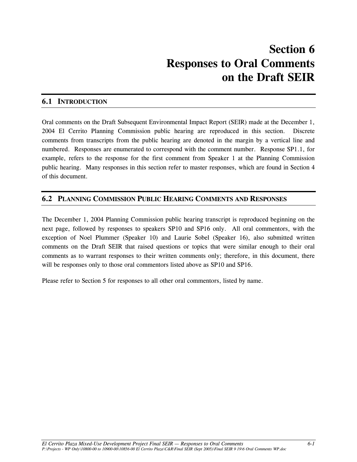#### **6.1 INTRODUCTION**

Oral comments on the Draft Subsequent Environmental Impact Report (SEIR) made at the December 1, 2004 El Cerrito Planning Commission public hearing are reproduced in this section. Discrete comments from transcripts from the public hearing are denoted in the margin by a vertical line and numbered. Responses are enumerated to correspond with the comment number. Response SP1.1, for example, refers to the response for the first comment from Speaker 1 at the Planning Commission public hearing. Many responses in this section refer to master responses, which are found in Section 4 of this document.

#### **6.2 PLANNING COMMISSION PUBLIC HEARING COMMENTS AND RESPONSES**

The December 1, 2004 Planning Commission public hearing transcript is reproduced beginning on the next page, followed by responses to speakers SP10 and SP16 only. All oral commentors, with the exception of Noel Plummer (Speaker 10) and Laurie Sobel (Speaker 16), also submitted written comments on the Draft SEIR that raised questions or topics that were similar enough to their oral comments as to warrant responses to their written comments only; therefore, in this document, there will be responses only to those oral commentors listed above as SP10 and SP16.

Please refer to Section 5 for responses to all other oral commentors, listed by name.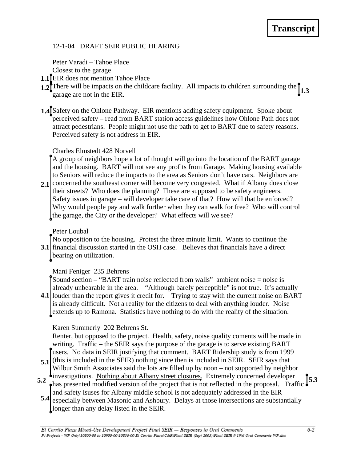# 12-1-04 DRAFT SEIR PUBLIC HEARING 12-1-04 DRAFT SEIR PUBLIC HEARING<br>Peter Varadi – Tahoe Place<br>Closest to the garage<br>**1.1 LEIR** does not mention Tahoe Place

Peter Varadi – Tahoe Place

Closest to the garage

- **1.1** EIR does not mention Tahoe Place
- 1.2<sup>*T*</sup> There will be impacts on the childcare facility. All impacts to children surrounding the  $\int_{1.3}^{\infty}$ garage are not in the EIR.
- 1.4<sup>I</sup> Safety on the Ohlone Pathway. EIR mentions adding safety equipment. Spoke about perceived safety – read from BART station access guidelines how Ohlone Path does not attract pedestrians. People might not use the path to get to BART due to safety reasons. Perceived safety is not address in EIR.

#### Charles Elmstedt 428 Norvell

A group of neighbors hope a lot of thought will go into the location of the BART garage and the housing. BART will not see any profits from Garage. Making housing available to Seniors will reduce the impacts to the area as Seniors don't have cars. Neighbors are

2.1 concerned the southeast corner will become very congested. What if Albany does close their streets? Who does the planning? These are supposed to be safety engineers. Safety issues in garage – will developer take care of that? How will that be enforced? Why would people pay and walk further when they can walk for free? Who will control the garage, the City or the developer? What effects will we see? **3.1 2.1**

Peter Loubal

No opposition to the housing. Protest the three minute limit. Wants to continue the

**3.1** financial discussion started in the OSH case. Believes that financials have a direct bearing on utilization.

# Mani Feniger 235 Behrens

Sound section – "BART train noise reflected from walls" ambient noise = noise is already unbearable in the area. "Although barely perceptible" is not true. It's actually

**4.1** louder than the report gives it credit for. Trying to stay with the current noise on BART is already difficult. Not a reality for the citizens to deal with anything louder. Noise extends up to Ramona. Statistics have nothing to do with the reality of the situation.

# Karen Summerly 202 Behrens St.

Renter, but opposed to the project. Health, safety, noise quality coments will be made in writing. Traffic – the SEIR says the purpose of the garage is to serve existing BART users. No data in SEIR justifying that comment. BART Ridership study is from 1999

- 5.1 (this is included in the SEIR) nothing since then is included in SEIR. SEIR says that Wilbur Smith Associates said the lots are filled up by noon – not supported by neighbor
- investigations. Nothing about Albany street closures. Extremely concerned developer 5.2 **Throughout All and Street Countries** Extremely concerned developer **5.3**<br> **F F 5.3**<br> **F F 5.3** and safety isuses for Albany middle school is not adequately addressed in the EIR –
- 5.4 especially between Masonic and Ashbury. Delays at those intersections are substantially longer than any delay listed in the SEIR.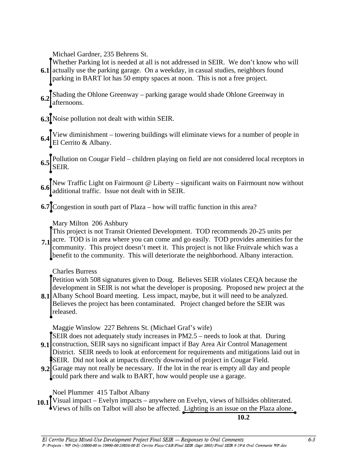Michael Gardner, 235 Behrens St.

Whether Parking lot is needed at all is not addressed in SEIR. We don't know who will **6.1** actually use the parking garage. On a weekday, in casual studies, neighbors found parking in BART lot has 50 empty spaces at noon. This is not a free project.

- Shading the Ohlone Greenway parking garage would shade Ohlone Greenway in  $6.2$  afternoons.
- Noise pollution not dealt with within SEIR. **6.3**
- View diminishment towering buildings will eliminate views for a number of people in El Cerrito & Albany. **6.4**
- Pollution on Cougar Field children playing on field are not considered local receptors in  $6.5$ SEIR.
- New Traffic Light on Fairmount @ Liberty significant waits on Fairmount now without **6.6** additional traffic. Issue not dealt with in SEIR.
- **6.7** Congestion in south part of Plaza how will traffic function in this area?

Mary Milton 206 Ashbury

This project is not Transit Oriented Development. TOD recommends 20-25 units per acre. TOD is in area where you can come and go easily. TOD provides amenities for the community. This project doesn't meet it. This project is not like Fruitvale which was a benefit to the community. This will deteriorate the neighborhood. Albany interaction. **7.1**

Charles Burress

Petition with 508 signatures given to Doug. Believes SEIR violates CEQA because the development in SEIR is not what the developer is proposing. Proposed new project at the

Albany School Board meeting. Less impact, maybe, but it will need to be analyzed. **8.1** Believes the project has been contaminated. Project changed before the SEIR was released.

Maggie Winslow 227 Behrens St. (Michael Graf's wife)

SEIR does not adequately study increases in PM2.5 – needs to look at that. During

- 9.1 Construction, SEIR says no significant impact if Bay Area Air Control Management District. SEIR needs to look at enforcement for requirements and mitigations laid out in **SEIR.** Did not look at impacts directly downwind of project in Cougar Field.
- Garage may not really be necessary. If the lot in the rear is empty all day and people **9.2** could park there and walk to BART, how would people use a garage.

Noel Plummer 415 Talbot Albany

Visual impact – Evelyn impacts – anywhere on Evelyn, views of hillsides obliterated. Views of hills on Talbot will also be affected. Lighting is an issue on the Plaza alone. **10.1**

**10.2**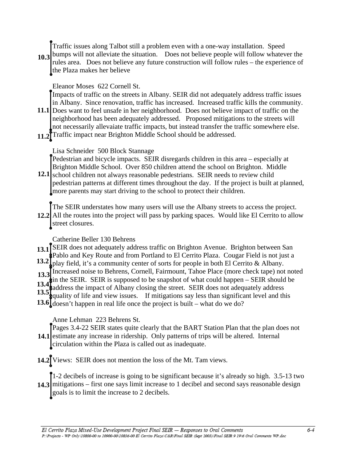Traffic issues along Talbot still a problem even with a one-way installation. Speed

10.3<sup>bumps</sup> will not alleviate the situation. Does not believe people will follow whatever the rules area. Does not believe any future construction will follow rules – the experience of the Plaza makes her believe

#### Eleanor Moses 622 Cornell St.

Impacts of traffic on the streets in Albany. SEIR did not adequately address traffic issues in Albany. Since renovation, traffic has increased. Increased traffic kills the community.

- 11.1 Does want to feel unsafe in her neighborhood. Does not believe impact of traffic on the neighborhood has been adequately addressed. Proposed mitigations to the streets will not necessarily allevaiate traffic impacts, but instead transfer the traffic somewhere else.
- 11.2<sup>T</sup>Traffic impact near Brighton Middle School should be addressed.

#### Lisa Schneider 500 Block Stannage

Pedestrian and bicycle impacts. SEIR disregards children in this area – especially at Brighton Middle School. Over 850 children attend the school on Brighton. Middle

12.1 school children not always reasonable pedestrians. SEIR needs to review child pedestrian patterns at different times throughout the day. If the project is built at planned, more parents may start driving to the school to protect their children.

The SEIR understates how many users will use the Albany streets to access the project. All the routes into the project will pass by parking spaces. Would like El Cerrito to allow **12.2** street closures.

Catherine Beller 130 Behrens

13.1<sup>I</sup>SEIR does not adequately address traffic on Brighton Avenue. Brighton between San Pablo and Key Route and from Portland to El Cerrito Plaza. Cougar Field is not just a play field, it's a community center of sorts for people in both El Cerrito & Albany. **13.2**

13.3 Increased noise to Behrens, Cornell, Fairmount, Tahoe Place (more check tape) not noted **13.3**

in the SEIR. SEIR is supposed to be snapshot of what could happen – SEIR should be **13.4**

address the impact of Albany closing the street. SEIR does not adequately address 13.5<sup>1</sup>/<sub>3</sub> quality of life and view issues. If mitigations say less than significant level and this

13.6  $\int$  doesn't happen in real life once the project is built – what do we do?

# Anne Lehman 223 Behrens St.

Pages 3.4-22 SEIR states quite clearly that the BART Station Plan that the plan does not 14.1 estimate any increase in ridership. Only patterns of trips will be altered. Internal circulation within the Plaza is called out as inadequate.

Views: SEIR does not mention the loss of the Mt. Tam views. **14.2**

1-2 decibels of increase is going to be significant because it's already so high. 3.5-13 two 14.3 mitigations – first one says limit increase to 1 decibel and second says reasonable design goals is to limit the increase to 2 decibels.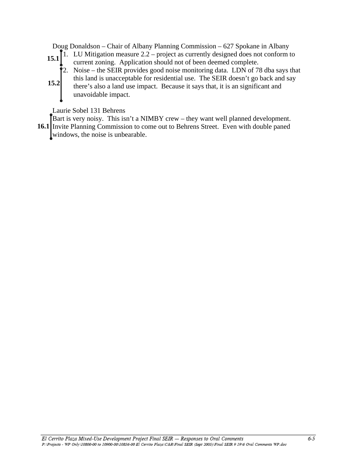Doug Donaldson – Chair of Albany Planning Commission – 627 Spokane in Albany

- 15.1  $\begin{bmatrix} 1. & L \text{U} \text{ Mitigation measure } 2.2 \text{project as currently designed does not conform to} \\ \text{current going. Another should not often depend complete} \end{bmatrix}$ current zoning. Application should not of been deemed complete.
	- $\hat{P}$ 2. Noise the SEIR provides good noise monitoring data. LDN of 78 dba says that
- this land is unacceptable for residential use. The SEIR doesn't go back and say there's also a land use impact. Because it says that, it is an significant and unavoidable impact. **15.2**

Laurie Sobel 131 Behrens

Bart is very noisy. This isn't a NIMBY crew – they want well planned development. 16.1 Invite Planning Commission to come out to Behrens Street. Even with double paned windows, the noise is unbearable.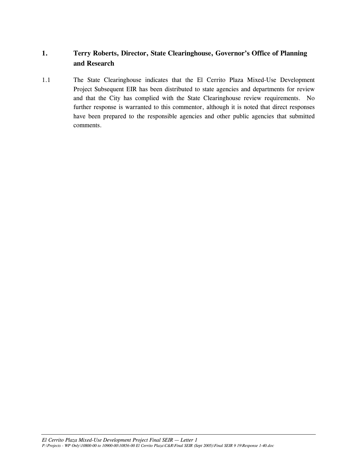# **1. Terry Roberts, Director, State Clearinghouse, Governor's Office of Planning and Research**

1.1 The State Clearinghouse indicates that the El Cerrito Plaza Mixed-Use Development Project Subsequent EIR has been distributed to state agencies and departments for review and that the City has complied with the State Clearinghouse review requirements. No further response is warranted to this commentor, although it is noted that direct responses have been prepared to the responsible agencies and other public agencies that submitted comments.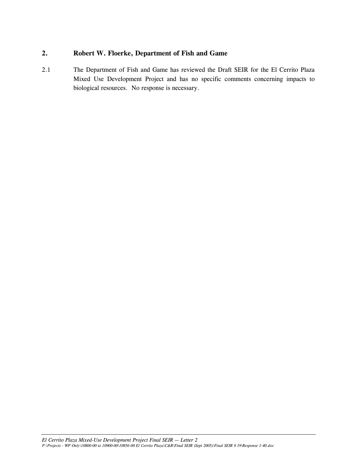#### **2. Robert W. Floerke, Department of Fish and Game**

2.1 The Department of Fish and Game has reviewed the Draft SEIR for the El Cerrito Plaza Mixed Use Development Project and has no specific comments concerning impacts to biological resources. No response is necessary.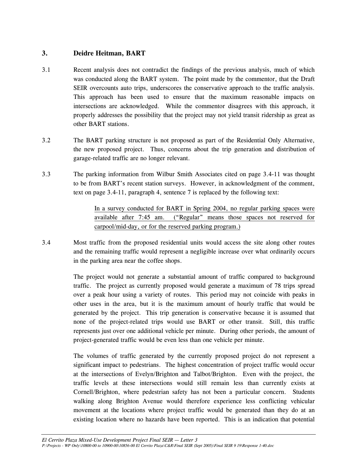#### **3. Deidre Heitman, BART**

- 3.1 Recent analysis does not contradict the findings of the previous analysis, much of which was conducted along the BART system. The point made by the commentor, that the Draft SEIR overcounts auto trips, underscores the conservative approach to the traffic analysis. This approach has been used to ensure that the maximum reasonable impacts on intersections are acknowledged. While the commentor disagrees with this approach, it properly addresses the possibility that the project may not yield transit ridership as great as other BART stations.
- 3.2 The BART parking structure is not proposed as part of the Residential Only Alternative, the new proposed project. Thus, concerns about the trip generation and distribution of garage-related traffic are no longer relevant.
- 3.3 The parking information from Wilbur Smith Associates cited on page 3.4-11 was thought to be from BART's recent station surveys. However, in acknowledgment of the comment, text on page 3.4-11, paragraph 4, sentence 7 is replaced by the following text:

 In a survey conducted for BART in Spring 2004, no regular parking spaces were available after 7:45 am. ("Regular" means those spaces not reserved for carpool/mid-day, or for the reserved parking program.)

3.4 Most traffic from the proposed residential units would access the site along other routes and the remaining traffic would represent a negligible increase over what ordinarily occurs in the parking area near the coffee shops.

> The project would not generate a substantial amount of traffic compared to background traffic. The project as currently proposed would generate a maximum of 78 trips spread over a peak hour using a variety of routes. This period may not coincide with peaks in other uses in the area, but it is the maximum amount of hourly traffic that would be generated by the project. This trip generation is conservative because it is assumed that none of the project-related trips would use BART or other transit. Still, this traffic represents just over one additional vehicle per minute. During other periods, the amount of project-generated traffic would be even less than one vehicle per minute.

> The volumes of traffic generated by the currently proposed project do not represent a significant impact to pedestrians. The highest concentration of project traffic would occur at the intersections of Evelyn/Brighton and Talbot/Brighton. Even with the project, the traffic levels at these intersections would still remain less than currently exists at Cornell/Brighton, where pedestrian safety has not been a particular concern. Students walking along Brighton Avenue would therefore experience less conflicting vehicular movement at the locations where project traffic would be generated than they do at an existing location where no hazards have been reported. This is an indication that potential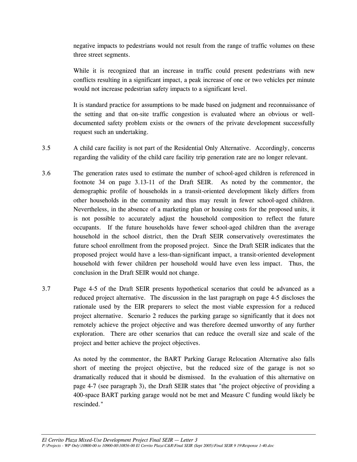negative impacts to pedestrians would not result from the range of traffic volumes on these three street segments.

 While it is recognized that an increase in traffic could present pedestrians with new conflicts resulting in a significant impact, a peak increase of one or two vehicles per minute would not increase pedestrian safety impacts to a significant level.

It is standard practice for assumptions to be made based on judgment and reconnaissance of the setting and that on-site traffic congestion is evaluated where an obvious or welldocumented safety problem exists or the owners of the private development successfully request such an undertaking.

- 3.5 A child care facility is not part of the Residential Only Alternative. Accordingly, concerns regarding the validity of the child care facility trip generation rate are no longer relevant.
- 3.6 The generation rates used to estimate the number of school-aged children is referenced in footnote 34 on page 3.13-11 of the Draft SEIR. As noted by the commentor, the demographic profile of households in a transit-oriented development likely differs from other households in the community and thus may result in fewer school-aged children. Nevertheless, in the absence of a marketing plan or housing costs for the proposed units, it is not possible to accurately adjust the household composition to reflect the future occupants. If the future households have fewer school-aged children than the average household in the school district, then the Draft SEIR conservatively overestimates the future school enrollment from the proposed project. Since the Draft SEIR indicates that the proposed project would have a less-than-significant impact, a transit-oriented development household with fewer children per household would have even less impact. Thus, the conclusion in the Draft SEIR would not change.
- 3.7 Page 4-5 of the Draft SEIR presents hypothetical scenarios that could be advanced as a reduced project alternative. The discussion in the last paragraph on page 4-5 discloses the rationale used by the EIR preparers to select the most viable expression for a reduced project alternative. Scenario 2 reduces the parking garage so significantly that it does not remotely achieve the project objective and was therefore deemed unworthy of any further exploration. There are other scenarios that can reduce the overall size and scale of the project and better achieve the project objectives.

As noted by the commentor, the BART Parking Garage Relocation Alternative also falls short of meeting the project objective, but the reduced size of the garage is not so dramatically reduced that it should be dismissed. In the evaluation of this alternative on page 4-7 (see paragraph 3), the Draft SEIR states that "the project objective of providing a 400-space BART parking garage would not be met and Measure C funding would likely be rescinded."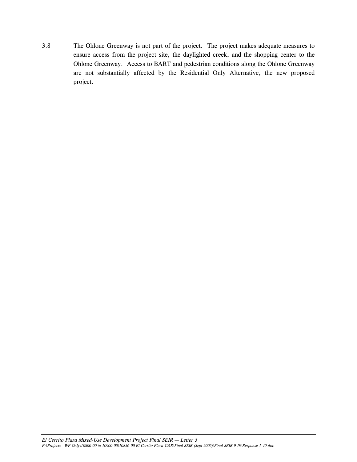3.8 The Ohlone Greenway is not part of the project. The project makes adequate measures to ensure access from the project site, the daylighted creek, and the shopping center to the Ohlone Greenway. Access to BART and pedestrian conditions along the Ohlone Greenway are not substantially affected by the Residential Only Alternative, the new proposed project.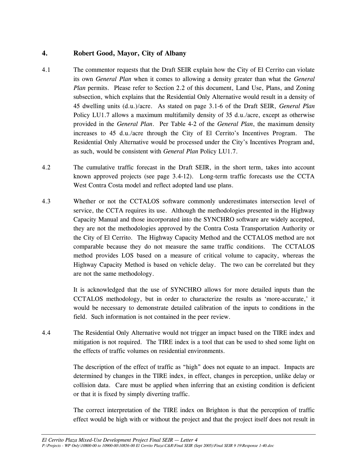#### **4. Robert Good, Mayor, City of Albany**

- 4.1 The commentor requests that the Draft SEIR explain how the City of El Cerrito can violate its own *General Plan* when it comes to allowing a density greater than what the *General Plan* permits. Please refer to Section 2.2 of this document, Land Use, Plans, and Zoning subsection, which explains that the Residential Only Alternative would result in a density of 45 dwelling units (d.u.)/acre. As stated on page 3.1-6 of the Draft SEIR, *General Plan* Policy LU1.7 allows a maximum multifamily density of 35 d.u./acre, except as otherwise provided in the *General Plan*. Per Table 4-2 of the *General Plan*, the maximum density increases to 45 d.u./acre through the City of El Cerrito's Incentives Program. The Residential Only Alternative would be processed under the City's Incentives Program and, as such, would be consistent with *General Plan* Policy LU1.7.
- 4.2 The cumulative traffic forecast in the Draft SEIR, in the short term, takes into account known approved projects (see page 3.4-12). Long-term traffic forecasts use the CCTA West Contra Costa model and reflect adopted land use plans.
- 4.3 Whether or not the CCTALOS software commonly underestimates intersection level of service, the CCTA requires its use. Although the methodologies presented in the Highway Capacity Manual and those incorporated into the SYNCHRO software are widely accepted, they are not the methodologies approved by the Contra Costa Transportation Authority or the City of El Cerrito. The Highway Capacity Method and the CCTALOS method are not comparable because they do not measure the same traffic conditions. The CCTALOS method provides LOS based on a measure of critical volume to capacity, whereas the Highway Capacity Method is based on vehicle delay. The two can be correlated but they are not the same methodology.

 It is acknowledged that the use of SYNCHRO allows for more detailed inputs than the CCTALOS methodology, but in order to characterize the results as 'more-accurate,' it would be necessary to demonstrate detailed calibration of the inputs to conditions in the field. Such information is not contained in the peer review.

4.4 The Residential Only Alternative would not trigger an impact based on the TIRE index and mitigation is not required. The TIRE index is a tool that can be used to shed some light on the effects of traffic volumes on residential environments.

> The description of the effect of traffic as "high" does not equate to an impact. Impacts are determined by changes in the TIRE index, in effect, changes in perception, unlike delay or collision data. Care must be applied when inferring that an existing condition is deficient or that it is fixed by simply diverting traffic.

> The correct interpretation of the TIRE index on Brighton is that the perception of traffic effect would be high with or without the project and that the project itself does not result in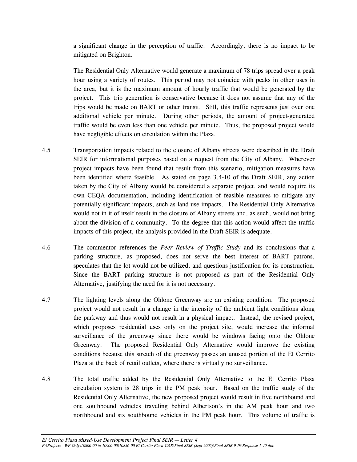a significant change in the perception of traffic. Accordingly, there is no impact to be mitigated on Brighton.

The Residential Only Alternative would generate a maximum of 78 trips spread over a peak hour using a variety of routes. This period may not coincide with peaks in other uses in the area, but it is the maximum amount of hourly traffic that would be generated by the project. This trip generation is conservative because it does not assume that any of the trips would be made on BART or other transit. Still, this traffic represents just over one additional vehicle per minute. During other periods, the amount of project-generated traffic would be even less than one vehicle per minute. Thus, the proposed project would have negligible effects on circulation within the Plaza.

- 4.5 Transportation impacts related to the closure of Albany streets were described in the Draft SEIR for informational purposes based on a request from the City of Albany. Wherever project impacts have been found that result from this scenario, mitigation measures have been identified where feasible. As stated on page 3.4-10 of the Draft SEIR, any action taken by the City of Albany would be considered a separate project, and would require its own CEQA documentation, including identification of feasible measures to mitigate any potentially significant impacts, such as land use impacts. The Residential Only Alternative would not in it of itself result in the closure of Albany streets and, as such, would not bring about the division of a community. To the degree that this action would affect the traffic impacts of this project, the analysis provided in the Draft SEIR is adequate.
- 4.6 The commentor references the *Peer Review of Traffic Study* and its conclusions that a parking structure, as proposed, does not serve the best interest of BART patrons, speculates that the lot would not be utilized, and questions justification for its construction. Since the BART parking structure is not proposed as part of the Residential Only Alternative, justifying the need for it is not necessary.
- 4.7 The lighting levels along the Ohlone Greenway are an existing condition. The proposed project would not result in a change in the intensity of the ambient light conditions along the parkway and thus would not result in a physical impact. Instead, the revised project, which proposes residential uses only on the project site, would increase the informal surveillance of the greenway since there would be windows facing onto the Ohlone Greenway. The proposed Residential Only Alternative would improve the existing conditions because this stretch of the greenway passes an unused portion of the El Cerrito Plaza at the back of retail outlets, where there is virtually no surveillance.
- 4.8 The total traffic added by the Residential Only Alternative to the El Cerrito Plaza circulation system is 28 trips in the PM peak hour. Based on the traffic study of the Residential Only Alternative, the new proposed project would result in five northbound and one southbound vehicles traveling behind Albertson's in the AM peak hour and two northbound and six southbound vehicles in the PM peak hour. This volume of traffic is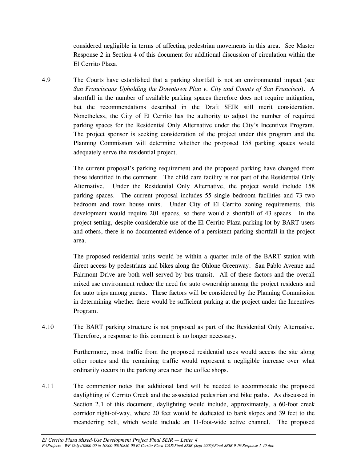considered negligible in terms of affecting pedestrian movements in this area. See Master Response 2 in Section 4 of this document for additional discussion of circulation within the El Cerrito Plaza.

4.9 The Courts have established that a parking shortfall is not an environmental impact (see *San Franciscans Upholding the Downtown Plan v. City and County of San Francisco*). A shortfall in the number of available parking spaces therefore does not require mitigation, but the recommendations described in the Draft SEIR still merit consideration. Nonetheless, the City of El Cerrito has the authority to adjust the number of required parking spaces for the Residential Only Alternative under the City's Incentives Program. The project sponsor is seeking consideration of the project under this program and the Planning Commission will determine whether the proposed 158 parking spaces would adequately serve the residential project.

> The current proposal's parking requirement and the proposed parking have changed from those identified in the comment. The child care facility is not part of the Residential Only Alternative. Under the Residential Only Alternative, the project would include 158 parking spaces. The current proposal includes 55 single bedroom facilities and 73 two bedroom and town house units. Under City of El Cerrito zoning requirements, this development would require 201 spaces, so there would a shortfall of 43 spaces. In the project setting, despite considerable use of the El Cerrito Plaza parking lot by BART users and others, there is no documented evidence of a persistent parking shortfall in the project area.

> The proposed residential units would be within a quarter mile of the BART station with direct access by pedestrians and bikes along the Ohlone Greenway. San Pablo Avenue and Fairmont Drive are both well served by bus transit. All of these factors and the overall mixed use environment reduce the need for auto ownership among the project residents and for auto trips among guests. These factors will be considered by the Planning Commission in determining whether there would be sufficient parking at the project under the Incentives Program.

4.10 The BART parking structure is not proposed as part of the Residential Only Alternative. Therefore, a response to this comment is no longer necessary.

> Furthermore, most traffic from the proposed residential uses would access the site along other routes and the remaining traffic would represent a negligible increase over what ordinarily occurs in the parking area near the coffee shops.

4.11 The commentor notes that additional land will be needed to accommodate the proposed daylighting of Cerrito Creek and the associated pedestrian and bike paths. As discussed in Section 2.1 of this document, daylighting would include, approximately, a 60-foot creek corridor right-of-way, where 20 feet would be dedicated to bank slopes and 39 feet to the meandering belt, which would include an 11-foot-wide active channel. The proposed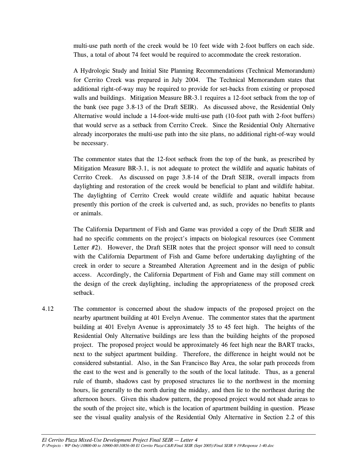multi-use path north of the creek would be 10 feet wide with 2-foot buffers on each side. Thus, a total of about 74 feet would be required to accommodate the creek restoration.

A Hydrologic Study and Initial Site Planning Recommendations (Technical Memorandum) for Cerrito Creek was prepared in July 2004. The Technical Memorandum states that additional right-of-way may be required to provide for set-backs from existing or proposed walls and buildings. Mitigation Measure BR-3.1 requires a 12-foot setback from the top of the bank (see page 3.8-13 of the Draft SEIR). As discussed above, the Residential Only Alternative would include a 14-foot-wide multi-use path (10-foot path with 2-foot buffers) that would serve as a setback from Cerrito Creek. Since the Residential Only Alternative already incorporates the multi-use path into the site plans, no additional right-of-way would be necessary.

 The commentor states that the 12-foot setback from the top of the bank, as prescribed by Mitigation Measure BR-3.1, is not adequate to protect the wildlife and aquatic habitats of Cerrito Creek. As discussed on page 3.8-14 of the Draft SEIR, overall impacts from daylighting and restoration of the creek would be beneficial to plant and wildlife habitat. The daylighting of Cerrito Creek would create wildlife and aquatic habitat because presently this portion of the creek is culverted and, as such, provides no benefits to plants or animals.

The California Department of Fish and Game was provided a copy of the Draft SEIR and had no specific comments on the project's impacts on biological resources (see Comment Letter  $#2$ ). However, the Draft SEIR notes that the project sponsor will need to consult with the California Department of Fish and Game before undertaking daylighting of the creek in order to secure a Streambed Alteration Agreement and in the design of public access. Accordingly, the California Department of Fish and Game may still comment on the design of the creek daylighting, including the appropriateness of the proposed creek setback.

4.12 The commentor is concerned about the shadow impacts of the proposed project on the nearby apartment building at 401 Evelyn Avenue. The commentor states that the apartment building at 401 Evelyn Avenue is approximately 35 to 45 feet high. The heights of the Residential Only Alternative buildings are less than the building heights of the proposed project. The proposed project would be approximately 46 feet high near the BART tracks, next to the subject apartment building. Therefore, the difference in height would not be considered substantial. Also, in the San Francisco Bay Area, the solar path proceeds from the east to the west and is generally to the south of the local latitude. Thus, as a general rule of thumb, shadows cast by proposed structures lie to the northwest in the morning hours, lie generally to the north during the midday, and then lie to the northeast during the afternoon hours. Given this shadow pattern, the proposed project would not shade areas to the south of the project site, which is the location of apartment building in question. Please see the visual quality analysis of the Residential Only Alternative in Section 2.2 of this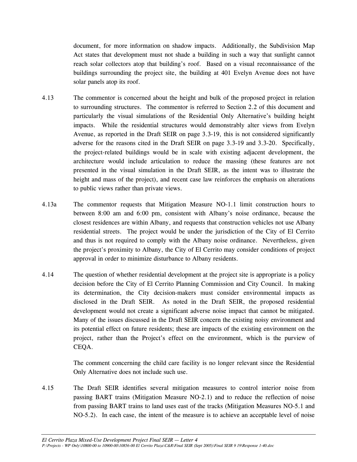document, for more information on shadow impacts. Additionally, the Subdivision Map Act states that development must not shade a building in such a way that sunlight cannot reach solar collectors atop that building's roof. Based on a visual reconnaissance of the buildings surrounding the project site, the building at 401 Evelyn Avenue does not have solar panels atop its roof.

- 4.13 The commentor is concerned about the height and bulk of the proposed project in relation to surrounding structures. The commentor is referred to Section 2.2 of this document and particularly the visual simulations of the Residential Only Alternative's building height impacts. While the residential structures would demonstrably alter views from Evelyn Avenue, as reported in the Draft SEIR on page 3.3-19, this is not considered significantly adverse for the reasons cited in the Draft SEIR on page 3.3-19 and 3.3-20. Specifically, the project-related buildings would be in scale with existing adjacent development, the architecture would include articulation to reduce the massing (these features are not presented in the visual simulation in the Draft SEIR, as the intent was to illustrate the height and mass of the project), and recent case law reinforces the emphasis on alterations to public views rather than private views.
- 4.13a The commentor requests that Mitigation Measure NO-1.1 limit construction hours to between 8:00 am and 6:00 pm, consistent with Albany's noise ordinance, because the closest residences are within Albany, and requests that construction vehicles not use Albany residential streets. The project would be under the jurisdiction of the City of El Cerrito and thus is not required to comply with the Albany noise ordinance. Nevertheless, given the project's proximity to Albany, the City of El Cerrito may consider conditions of project approval in order to minimize disturbance to Albany residents.
- 4.14 The question of whether residential development at the project site is appropriate is a policy decision before the City of El Cerrito Planning Commission and City Council. In making its determination, the City decision-makers must consider environmental impacts as disclosed in the Draft SEIR. As noted in the Draft SEIR, the proposed residential development would not create a significant adverse noise impact that cannot be mitigated. Many of the issues discussed in the Draft SEIR concern the existing noisy environment and its potential effect on future residents; these are impacts of the existing environment on the project, rather than the Project's effect on the environment, which is the purview of CEQA.

 The comment concerning the child care facility is no longer relevant since the Residential Only Alternative does not include such use.

4.15 The Draft SEIR identifies several mitigation measures to control interior noise from passing BART trains (Mitigation Measure NO-2.1) and to reduce the reflection of noise from passing BART trains to land uses east of the tracks (Mitigation Measures NO-5.1 and NO-5.2). In each case, the intent of the measure is to achieve an acceptable level of noise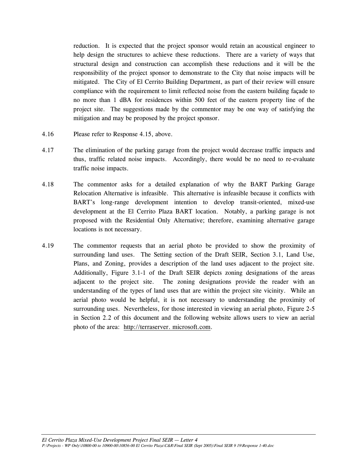reduction. It is expected that the project sponsor would retain an acoustical engineer to help design the structures to achieve these reductions. There are a variety of ways that structural design and construction can accomplish these reductions and it will be the responsibility of the project sponsor to demonstrate to the City that noise impacts will be mitigated. The City of El Cerrito Building Department, as part of their review will ensure compliance with the requirement to limit reflected noise from the eastern building façade to no more than 1 dBA for residences within 500 feet of the eastern property line of the project site. The suggestions made by the commentor may be one way of satisfying the mitigation and may be proposed by the project sponsor.

- 4.16 Please refer to Response 4.15, above.
- 4.17 The elimination of the parking garage from the project would decrease traffic impacts and thus, traffic related noise impacts. Accordingly, there would be no need to re-evaluate traffic noise impacts.
- 4.18 The commentor asks for a detailed explanation of why the BART Parking Garage Relocation Alternative is infeasible. This alternative is infeasible because it conflicts with BART's long-range development intention to develop transit-oriented, mixed-use development at the El Cerrito Plaza BART location. Notably, a parking garage is not proposed with the Residential Only Alternative; therefore, examining alternative garage locations is not necessary.
- 4.19 The commentor requests that an aerial photo be provided to show the proximity of surrounding land uses. The Setting section of the Draft SEIR, Section 3.1, Land Use, Plans, and Zoning, provides a description of the land uses adjacent to the project site. Additionally, Figure 3.1-1 of the Draft SEIR depicts zoning designations of the areas adjacent to the project site. The zoning designations provide the reader with an understanding of the types of land uses that are within the project site vicinity. While an aerial photo would be helpful, it is not necessary to understanding the proximity of surrounding uses. Nevertheless, for those interested in viewing an aerial photo, Figure 2-5 in Section 2.2 of this document and the following website allows users to view an aerial photo of the area: http://terraserver. microsoft.com.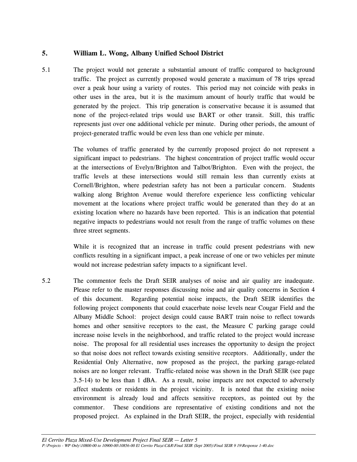#### **5. William L. Wong, Albany Unified School District**

5.1 The project would not generate a substantial amount of traffic compared to background traffic. The project as currently proposed would generate a maximum of 78 trips spread over a peak hour using a variety of routes. This period may not coincide with peaks in other uses in the area, but it is the maximum amount of hourly traffic that would be generated by the project. This trip generation is conservative because it is assumed that none of the project-related trips would use BART or other transit. Still, this traffic represents just over one additional vehicle per minute. During other periods, the amount of project-generated traffic would be even less than one vehicle per minute.

> The volumes of traffic generated by the currently proposed project do not represent a significant impact to pedestrians. The highest concentration of project traffic would occur at the intersections of Evelyn/Brighton and Talbot/Brighton. Even with the project, the traffic levels at these intersections would still remain less than currently exists at Cornell/Brighton, where pedestrian safety has not been a particular concern. Students walking along Brighton Avenue would therefore experience less conflicting vehicular movement at the locations where project traffic would be generated than they do at an existing location where no hazards have been reported. This is an indication that potential negative impacts to pedestrians would not result from the range of traffic volumes on these three street segments.

> While it is recognized that an increase in traffic could present pedestrians with new conflicts resulting in a significant impact, a peak increase of one or two vehicles per minute would not increase pedestrian safety impacts to a significant level.

5.2 The commentor feels the Draft SEIR analyses of noise and air quality are inadequate. Please refer to the master responses discussing noise and air quality concerns in Section 4 of this document. Regarding potential noise impacts, the Draft SEIR identifies the following project components that could exacerbate noise levels near Cougar Field and the Albany Middle School: project design could cause BART train noise to reflect towards homes and other sensitive receptors to the east, the Measure C parking garage could increase noise levels in the neighborhood, and traffic related to the project would increase noise. The proposal for all residential uses increases the opportunity to design the project so that noise does not reflect towards existing sensitive receptors. Additionally, under the Residential Only Alternative, now proposed as the project, the parking garage-related noises are no longer relevant. Traffic-related noise was shown in the Draft SEIR (see page 3.5-14) to be less than 1 dBA. As a result, noise impacts are not expected to adversely affect students or residents in the project vicinity. It is noted that the existing noise environment is already loud and affects sensitive receptors, as pointed out by the commentor. These conditions are representative of existing conditions and not the proposed project. As explained in the Draft SEIR, the project, especially with residential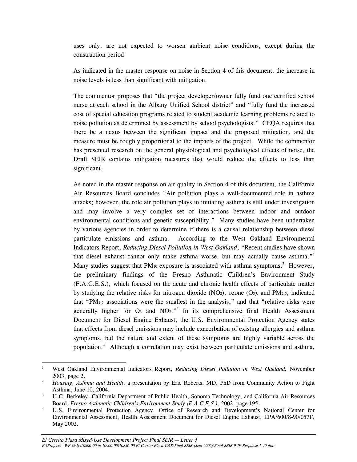uses only, are not expected to worsen ambient noise conditions, except during the construction period.

 As indicated in the master response on noise in Section 4 of this document, the increase in noise levels is less than significant with mitigation.

 The commentor proposes that "the project developer/owner fully fund one certified school nurse at each school in the Albany Unified School district" and "fully fund the increased cost of special education programs related to student academic learning problems related to noise pollution as determined by assessment by school psychologists." CEQA requires that there be a nexus between the significant impact and the proposed mitigation, and the measure must be roughly proportional to the impacts of the project. While the commentor has presented research on the general physiological and psychological effects of noise, the Draft SEIR contains mitigation measures that would reduce the effects to less than significant.

 As noted in the master response on air quality in Section 4 of this document, the California Air Resources Board concludes "Air pollution plays a well-documented role in asthma attacks; however, the role air pollution plays in initiating asthma is still under investigation and may involve a very complex set of interactions between indoor and outdoor environmental conditions and genetic susceptibility." Many studies have been undertaken by various agencies in order to determine if there is a causal relationship between diesel particulate emissions and asthma. According to the West Oakland Environmental Indicators Report, *Reducing Diesel Pollution in West Oakland*, "Recent studies have shown that diesel exhaust cannot only make asthma worse, but may actually cause asthma."<sup>1</sup> Many studies suggest that  $PM_{10}$  exposure is associated with asthma symptoms.<sup>2</sup> However, the preliminary findings of the Fresno Asthmatic Children's Environment Study (F.A.C.E.S.), which focused on the acute and chronic health effects of particulate matter by studying the relative risks for nitrogen dioxide  $(NO_2)$ , ozone  $(O_3)$ , and PM<sub>2.5</sub>, indicated that "PM<sub>2.5</sub> associations were the smallest in the analysis," and that "relative risks were generally higher for  $O_3$  and  $NO_2$ .<sup>3</sup> In its comprehensive final Health Assessment Document for Diesel Engine Exhaust, the U.S. Environmental Protection Agency states that effects from diesel emissions may include exacerbation of existing allergies and asthma symptoms, but the nature and extent of these symptoms are highly variable across the population.4 Although a correlation may exist between particulate emissions and asthma,

<sup>-</sup>1 West Oakland Environmental Indicators Report, *Reducing Diesel Pollution in West Oakland,* November  $2003$ , page 2.

*Housing, Asthma and Health*, a presentation by Eric Roberts, MD, PhD from Community Action to Fight Asthma, June 10, 2004.

U.C. Berkeley, California Department of Public Health, Sonoma Technology, and California Air Resources Board, *Fresno Asthmatic Children's Environment Study (F.A.C.E.S.)*, 2002, page 195.

U.S. Environmental Protection Agency, Office of Research and Development's National Center for Environmental Assessment, Health Assessment Document for Diesel Engine Exhaust, EPA/600/8-90/057F, May 2002.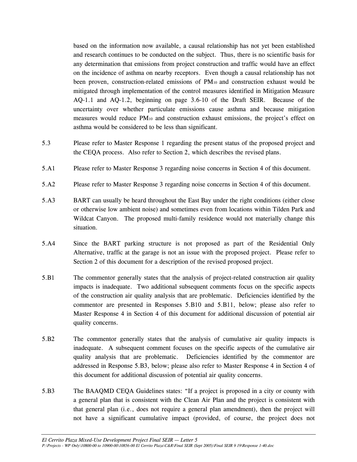based on the information now available, a causal relationship has not yet been established and research continues to be conducted on the subject. Thus, there is no scientific basis for any determination that emissions from project construction and traffic would have an effect on the incidence of asthma on nearby receptors. Even though a causal relationship has not been proven, construction-related emissions of PM10 and construction exhaust would be mitigated through implementation of the control measures identified in Mitigation Measure AQ-1.1 and AQ-1.2, beginning on page 3.6-10 of the Draft SEIR. Because of the uncertainty over whether particulate emissions cause asthma and because mitigation measures would reduce  $PM_{10}$  and construction exhaust emissions, the project's effect on asthma would be considered to be less than significant.

- 5.3 Please refer to Master Response 1 regarding the present status of the proposed project and the CEQA process. Also refer to Section 2, which describes the revised plans.
- 5.A1 Please refer to Master Response 3 regarding noise concerns in Section 4 of this document.
- 5.A2 Please refer to Master Response 3 regarding noise concerns in Section 4 of this document.
- 5.A3 BART can usually be heard throughout the East Bay under the right conditions (either close or otherwise low ambient noise) and sometimes even from locations within Tilden Park and Wildcat Canyon. The proposed multi-family residence would not materially change this situation.
- 5.A4 Since the BART parking structure is not proposed as part of the Residential Only Alternative, traffic at the garage is not an issue with the proposed project. Please refer to Section 2 of this document for a description of the revised proposed project.
- 5.B1 The commentor generally states that the analysis of project-related construction air quality impacts is inadequate. Two additional subsequent comments focus on the specific aspects of the construction air quality analysis that are problematic. Deficiencies identified by the commentor are presented in Responses 5.B10 and 5.B11, below; please also refer to Master Response 4 in Section 4 of this document for additional discussion of potential air quality concerns.
- 5.B2 The commentor generally states that the analysis of cumulative air quality impacts is inadequate. A subsequent comment focuses on the specific aspects of the cumulative air quality analysis that are problematic. Deficiencies identified by the commentor are addressed in Response 5.B3, below; please also refer to Master Response 4 in Section 4 of this document for additional discussion of potential air quality concerns.
- 5.B3 The BAAQMD CEQA Guidelines states: "If a project is proposed in a city or county with a general plan that is consistent with the Clean Air Plan and the project is consistent with that general plan (i.e., does not require a general plan amendment), then the project will not have a significant cumulative impact (provided, of course, the project does not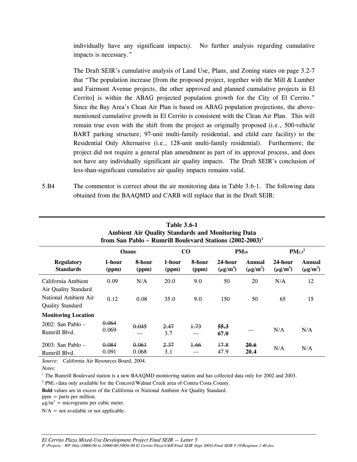individually have any significant impacts). No further analysis regarding cumulative impacts is necessary."

 The Draft SEIR's cumulative analysis of Land Use, Plans, and Zoning states on page 3.2-7 that "The population increase [from the proposed project, together with the Mill & Lumber and Fairmont Avenue projects, the other approved and planned cumulative projects in El Cerrito] is within the ABAG projected population growth for the City of El Cerrito." Since the Bay Area's Clean Air Plan is based on ABAG population projections, the abovementioned cumulative growth in El Cerrito is consistent with the Clean Air Plan. This will remain true even with the shift from the project as originally proposed (i.e., 500-vehicle BART parking structure, 97-unit multi-family residential, and child care facility) to the Residential Only Alternative (i.e., 128-unit multi-family residential). Furthermore, the project did not require a general plan amendment as part of its approval process, and does not have any individually significant air quality impacts. The Draft SEIR's conclusion of less-than-significant cumulative air quality impacts remains valid.

5.B4 The commentor is correct about the air monitoring data in Table 3.6-1. The following data obtained from the BAAQMD and CARB will replace that in the Draft SEIR:

| <b>Table 3.6-1</b><br><b>Ambient Air Quality Standards and Monitoring Data</b><br>from San Pablo - Rumrill Boulevard Stations (2002-2003) <sup>1</sup> |                 |                 |                 |                 |                          |                         |                          |                         |
|--------------------------------------------------------------------------------------------------------------------------------------------------------|-----------------|-----------------|-----------------|-----------------|--------------------------|-------------------------|--------------------------|-------------------------|
|                                                                                                                                                        | Ozone           |                 | CO              |                 | $PM_{10}$                |                         | $PM_{2.5}^2$             |                         |
| <b>Regulatory</b><br><b>Standards</b>                                                                                                                  | 1-hour<br>(ppm) | 8-hour<br>(ppm) | 1-hour<br>(ppm) | 8-hour<br>(ppm) | 24-hour<br>$(\mu g/m^3)$ | Annual<br>$(\mu g/m^3)$ | 24-hour<br>$(\mu g/m^3)$ | Annual<br>$(\mu g/m^3)$ |
| California Ambient<br>Air Quality Standard<br>National Ambient Air<br><b>Quality Standard</b>                                                          | 0.09<br>0.12    | N/A<br>0.08     | 20.0<br>35.0    | 9.0<br>9.0      | 50<br>150                | 20<br>50                | N/A<br>65                | 12<br>15                |
| <b>Monitoring Location</b><br>$2002$ : San Pablo –<br>Rumrill Blvd.                                                                                    | 0.064<br>0.069  | 0.045<br>---    | 2.47<br>3.7     | $+73$<br>$---$  | 55.3<br>67.0             | ---                     | N/A                      | N/A                     |
| $2003$ : San Pablo –<br>Rumrill Blvd.                                                                                                                  | 0.084<br>0.091  | 0.061<br>0.068  | 2.37<br>3.1     | 1.66            | 17.8<br>47.9             | <b>20.6</b><br>20.4     | N/A                      | N/A                     |

*Source:* California Air Resources Board, 2004.

<sup>1</sup> The Rumrill Boulevard station is a new BAAQMD monitoring station and has collected data only for 2002 and 2003.

 $2$  PM<sub>2.5</sub> data only available for the Concord/Walnut Creek area of Contra Costa County.

**Bold** values are in excess of the California or National Ambient Air Quality Standard.

ppm = parts per million.

 $\mu$ g/m<sup>3</sup> = micrograms per cubic meter.

 $N/A$  = not available or not applicable.

*Notes:*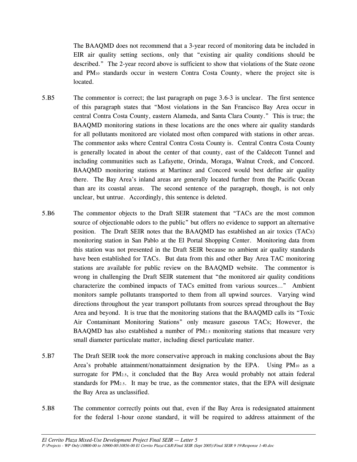The BAAQMD does not recommend that a 3-year record of monitoring data be included in EIR air quality setting sections, only that "existing air quality conditions should be described." The 2-year record above is sufficient to show that violations of the State ozone and PM10 standards occur in western Contra Costa County, where the project site is located.

- 5.B5 The commentor is correct; the last paragraph on page 3.6-3 is unclear. The first sentence of this paragraph states that "Most violations in the San Francisco Bay Area occur in central Contra Costa County, eastern Alameda, and Santa Clara County." This is true; the BAAQMD monitoring stations in these locations are the ones where air quality standards for all pollutants monitored are violated most often compared with stations in other areas. The commentor asks where Central Contra Costa County is. Central Contra Costa County is generally located in about the center of that county, east of the Caldecott Tunnel and including communities such as Lafayette, Orinda, Moraga, Walnut Creek, and Concord. BAAQMD monitoring stations at Martinez and Concord would best define air quality there. The Bay Area's inland areas are generally located further from the Pacific Ocean than are its coastal areas. The second sentence of the paragraph, though, is not only unclear, but untrue. Accordingly, this sentence is deleted.
- 5.B6 The commentor objects to the Draft SEIR statement that "TACs are the most common source of objectionable odors to the public" but offers no evidence to support an alternative position. The Draft SEIR notes that the BAAQMD has established an air toxics (TACs) monitoring station in San Pablo at the El Portal Shopping Center. Monitoring data from this station was not presented in the Draft SEIR because no ambient air quality standards have been established for TACs. But data from this and other Bay Area TAC monitoring stations are available for public review on the BAAQMD website. The commentor is wrong in challenging the Draft SEIR statement that "the monitored air quality conditions characterize the combined impacts of TACs emitted from various sources…" Ambient monitors sample pollutants transported to them from all upwind sources. Varying wind directions throughout the year transport pollutants from sources spread throughout the Bay Area and beyond. It is true that the monitoring stations that the BAAQMD calls its "Toxic Air Contaminant Monitoring Stations" only measure gaseous TACs; However, the BAAQMD has also established a number of  $PM<sub>2.5</sub>$  monitoring stations that measure very small diameter particulate matter, including diesel particulate matter.
- 5.B7 The Draft SEIR took the more conservative approach in making conclusions about the Bay Area's probable attainment/nonattainment designation by the EPA. Using  $PM_{10}$  as a surrogate for PM<sub>2.5</sub>, it concluded that the Bay Area would probably not attain federal standards for  $PM_{2.5}$ . It may be true, as the commentor states, that the EPA will designate the Bay Area as unclassified.
- 5.B8 The commentor correctly points out that, even if the Bay Area is redesignated attainment for the federal 1-hour ozone standard, it will be required to address attainment of the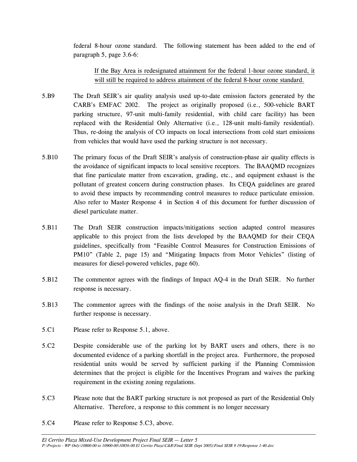federal 8-hour ozone standard. The following statement has been added to the end of paragraph 5, page 3.6-6:

 If the Bay Area is redesignated attainment for the federal 1-hour ozone standard, it will still be required to address attainment of the federal 8-hour ozone standard.

- 5.B9 The Draft SEIR's air quality analysis used up-to-date emission factors generated by the CARB's EMFAC 2002. The project as originally proposed (i.e., 500-vehicle BART parking structure, 97-unit multi-family residential, with child care facility) has been replaced with the Residential Only Alternative (i.e., 128-unit multi-family residential). Thus, re-doing the analysis of CO impacts on local intersections from cold start emissions from vehicles that would have used the parking structure is not necessary.
- 5.B10 The primary focus of the Draft SEIR's analysis of construction-phase air quality effects is the avoidance of significant impacts to local sensitive receptors. The BAAQMD recognizes that fine particulate matter from excavation, grading, etc., and equipment exhaust is the pollutant of greatest concern during construction phases. Its CEQA guidelines are geared to avoid these impacts by recommending control measures to reduce particulate emission. Also refer to Master Response 4 in Section 4 of this document for further discussion of diesel particulate matter.
- 5.B11 The Draft SEIR construction impacts/mitigations section adapted control measures applicable to this project from the lists developed by the BAAQMD for their CEQA guidelines, specifically from "Feasible Control Measures for Construction Emissions of PM10" (Table 2, page 15) and "Mitigating Impacts from Motor Vehicles" (listing of measures for diesel-powered vehicles, page 60).
- 5.B12 The commentor agrees with the findings of Impact AQ-4 in the Draft SEIR. No further response is necessary.
- 5.B13 The commentor agrees with the findings of the noise analysis in the Draft SEIR. No further response is necessary.
- 5.C1 Please refer to Response 5.1, above.
- 5.C2 Despite considerable use of the parking lot by BART users and others, there is no documented evidence of a parking shortfall in the project area. Furthermore, the proposed residential units would be served by sufficient parking if the Planning Commission determines that the project is eligible for the Incentives Program and waives the parking requirement in the existing zoning regulations.
- 5.C3 Please note that the BART parking structure is not proposed as part of the Residential Only Alternative. Therefore, a response to this comment is no longer necessary
- 5.C4 Please refer to Response 5.C3, above.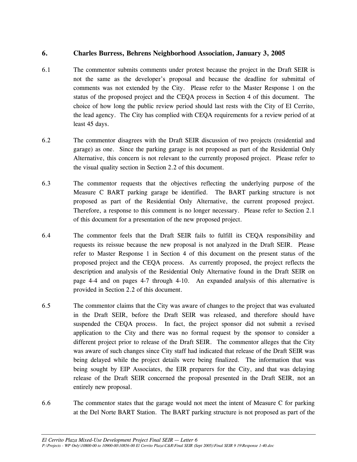#### **6. Charles Burress, Behrens Neighborhood Association, January 3, 2005**

- 6.1 The commentor submits comments under protest because the project in the Draft SEIR is not the same as the developer's proposal and because the deadline for submittal of comments was not extended by the City. Please refer to the Master Response 1 on the status of the proposed project and the CEQA process in Section 4 of this document. The choice of how long the public review period should last rests with the City of El Cerrito, the lead agency. The City has complied with CEQA requirements for a review period of at least 45 days.
- 6.2 The commentor disagrees with the Draft SEIR discussion of two projects (residential and garage) as one. Since the parking garage is not proposed as part of the Residential Only Alternative, this concern is not relevant to the currently proposed project. Please refer to the visual quality section in Section 2.2 of this document.
- 6.3 The commentor requests that the objectives reflecting the underlying purpose of the Measure C BART parking garage be identified. The BART parking structure is not proposed as part of the Residential Only Alternative, the current proposed project. Therefore, a response to this comment is no longer necessary. Please refer to Section 2.1 of this document for a presentation of the new proposed project.
- 6.4 The commentor feels that the Draft SEIR fails to fulfill its CEQA responsibility and requests its reissue because the new proposal is not analyzed in the Draft SEIR. Please refer to Master Response 1 in Section 4 of this document on the present status of the proposed project and the CEQA process. As currently proposed, the project reflects the description and analysis of the Residential Only Alternative found in the Draft SEIR on page 4-4 and on pages 4-7 through 4-10. An expanded analysis of this alternative is provided in Section 2.2 of this document.
- 6.5 The commentor claims that the City was aware of changes to the project that was evaluated in the Draft SEIR, before the Draft SEIR was released, and therefore should have suspended the CEQA process. In fact, the project sponsor did not submit a revised application to the City and there was no formal request by the sponsor to consider a different project prior to release of the Draft SEIR. The commentor alleges that the City was aware of such changes since City staff had indicated that release of the Draft SEIR was being delayed while the project details were being finalized. The information that was being sought by EIP Associates, the EIR preparers for the City, and that was delaying release of the Draft SEIR concerned the proposal presented in the Draft SEIR, not an entirely new proposal.
- 6.6 The commentor states that the garage would not meet the intent of Measure C for parking at the Del Norte BART Station. The BART parking structure is not proposed as part of the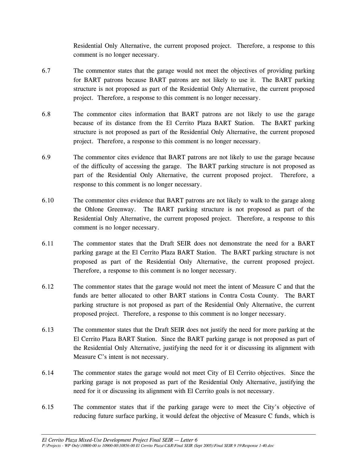Residential Only Alternative, the current proposed project. Therefore, a response to this comment is no longer necessary.

- 6.7 The commentor states that the garage would not meet the objectives of providing parking for BART patrons because BART patrons are not likely to use it. The BART parking structure is not proposed as part of the Residential Only Alternative, the current proposed project. Therefore, a response to this comment is no longer necessary.
- 6.8 The commentor cites information that BART patrons are not likely to use the garage because of its distance from the El Cerrito Plaza BART Station. The BART parking structure is not proposed as part of the Residential Only Alternative, the current proposed project. Therefore, a response to this comment is no longer necessary.
- 6.9 The commentor cites evidence that BART patrons are not likely to use the garage because of the difficulty of accessing the garage. The BART parking structure is not proposed as part of the Residential Only Alternative, the current proposed project. Therefore, a response to this comment is no longer necessary.
- 6.10 The commentor cites evidence that BART patrons are not likely to walk to the garage along the Ohlone Greenway. The BART parking structure is not proposed as part of the Residential Only Alternative, the current proposed project. Therefore, a response to this comment is no longer necessary.
- 6.11 The commentor states that the Draft SEIR does not demonstrate the need for a BART parking garage at the El Cerrito Plaza BART Station. The BART parking structure is not proposed as part of the Residential Only Alternative, the current proposed project. Therefore, a response to this comment is no longer necessary.
- 6.12 The commentor states that the garage would not meet the intent of Measure C and that the funds are better allocated to other BART stations in Contra Costa County. The BART parking structure is not proposed as part of the Residential Only Alternative, the current proposed project. Therefore, a response to this comment is no longer necessary.
- 6.13 The commentor states that the Draft SEIR does not justify the need for more parking at the El Cerrito Plaza BART Station. Since the BART parking garage is not proposed as part of the Residential Only Alternative, justifying the need for it or discussing its alignment with Measure C's intent is not necessary.
- 6.14 The commentor states the garage would not meet City of El Cerrito objectives. Since the parking garage is not proposed as part of the Residential Only Alternative, justifying the need for it or discussing its alignment with El Cerrito goals is not necessary.
- 6.15 The commentor states that if the parking garage were to meet the City's objective of reducing future surface parking, it would defeat the objective of Measure C funds, which is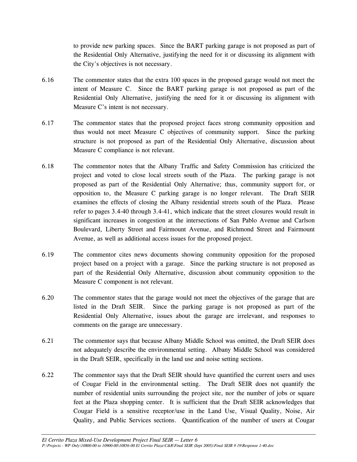to provide new parking spaces. Since the BART parking garage is not proposed as part of the Residential Only Alternative, justifying the need for it or discussing its alignment with the City's objectives is not necessary.

- 6.16 The commentor states that the extra 100 spaces in the proposed garage would not meet the intent of Measure C. Since the BART parking garage is not proposed as part of the Residential Only Alternative, justifying the need for it or discussing its alignment with Measure C's intent is not necessary.
- 6.17 The commentor states that the proposed project faces strong community opposition and thus would not meet Measure C objectives of community support. Since the parking structure is not proposed as part of the Residential Only Alternative, discussion about Measure C compliance is not relevant.
- 6.18 The commentor notes that the Albany Traffic and Safety Commission has criticized the project and voted to close local streets south of the Plaza. The parking garage is not proposed as part of the Residential Only Alternative; thus, community support for, or opposition to, the Measure C parking garage is no longer relevant. The Draft SEIR examines the effects of closing the Albany residential streets south of the Plaza. Please refer to pages 3.4-40 through 3.4-41, which indicate that the street closures would result in significant increases in congestion at the intersections of San Pablo Avenue and Carlson Boulevard, Liberty Street and Fairmount Avenue, and Richmond Street and Fairmount Avenue, as well as additional access issues for the proposed project.
- 6.19 The commentor cites news documents showing community opposition for the proposed project based on a project with a garage. Since the parking structure is not proposed as part of the Residential Only Alternative, discussion about community opposition to the Measure C component is not relevant.
- 6.20 The commentor states that the garage would not meet the objectives of the garage that are listed in the Draft SEIR. Since the parking garage is not proposed as part of the Residential Only Alternative, issues about the garage are irrelevant, and responses to comments on the garage are unnecessary.
- 6.21 The commentor says that because Albany Middle School was omitted, the Draft SEIR does not adequately describe the environmental setting. Albany Middle School was considered in the Draft SEIR, specifically in the land use and noise setting sections.
- 6.22 The commentor says that the Draft SEIR should have quantified the current users and uses of Cougar Field in the environmental setting. The Draft SEIR does not quantify the number of residential units surrounding the project site, nor the number of jobs or square feet at the Plaza shopping center. It is sufficient that the Draft SEIR acknowledges that Cougar Field is a sensitive receptor/use in the Land Use, Visual Quality, Noise, Air Quality, and Public Services sections. Quantification of the number of users at Cougar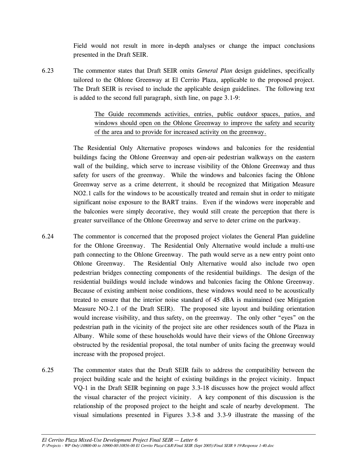Field would not result in more in-depth analyses or change the impact conclusions presented in the Draft SEIR.

6.23 The commentor states that Draft SEIR omits *General Plan* design guidelines, specifically tailored to the Ohlone Greenway at El Cerrito Plaza, applicable to the proposed project. The Draft SEIR is revised to include the applicable design guidelines. The following text is added to the second full paragraph, sixth line, on page 3.1-9:

> The Guide recommends activities, entries, public outdoor spaces, patios, and windows should open on the Ohlone Greenway to improve the safety and security of the area and to provide for increased activity on the greenway.

 The Residential Only Alternative proposes windows and balconies for the residential buildings facing the Ohlone Greenway and open-air pedestrian walkways on the eastern wall of the building, which serve to increase visibility of the Ohlone Greenway and thus safety for users of the greenway. While the windows and balconies facing the Ohlone Greenway serve as a crime deterrent, it should be recognized that Mitigation Measure NO2.1 calls for the windows to be acoustically treated and remain shut in order to mitigate significant noise exposure to the BART trains. Even if the windows were inoperable and the balconies were simply decorative, they would still create the perception that there is greater surveillance of the Ohlone Greenway and serve to deter crime on the parkway.

- 6.24 The commentor is concerned that the proposed project violates the General Plan guideline for the Ohlone Greenway. The Residential Only Alternative would include a multi-use path connecting to the Ohlone Greenway. The path would serve as a new entry point onto Ohlone Greenway. The Residential Only Alternative would also include two open pedestrian bridges connecting components of the residential buildings. The design of the residential buildings would include windows and balconies facing the Ohlone Greenway. Because of existing ambient noise conditions, these windows would need to be acoustically treated to ensure that the interior noise standard of 45 dBA is maintained (see Mitigation Measure NO-2.1 of the Draft SEIR). The proposed site layout and building orientation would increase visibility, and thus safety, on the greenway. The only other "eyes" on the pedestrian path in the vicinity of the project site are other residences south of the Plaza in Albany. While some of these households would have their views of the Ohlone Greenway obstructed by the residential proposal, the total number of units facing the greenway would increase with the proposed project.
- 6.25 The commentor states that the Draft SEIR fails to address the compatibility between the project building scale and the height of existing buildings in the project vicinity. Impact VQ-1 in the Draft SEIR beginning on page 3.3-18 discusses how the project would affect the visual character of the project vicinity. A key component of this discussion is the relationship of the proposed project to the height and scale of nearby development. The visual simulations presented in Figures 3.3-8 and 3.3-9 illustrate the massing of the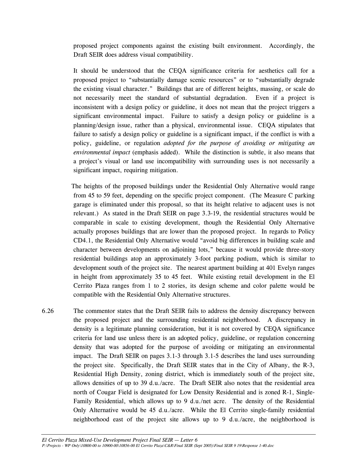proposed project components against the existing built environment. Accordingly, the Draft SEIR does address visual compatibility.

It should be understood that the CEQA significance criteria for aesthetics call for a proposed project to "substantially damage scenic resources" or to "substantially degrade the existing visual character." Buildings that are of different heights, massing, or scale do not necessarily meet the standard of substantial degradation. Even if a project is inconsistent with a design policy or guideline, it does not mean that the project triggers a significant environmental impact. Failure to satisfy a design policy or guideline is a planning/design issue, rather than a physical, environmental issue. CEQA stipulates that failure to satisfy a design policy or guideline is a significant impact, if the conflict is with a policy, guideline, or regulation *adopted for the purpose of avoiding or mitigating an environmental impact* (emphasis added). While the distinction is subtle, it also means that a project's visual or land use incompatibility with surrounding uses is not necessarily a significant impact, requiring mitigation.

The heights of the proposed buildings under the Residential Only Alternative would range from 45 to 59 feet, depending on the specific project component. (The Measure C parking garage is eliminated under this proposal, so that its height relative to adjacent uses is not relevant.) As stated in the Draft SEIR on page 3.3-19, the residential structures would be comparable in scale to existing development, though the Residential Only Alternative actually proposes buildings that are lower than the proposed project. In regards to Policy CD4.1, the Residential Only Alternative would "avoid big differences in building scale and character between developments on adjoining lots," because it would provide three-story residential buildings atop an approximately 3-foot parking podium, which is similar to development south of the project site. The nearest apartment building at 401 Evelyn ranges in height from approximately 35 to 45 feet. While existing retail development in the El Cerrito Plaza ranges from 1 to 2 stories, its design scheme and color palette would be compatible with the Residential Only Alternative structures.

6.26 The commentor states that the Draft SEIR fails to address the density discrepancy between the proposed project and the surrounding residential neighborhood. A discrepancy in density is a legitimate planning consideration, but it is not covered by CEQA significance criteria for land use unless there is an adopted policy, guideline, or regulation concerning density that was adopted for the purpose of avoiding or mitigating an environmental impact. The Draft SEIR on pages 3.1-3 through 3.1-5 describes the land uses surrounding the project site. Specifically, the Draft SEIR states that in the City of Albany, the R-3, Residential High Density, zoning district, which is immediately south of the project site, allows densities of up to 39 d.u./acre. The Draft SEIR also notes that the residential area north of Cougar Field is designated for Low Density Residential and is zoned R-1, Single-Family Residential, which allows up to 9 d.u./net acre. The density of the Residential Only Alternative would be 45 d.u./acre. While the El Cerrito single-family residential neighborhood east of the project site allows up to 9 d.u./acre, the neighborhood is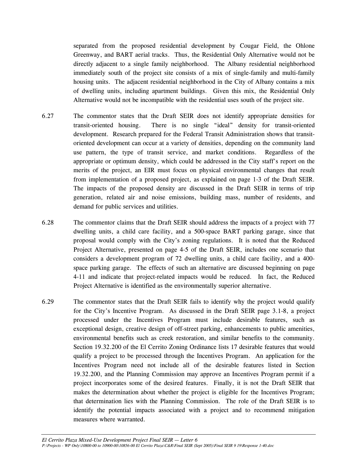separated from the proposed residential development by Cougar Field, the Ohlone Greenway, and BART aerial tracks. Thus, the Residential Only Alternative would not be directly adjacent to a single family neighborhood. The Albany residential neighborhood immediately south of the project site consists of a mix of single-family and multi-family housing units. The adjacent residential neighborhood in the City of Albany contains a mix of dwelling units, including apartment buildings. Given this mix, the Residential Only Alternative would not be incompatible with the residential uses south of the project site.

- 6.27 The commentor states that the Draft SEIR does not identify appropriate densities for transit-oriented housing. There is no single "ideal" density for transit-oriented development. Research prepared for the Federal Transit Administration shows that transitoriented development can occur at a variety of densities, depending on the community land use pattern, the type of transit service, and market conditions. Regardless of the appropriate or optimum density, which could be addressed in the City staff's report on the merits of the project, an EIR must focus on physical environmental changes that result from implementation of a proposed project, as explained on page 1-3 of the Draft SEIR. The impacts of the proposed density are discussed in the Draft SEIR in terms of trip generation, related air and noise emissions, building mass, number of residents, and demand for public services and utilities.
- 6.28 The commentor claims that the Draft SEIR should address the impacts of a project with 77 dwelling units, a child care facility, and a 500-space BART parking garage, since that proposal would comply with the City's zoning regulations. It is noted that the Reduced Project Alternative, presented on page 4-5 of the Draft SEIR, includes one scenario that considers a development program of 72 dwelling units, a child care facility, and a 400 space parking garage. The effects of such an alternative are discussed beginning on page 4-11 and indicate that project-related impacts would be reduced. In fact, the Reduced Project Alternative is identified as the environmentally superior alternative.
- 6.29 The commentor states that the Draft SEIR fails to identify why the project would qualify for the City's Incentive Program. As discussed in the Draft SEIR page 3.1-8, a project processed under the Incentives Program must include desirable features, such as exceptional design, creative design of off-street parking, enhancements to public amenities, environmental benefits such as creek restoration, and similar benefits to the community. Section 19.32.200 of the El Cerrito Zoning Ordinance lists 17 desirable features that would qualify a project to be processed through the Incentives Program. An application for the Incentives Program need not include all of the desirable features listed in Section 19.32.200, and the Planning Commission may approve an Incentives Program permit if a project incorporates some of the desired features. Finally, it is not the Draft SEIR that makes the determination about whether the project is eligible for the Incentives Program; that determination lies with the Planning Commission. The role of the Draft SEIR is to identify the potential impacts associated with a project and to recommend mitigation measures where warranted.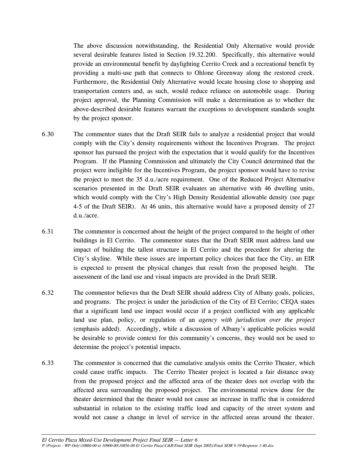The above discussion notwithstanding, the Residential Only Alternative would provide several desirable features listed in Section 19.32.200. Specifically, this alternative would provide an environmental benefit by daylighting Cerrito Creek and a recreational benefit by providing a multi-use path that connects to Ohlone Greenway along the restored creek. Furthermore, the Residential Only Alternative would locate housing close to shopping and transportation centers and, as such, would reduce reliance on automobile usage. During project approval, the Planning Commission will make a determination as to whether the above-described desirable features warrant the exceptions to development standards sought by the project sponsor.

- 6.30 The commentor states that the Draft SEIR fails to analyze a residential project that would comply with the City's density requirements without the Incentives Program. The project sponsor has pursued the project with the expectation that it would qualify for the Incentives Program. If the Planning Commission and ultimately the City Council determined that the project were ineligible for the Incentives Program, the project sponsor would have to revise the project to meet the 35 d.u./acre requirement. One of the Reduced Project Alternative scenarios presented in the Draft SEIR evaluates an alternative with 46 dwelling units, which would comply with the City's High Density Residential allowable density (see page 4-5 of the Draft SEIR). At 46 units, this alternative would have a proposed density of 27 d.u./acre.
- 6.31 The commentor is concerned about the height of the project compared to the height of other buildings in El Cerrito. The commentor states that the Draft SEIR must address land use impact of building the tallest structure in El Cerrito and the precedent for altering the City's skyline. While these issues are important policy choices that face the City, an EIR is expected to present the physical changes that result from the proposed height. The assessment of the land use and visual impacts are provided in the Draft SEIR.
- 6.32 The commentor believes that the Draft SEIR should address City of Albany goals, policies, and programs. The project is under the jurisdiction of the City of El Cerrito; CEQA states that a significant land use impact would occur if a project conflicted with any applicable land use plan, policy, or regulation of an *agency with jurisdiction over the project* (emphasis added). Accordingly, while a discussion of Albany's applicable policies would be desirable to provide context for this community's concerns, they would not be used to determine the project's potential impacts.
- 6.33 The commentor is concerned that the cumulative analysis omits the Cerrito Theater, which could cause traffic impacts. The Cerrito Theater project is located a fair distance away from the proposed project and the affected area of the theater does not overlap with the affected area surrounding the proposed project. The environmental review done for the theater determined that the theater would not cause an increase in traffic that is considered substantial in relation to the existing traffic load and capacity of the street system and would not cause a change in level of service in the affected areas around the theater.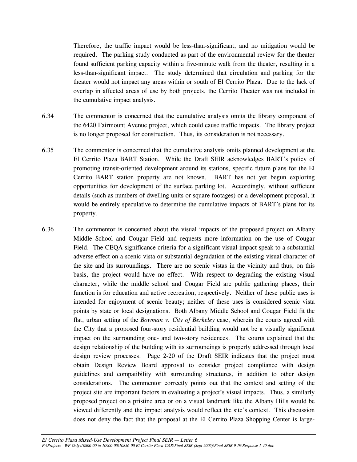Therefore, the traffic impact would be less-than-significant, and no mitigation would be required. The parking study conducted as part of the environmental review for the theater found sufficient parking capacity within a five-minute walk from the theater, resulting in a less-than-significant impact. The study determined that circulation and parking for the theater would not impact any areas within or south of El Cerrito Plaza. Due to the lack of overlap in affected areas of use by both projects, the Cerrito Theater was not included in the cumulative impact analysis.

- 6.34 The commentor is concerned that the cumulative analysis omits the library component of the 6420 Fairmount Avenue project, which could cause traffic impacts. The library project is no longer proposed for construction. Thus, its consideration is not necessary.
- 6.35 The commentor is concerned that the cumulative analysis omits planned development at the El Cerrito Plaza BART Station. While the Draft SEIR acknowledges BART's policy of promoting transit-oriented development around its stations, specific future plans for the El Cerrito BART station property are not known. BART has not yet begun exploring opportunities for development of the surface parking lot. Accordingly, without sufficient details (such as numbers of dwelling units or square footages) or a development proposal, it would be entirely speculative to determine the cumulative impacts of BART's plans for its property.
- 6.36 The commentor is concerned about the visual impacts of the proposed project on Albany Middle School and Cougar Field and requests more information on the use of Cougar Field. The CEQA significance criteria for a significant visual impact speak to a substantial adverse effect on a scenic vista or substantial degradation of the existing visual character of the site and its surroundings. There are no scenic vistas in the vicinity and thus, on this basis, the project would have no effect. With respect to degrading the existing visual character, while the middle school and Cougar Field are public gathering places, their function is for education and active recreation, respectively. Neither of these public uses is intended for enjoyment of scenic beauty; neither of these uses is considered scenic vista points by state or local designations. Both Albany Middle School and Cougar Field fit the flat, urban setting of the *Bowman v. City of Berkeley* case, wherein the courts agreed with the City that a proposed four-story residential building would not be a visually significant impact on the surrounding one- and two-story residences. The courts explained that the design relationship of the building with its surroundings is properly addressed through local design review processes. Page 2-20 of the Draft SEIR indicates that the project must obtain Design Review Board approval to consider project compliance with design guidelines and compatibility with surrounding structures, in addition to other design considerations. The commentor correctly points out that the context and setting of the project site are important factors in evaluating a project's visual impacts. Thus, a similarly proposed project on a pristine area or on a visual landmark like the Albany Hills would be viewed differently and the impact analysis would reflect the site's context. This discussion does not deny the fact that the proposal at the El Cerrito Plaza Shopping Center is large-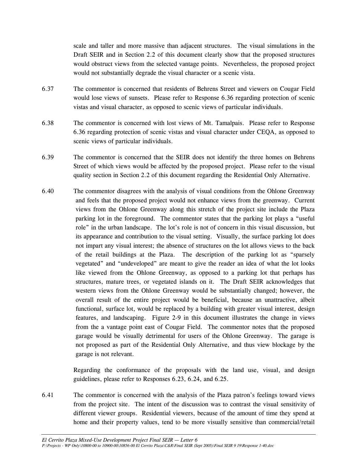scale and taller and more massive than adjacent structures. The visual simulations in the Draft SEIR and in Section 2.2 of this document clearly show that the proposed structures would obstruct views from the selected vantage points. Nevertheless, the proposed project would not substantially degrade the visual character or a scenic vista.

- 6.37 The commentor is concerned that residents of Behrens Street and viewers on Cougar Field would lose views of sunsets. Please refer to Response 6.36 regarding protection of scenic vistas and visual character, as opposed to scenic views of particular individuals.
- 6.38 The commentor is concerned with lost views of Mt. Tamalpais. Please refer to Response 6.36 regarding protection of scenic vistas and visual character under CEQA, as opposed to scenic views of particular individuals.
- 6.39 The commentor is concerned that the SEIR does not identify the three homes on Behrens Street of which views would be affected by the proposed project. Please refer to the visual quality section in Section 2.2 of this document regarding the Residential Only Alternative.
- 6.40 The commentor disagrees with the analysis of visual conditions from the Ohlone Greenway and feels that the proposed project would not enhance views from the greenway. Current views from the Ohlone Greenway along this stretch of the project site include the Plaza parking lot in the foreground. The commentor states that the parking lot plays a "useful role" in the urban landscape. The lot's role is not of concern in this visual discussion, but its appearance and contribution to the visual setting. Visually, the surface parking lot does not impart any visual interest; the absence of structures on the lot allows views to the back of the retail buildings at the Plaza. The description of the parking lot as "sparsely vegetated" and "undeveloped" are meant to give the reader an idea of what the lot looks like viewed from the Ohlone Greenway, as opposed to a parking lot that perhaps has structures, mature trees, or vegetated islands on it. The Draft SEIR acknowledges that western views from the Ohlone Greenway would be substantially changed; however, the overall result of the entire project would be beneficial, because an unattractive, albeit functional, surface lot, would be replaced by a building with greater visual interest, design features, and landscaping. Figure 2-9 in this document illustrates the change in views from the a vantage point east of Cougar Field. The commentor notes that the proposed garage would be visually detrimental for users of the Ohlone Greenway. The garage is not proposed as part of the Residential Only Alternative, and thus view blockage by the garage is not relevant.

Regarding the conformance of the proposals with the land use, visual, and design guidelines, please refer to Responses 6.23, 6.24, and 6.25.

6.41 The commentor is concerned with the analysis of the Plaza patron's feelings toward views from the project site. The intent of the discussion was to contrast the visual sensitivity of different viewer groups. Residential viewers, because of the amount of time they spend at home and their property values, tend to be more visually sensitive than commercial/retail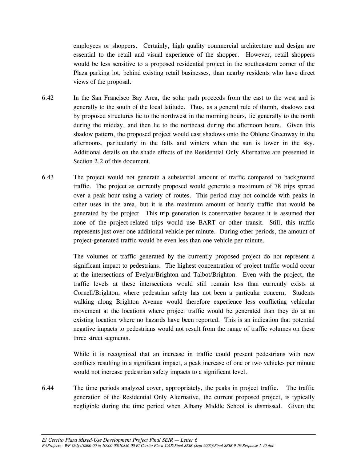employees or shoppers. Certainly, high quality commercial architecture and design are essential to the retail and visual experience of the shopper. However, retail shoppers would be less sensitive to a proposed residential project in the southeastern corner of the Plaza parking lot, behind existing retail businesses, than nearby residents who have direct views of the proposal.

- 6.42 In the San Francisco Bay Area, the solar path proceeds from the east to the west and is generally to the south of the local latitude. Thus, as a general rule of thumb, shadows cast by proposed structures lie to the northwest in the morning hours, lie generally to the north during the midday, and then lie to the northeast during the afternoon hours. Given this shadow pattern, the proposed project would cast shadows onto the Ohlone Greenway in the afternoons, particularly in the falls and winters when the sun is lower in the sky. Additional details on the shade effects of the Residential Only Alternative are presented in Section 2.2 of this document.
- 6.43 The project would not generate a substantial amount of traffic compared to background traffic. The project as currently proposed would generate a maximum of 78 trips spread over a peak hour using a variety of routes. This period may not coincide with peaks in other uses in the area, but it is the maximum amount of hourly traffic that would be generated by the project. This trip generation is conservative because it is assumed that none of the project-related trips would use BART or other transit. Still, this traffic represents just over one additional vehicle per minute. During other periods, the amount of project-generated traffic would be even less than one vehicle per minute.

 The volumes of traffic generated by the currently proposed project do not represent a significant impact to pedestrians. The highest concentration of project traffic would occur at the intersections of Evelyn/Brighton and Talbot/Brighton. Even with the project, the traffic levels at these intersections would still remain less than currently exists at Cornell/Brighton, where pedestrian safety has not been a particular concern. Students walking along Brighton Avenue would therefore experience less conflicting vehicular movement at the locations where project traffic would be generated than they do at an existing location where no hazards have been reported. This is an indication that potential negative impacts to pedestrians would not result from the range of traffic volumes on these three street segments.

 While it is recognized that an increase in traffic could present pedestrians with new conflicts resulting in a significant impact, a peak increase of one or two vehicles per minute would not increase pedestrian safety impacts to a significant level.

6.44 The time periods analyzed cover, appropriately, the peaks in project traffic. The traffic generation of the Residential Only Alternative, the current proposed project, is typically negligible during the time period when Albany Middle School is dismissed. Given the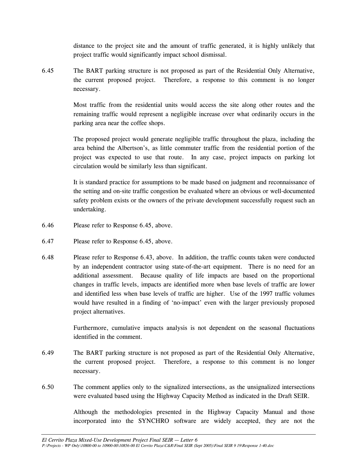distance to the project site and the amount of traffic generated, it is highly unlikely that project traffic would significantly impact school dismissal.

6.45 The BART parking structure is not proposed as part of the Residential Only Alternative, the current proposed project. Therefore, a response to this comment is no longer necessary.

> Most traffic from the residential units would access the site along other routes and the remaining traffic would represent a negligible increase over what ordinarily occurs in the parking area near the coffee shops.

> The proposed project would generate negligible traffic throughout the plaza, including the area behind the Albertson's, as little commuter traffic from the residential portion of the project was expected to use that route. In any case, project impacts on parking lot circulation would be similarly less than significant.

> It is standard practice for assumptions to be made based on judgment and reconnaissance of the setting and on-site traffic congestion be evaluated where an obvious or well-documented safety problem exists or the owners of the private development successfully request such an undertaking.

- 6.46 Please refer to Response 6.45, above.
- 6.47 Please refer to Response 6.45, above.
- 6.48 Please refer to Response 6.43, above. In addition, the traffic counts taken were conducted by an independent contractor using state-of-the-art equipment. There is no need for an additional assessment. Because quality of life impacts are based on the proportional changes in traffic levels, impacts are identified more when base levels of traffic are lower and identified less when base levels of traffic are higher. Use of the 1997 traffic volumes would have resulted in a finding of 'no-impact' even with the larger previously proposed project alternatives.

Furthermore, cumulative impacts analysis is not dependent on the seasonal fluctuations identified in the comment.

- 6.49 The BART parking structure is not proposed as part of the Residential Only Alternative, the current proposed project. Therefore, a response to this comment is no longer necessary.
- 6.50 The comment applies only to the signalized intersections, as the unsignalized intersections were evaluated based using the Highway Capacity Method as indicated in the Draft SEIR.

 Although the methodologies presented in the Highway Capacity Manual and those incorporated into the SYNCHRO software are widely accepted, they are not the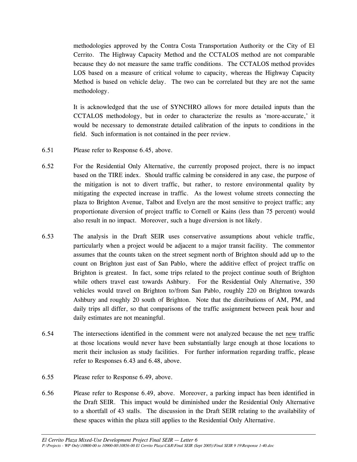methodologies approved by the Contra Costa Transportation Authority or the City of El Cerrito. The Highway Capacity Method and the CCTALOS method are not comparable because they do not measure the same traffic conditions. The CCTALOS method provides LOS based on a measure of critical volume to capacity, whereas the Highway Capacity Method is based on vehicle delay. The two can be correlated but they are not the same methodology.

 It is acknowledged that the use of SYNCHRO allows for more detailed inputs than the CCTALOS methodology, but in order to characterize the results as 'more-accurate,' it would be necessary to demonstrate detailed calibration of the inputs to conditions in the field. Such information is not contained in the peer review.

- 6.51 Please refer to Response 6.45, above.
- 6.52 For the Residential Only Alternative, the currently proposed project, there is no impact based on the TIRE index. Should traffic calming be considered in any case, the purpose of the mitigation is not to divert traffic, but rather, to restore environmental quality by mitigating the expected increase in traffic. As the lowest volume streets connecting the plaza to Brighton Avenue, Talbot and Evelyn are the most sensitive to project traffic; any proportionate diversion of project traffic to Cornell or Kains (less than 75 percent) would also result in no impact. Moreover, such a huge diversion is not likely.
- 6.53 The analysis in the Draft SEIR uses conservative assumptions about vehicle traffic, particularly when a project would be adjacent to a major transit facility. The commentor assumes that the counts taken on the street segment north of Brighton should add up to the count on Brighton just east of San Pablo, where the additive effect of project traffic on Brighton is greatest. In fact, some trips related to the project continue south of Brighton while others travel east towards Ashbury. For the Residential Only Alternative, 350 vehicles would travel on Brighton to/from San Pablo, roughly 220 on Brighton towards Ashbury and roughly 20 south of Brighton. Note that the distributions of AM, PM, and daily trips all differ, so that comparisons of the traffic assignment between peak hour and daily estimates are not meaningful.
- 6.54 The intersections identified in the comment were not analyzed because the net new traffic at those locations would never have been substantially large enough at those locations to merit their inclusion as study facilities. For further information regarding traffic, please refer to Responses 6.43 and 6.48, above.
- 6.55 Please refer to Response 6.49, above.
- 6.56 Please refer to Response 6.49, above. Moreover, a parking impact has been identified in the Draft SEIR. This impact would be diminished under the Residential Only Alternative to a shortfall of 43 stalls. The discussion in the Draft SEIR relating to the availability of these spaces within the plaza still applies to the Residential Only Alternative.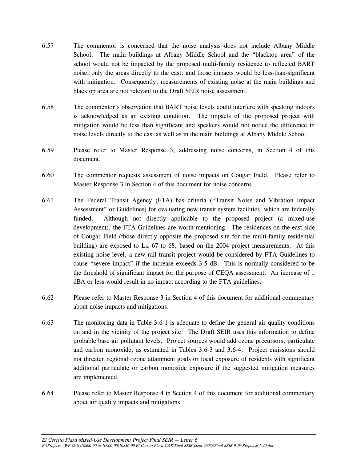- 6.57 The commentor is concerned that the noise analysis does not include Albany Middle School. The main buildings at Albany Middle School and the "blacktop area" of the school would not be impacted by the proposed multi-family residence to reflected BART noise, only the areas directly to the east, and those impacts would be less-than-significant with mitigation. Consequently, measurements of existing noise at the main buildings and blacktop area are not relevant to the Draft SEIR noise assessment.
- 6.58 The commentor's observation that BART noise levels could interfere with speaking indoors is acknowledged as an existing condition. The impacts of the proposed project with mitigation would be less than significant and speakers would not notice the difference in noise levels directly to the east as well as in the main buildings at Albany Middle School.
- 6.59 Please refer to Master Response 3, addressing noise concerns, in Section 4 of this document.
- 6.60 The commentor requests assessment of noise impacts on Cougar Field. Please refer to Master Response 3 in Section 4 of this document for noise concerns.
- 6.61 The Federal Transit Agency (FTA) has criteria ("Transit Noise and Vibration Impact Assessment" or Guidelines) for evaluating new transit system facilities, which are federally funded. Although not directly applicable to the proposed project (a mixed-use development), the FTA Guidelines are worth mentioning. The residences on the east side of Cougar Field (those directly opposite the proposed site for the multi-family residential building) are exposed to  $L_{dn}$  67 to 68, based on the 2004 project measurements. At this existing noise level, a new rail transit project would be considered by FTA Guidelines to cause "severe impact" if the increase exceeds 3.5 dB. This is normally considered to be the threshold of significant impact for the purpose of CEQA assessment. An increase of 1 dBA or less would result in no impact according to the FTA guidelines.
- 6.62 Please refer to Master Response 3 in Section 4 of this document for additional commentary about noise impacts and mitigations.
- 6.63 The monitoring data in Table 3.6-1 is adequate to define the general air quality conditions on and in the vicinity of the project site. The Draft SEIR uses this information to define probable base air pollutant levels. Project sources would add ozone precursors, particulate and carbon monoxide, as estimated in Tables 3.6-3 and 3.6-4. Project emissions should not threaten regional ozone attainment goals or local exposure of residents with significant additional particulate or carbon monoxide exposure if the suggested mitigation measures are implemented.
- 6.64 Please refer to Master Response 4 in Section 4 of this document for additional commentary about air quality impacts and mitigations.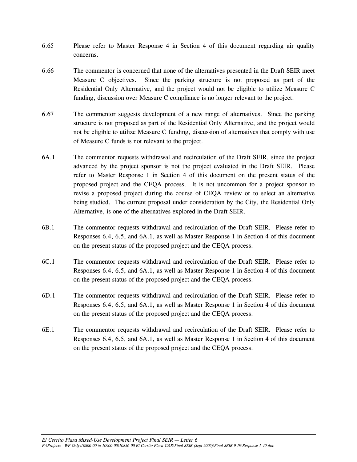- 6.65 Please refer to Master Response 4 in Section 4 of this document regarding air quality concerns.
- 6.66 The commentor is concerned that none of the alternatives presented in the Draft SEIR meet Measure C objectives. Since the parking structure is not proposed as part of the Residential Only Alternative, and the project would not be eligible to utilize Measure C funding, discussion over Measure C compliance is no longer relevant to the project.
- 6.67 The commentor suggests development of a new range of alternatives. Since the parking structure is not proposed as part of the Residential Only Alternative, and the project would not be eligible to utilize Measure C funding, discussion of alternatives that comply with use of Measure C funds is not relevant to the project.
- 6A.1 The commentor requests withdrawal and recirculation of the Draft SEIR, since the project advanced by the project sponsor is not the project evaluated in the Draft SEIR. Please refer to Master Response 1 in Section 4 of this document on the present status of the proposed project and the CEQA process. It is not uncommon for a project sponsor to revise a proposed project during the course of CEQA review or to select an alternative being studied. The current proposal under consideration by the City, the Residential Only Alternative, is one of the alternatives explored in the Draft SEIR.
- 6B.1 The commentor requests withdrawal and recirculation of the Draft SEIR. Please refer to Responses 6.4, 6.5, and 6A.1, as well as Master Response 1 in Section 4 of this document on the present status of the proposed project and the CEQA process.
- 6C.1 The commentor requests withdrawal and recirculation of the Draft SEIR. Please refer to Responses 6.4, 6.5, and 6A.1, as well as Master Response 1 in Section 4 of this document on the present status of the proposed project and the CEQA process.
- 6D.1 The commentor requests withdrawal and recirculation of the Draft SEIR. Please refer to Responses 6.4, 6.5, and 6A.1, as well as Master Response 1 in Section 4 of this document on the present status of the proposed project and the CEQA process.
- 6E.1 The commentor requests withdrawal and recirculation of the Draft SEIR. Please refer to Responses 6.4, 6.5, and 6A.1, as well as Master Response 1 in Section 4 of this document on the present status of the proposed project and the CEQA process.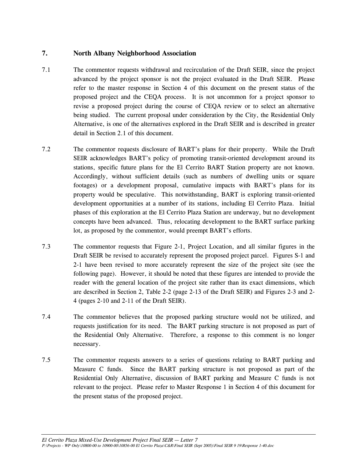# **7. North Albany Neighborhood Association**

- 7.1 The commentor requests withdrawal and recirculation of the Draft SEIR, since the project advanced by the project sponsor is not the project evaluated in the Draft SEIR. Please refer to the master response in Section 4 of this document on the present status of the proposed project and the CEQA process. It is not uncommon for a project sponsor to revise a proposed project during the course of CEQA review or to select an alternative being studied. The current proposal under consideration by the City, the Residential Only Alternative, is one of the alternatives explored in the Draft SEIR and is described in greater detail in Section 2.1 of this document.
- 7.2 The commentor requests disclosure of BART's plans for their property. While the Draft SEIR acknowledges BART's policy of promoting transit-oriented development around its stations, specific future plans for the El Cerrito BART Station property are not known. Accordingly, without sufficient details (such as numbers of dwelling units or square footages) or a development proposal, cumulative impacts with BART's plans for its property would be speculative. This notwithstanding, BART is exploring transit-oriented development opportunities at a number of its stations, including El Cerrito Plaza. Initial phases of this exploration at the El Cerrito Plaza Station are underway, but no development concepts have been advanced. Thus, relocating development to the BART surface parking lot, as proposed by the commentor, would preempt BART's efforts.
- 7.3 The commentor requests that Figure 2-1, Project Location, and all similar figures in the Draft SEIR be revised to accurately represent the proposed project parcel. Figures S-1 and 2-1 have been revised to more accurately represent the size of the project site (see the following page). However, it should be noted that these figures are intended to provide the reader with the general location of the project site rather than its exact dimensions, which are described in Section 2, Table 2-2 (page 2-13 of the Draft SEIR) and Figures 2-3 and 2- 4 (pages 2-10 and 2-11 of the Draft SEIR).
- 7.4 The commentor believes that the proposed parking structure would not be utilized, and requests justification for its need. The BART parking structure is not proposed as part of the Residential Only Alternative. Therefore, a response to this comment is no longer necessary.
- 7.5 The commentor requests answers to a series of questions relating to BART parking and Measure C funds. Since the BART parking structure is not proposed as part of the Residential Only Alternative, discussion of BART parking and Measure C funds is not relevant to the project. Please refer to Master Response 1 in Section 4 of this document for the present status of the proposed project.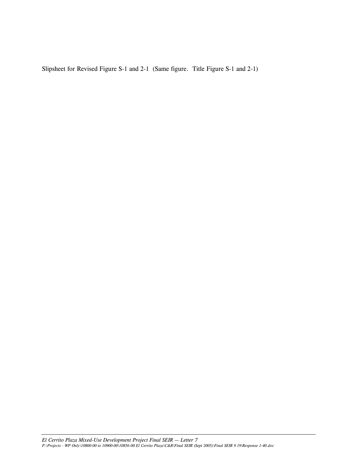Slipsheet for Revised Figure S-1 and 2-1 (Same figure. Title Figure S-1 and 2-1)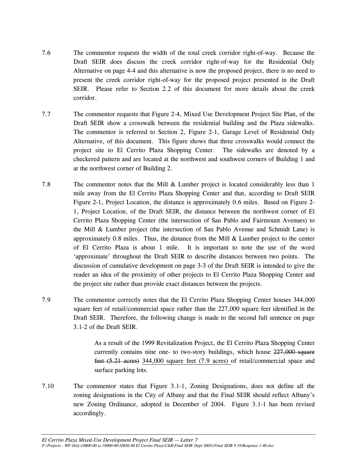- 7.6 The commentor requests the width of the total creek corridor right-of-way. Because the Draft SEIR does discuss the creek corridor right-of-way for the Residential Only Alternative on page 4-4 and this alternative is now the proposed project, there is no need to present the creek corridor right-of-way for the proposed project presented in the Draft SEIR. Please refer to Section 2.2 of this document for more details about the creek corridor.
- 7.7 The commentor requests that Figure 2-4, Mixed Use Development Project Site Plan, of the Draft SEIR show a crosswalk between the residential building and the Plaza sidewalks. The commentor is referred to Section 2, Figure 2-1, Garage Level of Residential Only Alternative, of this document. This figure shows that three crosswalks would connect the project site to El Cerrito Plaza Shopping Center. The sidewalks are denoted by a checkered pattern and are located at the northwest and southwest corners of Building 1 and at the northwest corner of Building 2.
- 7.8 The commentor notes that the Mill & Lumber project is located considerably less than 1 mile away from the El Cerrito Plaza Shopping Center and that, according to Draft SEIR Figure 2-1, Project Location, the distance is approximately 0.6 miles. Based on Figure 2- 1, Project Location, of the Draft SEIR, the distance between the northwest corner of El Cerrito Plaza Shopping Center (the intersection of San Pablo and Fairmount Avenues) to the Mill & Lumber project (the intersection of San Pablo Avenue and Schmidt Lane) is approximately  $0.8$  miles. Thus, the distance from the Mill  $\&$  Lumber project to the center of El Cerrito Plaza is about 1 mile. It is important to note the use of the word 'approximate' throughout the Draft SEIR to describe distances between two points. The discussion of cumulative development on page 3-3 of the Draft SEIR is intended to give the reader an idea of the proximity of other projects to El Cerrito Plaza Shopping Center and the project site rather than provide exact distances between the projects.
- 7.9 The commentor correctly notes that the El Cerrito Plaza Shopping Center houses 344,000 square feet of retail/commercial space rather than the 227,000 square feet identified in the Draft SEIR. Therefore, the following change is made to the second full sentence on page 3.1-2 of the Draft SEIR.

As a result of the 1999 Revitalization Project, the El Cerrito Plaza Shopping Center currently contains nine one- to two-story buildings, which house  $227,000$  square feet (5.21 acres) 344,000 square feet (7.9 acres) of retail/commercial space and surface parking lots.

7.10 The commentor states that Figure 3.1-1, Zoning Designations, does not define all the zoning designations in the City of Albany and that the Final SEIR should reflect Albany's new Zoning Ordinance, adopted in December of 2004. Figure 3.1-1 has been revised accordingly.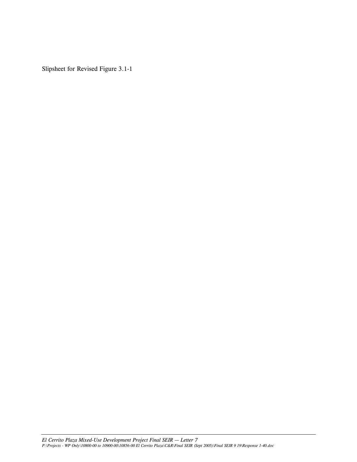Slipsheet for Revised Figure 3.1-1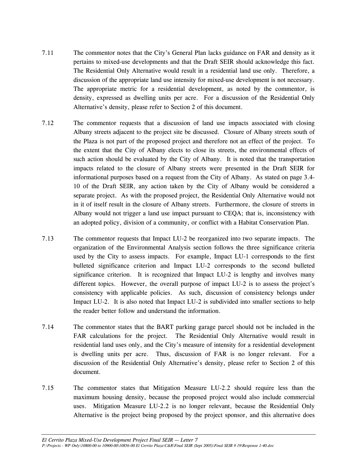- 7.11 The commentor notes that the City's General Plan lacks guidance on FAR and density as it pertains to mixed-use developments and that the Draft SEIR should acknowledge this fact. The Residential Only Alternative would result in a residential land use only. Therefore, a discussion of the appropriate land use intensity for mixed-use development is not necessary. The appropriate metric for a residential development, as noted by the commentor, is density, expressed as dwelling units per acre. For a discussion of the Residential Only Alternative's density, please refer to Section 2 of this document.
- 7.12 The commentor requests that a discussion of land use impacts associated with closing Albany streets adjacent to the project site be discussed. Closure of Albany streets south of the Plaza is not part of the proposed project and therefore not an effect of the project. To the extent that the City of Albany elects to close its streets, the environmental effects of such action should be evaluated by the City of Albany. It is noted that the transportation impacts related to the closure of Albany streets were presented in the Draft SEIR for informational purposes based on a request from the City of Albany. As stated on page 3.4- 10 of the Draft SEIR, any action taken by the City of Albany would be considered a separate project. As with the proposed project, the Residential Only Alternative would not in it of itself result in the closure of Albany streets. Furthermore, the closure of streets in Albany would not trigger a land use impact pursuant to CEQA; that is, inconsistency with an adopted policy, division of a community, or conflict with a Habitat Conservation Plan.
- 7.13 The commentor requests that Impact LU-2 be reorganized into two separate impacts. The organization of the Environmental Analysis section follows the three significance criteria used by the City to assess impacts. For example, Impact LU-1 corresponds to the first bulleted significance criterion and Impact LU-2 corresponds to the second bulleted significance criterion. It is recognized that Impact LU-2 is lengthy and involves many different topics. However, the overall purpose of impact LU-2 is to assess the project's consistency with applicable policies. As such, discussion of consistency belongs under Impact LU-2. It is also noted that Impact LU-2 is subdivided into smaller sections to help the reader better follow and understand the information.
- 7.14 The commentor states that the BART parking garage parcel should not be included in the FAR calculations for the project. The Residential Only Alternative would result in residential land uses only, and the City's measure of intensity for a residential development is dwelling units per acre. Thus, discussion of FAR is no longer relevant. For a discussion of the Residential Only Alternative's density, please refer to Section 2 of this document.
- 7.15 The commentor states that Mitigation Measure LU-2.2 should require less than the maximum housing density, because the proposed project would also include commercial uses. Mitigation Measure LU-2.2 is no longer relevant, because the Residential Only Alternative is the project being proposed by the project sponsor, and this alternative does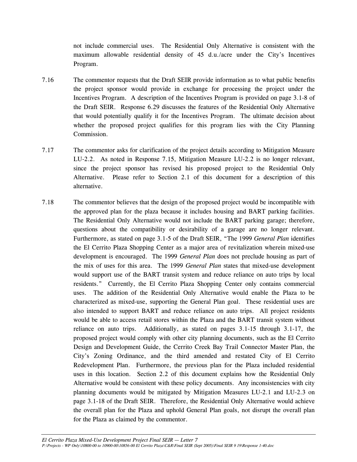not include commercial uses. The Residential Only Alternative is consistent with the maximum allowable residential density of 45 d.u./acre under the City's Incentives Program.

- 7.16 The commentor requests that the Draft SEIR provide information as to what public benefits the project sponsor would provide in exchange for processing the project under the Incentives Program. A description of the Incentives Program is provided on page 3.1-8 of the Draft SEIR. Response 6.29 discusses the features of the Residential Only Alternative that would potentially qualify it for the Incentives Program. The ultimate decision about whether the proposed project qualifies for this program lies with the City Planning Commission.
- 7.17 The commentor asks for clarification of the project details according to Mitigation Measure LU-2.2. As noted in Response 7.15, Mitigation Measure LU-2.2 is no longer relevant, since the project sponsor has revised his proposed project to the Residential Only Alternative. Please refer to Section 2.1 of this document for a description of this alternative.
- 7.18 The commentor believes that the design of the proposed project would be incompatible with the approved plan for the plaza because it includes housing and BART parking facilities. The Residential Only Alternative would not include the BART parking garage; therefore, questions about the compatibility or desirability of a garage are no longer relevant. Furthermore, as stated on page 3.1-5 of the Draft SEIR, "The 1999 *General Plan* identifies the El Cerrito Plaza Shopping Center as a major area of revitalization wherein mixed-use development is encouraged. The 1999 *General Plan* does not preclude housing as part of the mix of uses for this area. The 1999 *General Plan* states that mixed-use development would support use of the BART transit system and reduce reliance on auto trips by local residents." Currently, the El Cerrito Plaza Shopping Center only contains commercial uses. The addition of the Residential Only Alternative would enable the Plaza to be characterized as mixed-use, supporting the General Plan goal. These residential uses are also intended to support BART and reduce reliance on auto trips. All project residents would be able to access retail stores within the Plaza and the BART transit system without reliance on auto trips. Additionally, as stated on pages 3.1-15 through 3.1-17, the proposed project would comply with other city planning documents, such as the El Cerrito Design and Development Guide, the Cerrito Creek Bay Trail Connector Master Plan, the City's Zoning Ordinance, and the third amended and restated City of El Cerrito Redevelopment Plan. Furthermore, the previous plan for the Plaza included residential uses in this location. Section 2.2 of this document explains how the Residential Only Alternative would be consistent with these policy documents. Any inconsistencies with city planning documents would be mitigated by Mitigation Measures LU-2.1 and LU-2.3 on page 3.1-18 of the Draft SEIR. Therefore, the Residential Only Alternative would achieve the overall plan for the Plaza and uphold General Plan goals, not disrupt the overall plan for the Plaza as claimed by the commentor.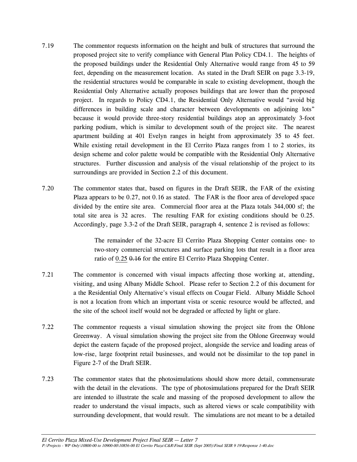- 7.19 The commentor requests information on the height and bulk of structures that surround the proposed project site to verify compliance with General Plan Policy CD4.1. The heights of the proposed buildings under the Residential Only Alternative would range from 45 to 59 feet, depending on the measurement location. As stated in the Draft SEIR on page 3.3-19, the residential structures would be comparable in scale to existing development, though the Residential Only Alternative actually proposes buildings that are lower than the proposed project. In regards to Policy CD4.1, the Residential Only Alternative would "avoid big differences in building scale and character between developments on adjoining lots" because it would provide three-story residential buildings atop an approximately 3-foot parking podium, which is similar to development south of the project site. The nearest apartment building at 401 Evelyn ranges in height from approximately 35 to 45 feet. While existing retail development in the El Cerrito Plaza ranges from 1 to 2 stories, its design scheme and color palette would be compatible with the Residential Only Alternative structures. Further discussion and analysis of the visual relationship of the project to its surroundings are provided in Section 2.2 of this document.
- 7.20 The commentor states that, based on figures in the Draft SEIR, the FAR of the existing Plaza appears to be 0.27, not 0.16 as stated. The FAR is the floor area of developed space divided by the entire site area. Commercial floor area at the Plaza totals 344,000 sf; the total site area is 32 acres. The resulting FAR for existing conditions should be 0.25. Accordingly, page 3.3-2 of the Draft SEIR, paragraph 4, sentence 2 is revised as follows:

 The remainder of the 32-acre El Cerrito Plaza Shopping Center contains one- to two-story commercial structures and surface parking lots that result in a floor area ratio of 0.25 0.16 for the entire El Cerrito Plaza Shopping Center.

- 7.21 The commentor is concerned with visual impacts affecting those working at, attending, visiting, and using Albany Middle School. Please refer to Section 2.2 of this document for a the Residential Only Alternative's visual effects on Cougar Field. Albany Middle School is not a location from which an important vista or scenic resource would be affected, and the site of the school itself would not be degraded or affected by light or glare.
- 7.22 The commentor requests a visual simulation showing the project site from the Ohlone Greenway. A visual simulation showing the project site from the Ohlone Greenway would depict the eastern façade of the proposed project, alongside the service and loading areas of low-rise, large footprint retail businesses, and would not be dissimilar to the top panel in Figure 2-7 of the Draft SEIR.
- 7.23 The commentor states that the photosimulations should show more detail, commensurate with the detail in the elevations. The type of photosimulations prepared for the Draft SEIR are intended to illustrate the scale and massing of the proposed development to allow the reader to understand the visual impacts, such as altered views or scale compatibility with surrounding development, that would result. The simulations are not meant to be a detailed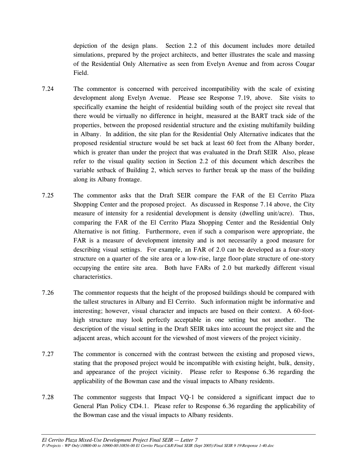depiction of the design plans. Section 2.2 of this document includes more detailed simulations, prepared by the project architects, and better illustrates the scale and massing of the Residential Only Alternative as seen from Evelyn Avenue and from across Cougar Field.

- 7.24 The commentor is concerned with perceived incompatibility with the scale of existing development along Evelyn Avenue. Please see Response 7.19, above. Site visits to specifically examine the height of residential building south of the project site reveal that there would be virtually no difference in height, measured at the BART track side of the properties, between the proposed residential structure and the existing multifamily building in Albany. In addition, the site plan for the Residential Only Alternative indicates that the proposed residential structure would be set back at least 60 feet from the Albany border, which is greater than under the project that was evaluated in the Draft SEIR Also, please refer to the visual quality section in Section 2.2 of this document which describes the variable setback of Building 2, which serves to further break up the mass of the building along its Albany frontage.
- 7.25 The commentor asks that the Draft SEIR compare the FAR of the El Cerrito Plaza Shopping Center and the proposed project. As discussed in Response 7.14 above, the City measure of intensity for a residential development is density (dwelling unit/acre). Thus, comparing the FAR of the El Cerrito Plaza Shopping Center and the Residential Only Alternative is not fitting. Furthermore, even if such a comparison were appropriate, the FAR is a measure of development intensity and is not necessarily a good measure for describing visual settings. For example, an FAR of 2.0 can be developed as a four-story structure on a quarter of the site area or a low-rise, large floor-plate structure of one-story occupying the entire site area. Both have FARs of 2.0 but markedly different visual characteristics.
- 7.26 The commentor requests that the height of the proposed buildings should be compared with the tallest structures in Albany and El Cerrito. Such information might be informative and interesting; however, visual character and impacts are based on their context. A 60-foothigh structure may look perfectly acceptable in one setting but not another. The description of the visual setting in the Draft SEIR takes into account the project site and the adjacent areas, which account for the viewshed of most viewers of the project vicinity.
- 7.27 The commentor is concerned with the contrast between the existing and proposed views, stating that the proposed project would be incompatible with existing height, bulk, density, and appearance of the project vicinity. Please refer to Response 6.36 regarding the applicability of the Bowman case and the visual impacts to Albany residents.
- 7.28 The commentor suggests that Impact VQ-1 be considered a significant impact due to General Plan Policy CD4.1. Please refer to Response 6.36 regarding the applicability of the Bowman case and the visual impacts to Albany residents.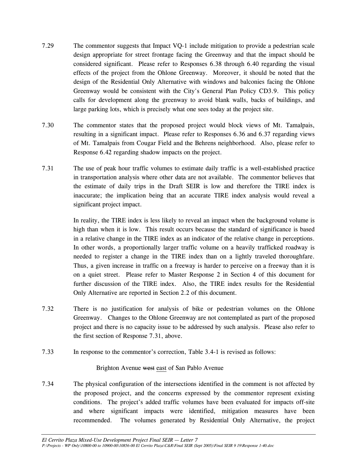- 7.29 The commentor suggests that Impact VQ-1 include mitigation to provide a pedestrian scale design appropriate for street frontage facing the Greenway and that the impact should be considered significant. Please refer to Responses 6.38 through 6.40 regarding the visual effects of the project from the Ohlone Greenway. Moreover, it should be noted that the design of the Residential Only Alternative with windows and balconies facing the Ohlone Greenway would be consistent with the City's General Plan Policy CD3.9. This policy calls for development along the greenway to avoid blank walls, backs of buildings, and large parking lots, which is precisely what one sees today at the project site.
- 7.30 The commentor states that the proposed project would block views of Mt. Tamalpais, resulting in a significant impact. Please refer to Responses 6.36 and 6.37 regarding views of Mt. Tamalpais from Cougar Field and the Behrens neighborhood. Also, please refer to Response 6.42 regarding shadow impacts on the project.
- 7.31 The use of peak hour traffic volumes to estimate daily traffic is a well-established practice in transportation analysis where other data are not available. The commentor believes that the estimate of daily trips in the Draft SEIR is low and therefore the TIRE index is inaccurate; the implication being that an accurate TIRE index analysis would reveal a significant project impact.

 In reality, the TIRE index is less likely to reveal an impact when the background volume is high than when it is low. This result occurs because the standard of significance is based in a relative change in the TIRE index as an indicator of the relative change in perceptions. In other words, a proportionally larger traffic volume on a heavily trafficked roadway is needed to register a change in the TIRE index than on a lightly traveled thoroughfare. Thus, a given increase in traffic on a freeway is harder to perceive on a freeway than it is on a quiet street. Please refer to Master Response 2 in Section 4 of this document for further discussion of the TIRE index. Also, the TIRE index results for the Residential Only Alternative are reported in Section 2.2 of this document.

- 7.32 There is no justification for analysis of bike or pedestrian volumes on the Ohlone Greenway. Changes to the Ohlone Greenway are not contemplated as part of the proposed project and there is no capacity issue to be addressed by such analysis. Please also refer to the first section of Response 7.31, above.
- 7.33 In response to the commentor's correction, Table 3.4-1 is revised as follows:

#### Brighton Avenue west east of San Pablo Avenue

7.34 The physical configuration of the intersections identified in the comment is not affected by the proposed project, and the concerns expressed by the commentor represent existing conditions. The project's added traffic volumes have been evaluated for impacts off-site and where significant impacts were identified, mitigation measures have been recommended. The volumes generated by Residential Only Alternative, the project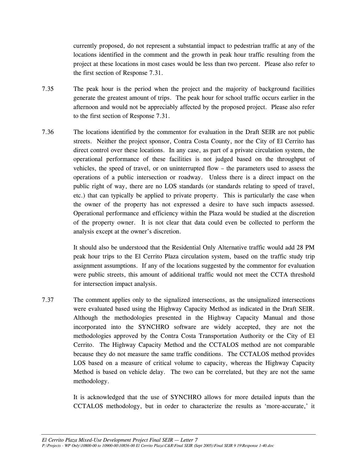currently proposed, do not represent a substantial impact to pedestrian traffic at any of the locations identified in the comment and the growth in peak hour traffic resulting from the project at these locations in most cases would be less than two percent. Please also refer to the first section of Response 7.31.

- 7.35 The peak hour is the period when the project and the majority of background facilities generate the greatest amount of trips. The peak hour for school traffic occurs earlier in the afternoon and would not be appreciably affected by the proposed project. Please also refer to the first section of Response 7.31.
- 7.36 The locations identified by the commentor for evaluation in the Draft SEIR are not public streets. Neither the project sponsor, Contra Costa County, nor the City of El Cerrito has direct control over these locations. In any case, as part of a private circulation system, the operational performance of these facilities is not judged based on the throughput of vehicles, the speed of travel, or on uninterrupted flow – the parameters used to assess the operations of a public intersection or roadway. Unless there is a direct impact on the public right of way, there are no LOS standards (or standards relating to speed of travel, etc.) that can typically be applied to private property. This is particularly the case when the owner of the property has not expressed a desire to have such impacts assessed. Operational performance and efficiency within the Plaza would be studied at the discretion of the property owner. It is not clear that data could even be collected to perform the analysis except at the owner's discretion.

 It should also be understood that the Residential Only Alternative traffic would add 28 PM peak hour trips to the El Cerrito Plaza circulation system, based on the traffic study trip assignment assumptions. If any of the locations suggested by the commentor for evaluation were public streets, this amount of additional traffic would not meet the CCTA threshold for intersection impact analysis.

7.37 The comment applies only to the signalized intersections, as the unsignalized intersections were evaluated based using the Highway Capacity Method as indicated in the Draft SEIR. Although the methodologies presented in the Highway Capacity Manual and those incorporated into the SYNCHRO software are widely accepted, they are not the methodologies approved by the Contra Costa Transportation Authority or the City of El Cerrito. The Highway Capacity Method and the CCTALOS method are not comparable because they do not measure the same traffic conditions. The CCTALOS method provides LOS based on a measure of critical volume to capacity, whereas the Highway Capacity Method is based on vehicle delay. The two can be correlated, but they are not the same methodology.

> It is acknowledged that the use of SYNCHRO allows for more detailed inputs than the CCTALOS methodology, but in order to characterize the results as 'more-accurate,' it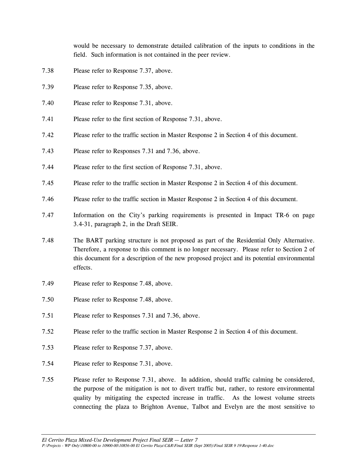would be necessary to demonstrate detailed calibration of the inputs to conditions in the field. Such information is not contained in the peer review.

- 7.38 Please refer to Response 7.37, above.
- 7.39 Please refer to Response 7.35, above.
- 7.40 Please refer to Response 7.31, above.
- 7.41 Please refer to the first section of Response 7.31, above.
- 7.42 Please refer to the traffic section in Master Response 2 in Section 4 of this document.
- 7.43 Please refer to Responses 7.31 and 7.36, above.
- 7.44 Please refer to the first section of Response 7.31, above.
- 7.45 Please refer to the traffic section in Master Response 2 in Section 4 of this document.
- 7.46 Please refer to the traffic section in Master Response 2 in Section 4 of this document.
- 7.47 Information on the City's parking requirements is presented in Impact TR-6 on page 3.4-31, paragraph 2, in the Draft SEIR.
- 7.48 The BART parking structure is not proposed as part of the Residential Only Alternative. Therefore, a response to this comment is no longer necessary. Please refer to Section 2 of this document for a description of the new proposed project and its potential environmental effects.
- 7.49 Please refer to Response 7.48, above.
- 7.50 Please refer to Response 7.48, above.
- 7.51 Please refer to Responses 7.31 and 7.36, above.
- 7.52 Please refer to the traffic section in Master Response 2 in Section 4 of this document.
- 7.53 Please refer to Response 7.37, above.
- 7.54 Please refer to Response 7.31, above.
- 7.55 Please refer to Response 7.31, above. In addition, should traffic calming be considered, the purpose of the mitigation is not to divert traffic but, rather, to restore environmental quality by mitigating the expected increase in traffic. As the lowest volume streets connecting the plaza to Brighton Avenue, Talbot and Evelyn are the most sensitive to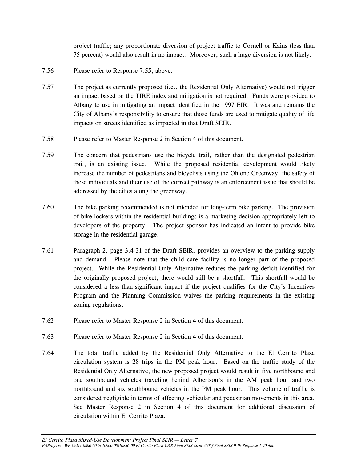project traffic; any proportionate diversion of project traffic to Cornell or Kains (less than 75 percent) would also result in no impact. Moreover, such a huge diversion is not likely.

- 7.56 Please refer to Response 7.55, above.
- 7.57 The project as currently proposed (i.e., the Residential Only Alternative) would not trigger an impact based on the TIRE index and mitigation is not required. Funds were provided to Albany to use in mitigating an impact identified in the 1997 EIR. It was and remains the City of Albany's responsibility to ensure that those funds are used to mitigate quality of life impacts on streets identified as impacted in that Draft SEIR.
- 7.58 Please refer to Master Response 2 in Section 4 of this document.
- 7.59 The concern that pedestrians use the bicycle trail, rather than the designated pedestrian trail, is an existing issue. While the proposed residential development would likely increase the number of pedestrians and bicyclists using the Ohlone Greenway, the safety of these individuals and their use of the correct pathway is an enforcement issue that should be addressed by the cities along the greenway.
- 7.60 The bike parking recommended is not intended for long-term bike parking. The provision of bike lockers within the residential buildings is a marketing decision appropriately left to developers of the property. The project sponsor has indicated an intent to provide bike storage in the residential garage.
- 7.61 Paragraph 2, page 3.4-31 of the Draft SEIR, provides an overview to the parking supply and demand. Please note that the child care facility is no longer part of the proposed project. While the Residential Only Alternative reduces the parking deficit identified for the originally proposed project, there would still be a shortfall. This shortfall would be considered a less-than-significant impact if the project qualifies for the City's Incentives Program and the Planning Commission waives the parking requirements in the existing zoning regulations.
- 7.62 Please refer to Master Response 2 in Section 4 of this document.
- 7.63 Please refer to Master Response 2 in Section 4 of this document.
- 7.64 The total traffic added by the Residential Only Alternative to the El Cerrito Plaza circulation system is 28 trips in the PM peak hour. Based on the traffic study of the Residential Only Alternative, the new proposed project would result in five northbound and one southbound vehicles traveling behind Albertson's in the AM peak hour and two northbound and six southbound vehicles in the PM peak hour. This volume of traffic is considered negligible in terms of affecting vehicular and pedestrian movements in this area. See Master Response 2 in Section 4 of this document for additional discussion of circulation within El Cerrito Plaza.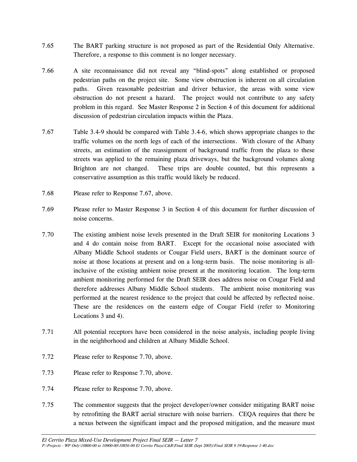- 7.65 The BART parking structure is not proposed as part of the Residential Only Alternative. Therefore, a response to this comment is no longer necessary.
- 7.66 A site reconnaissance did not reveal any "blind-spots" along established or proposed pedestrian paths on the project site. Some view obstruction is inherent on all circulation paths. Given reasonable pedestrian and driver behavior, the areas with some view obstruction do not present a hazard. The project would not contribute to any safety problem in this regard. See Master Response 2 in Section 4 of this document for additional discussion of pedestrian circulation impacts within the Plaza.
- 7.67 Table 3.4-9 should be compared with Table 3.4-6, which shows appropriate changes to the traffic volumes on the north legs of each of the intersections. With closure of the Albany streets, an estimation of the reassignment of background traffic from the plaza to these streets was applied to the remaining plaza driveways, but the background volumes along Brighton are not changed. These trips are double counted, but this represents a conservative assumption as this traffic would likely be reduced.
- 7.68 Please refer to Response 7.67, above.
- 7.69 Please refer to Master Response 3 in Section 4 of this document for further discussion of noise concerns.
- 7.70 The existing ambient noise levels presented in the Draft SEIR for monitoring Locations 3 and 4 do contain noise from BART. Except for the occasional noise associated with Albany Middle School students or Cougar Field users, BART is the dominant source of noise at those locations at present and on a long-term basis. The noise monitoring is allinclusive of the existing ambient noise present at the monitoring location. The long-term ambient monitoring performed for the Draft SEIR does address noise on Cougar Field and therefore addresses Albany Middle School students. The ambient noise monitoring was performed at the nearest residence to the project that could be affected by reflected noise. These are the residences on the eastern edge of Cougar Field (refer to Monitoring Locations 3 and 4).
- 7.71 All potential receptors have been considered in the noise analysis, including people living in the neighborhood and children at Albany Middle School.
- 7.72 Please refer to Response 7.70, above.
- 7.73 Please refer to Response 7.70, above.
- 7.74 Please refer to Response 7.70, above.
- 7.75 The commentor suggests that the project developer/owner consider mitigating BART noise by retrofitting the BART aerial structure with noise barriers. CEQA requires that there be a nexus between the significant impact and the proposed mitigation, and the measure must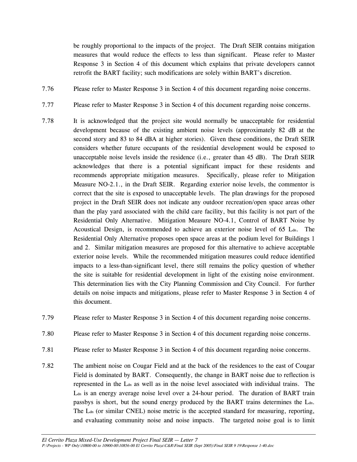be roughly proportional to the impacts of the project. The Draft SEIR contains mitigation measures that would reduce the effects to less than significant. Please refer to Master Response 3 in Section 4 of this document which explains that private developers cannot retrofit the BART facility; such modifications are solely within BART's discretion.

- 7.76 Please refer to Master Response 3 in Section 4 of this document regarding noise concerns.
- 7.77 Please refer to Master Response 3 in Section 4 of this document regarding noise concerns.
- 7.78 It is acknowledged that the project site would normally be unacceptable for residential development because of the existing ambient noise levels (approximately 82 dB at the second story and 83 to 84 dBA at higher stories). Given these conditions, the Draft SEIR considers whether future occupants of the residential development would be exposed to unacceptable noise levels inside the residence (i.e., greater than 45 dB). The Draft SEIR acknowledges that there is a potential significant impact for these residents and recommends appropriate mitigation measures. Specifically, please refer to Mitigation Measure NO-2.1., in the Draft SEIR. Regarding exterior noise levels, the commentor is correct that the site is exposed to unacceptable levels. The plan drawings for the proposed project in the Draft SEIR does not indicate any outdoor recreation/open space areas other than the play yard associated with the child care facility, but this facility is not part of the Residential Only Alternative. Mitigation Measure NO-4.1, Control of BART Noise by Acoustical Design, is recommended to achieve an exterior noise level of  $65$  L<sub>dn</sub>. The Residential Only Alternative proposes open space areas at the podium level for Buildings 1 and 2. Similar mitigation measures are proposed for this alternative to achieve acceptable exterior noise levels. While the recommended mitigation measures could reduce identified impacts to a less-than-significant level, there still remains the policy question of whether the site is suitable for residential development in light of the existing noise environment. This determination lies with the City Planning Commission and City Council. For further details on noise impacts and mitigations, please refer to Master Response 3 in Section 4 of this document.
- 7.79 Please refer to Master Response 3 in Section 4 of this document regarding noise concerns.
- 7.80 Please refer to Master Response 3 in Section 4 of this document regarding noise concerns.
- 7.81 Please refer to Master Response 3 in Section 4 of this document regarding noise concerns.
- 7.82 The ambient noise on Cougar Field and at the back of the residences to the east of Cougar Field is dominated by BART. Consequently, the change in BART noise due to reflection is represented in the Ldn as well as in the noise level associated with individual trains. The L<sub>dn</sub> is an energy average noise level over a 24-hour period. The duration of BART train passbys is short, but the sound energy produced by the BART trains determines the L<sub>dn</sub>. The L<sub>dn</sub> (or similar CNEL) noise metric is the accepted standard for measuring, reporting, and evaluating community noise and noise impacts. The targeted noise goal is to limit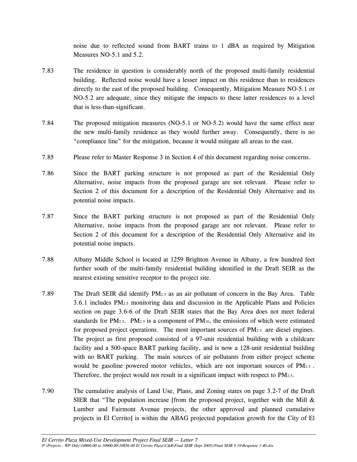noise due to reflected sound from BART trains to 1 dBA as required by Mitigation Measures NO-5.1 and 5.2.

- 7.83 The residence in question is considerably north of the proposed multi-family residential building. Reflected noise would have a lesser impact on this residence than to residences directly to the east of the proposed building. Consequently, Mitigation Measure NO-5.1 or NO-5.2 are adequate, since they mitigate the impacts to these latter residences to a level that is less-than-significant.
- 7.84 The proposed mitigation measures (NO-5.1 or NO-5.2) would have the same effect near the new multi-family residence as they would further away. Consequently, there is no "compliance line" for the mitigation, because it would mitigate all areas to the east.
- 7.85 Please refer to Master Response 3 in Section 4 of this document regarding noise concerns.
- 7.86 Since the BART parking structure is not proposed as part of the Residential Only Alternative, noise impacts from the proposed garage are not relevant. Please refer to Section 2 of this document for a description of the Residential Only Alternative and its potential noise impacts.
- 7.87 Since the BART parking structure is not proposed as part of the Residential Only Alternative, noise impacts from the proposed garage are not relevant. Please refer to Section 2 of this document for a description of the Residential Only Alternative and its potential noise impacts.
- 7.88 Albany Middle School is located at 1259 Brighton Avenue in Albany, a few hundred feet further south of the multi-family residential building identified in the Draft SEIR as the nearest existing sensitive receptor to the project site.
- 7.89 The Draft SEIR did identify PM2.5 as an air pollutant of concern in the Bay Area. Table 3.6.1 includes PM2.5 monitoring data and discussion in the Applicable Plans and Policies section on page 3.6-6 of the Draft SEIR states that the Bay Area does not meet federal standards for PM<sub>2.5</sub>. PM<sub>2.5</sub> is a component of PM<sub>10</sub>, the emissions of which were estimated for proposed project operations. The most important sources of  $PM_{2.5}$  are diesel engines. The project as first proposed consisted of a 97-unit residential building with a childcare facility and a 500-space BART parking facility, and is now a 128-unit residential building with no BART parking. The main sources of air pollutants from either project scheme would be gasoline powered motor vehicles, which are not important sources of PM2.5. Therefore, the project would not result in a significant impact with respect to PM2.5.
- 7.90 The cumulative analysis of Land Use, Plans, and Zoning states on page 3.2-7 of the Draft SIER that "The population increase [from the proposed project, together with the Mill  $\&$ Lumber and Fairmont Avenue projects, the other approved and planned cumulative projects in El Cerrito] is within the ABAG projected population growth for the City of El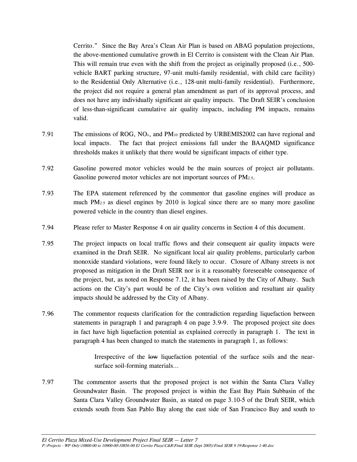Cerrito." Since the Bay Area's Clean Air Plan is based on ABAG population projections, the above-mentioned cumulative growth in El Cerrito is consistent with the Clean Air Plan. This will remain true even with the shift from the project as originally proposed (i.e., 500 vehicle BART parking structure, 97-unit multi-family residential, with child care facility) to the Residential Only Alternative (i.e., 128-unit multi-family residential). Furthermore, the project did not require a general plan amendment as part of its approval process, and does not have any individually significant air quality impacts. The Draft SEIR's conclusion of less-than-significant cumulative air quality impacts, including PM impacts, remains valid.

- 7.91 The emissions of ROG, NO<sub>x</sub>, and PM<sub>10</sub> predicted by URBEMIS2002 can have regional and local impacts. The fact that project emissions fall under the BAAQMD significance thresholds makes it unlikely that there would be significant impacts of either type.
- 7.92 Gasoline powered motor vehicles would be the main sources of project air pollutants. Gasoline powered motor vehicles are not important sources of PM2.5.
- 7.93 The EPA statement referenced by the commentor that gasoline engines will produce as much PM2.5 as diesel engines by 2010 is logical since there are so many more gasoline powered vehicle in the country than diesel engines.
- 7.94 Please refer to Master Response 4 on air quality concerns in Section 4 of this document.
- 7.95 The project impacts on local traffic flows and their consequent air quality impacts were examined in the Draft SEIR. No significant local air quality problems, particularly carbon monoxide standard violations, were found likely to occur. Closure of Albany streets is not proposed as mitigation in the Draft SEIR nor is it a reasonably foreseeable consequence of the project, but, as noted on Response 7.12, it has been raised by the City of Albany. Such actions on the City's part would be of the City's own volition and resultant air quality impacts should be addressed by the City of Albany.
- 7.96 The commentor requests clarification for the contradiction regarding liquefaction between statements in paragraph 1 and paragraph 4 on page 3.9-9. The proposed project site does in fact have high liquefaction potential as explained correctly in paragraph 1. The text in paragraph 4 has been changed to match the statements in paragraph 1, as follows:

 Irrespective of the low liquefaction potential of the surface soils and the nearsurface soil-forming materials…

7.97 The commentor asserts that the proposed project is not within the Santa Clara Valley Groundwater Basin. The proposed project is within the East Bay Plain Subbasin of the Santa Clara Valley Groundwater Basin, as stated on page 3.10-5 of the Draft SEIR, which extends south from San Pablo Bay along the east side of San Francisco Bay and south to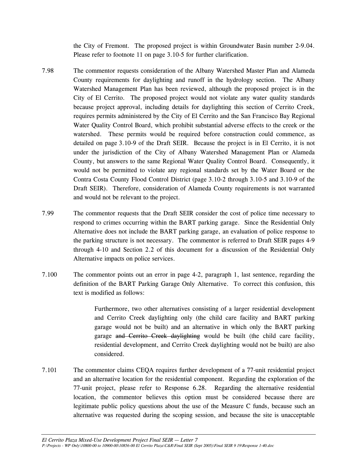the City of Fremont. The proposed project is within Groundwater Basin number 2-9.04. Please refer to footnote 11 on page 3.10-5 for further clarification.

- 7.98 The commentor requests consideration of the Albany Watershed Master Plan and Alameda County requirements for daylighting and runoff in the hydrology section. The Albany Watershed Management Plan has been reviewed, although the proposed project is in the City of El Cerrito. The proposed project would not violate any water quality standards because project approval, including details for daylighting this section of Cerrito Creek, requires permits administered by the City of El Cerrito and the San Francisco Bay Regional Water Quality Control Board, which prohibit substantial adverse effects to the creek or the watershed. These permits would be required before construction could commence, as detailed on page 3.10-9 of the Draft SEIR. Because the project is in El Cerrito, it is not under the jurisdiction of the City of Albany Watershed Management Plan or Alameda County, but answers to the same Regional Water Quality Control Board. Consequently, it would not be permitted to violate any regional standards set by the Water Board or the Contra Costa County Flood Control District (page 3.10-2 through 3.10-5 and 3.10-9 of the Draft SEIR). Therefore, consideration of Alameda County requirements is not warranted and would not be relevant to the project.
- 7.99 The commentor requests that the Draft SEIR consider the cost of police time necessary to respond to crimes occurring within the BART parking garage. Since the Residential Only Alternative does not include the BART parking garage, an evaluation of police response to the parking structure is not necessary. The commentor is referred to Draft SEIR pages 4-9 through 4-10 and Section 2.2 of this document for a discussion of the Residential Only Alternative impacts on police services.
- 7.100 The commentor points out an error in page 4-2, paragraph 1, last sentence, regarding the definition of the BART Parking Garage Only Alternative. To correct this confusion, this text is modified as follows:

 Furthermore, two other alternatives consisting of a larger residential development and Cerrito Creek daylighting only (the child care facility and BART parking garage would not be built) and an alternative in which only the BART parking garage and Cerrito Creek daylighting would be built (the child care facility, residential development, and Cerrito Creek daylighting would not be built) are also considered.

7.101 The commentor claims CEQA requires further development of a 77-unit residential project and an alternative location for the residential component. Regarding the exploration of the 77-unit project, please refer to Response 6.28. Regarding the alternative residential location, the commentor believes this option must be considered because there are legitimate public policy questions about the use of the Measure C funds, because such an alternative was requested during the scoping session, and because the site is unacceptable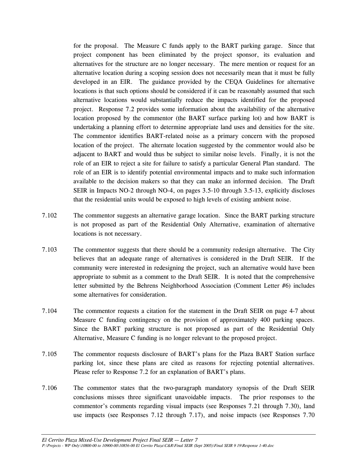for the proposal. The Measure C funds apply to the BART parking garage. Since that project component has been eliminated by the project sponsor, its evaluation and alternatives for the structure are no longer necessary. The mere mention or request for an alternative location during a scoping session does not necessarily mean that it must be fully developed in an EIR. The guidance provided by the CEQA Guidelines for alternative locations is that such options should be considered if it can be reasonably assumed that such alternative locations would substantially reduce the impacts identified for the proposed project. Response 7.2 provides some information about the availability of the alternative location proposed by the commentor (the BART surface parking lot) and how BART is undertaking a planning effort to determine appropriate land uses and densities for the site. The commentor identifies BART-related noise as a primary concern with the proposed location of the project. The alternate location suggested by the commentor would also be adjacent to BART and would thus be subject to similar noise levels. Finally, it is not the role of an EIR to reject a site for failure to satisfy a particular General Plan standard. The role of an EIR is to identify potential environmental impacts and to make such information available to the decision makers so that they can make an informed decision. The Draft SEIR in Impacts NO-2 through NO-4, on pages 3.5-10 through 3.5-13, explicitly discloses that the residential units would be exposed to high levels of existing ambient noise.

- 7.102 The commentor suggests an alternative garage location. Since the BART parking structure is not proposed as part of the Residential Only Alternative, examination of alternative locations is not necessary.
- 7.103 The commentor suggests that there should be a community redesign alternative. The City believes that an adequate range of alternatives is considered in the Draft SEIR. If the community were interested in redesigning the project, such an alternative would have been appropriate to submit as a comment to the Draft SEIR. It is noted that the comprehensive letter submitted by the Behrens Neighborhood Association (Comment Letter #6) includes some alternatives for consideration.
- 7.104 The commentor requests a citation for the statement in the Draft SEIR on page 4-7 about Measure C funding contingency on the provision of approximately 400 parking spaces. Since the BART parking structure is not proposed as part of the Residential Only Alternative, Measure C funding is no longer relevant to the proposed project.
- 7.105 The commentor requests disclosure of BART's plans for the Plaza BART Station surface parking lot, since these plans are cited as reasons for rejecting potential alternatives. Please refer to Response 7.2 for an explanation of BART's plans.
- 7.106 The commentor states that the two-paragraph mandatory synopsis of the Draft SEIR conclusions misses three significant unavoidable impacts. The prior responses to the commentor's comments regarding visual impacts (see Responses 7.21 through 7.30), land use impacts (see Responses 7.12 through 7.17), and noise impacts (see Responses 7.70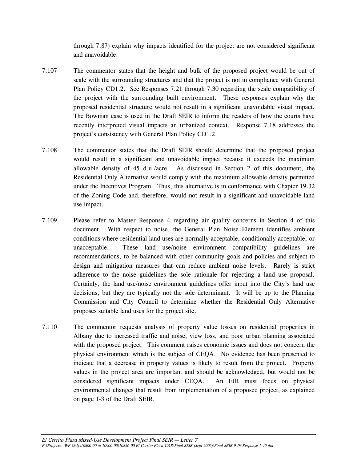through 7.87) explain why impacts identified for the project are not considered significant and unavoidable.

- 7.107 The commentor states that the height and bulk of the proposed project would be out of scale with the surrounding structures and that the project is not in compliance with General Plan Policy CD1.2. See Responses 7.21 through 7.30 regarding the scale compatibility of the project with the surrounding built environment. These responses explain why the proposed residential structure would not result in a significant unavoidable visual impact. The Bowman case is used in the Draft SEIR to inform the readers of how the courts have recently interpreted visual impacts an urbanized context. Response 7.18 addresses the project's consistency with General Plan Policy CD1.2.
- 7.108 The commentor states that the Draft SEIR should determine that the proposed project would result in a significant and unavoidable impact because it exceeds the maximum allowable density of 45 d.u./acre. As discussed in Section 2 of this document, the Residential Only Alternative would comply with the maximum allowable density permitted under the Incentives Program. Thus, this alternative is in conformance with Chapter 19.32 of the Zoning Code and, therefore, would not result in a significant and unavoidable land use impact.
- 7.109 Please refer to Master Response 4 regarding air quality concerns in Section 4 of this document. With respect to noise, the General Plan Noise Element identifies ambient conditions where residential land uses are normally acceptable, conditionally acceptable, or unacceptable. These land use/noise environment compatibility guidelines are recommendations, to be balanced with other community goals and policies and subject to design and mitigation measures that can reduce ambient noise levels. Rarely is strict adherence to the noise guidelines the sole rationale for rejecting a land use proposal. Certainly, the land use/noise environment guidelines offer input into the City's land use decisions, but they are typically not the sole determinant. It will be up to the Planning Commission and City Council to determine whether the Residential Only Alternative proposes suitable land uses for the project site.
- 7.110 The commentor requests analysis of property value losses on residential properties in Albany due to increased traffic and noise, view loss, and poor urban planning associated with the proposed project. This comment raises economic issues and does not concern the physical environment which is the subject of CEQA. No evidence has been presented to indicate that a decrease in property values is likely to result from the project. Property values in the project area are important and should be acknowledged, but would not be considered significant impacts under CEQA. An EIR must focus on physical environmental changes that result from implementation of a proposed project, as explained on page 1-3 of the Draft SEIR.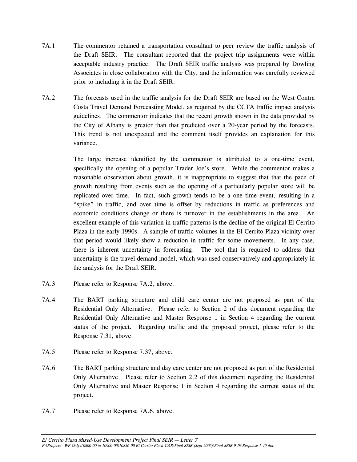- 7A.1 The commentor retained a transportation consultant to peer review the traffic analysis of the Draft SEIR. The consultant reported that the project trip assignments were within acceptable industry practice. The Draft SEIR traffic analysis was prepared by Dowling Associates in close collaboration with the City, and the information was carefully reviewed prior to including it in the Draft SEIR.
- 7A.2 The forecasts used in the traffic analysis for the Draft SEIR are based on the West Contra Costa Travel Demand Forecasting Model, as required by the CCTA traffic impact analysis guidelines. The commentor indicates that the recent growth shown in the data provided by the City of Albany is greater than that predicted over a 20-year period by the forecasts. This trend is not unexpected and the comment itself provides an explanation for this variance.

 The large increase identified by the commentor is attributed to a one-time event, specifically the opening of a popular Trader Joe's store. While the commentor makes a reasonable observation about growth, it is inappropriate to suggest that that the pace of growth resulting from events such as the opening of a particularly popular store will be replicated over time. In fact, such growth tends to be a one time event, resulting in a "spike" in traffic, and over time is offset by reductions in traffic as preferences and economic conditions change or there is turnover in the establishments in the area. An excellent example of this variation in traffic patterns is the decline of the original El Cerrito Plaza in the early 1990s. A sample of traffic volumes in the El Cerrito Plaza vicinity over that period would likely show a reduction in traffic for some movements. In any case, there is inherent uncertainty in forecasting. The tool that is required to address that uncertainty is the travel demand model, which was used conservatively and appropriately in the analysis for the Draft SEIR.

- 7A.3 Please refer to Response 7A.2, above.
- 7A.4 The BART parking structure and child care center are not proposed as part of the Residential Only Alternative. Please refer to Section 2 of this document regarding the Residential Only Alternative and Master Response 1 in Section 4 regarding the current status of the project. Regarding traffic and the proposed project, please refer to the Response 7.31, above.
- 7A.5 Please refer to Response 7.37, above.
- 7A.6 The BART parking structure and day care center are not proposed as part of the Residential Only Alternative. Please refer to Section 2.2 of this document regarding the Residential Only Alternative and Master Response 1 in Section 4 regarding the current status of the project.
- 7A.7 Please refer to Response 7A.6, above.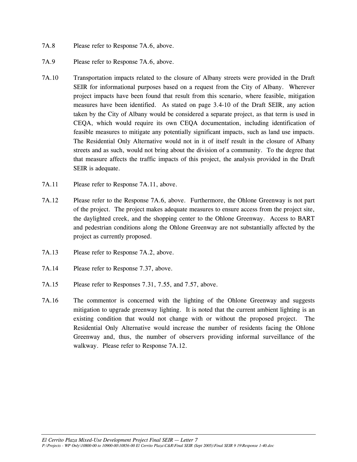- 7A.8 Please refer to Response 7A.6, above.
- 7A.9 Please refer to Response 7A.6, above.
- 7A.10 Transportation impacts related to the closure of Albany streets were provided in the Draft SEIR for informational purposes based on a request from the City of Albany. Wherever project impacts have been found that result from this scenario, where feasible, mitigation measures have been identified. As stated on page 3.4-10 of the Draft SEIR, any action taken by the City of Albany would be considered a separate project, as that term is used in CEQA, which would require its own CEQA documentation, including identification of feasible measures to mitigate any potentially significant impacts, such as land use impacts. The Residential Only Alternative would not in it of itself result in the closure of Albany streets and as such, would not bring about the division of a community. To the degree that that measure affects the traffic impacts of this project, the analysis provided in the Draft SEIR is adequate.
- 7A.11 Please refer to Response 7A.11, above.
- 7A.12 Please refer to the Response 7A.6, above. Furthermore, the Ohlone Greenway is not part of the project. The project makes adequate measures to ensure access from the project site, the daylighted creek, and the shopping center to the Ohlone Greenway. Access to BART and pedestrian conditions along the Ohlone Greenway are not substantially affected by the project as currently proposed.
- 7A.13 Please refer to Response 7A.2, above.
- 7A.14 Please refer to Response 7.37, above.
- 7A.15 Please refer to Responses 7.31, 7.55, and 7.57, above.
- 7A.16 The commentor is concerned with the lighting of the Ohlone Greenway and suggests mitigation to upgrade greenway lighting. It is noted that the current ambient lighting is an existing condition that would not change with or without the proposed project. The Residential Only Alternative would increase the number of residents facing the Ohlone Greenway and, thus, the number of observers providing informal surveillance of the walkway. Please refer to Response 7A.12.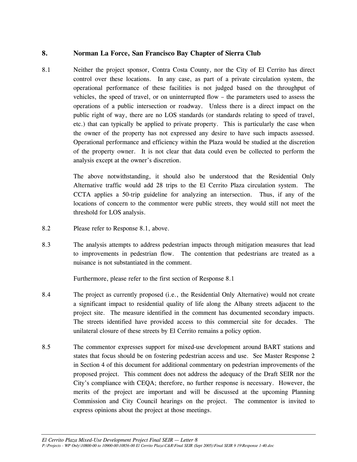# **8. Norman La Force, San Francisco Bay Chapter of Sierra Club**

8.1 Neither the project sponsor, Contra Costa County, nor the City of El Cerrito has direct control over these locations. In any case, as part of a private circulation system, the operational performance of these facilities is not judged based on the throughput of vehicles, the speed of travel, or on uninterrupted flow – the parameters used to assess the operations of a public intersection or roadway. Unless there is a direct impact on the public right of way, there are no LOS standards (or standards relating to speed of travel, etc.) that can typically be applied to private property. This is particularly the case when the owner of the property has not expressed any desire to have such impacts assessed. Operational performance and efficiency within the Plaza would be studied at the discretion of the property owner. It is not clear that data could even be collected to perform the analysis except at the owner's discretion.

> The above notwithstanding, it should also be understood that the Residential Only Alternative traffic would add 28 trips to the El Cerrito Plaza circulation system. The CCTA applies a 50-trip guideline for analyzing an intersection. Thus, if any of the locations of concern to the commentor were public streets, they would still not meet the threshold for LOS analysis.

- 8.2 Please refer to Response 8.1, above.
- 8.3 The analysis attempts to address pedestrian impacts through mitigation measures that lead to improvements in pedestrian flow. The contention that pedestrians are treated as a nuisance is not substantiated in the comment.

Furthermore, please refer to the first section of Response 8.1

- 8.4 The project as currently proposed (i.e., the Residential Only Alternative) would not create a significant impact to residential quality of life along the Albany streets adjacent to the project site. The measure identified in the comment has documented secondary impacts. The streets identified have provided access to this commercial site for decades. The unilateral closure of these streets by El Cerrito remains a policy option.
- 8.5 The commentor expresses support for mixed-use development around BART stations and states that focus should be on fostering pedestrian access and use. See Master Response 2 in Section 4 of this document for additional commentary on pedestrian improvements of the proposed project. This comment does not address the adequacy of the Draft SEIR nor the City's compliance with CEQA; therefore, no further response is necessary. However, the merits of the project are important and will be discussed at the upcoming Planning Commission and City Council hearings on the project. The commentor is invited to express opinions about the project at those meetings.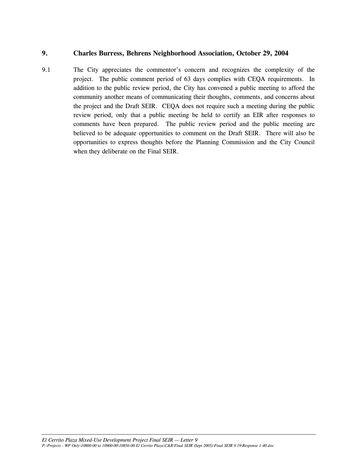### **9. Charles Burress, Behrens Neighborhood Association, October 29, 2004**

9.1 The City appreciates the commentor's concern and recognizes the complexity of the project. The public comment period of 63 days complies with CEQA requirements. In addition to the public review period, the City has convened a public meeting to afford the community another means of communicating their thoughts, comments, and concerns about the project and the Draft SEIR. CEQA does not require such a meeting during the public review period, only that a public meeting be held to certify an EIR after responses to comments have been prepared. The public review period and the public meeting are believed to be adequate opportunities to comment on the Draft SEIR. There will also be opportunities to express thoughts before the Planning Commission and the City Council when they deliberate on the Final SEIR.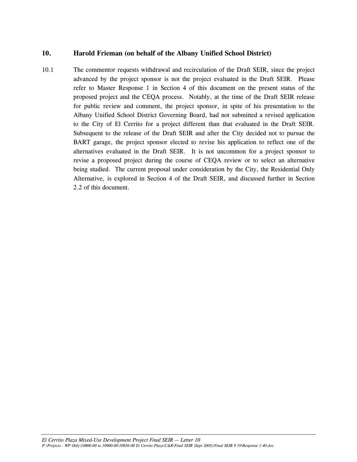## **10. Harold Frieman (on behalf of the Albany Unified School District)**

10.1 The commentor requests withdrawal and recirculation of the Draft SEIR, since the project advanced by the project sponsor is not the project evaluated in the Draft SEIR. Please refer to Master Response 1 in Section 4 of this document on the present status of the proposed project and the CEQA process. Notably, at the time of the Draft SEIR release for public review and comment, the project sponsor, in spite of his presentation to the Albany Unified School District Governing Board, had not submitted a revised application to the City of El Cerrito for a project different than that evaluated in the Draft SEIR. Subsequent to the release of the Draft SEIR and after the City decided not to pursue the BART garage, the project sponsor elected to revise his application to reflect one of the alternatives evaluated in the Draft SEIR. It is not uncommon for a project sponsor to revise a proposed project during the course of CEQA review or to select an alternative being studied. The current proposal under consideration by the City, the Residential Only Alternative, is explored in Section 4 of the Draft SEIR, and discussed further in Section 2.2 of this document.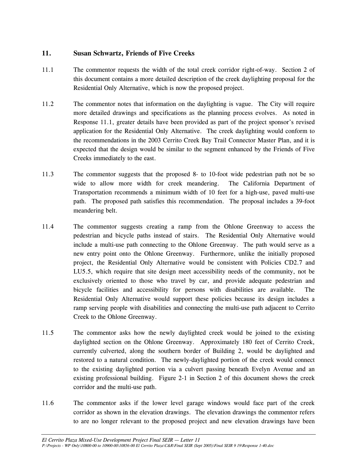# **11. Susan Schwartz, Friends of Five Creeks**

- 11.1 The commentor requests the width of the total creek corridor right-of-way. Section 2 of this document contains a more detailed description of the creek daylighting proposal for the Residential Only Alternative, which is now the proposed project.
- 11.2 The commentor notes that information on the daylighting is vague. The City will require more detailed drawings and specifications as the planning process evolves. As noted in Response 11.1, greater details have been provided as part of the project sponsor's revised application for the Residential Only Alternative. The creek daylighting would conform to the recommendations in the 2003 Cerrito Creek Bay Trail Connector Master Plan, and it is expected that the design would be similar to the segment enhanced by the Friends of Five Creeks immediately to the east.
- 11.3 The commentor suggests that the proposed 8- to 10-foot wide pedestrian path not be so wide to allow more width for creek meandering. The California Department of Transportation recommends a minimum width of 10 feet for a high-use, paved multi-use path. The proposed path satisfies this recommendation. The proposal includes a 39-foot meandering belt.
- 11.4 The commentor suggests creating a ramp from the Ohlone Greenway to access the pedestrian and bicycle paths instead of stairs. The Residential Only Alternative would include a multi-use path connecting to the Ohlone Greenway. The path would serve as a new entry point onto the Ohlone Greenway. Furthermore, unlike the initially proposed project, the Residential Only Alternative would be consistent with Policies CD2.7 and LU5.5, which require that site design meet accessibility needs of the community, not be exclusively oriented to those who travel by car, and provide adequate pedestrian and bicycle facilities and accessibility for persons with disabilities are available. The Residential Only Alternative would support these policies because its design includes a ramp serving people with disabilities and connecting the multi-use path adjacent to Cerrito Creek to the Ohlone Greenway.
- 11.5 The commentor asks how the newly daylighted creek would be joined to the existing daylighted section on the Ohlone Greenway. Approximately 180 feet of Cerrito Creek, currently culverted, along the southern border of Building 2, would be daylighted and restored to a natural condition. The newly-daylighted portion of the creek would connect to the existing daylighted portion via a culvert passing beneath Evelyn Avenue and an existing professional building. Figure 2-1 in Section 2 of this document shows the creek corridor and the multi-use path.
- 11.6 The commentor asks if the lower level garage windows would face part of the creek corridor as shown in the elevation drawings. The elevation drawings the commentor refers to are no longer relevant to the proposed project and new elevation drawings have been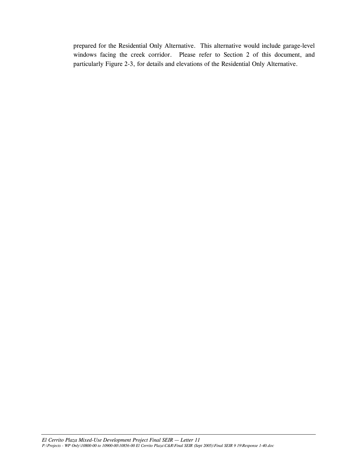prepared for the Residential Only Alternative. This alternative would include garage-level windows facing the creek corridor. Please refer to Section 2 of this document, and particularly Figure 2-3, for details and elevations of the Residential Only Alternative.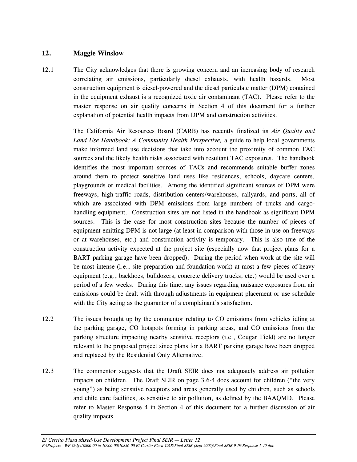## **12. Maggie Winslow**

12.1 The City acknowledges that there is growing concern and an increasing body of research correlating air emissions, particularly diesel exhausts, with health hazards. Most construction equipment is diesel-powered and the diesel particulate matter (DPM) contained in the equipment exhaust is a recognized toxic air contaminant (TAC). Please refer to the master response on air quality concerns in Section 4 of this document for a further explanation of potential health impacts from DPM and construction activities.

> The California Air Resources Board (CARB) has recently finalized its *Air Quality and Land Use Handbook: A Community Health Perspective,* a guide to help local governments make informed land use decisions that take into account the proximity of common TAC sources and the likely health risks associated with resultant TAC exposures. The handbook identifies the most important sources of TACs and recommends suitable buffer zones around them to protect sensitive land uses like residences, schools, daycare centers, playgrounds or medical facilities. Among the identified significant sources of DPM were freeways, high-traffic roads, distribution centers/warehouses, railyards, and ports, all of which are associated with DPM emissions from large numbers of trucks and cargohandling equipment. Construction sites are not listed in the handbook as significant DPM sources. This is the case for most construction sites because the number of pieces of equipment emitting DPM is not large (at least in comparison with those in use on freeways or at warehouses, etc.) and construction activity is temporary. This is also true of the construction activity expected at the project site (especially now that project plans for a BART parking garage have been dropped). During the period when work at the site will be most intense (i.e., site preparation and foundation work) at most a few pieces of heavy equipment (e.g., backhoes, bulldozers, concrete delivery trucks, etc.) would be used over a period of a few weeks. During this time, any issues regarding nuisance exposures from air emissions could be dealt with through adjustments in equipment placement or use schedule with the City acting as the guarantor of a complainant's satisfaction.

- 12.2 The issues brought up by the commentor relating to CO emissions from vehicles idling at the parking garage, CO hotspots forming in parking areas, and CO emissions from the parking structure impacting nearby sensitive receptors (i.e., Cougar Field) are no longer relevant to the proposed project since plans for a BART parking garage have been dropped and replaced by the Residential Only Alternative.
- 12.3 The commentor suggests that the Draft SEIR does not adequately address air pollution impacts on children. The Draft SEIR on page 3.6-4 does account for children ("the very young") as being sensitive receptors and areas generally used by children, such as schools and child care facilities, as sensitive to air pollution, as defined by the BAAQMD. Please refer to Master Response 4 in Section 4 of this document for a further discussion of air quality impacts.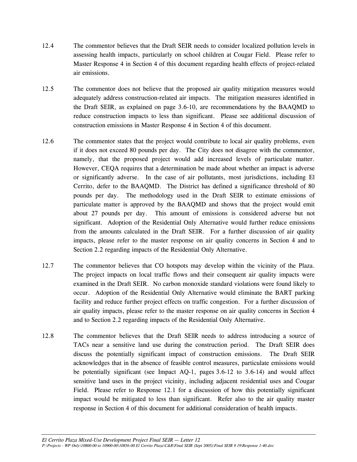- 12.4 The commentor believes that the Draft SEIR needs to consider localized pollution levels in assessing health impacts, particularly on school children at Cougar Field. Please refer to Master Response 4 in Section 4 of this document regarding health effects of project-related air emissions.
- 12.5 The commentor does not believe that the proposed air quality mitigation measures would adequately address construction-related air impacts. The mitigation measures identified in the Draft SEIR, as explained on page 3.6-10, are recommendations by the BAAQMD to reduce construction impacts to less than significant. Please see additional discussion of construction emissions in Master Response 4 in Section 4 of this document.
- 12.6 The commentor states that the project would contribute to local air quality problems, even if it does not exceed 80 pounds per day. The City does not disagree with the commentor, namely, that the proposed project would add increased levels of particulate matter. However, CEQA requires that a determination be made about whether an impact is adverse or significantly adverse. In the case of air pollutants, most jurisdictions, including El Cerrito, defer to the BAAQMD. The District has defined a significance threshold of 80 pounds per day. The methodology used in the Draft SEIR to estimate emissions of particulate matter is approved by the BAAQMD and shows that the project would emit about 27 pounds per day. This amount of emissions is considered adverse but not significant. Adoption of the Residential Only Alternative would further reduce emissions from the amounts calculated in the Draft SEIR. For a further discussion of air quality impacts, please refer to the master response on air quality concerns in Section 4 and to Section 2.2 regarding impacts of the Residential Only Alternative.
- 12.7 The commentor believes that CO hotspots may develop within the vicinity of the Plaza. The project impacts on local traffic flows and their consequent air quality impacts were examined in the Draft SEIR. No carbon monoxide standard violations were found likely to occur. Adoption of the Residential Only Alternative would eliminate the BART parking facility and reduce further project effects on traffic congestion. For a further discussion of air quality impacts, please refer to the master response on air quality concerns in Section 4 and to Section 2.2 regarding impacts of the Residential Only Alternative.
- 12.8 The commentor believes that the Draft SEIR needs to address introducing a source of TACs near a sensitive land use during the construction period. The Draft SEIR does discuss the potentially significant impact of construction emissions. The Draft SEIR acknowledges that in the absence of feasible control measures, particulate emissions would be potentially significant (see Impact AQ-1, pages 3.6-12 to 3.6-14) and would affect sensitive land uses in the project vicinity, including adjacent residential uses and Cougar Field. Please refer to Response 12.1 for a discussion of how this potentially significant impact would be mitigated to less than significant. Refer also to the air quality master response in Section 4 of this document for additional consideration of health impacts.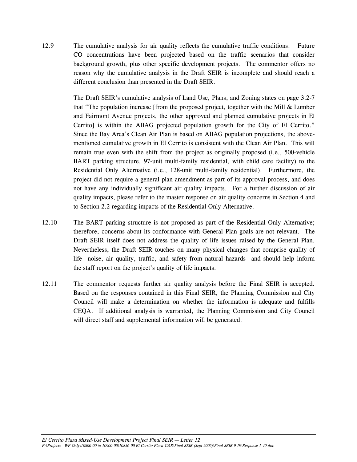12.9 The cumulative analysis for air quality reflects the cumulative traffic conditions. Future CO concentrations have been projected based on the traffic scenarios that consider background growth, plus other specific development projects. The commentor offers no reason why the cumulative analysis in the Draft SEIR is incomplete and should reach a different conclusion than presented in the Draft SEIR.

> The Draft SEIR's cumulative analysis of Land Use, Plans, and Zoning states on page 3.2-7 that "The population increase [from the proposed project, together with the Mill  $\&$  Lumber and Fairmont Avenue projects, the other approved and planned cumulative projects in El Cerrito] is within the ABAG projected population growth for the City of El Cerrito." Since the Bay Area's Clean Air Plan is based on ABAG population projections, the abovementioned cumulative growth in El Cerrito is consistent with the Clean Air Plan. This will remain true even with the shift from the project as originally proposed (i.e., 500-vehicle BART parking structure, 97-unit multi-family residential, with child care facility) to the Residential Only Alternative (i.e., 128-unit multi-family residential). Furthermore, the project did not require a general plan amendment as part of its approval process, and does not have any individually significant air quality impacts. For a further discussion of air quality impacts, please refer to the master response on air quality concerns in Section 4 and to Section 2.2 regarding impacts of the Residential Only Alternative.

- 12.10 The BART parking structure is not proposed as part of the Residential Only Alternative; therefore, concerns about its conformance with General Plan goals are not relevant. The Draft SEIR itself does not address the quality of life issues raised by the General Plan. Nevertheless, the Draft SEIR touches on many physical changes that comprise quality of life—noise, air quality, traffic, and safety from natural hazards—and should help inform the staff report on the project's quality of life impacts.
- 12.11 The commentor requests further air quality analysis before the Final SEIR is accepted. Based on the responses contained in this Final SEIR, the Planning Commission and City Council will make a determination on whether the information is adequate and fulfills CEQA. If additional analysis is warranted, the Planning Commission and City Council will direct staff and supplemental information will be generated.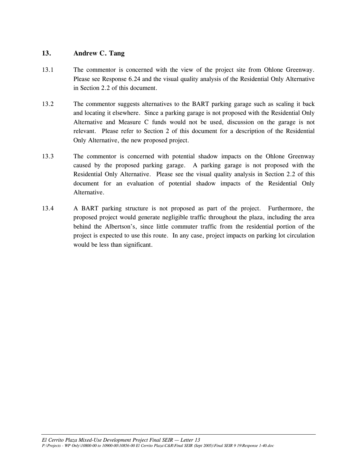## **13. Andrew C. Tang**

- 13.1 The commentor is concerned with the view of the project site from Ohlone Greenway. Please see Response 6.24 and the visual quality analysis of the Residential Only Alternative in Section 2.2 of this document.
- 13.2 The commentor suggests alternatives to the BART parking garage such as scaling it back and locating it elsewhere.Since a parking garage is not proposed with the Residential Only Alternative and Measure C funds would not be used, discussion on the garage is not relevant. Please refer to Section 2 of this document for a description of the Residential Only Alternative, the new proposed project.
- 13.3 The commentor is concerned with potential shadow impacts on the Ohlone Greenway caused by the proposed parking garage. A parking garage is not proposed with the Residential Only Alternative. Please see the visual quality analysis in Section 2.2 of this document for an evaluation of potential shadow impacts of the Residential Only Alternative.
- 13.4 A BART parking structure is not proposed as part of the project. Furthermore, the proposed project would generate negligible traffic throughout the plaza, including the area behind the Albertson's, since little commuter traffic from the residential portion of the project is expected to use this route. In any case, project impacts on parking lot circulation would be less than significant.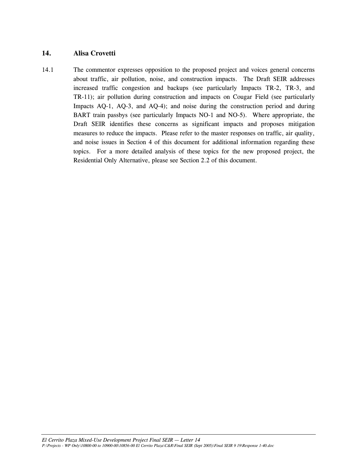### **14. Alisa Crovetti**

14.1 The commentor expresses opposition to the proposed project and voices general concerns about traffic, air pollution, noise, and construction impacts. The Draft SEIR addresses increased traffic congestion and backups (see particularly Impacts TR-2, TR-3, and TR-11); air pollution during construction and impacts on Cougar Field (see particularly Impacts AQ-1, AQ-3, and AQ-4); and noise during the construction period and during BART train passbys (see particularly Impacts NO-1 and NO-5). Where appropriate, the Draft SEIR identifies these concerns as significant impacts and proposes mitigation measures to reduce the impacts. Please refer to the master responses on traffic, air quality, and noise issues in Section 4 of this document for additional information regarding these topics. For a more detailed analysis of these topics for the new proposed project, the Residential Only Alternative, please see Section 2.2 of this document.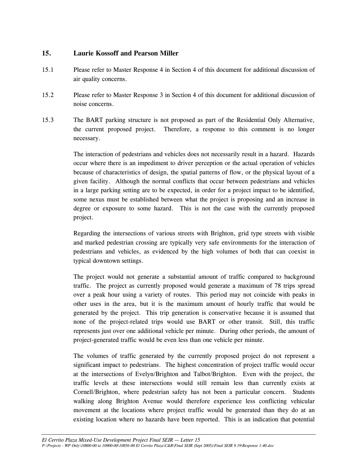# **15. Laurie Kossoff and Pearson Miller**

- 15.1 Please refer to Master Response 4 in Section 4 of this document for additional discussion of air quality concerns.
- 15.2 Please refer to Master Response 3 in Section 4 of this document for additional discussion of noise concerns.
- 15.3 The BART parking structure is not proposed as part of the Residential Only Alternative, the current proposed project. Therefore, a response to this comment is no longer necessary.

 The interaction of pedestrians and vehicles does not necessarily result in a hazard. Hazards occur where there is an impediment to driver perception or the actual operation of vehicles because of characteristics of design, the spatial patterns of flow, or the physical layout of a given facility. Although the normal conflicts that occur between pedestrians and vehicles in a large parking setting are to be expected, in order for a project impact to be identified, some nexus must be established between what the project is proposing and an increase in degree or exposure to some hazard. This is not the case with the currently proposed project.

 Regarding the intersections of various streets with Brighton, grid type streets with visible and marked pedestrian crossing are typically very safe environments for the interaction of pedestrians and vehicles, as evidenced by the high volumes of both that can coexist in typical downtown settings.

 The project would not generate a substantial amount of traffic compared to background traffic. The project as currently proposed would generate a maximum of 78 trips spread over a peak hour using a variety of routes. This period may not coincide with peaks in other uses in the area, but it is the maximum amount of hourly traffic that would be generated by the project. This trip generation is conservative because it is assumed that none of the project-related trips would use BART or other transit. Still, this traffic represents just over one additional vehicle per minute. During other periods, the amount of project-generated traffic would be even less than one vehicle per minute.

 The volumes of traffic generated by the currently proposed project do not represent a significant impact to pedestrians. The highest concentration of project traffic would occur at the intersections of Evelyn/Brighton and Talbot/Brighton. Even with the project, the traffic levels at these intersections would still remain less than currently exists at Cornell/Brighton, where pedestrian safety has not been a particular concern. Students walking along Brighton Avenue would therefore experience less conflicting vehicular movement at the locations where project traffic would be generated than they do at an existing location where no hazards have been reported. This is an indication that potential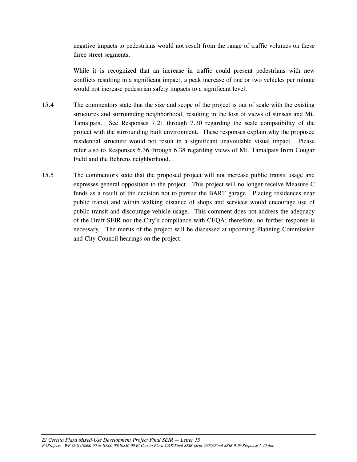negative impacts to pedestrians would not result from the range of traffic volumes on these three street segments.

 While it is recognized that an increase in traffic could present pedestrians with new conflicts resulting in a significant impact, a peak increase of one or two vehicles per minute would not increase pedestrian safety impacts to a significant level.

- 15.4 The commentors state that the size and scope of the project is out of scale with the existing structures and surrounding neighborhood, resulting in the loss of views of sunsets and Mt. Tamalpais. See Responses 7.21 through 7.30 regarding the scale compatibility of the project with the surrounding built environment. These responses explain why the proposed residential structure would not result in a significant unavoidable visual impact. Please refer also to Responses 6.36 through 6.38 regarding views of Mt. Tamalpais from Cougar Field and the Behrens neighborhood.
- 15.5 The commentors state that the proposed project will not increase public transit usage and expresses general opposition to the project. This project will no longer receive Measure C funds as a result of the decision not to pursue the BART garage. Placing residences near public transit and within walking distance of shops and services would encourage use of public transit and discourage vehicle usage. This comment does not address the adequacy of the Draft SEIR nor the City's compliance with CEQA; therefore, no further response is necessary. The merits of the project will be discussed at upcoming Planning Commission and City Council hearings on the project.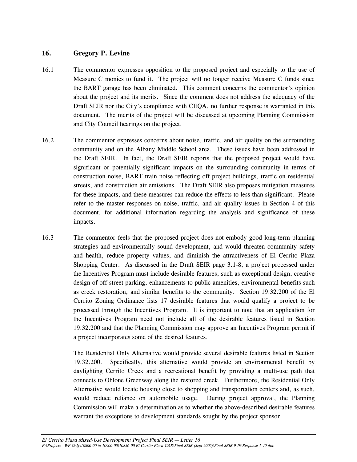# **16. Gregory P. Levine**

- 16.1 The commentor expresses opposition to the proposed project and especially to the use of Measure C monies to fund it. The project will no longer receive Measure C funds since the BART garage has been eliminated. This comment concerns the commentor's opinion about the project and its merits. Since the comment does not address the adequacy of the Draft SEIR nor the City's compliance with CEQA, no further response is warranted in this document. The merits of the project will be discussed at upcoming Planning Commission and City Council hearings on the project.
- 16.2 The commentor expresses concerns about noise, traffic, and air quality on the surrounding community and on the Albany Middle School area. These issues have been addressed in the Draft SEIR. In fact, the Draft SEIR reports that the proposed project would have significant or potentially significant impacts on the surrounding community in terms of construction noise, BART train noise reflecting off project buildings, traffic on residential streets, and construction air emissions. The Draft SEIR also proposes mitigation measures for these impacts, and these measures can reduce the effects to less than significant. Please refer to the master responses on noise, traffic, and air quality issues in Section 4 of this document, for additional information regarding the analysis and significance of these impacts.
- 16.3 The commentor feels that the proposed project does not embody good long-term planning strategies and environmentally sound development, and would threaten community safety and health, reduce property values, and diminish the attractiveness of El Cerrito Plaza Shopping Center. As discussed in the Draft SEIR page 3.1-8, a project processed under the Incentives Program must include desirable features, such as exceptional design, creative design of off-street parking, enhancements to public amenities, environmental benefits such as creek restoration, and similar benefits to the community. Section 19.32.200 of the El Cerrito Zoning Ordinance lists 17 desirable features that would qualify a project to be processed through the Incentives Program. It is important to note that an application for the Incentives Program need not include all of the desirable features listed in Section 19.32.200 and that the Planning Commission may approve an Incentives Program permit if a project incorporates some of the desired features.

 The Residential Only Alternative would provide several desirable features listed in Section 19.32.200. Specifically, this alternative would provide an environmental benefit by daylighting Cerrito Creek and a recreational benefit by providing a multi-use path that connects to Ohlone Greenway along the restored creek. Furthermore, the Residential Only Alternative would locate housing close to shopping and transportation centers and, as such, would reduce reliance on automobile usage. During project approval, the Planning Commission will make a determination as to whether the above-described desirable features warrant the exceptions to development standards sought by the project sponsor.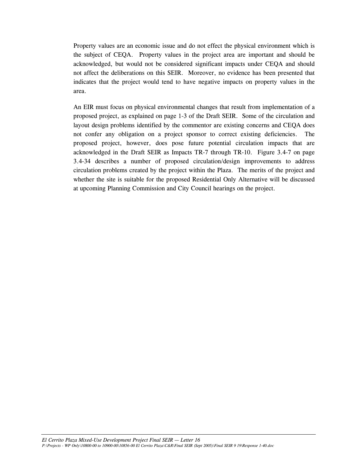Property values are an economic issue and do not effect the physical environment which is the subject of CEQA. Property values in the project area are important and should be acknowledged, but would not be considered significant impacts under CEQA and should not affect the deliberations on this SEIR. Moreover, no evidence has been presented that indicates that the project would tend to have negative impacts on property values in the area.

 An EIR must focus on physical environmental changes that result from implementation of a proposed project, as explained on page 1-3 of the Draft SEIR. Some of the circulation and layout design problems identified by the commentor are existing concerns and CEQA does not confer any obligation on a project sponsor to correct existing deficiencies. The proposed project, however, does pose future potential circulation impacts that are acknowledged in the Draft SEIR as Impacts TR-7 through TR-10. Figure 3.4-7 on page 3.4-34 describes a number of proposed circulation/design improvements to address circulation problems created by the project within the Plaza. The merits of the project and whether the site is suitable for the proposed Residential Only Alternative will be discussed at upcoming Planning Commission and City Council hearings on the project.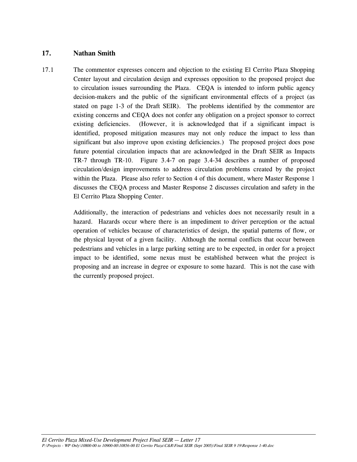# **17. Nathan Smith**

17.1 The commentor expresses concern and objection to the existing El Cerrito Plaza Shopping Center layout and circulation design and expresses opposition to the proposed project due to circulation issues surrounding the Plaza. CEQA is intended to inform public agency decision-makers and the public of the significant environmental effects of a project (as stated on page 1-3 of the Draft SEIR). The problems identified by the commentor are existing concerns and CEQA does not confer any obligation on a project sponsor to correct existing deficiencies. (However, it is acknowledged that if a significant impact is identified, proposed mitigation measures may not only reduce the impact to less than significant but also improve upon existing deficiencies.) The proposed project does pose future potential circulation impacts that are acknowledged in the Draft SEIR as Impacts TR-7 through TR-10. Figure 3.4-7 on page 3.4-34 describes a number of proposed circulation/design improvements to address circulation problems created by the project within the Plaza. Please also refer to Section 4 of this document, where Master Response 1 discusses the CEQA process and Master Response 2 discusses circulation and safety in the El Cerrito Plaza Shopping Center.

> Additionally, the interaction of pedestrians and vehicles does not necessarily result in a hazard. Hazards occur where there is an impediment to driver perception or the actual operation of vehicles because of characteristics of design, the spatial patterns of flow, or the physical layout of a given facility. Although the normal conflicts that occur between pedestrians and vehicles in a large parking setting are to be expected, in order for a project impact to be identified, some nexus must be established between what the project is proposing and an increase in degree or exposure to some hazard. This is not the case with the currently proposed project.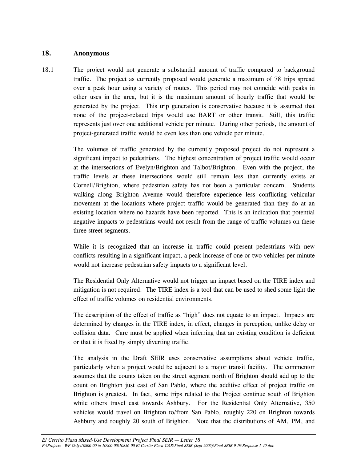#### **18. Anonymous**

18.1 The project would not generate a substantial amount of traffic compared to background traffic. The project as currently proposed would generate a maximum of 78 trips spread over a peak hour using a variety of routes. This period may not coincide with peaks in other uses in the area, but it is the maximum amount of hourly traffic that would be generated by the project. This trip generation is conservative because it is assumed that none of the project-related trips would use BART or other transit. Still, this traffic represents just over one additional vehicle per minute. During other periods, the amount of project-generated traffic would be even less than one vehicle per minute.

> The volumes of traffic generated by the currently proposed project do not represent a significant impact to pedestrians. The highest concentration of project traffic would occur at the intersections of Evelyn/Brighton and Talbot/Brighton. Even with the project, the traffic levels at these intersections would still remain less than currently exists at Cornell/Brighton, where pedestrian safety has not been a particular concern. Students walking along Brighton Avenue would therefore experience less conflicting vehicular movement at the locations where project traffic would be generated than they do at an existing location where no hazards have been reported. This is an indication that potential negative impacts to pedestrians would not result from the range of traffic volumes on these three street segments.

> While it is recognized that an increase in traffic could present pedestrians with new conflicts resulting in a significant impact, a peak increase of one or two vehicles per minute would not increase pedestrian safety impacts to a significant level.

> The Residential Only Alternative would not trigger an impact based on the TIRE index and mitigation is not required. The TIRE index is a tool that can be used to shed some light the effect of traffic volumes on residential environments.

> The description of the effect of traffic as "high" does not equate to an impact. Impacts are determined by changes in the TIRE index, in effect, changes in perception, unlike delay or collision data. Care must be applied when inferring that an existing condition is deficient or that it is fixed by simply diverting traffic.

> The analysis in the Draft SEIR uses conservative assumptions about vehicle traffic, particularly when a project would be adjacent to a major transit facility. The commentor assumes that the counts taken on the street segment north of Brighton should add up to the count on Brighton just east of San Pablo, where the additive effect of project traffic on Brighton is greatest. In fact, some trips related to the Project continue south of Brighton while others travel east towards Ashbury. For the Residential Only Alternative, 350 vehicles would travel on Brighton to/from San Pablo, roughly 220 on Brighton towards Ashbury and roughly 20 south of Brighton. Note that the distributions of AM, PM, and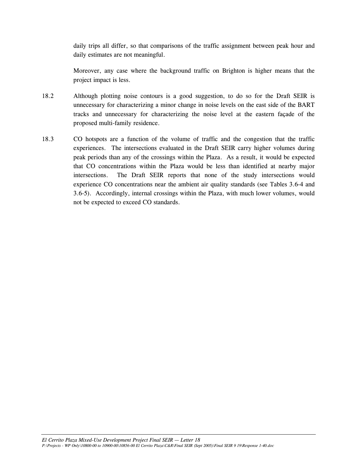daily trips all differ, so that comparisons of the traffic assignment between peak hour and daily estimates are not meaningful.

 Moreover, any case where the background traffic on Brighton is higher means that the project impact is less.

- 18.2 Although plotting noise contours is a good suggestion, to do so for the Draft SEIR is unnecessary for characterizing a minor change in noise levels on the east side of the BART tracks and unnecessary for characterizing the noise level at the eastern façade of the proposed multi-family residence.
- 18.3 CO hotspots are a function of the volume of traffic and the congestion that the traffic experiences. The intersections evaluated in the Draft SEIR carry higher volumes during peak periods than any of the crossings within the Plaza. As a result, it would be expected that CO concentrations within the Plaza would be less than identified at nearby major intersections. The Draft SEIR reports that none of the study intersections would experience CO concentrations near the ambient air quality standards (see Tables 3.6-4 and 3.6-5). Accordingly, internal crossings within the Plaza, with much lower volumes, would not be expected to exceed CO standards.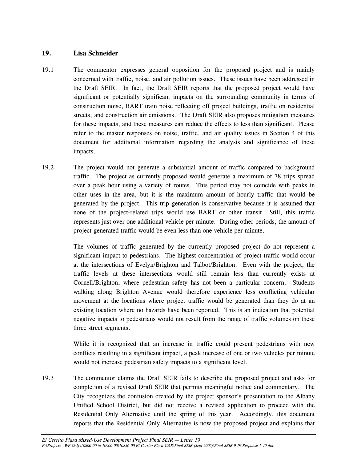## **19. Lisa Schneider**

- 19.1 The commentor expresses general opposition for the proposed project and is mainly concerned with traffic, noise, and air pollution issues. These issues have been addressed in the Draft SEIR. In fact, the Draft SEIR reports that the proposed project would have significant or potentially significant impacts on the surrounding community in terms of construction noise, BART train noise reflecting off project buildings, traffic on residential streets, and construction air emissions. The Draft SEIR also proposes mitigation measures for these impacts, and these measures can reduce the effects to less than significant. Please refer to the master responses on noise, traffic, and air quality issues in Section 4 of this document for additional information regarding the analysis and significance of these impacts.
- 19.2 The project would not generate a substantial amount of traffic compared to background traffic. The project as currently proposed would generate a maximum of 78 trips spread over a peak hour using a variety of routes. This period may not coincide with peaks in other uses in the area, but it is the maximum amount of hourly traffic that would be generated by the project. This trip generation is conservative because it is assumed that none of the project-related trips would use BART or other transit. Still, this traffic represents just over one additional vehicle per minute. During other periods, the amount of project-generated traffic would be even less than one vehicle per minute.

 The volumes of traffic generated by the currently proposed project do not represent a significant impact to pedestrians. The highest concentration of project traffic would occur at the intersections of Evelyn/Brighton and Talbot/Brighton. Even with the project, the traffic levels at these intersections would still remain less than currently exists at Cornell/Brighton, where pedestrian safety has not been a particular concern. Students walking along Brighton Avenue would therefore experience less conflicting vehicular movement at the locations where project traffic would be generated than they do at an existing location where no hazards have been reported. This is an indication that potential negative impacts to pedestrians would not result from the range of traffic volumes on these three street segments.

 While it is recognized that an increase in traffic could present pedestrians with new conflicts resulting in a significant impact, a peak increase of one or two vehicles per minute would not increase pedestrian safety impacts to a significant level.

19.3 The commentor claims the Draft SEIR fails to describe the proposed project and asks for completion of a revised Draft SEIR that permits meaningful notice and commentary. The City recognizes the confusion created by the project sponsor's presentation to the Albany Unified School District, but did not receive a revised application to proceed with the Residential Only Alternative until the spring of this year. Accordingly, this document reports that the Residential Only Alternative is now the proposed project and explains that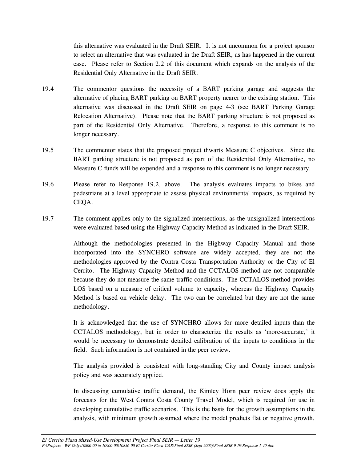this alternative was evaluated in the Draft SEIR. It is not uncommon for a project sponsor to select an alternative that was evaluated in the Draft SEIR, as has happened in the current case. Please refer to Section 2.2 of this document which expands on the analysis of the Residential Only Alternative in the Draft SEIR.

- 19.4 The commentor questions the necessity of a BART parking garage and suggests the alternative of placing BART parking on BART property nearer to the existing station. This alternative was discussed in the Draft SEIR on page 4-3 (see BART Parking Garage Relocation Alternative). Please note that the BART parking structure is not proposed as part of the Residential Only Alternative. Therefore, a response to this comment is no longer necessary.
- 19.5 The commentor states that the proposed project thwarts Measure C objectives. Since the BART parking structure is not proposed as part of the Residential Only Alternative, no Measure C funds will be expended and a response to this comment is no longer necessary.
- 19.6 Please refer to Response 19.2, above. The analysis evaluates impacts to bikes and pedestrians at a level appropriate to assess physical environmental impacts, as required by CEQA.
- 19.7 The comment applies only to the signalized intersections, as the unsignalized intersections were evaluated based using the Highway Capacity Method as indicated in the Draft SEIR.

 Although the methodologies presented in the Highway Capacity Manual and those incorporated into the SYNCHRO software are widely accepted, they are not the methodologies approved by the Contra Costa Transportation Authority or the City of El Cerrito. The Highway Capacity Method and the CCTALOS method are not comparable because they do not measure the same traffic conditions. The CCTALOS method provides LOS based on a measure of critical volume to capacity, whereas the Highway Capacity Method is based on vehicle delay. The two can be correlated but they are not the same methodology.

 It is acknowledged that the use of SYNCHRO allows for more detailed inputs than the CCTALOS methodology, but in order to characterize the results as 'more-accurate,' it would be necessary to demonstrate detailed calibration of the inputs to conditions in the field. Such information is not contained in the peer review.

 The analysis provided is consistent with long-standing City and County impact analysis policy and was accurately applied.

 In discussing cumulative traffic demand, the Kimley Horn peer review does apply the forecasts for the West Contra Costa County Travel Model, which is required for use in developing cumulative traffic scenarios. This is the basis for the growth assumptions in the analysis, with minimum growth assumed where the model predicts flat or negative growth.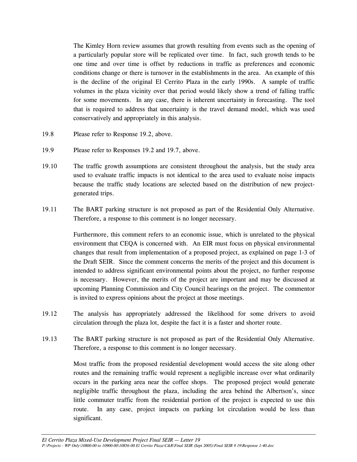The Kimley Horn review assumes that growth resulting from events such as the opening of a particularly popular store will be replicated over time. In fact, such growth tends to be one time and over time is offset by reductions in traffic as preferences and economic conditions change or there is turnover in the establishments in the area. An example of this is the decline of the original El Cerrito Plaza in the early 1990s. A sample of traffic volumes in the plaza vicinity over that period would likely show a trend of falling traffic for some movements. In any case, there is inherent uncertainty in forecasting. The tool that is required to address that uncertainty is the travel demand model, which was used conservatively and appropriately in this analysis.

- 19.8 Please refer to Response 19.2, above.
- 19.9 Please refer to Responses 19.2 and 19.7, above.
- 19.10 The traffic growth assumptions are consistent throughout the analysis, but the study area used to evaluate traffic impacts is not identical to the area used to evaluate noise impacts because the traffic study locations are selected based on the distribution of new projectgenerated trips.
- 19.11 The BART parking structure is not proposed as part of the Residential Only Alternative. Therefore, a response to this comment is no longer necessary.

 Furthermore, this comment refers to an economic issue, which is unrelated to the physical environment that CEQA is concerned with. An EIR must focus on physical environmental changes that result from implementation of a proposed project, as explained on page 1-3 of the Draft SEIR. Since the comment concerns the merits of the project and this document is intended to address significant environmental points about the project, no further response is necessary. However, the merits of the project are important and may be discussed at upcoming Planning Commission and City Council hearings on the project. The commentor is invited to express opinions about the project at those meetings.

- 19.12 The analysis has appropriately addressed the likelihood for some drivers to avoid circulation through the plaza lot, despite the fact it is a faster and shorter route.
- 19.13 The BART parking structure is not proposed as part of the Residential Only Alternative. Therefore, a response to this comment is no longer necessary.

 Most traffic from the proposed residential development would access the site along other routes and the remaining traffic would represent a negligible increase over what ordinarily occurs in the parking area near the coffee shops. The proposed project would generate negligible traffic throughout the plaza, including the area behind the Albertson's, since little commuter traffic from the residential portion of the project is expected to use this route. In any case, project impacts on parking lot circulation would be less than significant.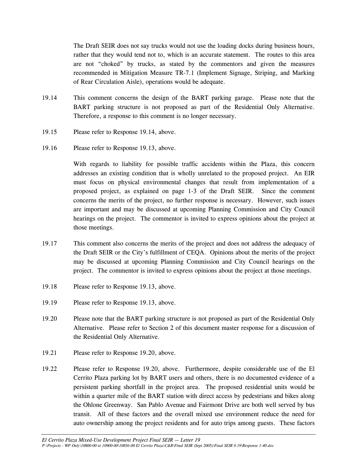The Draft SEIR does not say trucks would not use the loading docks during business hours, rather that they would tend not to, which is an accurate statement. The routes to this area are not "choked" by trucks, as stated by the commentors and given the measures recommended in Mitigation Measure TR-7.1 (Implement Signage, Striping, and Marking of Rear Circulation Aisle), operations would be adequate.

- 19.14 This comment concerns the design of the BART parking garage. Please note that the BART parking structure is not proposed as part of the Residential Only Alternative. Therefore, a response to this comment is no longer necessary.
- 19.15 Please refer to Response 19.14, above.
- 19.16 Please refer to Response 19.13, above.

 With regards to liability for possible traffic accidents within the Plaza, this concern addresses an existing condition that is wholly unrelated to the proposed project. An EIR must focus on physical environmental changes that result from implementation of a proposed project, as explained on page 1-3 of the Draft SEIR. Since the comment concerns the merits of the project, no further response is necessary. However, such issues are important and may be discussed at upcoming Planning Commission and City Council hearings on the project. The commentor is invited to express opinions about the project at those meetings.

- 19.17 This comment also concerns the merits of the project and does not address the adequacy of the Draft SEIR or the City's fulfillment of CEQA. Opinions about the merits of the project may be discussed at upcoming Planning Commission and City Council hearings on the project. The commentor is invited to express opinions about the project at those meetings.
- 19.18 Please refer to Response 19.13, above.
- 19.19 Please refer to Response 19.13, above.
- 19.20 Please note that the BART parking structure is not proposed as part of the Residential Only Alternative. Please refer to Section 2 of this document master response for a discussion of the Residential Only Alternative.
- 19.21 Please refer to Response 19.20, above.
- 19.22 Please refer to Response 19.20, above. Furthermore, despite considerable use of the El Cerrito Plaza parking lot by BART users and others, there is no documented evidence of a persistent parking shortfall in the project area. The proposed residential units would be within a quarter mile of the BART station with direct access by pedestrians and bikes along the Ohlone Greenway. San Pablo Avenue and Fairmont Drive are both well served by bus transit. All of these factors and the overall mixed use environment reduce the need for auto ownership among the project residents and for auto trips among guests. These factors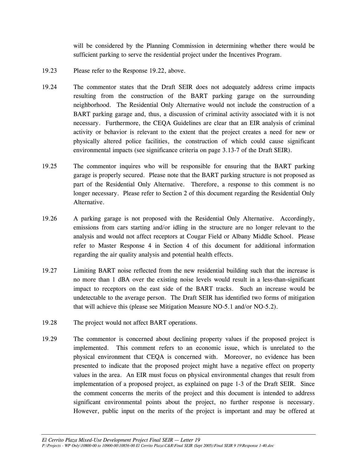will be considered by the Planning Commission in determining whether there would be sufficient parking to serve the residential project under the Incentives Program.

- 19.23 Please refer to the Response 19.22, above.
- 19.24 The commentor states that the Draft SEIR does not adequately address crime impacts resulting from the construction of the BART parking garage on the surrounding neighborhood. The Residential Only Alternative would not include the construction of a BART parking garage and, thus, a discussion of criminal activity associated with it is not necessary. Furthermore, the CEQA Guidelines are clear that an EIR analysis of criminal activity or behavior is relevant to the extent that the project creates a need for new or physically altered police facilities, the construction of which could cause significant environmental impacts (see significance criteria on page 3.13-7 of the Draft SEIR).
- 19.25 The commentor inquires who will be responsible for ensuring that the BART parking garage is properly secured. Please note that the BART parking structure is not proposed as part of the Residential Only Alternative. Therefore, a response to this comment is no longer necessary. Please refer to Section 2 of this document regarding the Residential Only Alternative.
- 19.26 A parking garage is not proposed with the Residential Only Alternative. Accordingly, emissions from cars starting and/or idling in the structure are no longer relevant to the analysis and would not affect receptors at Cougar Field or Albany Middle School. Please refer to Master Response 4 in Section 4 of this document for additional information regarding the air quality analysis and potential health effects.
- 19.27 Limiting BART noise reflected from the new residential building such that the increase is no more than 1 dBA over the existing noise levels would result in a less-than-significant impact to receptors on the east side of the BART tracks. Such an increase would be undetectable to the average person. The Draft SEIR has identified two forms of mitigation that will achieve this (please see Mitigation Measure NO-5.1 and/or NO-5.2).
- 19.28 The project would not affect BART operations.
- 19.29 The commentor is concerned about declining property values if the proposed project is implemented. This comment refers to an economic issue, which is unrelated to the physical environment that CEQA is concerned with. Moreover, no evidence has been presented to indicate that the proposed project might have a negative effect on property values in the area. An EIR must focus on physical environmental changes that result from implementation of a proposed project, as explained on page 1-3 of the Draft SEIR. Since the comment concerns the merits of the project and this document is intended to address significant environmental points about the project, no further response is necessary. However, public input on the merits of the project is important and may be offered at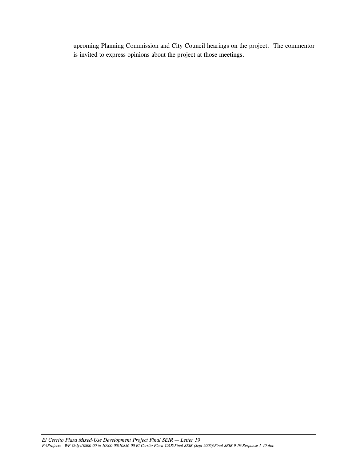upcoming Planning Commission and City Council hearings on the project. The commentor is invited to express opinions about the project at those meetings.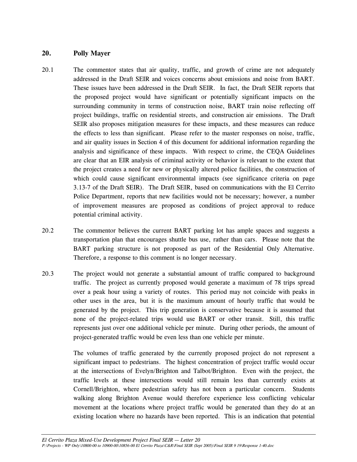#### **20. Polly Mayer**

- 20.1 The commentor states that air quality, traffic, and growth of crime are not adequately addressed in the Draft SEIR and voices concerns about emissions and noise from BART. These issues have been addressed in the Draft SEIR. In fact, the Draft SEIR reports that the proposed project would have significant or potentially significant impacts on the surrounding community in terms of construction noise, BART train noise reflecting off project buildings, traffic on residential streets, and construction air emissions. The Draft SEIR also proposes mitigation measures for these impacts, and these measures can reduce the effects to less than significant. Please refer to the master responses on noise, traffic, and air quality issues in Section 4 of this document for additional information regarding the analysis and significance of these impacts. With respect to crime, the CEQA Guidelines are clear that an EIR analysis of criminal activity or behavior is relevant to the extent that the project creates a need for new or physically altered police facilities, the construction of which could cause significant environmental impacts (see significance criteria on page 3.13-7 of the Draft SEIR). The Draft SEIR, based on communications with the El Cerrito Police Department, reports that new facilities would not be necessary; however, a number of improvement measures are proposed as conditions of project approval to reduce potential criminal activity.
- 20.2 The commentor believes the current BART parking lot has ample spaces and suggests a transportation plan that encourages shuttle bus use, rather than cars. Please note that the BART parking structure is not proposed as part of the Residential Only Alternative. Therefore, a response to this comment is no longer necessary.
- 20.3 The project would not generate a substantial amount of traffic compared to background traffic. The project as currently proposed would generate a maximum of 78 trips spread over a peak hour using a variety of routes. This period may not coincide with peaks in other uses in the area, but it is the maximum amount of hourly traffic that would be generated by the project. This trip generation is conservative because it is assumed that none of the project-related trips would use BART or other transit. Still, this traffic represents just over one additional vehicle per minute. During other periods, the amount of project-generated traffic would be even less than one vehicle per minute.

 The volumes of traffic generated by the currently proposed project do not represent a significant impact to pedestrians. The highest concentration of project traffic would occur at the intersections of Evelyn/Brighton and Talbot/Brighton. Even with the project, the traffic levels at these intersections would still remain less than currently exists at Cornell/Brighton, where pedestrian safety has not been a particular concern. Students walking along Brighton Avenue would therefore experience less conflicting vehicular movement at the locations where project traffic would be generated than they do at an existing location where no hazards have been reported. This is an indication that potential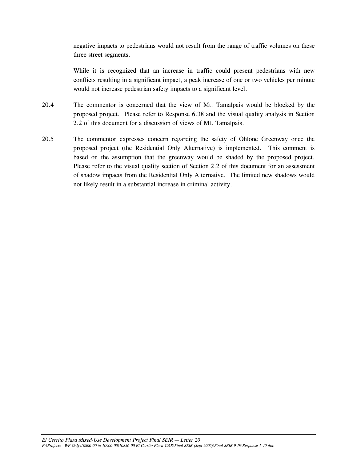negative impacts to pedestrians would not result from the range of traffic volumes on these three street segments.

 While it is recognized that an increase in traffic could present pedestrians with new conflicts resulting in a significant impact, a peak increase of one or two vehicles per minute would not increase pedestrian safety impacts to a significant level.

- 20.4 The commentor is concerned that the view of Mt. Tamalpais would be blocked by the proposed project. Please refer to Response 6.38 and the visual quality analysis in Section 2.2 of this document for a discussion of views of Mt. Tamalpais.
- 20.5 The commentor expresses concern regarding the safety of Ohlone Greenway once the proposed project (the Residential Only Alternative) is implemented. This comment is based on the assumption that the greenway would be shaded by the proposed project. Please refer to the visual quality section of Section 2.2 of this document for an assessment of shadow impacts from the Residential Only Alternative. The limited new shadows would not likely result in a substantial increase in criminal activity.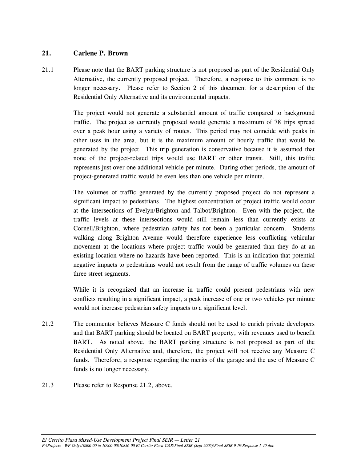## **21. Carlene P. Brown**

21.1 Please note that the BART parking structure is not proposed as part of the Residential Only Alternative, the currently proposed project. Therefore, a response to this comment is no longer necessary. Please refer to Section 2 of this document for a description of the Residential Only Alternative and its environmental impacts.

> The project would not generate a substantial amount of traffic compared to background traffic. The project as currently proposed would generate a maximum of 78 trips spread over a peak hour using a variety of routes. This period may not coincide with peaks in other uses in the area, but it is the maximum amount of hourly traffic that would be generated by the project. This trip generation is conservative because it is assumed that none of the project-related trips would use BART or other transit. Still, this traffic represents just over one additional vehicle per minute. During other periods, the amount of project-generated traffic would be even less than one vehicle per minute.

> The volumes of traffic generated by the currently proposed project do not represent a significant impact to pedestrians. The highest concentration of project traffic would occur at the intersections of Evelyn/Brighton and Talbot/Brighton. Even with the project, the traffic levels at these intersections would still remain less than currently exists at Cornell/Brighton, where pedestrian safety has not been a particular concern. Students walking along Brighton Avenue would therefore experience less conflicting vehicular movement at the locations where project traffic would be generated than they do at an existing location where no hazards have been reported. This is an indication that potential negative impacts to pedestrians would not result from the range of traffic volumes on these three street segments.

> While it is recognized that an increase in traffic could present pedestrians with new conflicts resulting in a significant impact, a peak increase of one or two vehicles per minute would not increase pedestrian safety impacts to a significant level.

- 21.2 The commentor believes Measure C funds should not be used to enrich private developers and that BART parking should be located on BART property, with revenues used to benefit BART. As noted above, the BART parking structure is not proposed as part of the Residential Only Alternative and, therefore, the project will not receive any Measure C funds. Therefore, a response regarding the merits of the garage and the use of Measure C funds is no longer necessary.
- 21.3 Please refer to Response 21.2, above.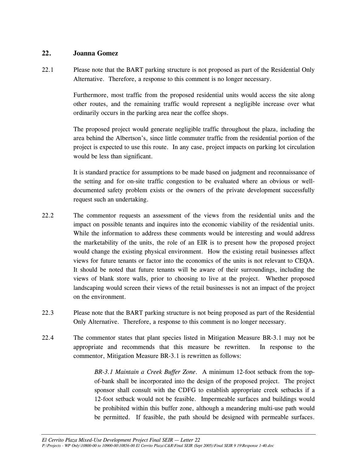#### **22. Joanna Gomez**

22.1 Please note that the BART parking structure is not proposed as part of the Residential Only Alternative. Therefore, a response to this comment is no longer necessary.

> Furthermore, most traffic from the proposed residential units would access the site along other routes, and the remaining traffic would represent a negligible increase over what ordinarily occurs in the parking area near the coffee shops.

> The proposed project would generate negligible traffic throughout the plaza, including the area behind the Albertson's, since little commuter traffic from the residential portion of the project is expected to use this route. In any case, project impacts on parking lot circulation would be less than significant.

> It is standard practice for assumptions to be made based on judgment and reconnaissance of the setting and for on-site traffic congestion to be evaluated where an obvious or welldocumented safety problem exists or the owners of the private development successfully request such an undertaking.

- 22.2 The commentor requests an assessment of the views from the residential units and the impact on possible tenants and inquires into the economic viability of the residential units. While the information to address these comments would be interesting and would address the marketability of the units, the role of an EIR is to present how the proposed project would change the existing physical environment. How the existing retail businesses affect views for future tenants or factor into the economics of the units is not relevant to CEQA. It should be noted that future tenants will be aware of their surroundings, including the views of blank store walls, prior to choosing to live at the project. Whether proposed landscaping would screen their views of the retail businesses is not an impact of the project on the environment.
- 22.3 Please note that the BART parking structure is not being proposed as part of the Residential Only Alternative. Therefore, a response to this comment is no longer necessary.
- 22.4 The commentor states that plant species listed in Mitigation Measure BR-3.1 may not be appropriate and recommends that this measure be rewritten. In response to the commentor, Mitigation Measure BR-3.1 is rewritten as follows:

*BR-3.1 Maintain a Creek Buffer Zone*. A minimum 12-foot setback from the topof-bank shall be incorporated into the design of the proposed project. The project sponsor shall consult with the CDFG to establish appropriate creek setbacks if a 12-foot setback would not be feasible. Impermeable surfaces and buildings would be prohibited within this buffer zone, although a meandering multi-use path would be permitted. If feasible, the path should be designed with permeable surfaces.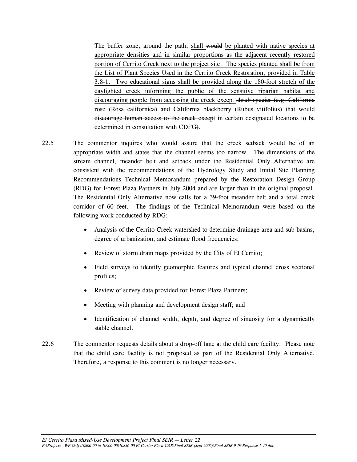The buffer zone, around the path, shall would be planted with native species at appropriate densities and in similar proportions as the adjacent recently restored portion of Cerrito Creek next to the project site. The species planted shall be from the List of Plant Species Used in the Cerrito Creek Restoration, provided in Table 3.8-1. Two educational signs shall be provided along the 180-foot stretch of the daylighted creek informing the public of the sensitive riparian habitat and discouraging people from accessing the creek except shrub species (e.g. California rose (Rosa californica) and California blackberry (Rubus vitifolius) that would discourage human access to the creek except in certain designated locations to be determined in consultation with CDFG).

- 22.5 The commentor inquires who would assure that the creek setback would be of an appropriate width and states that the channel seems too narrow. The dimensions of the stream channel, meander belt and setback under the Residential Only Alternative are consistent with the recommendations of the Hydrology Study and Initial Site Planning Recommendations Technical Memorandum prepared by the Restoration Design Group (RDG) for Forest Plaza Partners in July 2004 and are larger than in the original proposal. The Residential Only Alternative now calls for a 39-foot meander belt and a total creek corridor of 60 feet. The findings of the Technical Memorandum were based on the following work conducted by RDG:
	- Analysis of the Cerrito Creek watershed to determine drainage area and sub-basins, degree of urbanization, and estimate flood frequencies;
	- Review of storm drain maps provided by the City of El Cerrito;
	- Field surveys to identify geomorphic features and typical channel cross sectional profiles;
	- Review of survey data provided for Forest Plaza Partners;
	- Meeting with planning and development design staff; and
	- Identification of channel width, depth, and degree of sinuosity for a dynamically stable channel.
- 22.6 The commentor requests details about a drop-off lane at the child care facility. Please note that the child care facility is not proposed as part of the Residential Only Alternative. Therefore, a response to this comment is no longer necessary.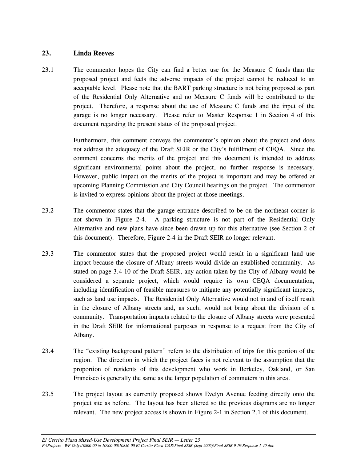# **23. Linda Reeves**

23.1 The commentor hopes the City can find a better use for the Measure C funds than the proposed project and feels the adverse impacts of the project cannot be reduced to an acceptable level. Please note that the BART parking structure is not being proposed as part of the Residential Only Alternative and no Measure C funds will be contributed to the project. Therefore, a response about the use of Measure C funds and the input of the garage is no longer necessary. Please refer to Master Response 1 in Section 4 of this document regarding the present status of the proposed project.

> Furthermore, this comment conveys the commentor's opinion about the project and does not address the adequacy of the Draft SEIR or the City's fulfillment of CEQA. Since the comment concerns the merits of the project and this document is intended to address significant environmental points about the project, no further response is necessary. However, public impact on the merits of the project is important and may be offered at upcoming Planning Commission and City Council hearings on the project. The commentor is invited to express opinions about the project at those meetings.

- 23.2 The commentor states that the garage entrance described to be on the northeast corner is not shown in Figure 2-4. A parking structure is not part of the Residential Only Alternative and new plans have since been drawn up for this alternative (see Section 2 of this document). Therefore, Figure 2-4 in the Draft SEIR no longer relevant.
- 23.3 The commentor states that the proposed project would result in a significant land use impact because the closure of Albany streets would divide an established community. As stated on page 3.4-10 of the Draft SEIR, any action taken by the City of Albany would be considered a separate project, which would require its own CEQA documentation, including identification of feasible measures to mitigate any potentially significant impacts, such as land use impacts. The Residential Only Alternative would not in and of itself result in the closure of Albany streets and, as such, would not bring about the division of a community. Transportation impacts related to the closure of Albany streets were presented in the Draft SEIR for informational purposes in response to a request from the City of Albany.
- 23.4 The "existing background pattern" refers to the distribution of trips for this portion of the region. The direction in which the project faces is not relevant to the assumption that the proportion of residents of this development who work in Berkeley, Oakland, or San Francisco is generally the same as the larger population of commuters in this area.
- 23.5 The project layout as currently proposed shows Evelyn Avenue feeding directly onto the project site as before. The layout has been altered so the previous diagrams are no longer relevant. The new project access is shown in Figure 2-1 in Section 2.1 of this document.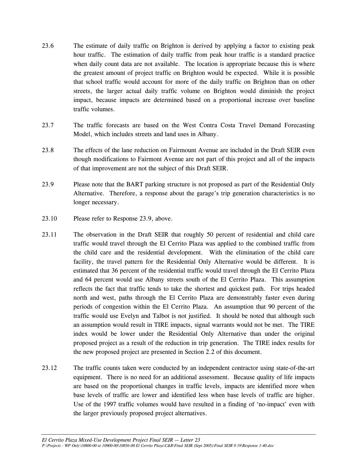- 23.6 The estimate of daily traffic on Brighton is derived by applying a factor to existing peak hour traffic. The estimation of daily traffic from peak hour traffic is a standard practice when daily count data are not available. The location is appropriate because this is where the greatest amount of project traffic on Brighton would be expected. While it is possible that school traffic would account for more of the daily traffic on Brighton than on other streets, the larger actual daily traffic volume on Brighton would diminish the project impact, because impacts are determined based on a proportional increase over baseline traffic volumes.
- 23.7 The traffic forecasts are based on the West Contra Costa Travel Demand Forecasting Model, which includes streets and land uses in Albany.
- 23.8 The effects of the lane reduction on Fairmount Avenue are included in the Draft SEIR even though modifications to Fairmont Avenue are not part of this project and all of the impacts of that improvement are not the subject of this Draft SEIR.
- 23.9 Please note that the BART parking structure is not proposed as part of the Residential Only Alternative. Therefore, a response about the garage's trip generation characteristics is no longer necessary.
- 23.10 Please refer to Response 23.9, above.
- 23.11 The observation in the Draft SEIR that roughly 50 percent of residential and child care traffic would travel through the El Cerrito Plaza was applied to the combined traffic from the child care and the residential development. With the elimination of the child care facility, the travel pattern for the Residential Only Alternative would be different. It is estimated that 36 percent of the residential traffic would travel through the El Cerrito Plaza and 64 percent would use Albany streets south of the El Cerrito Plaza. This assumption reflects the fact that traffic tends to take the shortest and quickest path. For trips headed north and west, paths through the El Cerrito Plaza are demonstrably faster even during periods of congestion within the El Cerrito Plaza. An assumption that 90 percent of the traffic would use Evelyn and Talbot is not justified. It should be noted that although such an assumption would result in TIRE impacts, signal warrants would not be met. The TIRE index would be lower under the Residential Only Alternative than under the original proposed project as a result of the reduction in trip generation. The TIRE index results for the new proposed project are presented in Section 2.2 of this document.
- 23.12 The traffic counts taken were conducted by an independent contractor using state-of-the-art equipment. There is no need for an additional assessment. Because quality of life impacts are based on the proportional changes in traffic levels, impacts are identified more when base levels of traffic are lower and identified less when base levels of traffic are higher. Use of the 1997 traffic volumes would have resulted in a finding of 'no-impact' even with the larger previously proposed project alternatives.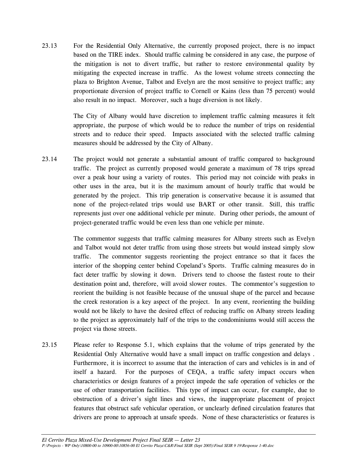23.13 For the Residential Only Alternative, the currently proposed project, there is no impact based on the TIRE index. Should traffic calming be considered in any case, the purpose of the mitigation is not to divert traffic, but rather to restore environmental quality by mitigating the expected increase in traffic. As the lowest volume streets connecting the plaza to Brighton Avenue, Talbot and Evelyn are the most sensitive to project traffic; any proportionate diversion of project traffic to Cornell or Kains (less than 75 percent) would also result in no impact. Moreover, such a huge diversion is not likely.

> The City of Albany would have discretion to implement traffic calming measures it felt appropriate, the purpose of which would be to reduce the number of trips on residential streets and to reduce their speed. Impacts associated with the selected traffic calming measures should be addressed by the City of Albany.

23.14 The project would not generate a substantial amount of traffic compared to background traffic. The project as currently proposed would generate a maximum of 78 trips spread over a peak hour using a variety of routes. This period may not coincide with peaks in other uses in the area, but it is the maximum amount of hourly traffic that would be generated by the project. This trip generation is conservative because it is assumed that none of the project-related trips would use BART or other transit. Still, this traffic represents just over one additional vehicle per minute. During other periods, the amount of project-generated traffic would be even less than one vehicle per minute.

> The commentor suggests that traffic calming measures for Albany streets such as Evelyn and Talbot would not deter traffic from using those streets but would instead simply slow traffic. The commentor suggests reorienting the project entrance so that it faces the interior of the shopping center behind Copeland's Sports. Traffic calming measures do in fact deter traffic by slowing it down. Drivers tend to choose the fastest route to their destination point and, therefore, will avoid slower routes. The commentor's suggestion to reorient the building is not feasible because of the unusual shape of the parcel and because the creek restoration is a key aspect of the project. In any event, reorienting the building would not be likely to have the desired effect of reducing traffic on Albany streets leading to the project as approximately half of the trips to the condominiums would still access the project via those streets.

23.15 Please refer to Response 5.1, which explains that the volume of trips generated by the Residential Only Alternative would have a small impact on traffic congestion and delays . Furthermore, it is incorrect to assume that the interaction of cars and vehicles is in and of itself a hazard. For the purposes of CEQA, a traffic safety impact occurs when characteristics or design features of a project impede the safe operation of vehicles or the use of other transportation facilities. This type of impact can occur, for example, due to obstruction of a driver's sight lines and views, the inappropriate placement of project features that obstruct safe vehicular operation, or unclearly defined circulation features that drivers are prone to approach at unsafe speeds. None of these characteristics or features is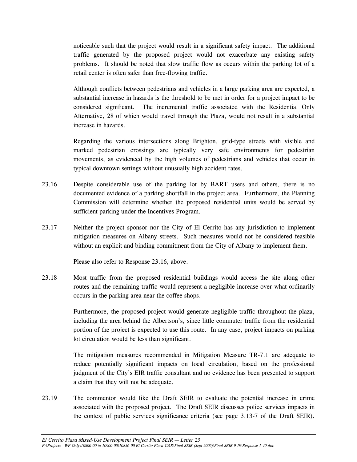noticeable such that the project would result in a significant safety impact. The additional traffic generated by the proposed project would not exacerbate any existing safety problems. It should be noted that slow traffic flow as occurs within the parking lot of a retail center is often safer than free-flowing traffic.

 Although conflicts between pedestrians and vehicles in a large parking area are expected, a substantial increase in hazards is the threshold to be met in order for a project impact to be considered significant. The incremental traffic associated with the Residential Only Alternative, 28 of which would travel through the Plaza, would not result in a substantial increase in hazards.

 Regarding the various intersections along Brighton, grid-type streets with visible and marked pedestrian crossings are typically very safe environments for pedestrian movements, as evidenced by the high volumes of pedestrians and vehicles that occur in typical downtown settings without unusually high accident rates.

- 23.16 Despite considerable use of the parking lot by BART users and others, there is no documented evidence of a parking shortfall in the project area. Furthermore, the Planning Commission will determine whether the proposed residential units would be served by sufficient parking under the Incentives Program.
- 23.17 Neither the project sponsor nor the City of El Cerrito has any jurisdiction to implement mitigation measures on Albany streets. Such measures would not be considered feasible without an explicit and binding commitment from the City of Albany to implement them.

Please also refer to Response 23.16, above.

23.18 Most traffic from the proposed residential buildings would access the site along other routes and the remaining traffic would represent a negligible increase over what ordinarily occurs in the parking area near the coffee shops.

> Furthermore, the proposed project would generate negligible traffic throughout the plaza, including the area behind the Albertson's, since little commuter traffic from the residential portion of the project is expected to use this route. In any case, project impacts on parking lot circulation would be less than significant.

> The mitigation measures recommended in Mitigation Measure TR-7.1 are adequate to reduce potentially significant impacts on local circulation, based on the professional judgment of the City's EIR traffic consultant and no evidence has been presented to support a claim that they will not be adequate.

23.19 The commentor would like the Draft SEIR to evaluate the potential increase in crime associated with the proposed project. The Draft SEIR discusses police services impacts in the context of public services significance criteria (see page 3.13-7 of the Draft SEIR).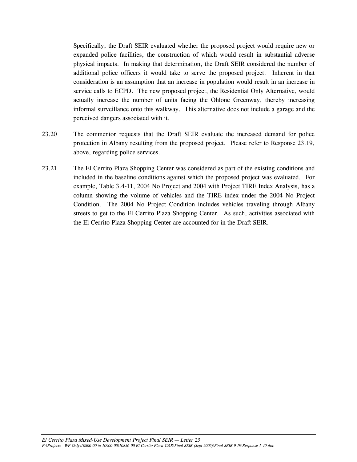Specifically, the Draft SEIR evaluated whether the proposed project would require new or expanded police facilities, the construction of which would result in substantial adverse physical impacts. In making that determination, the Draft SEIR considered the number of additional police officers it would take to serve the proposed project. Inherent in that consideration is an assumption that an increase in population would result in an increase in service calls to ECPD. The new proposed project, the Residential Only Alternative, would actually increase the number of units facing the Ohlone Greenway, thereby increasing informal surveillance onto this walkway. This alternative does not include a garage and the perceived dangers associated with it.

- 23.20 The commentor requests that the Draft SEIR evaluate the increased demand for police protection in Albany resulting from the proposed project. Please refer to Response 23.19, above, regarding police services.
- 23.21 The El Cerrito Plaza Shopping Center was considered as part of the existing conditions and included in the baseline conditions against which the proposed project was evaluated. For example, Table 3.4-11, 2004 No Project and 2004 with Project TIRE Index Analysis, has a column showing the volume of vehicles and the TIRE index under the 2004 No Project Condition. The 2004 No Project Condition includes vehicles traveling through Albany streets to get to the El Cerrito Plaza Shopping Center. As such, activities associated with the El Cerrito Plaza Shopping Center are accounted for in the Draft SEIR.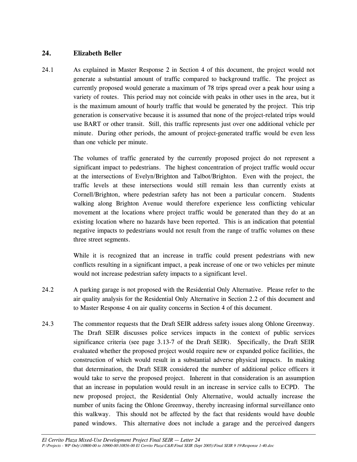# **24. Elizabeth Beller**

24.1 As explained in Master Response 2 in Section 4 of this document, the project would not generate a substantial amount of traffic compared to background traffic. The project as currently proposed would generate a maximum of 78 trips spread over a peak hour using a variety of routes. This period may not coincide with peaks in other uses in the area, but it is the maximum amount of hourly traffic that would be generated by the project. This trip generation is conservative because it is assumed that none of the project-related trips would use BART or other transit. Still, this traffic represents just over one additional vehicle per minute. During other periods, the amount of project-generated traffic would be even less than one vehicle per minute.

> The volumes of traffic generated by the currently proposed project do not represent a significant impact to pedestrians. The highest concentration of project traffic would occur at the intersections of Evelyn/Brighton and Talbot/Brighton. Even with the project, the traffic levels at these intersections would still remain less than currently exists at Cornell/Brighton, where pedestrian safety has not been a particular concern. Students walking along Brighton Avenue would therefore experience less conflicting vehicular movement at the locations where project traffic would be generated than they do at an existing location where no hazards have been reported. This is an indication that potential negative impacts to pedestrians would not result from the range of traffic volumes on these three street segments.

> While it is recognized that an increase in traffic could present pedestrians with new conflicts resulting in a significant impact, a peak increase of one or two vehicles per minute would not increase pedestrian safety impacts to a significant level.

- 24.2 A parking garage is not proposed with the Residential Only Alternative. Please refer to the air quality analysis for the Residential Only Alternative in Section 2.2 of this document and to Master Response 4 on air quality concerns in Section 4 of this document.
- 24.3 The commentor requests that the Draft SEIR address safety issues along Ohlone Greenway. The Draft SEIR discusses police services impacts in the context of public services significance criteria (see page 3.13-7 of the Draft SEIR). Specifically, the Draft SEIR evaluated whether the proposed project would require new or expanded police facilities, the construction of which would result in a substantial adverse physical impacts. In making that determination, the Draft SEIR considered the number of additional police officers it would take to serve the proposed project. Inherent in that consideration is an assumption that an increase in population would result in an increase in service calls to ECPD. The new proposed project, the Residential Only Alternative, would actually increase the number of units facing the Ohlone Greenway, thereby increasing informal surveillance onto this walkway. This should not be affected by the fact that residents would have double paned windows. This alternative does not include a garage and the perceived dangers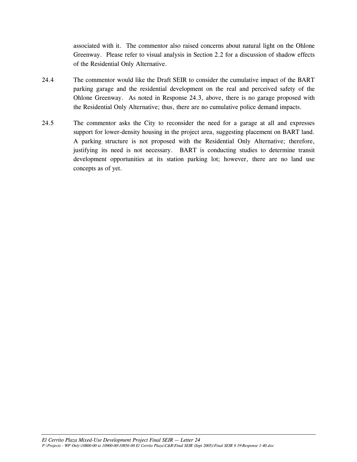associated with it. The commentor also raised concerns about natural light on the Ohlone Greenway. Please refer to visual analysis in Section 2.2 for a discussion of shadow effects of the Residential Only Alternative.

- 24.4 The commentor would like the Draft SEIR to consider the cumulative impact of the BART parking garage and the residential development on the real and perceived safety of the Ohlone Greenway. As noted in Response 24.3, above, there is no garage proposed with the Residential Only Alternative; thus, there are no cumulative police demand impacts.
- 24.5 The commentor asks the City to reconsider the need for a garage at all and expresses support for lower-density housing in the project area, suggesting placement on BART land. A parking structure is not proposed with the Residential Only Alternative; therefore, justifying its need is not necessary. BART is conducting studies to determine transit development opportunities at its station parking lot; however, there are no land use concepts as of yet.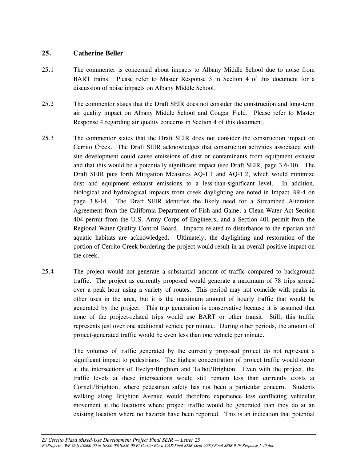## **25. Catherine Beller**

- 25.1 The commenter is concerned about impacts to Albany Middle School due to noise from BART trains. Please refer to Master Response 3 in Section 4 of this document for a discussion of noise impacts on Albany Middle School.
- 25.2 The commentor states that the Draft SEIR does not consider the construction and long-term air quality impact on Albany Middle School and Cougar Field. Please refer to Master Response 4 regarding air quality concerns in Section 4 of this document.
- 25.3 The commentor states that the Draft SEIR does not consider the construction impact on Cerrito Creek. The Draft SEIR acknowledges that construction activities associated with site development could cause emissions of dust or contaminants from equipment exhaust and that this would be a potentially significant impact (see Draft SEIR, page 3.6-10). The Draft SEIR puts forth Mitigation Measures AQ-1.1 and AQ-1.2, which would minimize dust and equipment exhaust emissions to a less-than-significant level. In addition, biological and hydrological impacts from creek daylighting are noted in Impact BR-4 on page 3.8-14. The Draft SEIR identifies the likely need for a Streambed Alteration Agreement from the California Department of Fish and Game, a Clean Water Act Section 404 permit from the U.S. Army Corps of Engineers, and a Section 401 permit from the Regional Water Quality Control Board. Impacts related to disturbance to the riparian and aquatic habitats are acknowledged. Ultimately, the daylighting and restoration of the portion of Cerrito Creek bordering the project would result in an overall positive impact on the creek.
- 25.4 The project would not generate a substantial amount of traffic compared to background traffic. The project as currently proposed would generate a maximum of 78 trips spread over a peak hour using a variety of routes. This period may not coincide with peaks in other uses in the area, but it is the maximum amount of hourly traffic that would be generated by the project. This trip generation is conservative because it is assumed that none of the project-related trips would use BART or other transit. Still, this traffic represents just over one additional vehicle per minute. During other periods, the amount of project-generated traffic would be even less than one vehicle per minute.

 The volumes of traffic generated by the currently proposed project do not represent a significant impact to pedestrians. The highest concentration of project traffic would occur at the intersections of Evelyn/Brighton and Talbot/Brighton. Even with the project, the traffic levels at these intersections would still remain less than currently exists at Cornell/Brighton, where pedestrian safety has not been a particular concern. Students walking along Brighton Avenue would therefore experience less conflicting vehicular movement at the locations where project traffic would be generated than they do at an existing location where no hazards have been reported. This is an indication that potential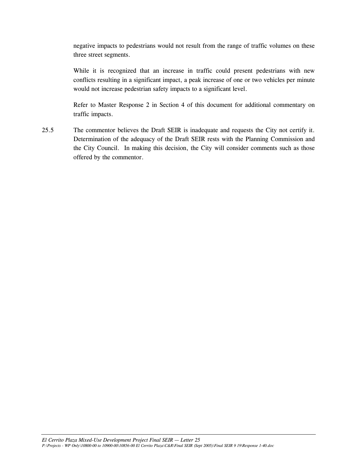negative impacts to pedestrians would not result from the range of traffic volumes on these three street segments.

 While it is recognized that an increase in traffic could present pedestrians with new conflicts resulting in a significant impact, a peak increase of one or two vehicles per minute would not increase pedestrian safety impacts to a significant level.

 Refer to Master Response 2 in Section 4 of this document for additional commentary on traffic impacts.

25.5 The commentor believes the Draft SEIR is inadequate and requests the City not certify it. Determination of the adequacy of the Draft SEIR rests with the Planning Commission and the City Council. In making this decision, the City will consider comments such as those offered by the commentor.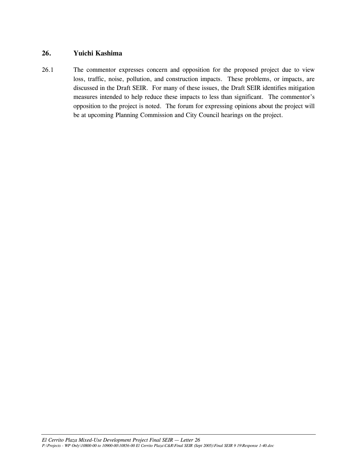## **26. Yuichi Kashima**

26.1 The commentor expresses concern and opposition for the proposed project due to view loss, traffic, noise, pollution, and construction impacts. These problems, or impacts, are discussed in the Draft SEIR. For many of these issues, the Draft SEIR identifies mitigation measures intended to help reduce these impacts to less than significant. The commentor's opposition to the project is noted. The forum for expressing opinions about the project will be at upcoming Planning Commission and City Council hearings on the project.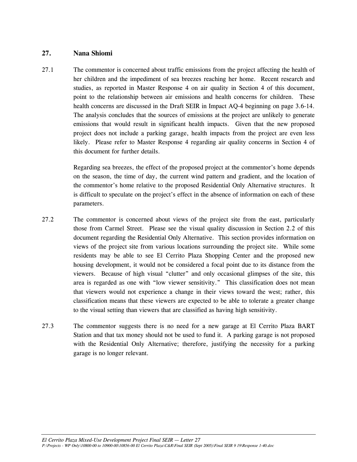#### **27. Nana Shiomi**

27.1 The commentor is concerned about traffic emissions from the project affecting the health of her children and the impediment of sea breezes reaching her home. Recent research and studies, as reported in Master Response 4 on air quality in Section 4 of this document, point to the relationship between air emissions and health concerns for children. These health concerns are discussed in the Draft SEIR in Impact AQ-4 beginning on page 3.6-14. The analysis concludes that the sources of emissions at the project are unlikely to generate emissions that would result in significant health impacts. Given that the new proposed project does not include a parking garage, health impacts from the project are even less likely. Please refer to Master Response 4 regarding air quality concerns in Section 4 of this document for further details.

> Regarding sea breezes, the effect of the proposed project at the commentor's home depends on the season, the time of day, the current wind pattern and gradient, and the location of the commentor's home relative to the proposed Residential Only Alternative structures. It is difficult to speculate on the project's effect in the absence of information on each of these parameters.

- 27.2 The commentor is concerned about views of the project site from the east, particularly those from Carmel Street. Please see the visual quality discussion in Section 2.2 of this document regarding the Residential Only Alternative. This section provides information on views of the project site from various locations surrounding the project site. While some residents may be able to see El Cerrito Plaza Shopping Center and the proposed new housing development, it would not be considered a focal point due to its distance from the viewers. Because of high visual "clutter" and only occasional glimpses of the site, this area is regarded as one with "low viewer sensitivity." This classification does not mean that viewers would not experience a change in their views toward the west; rather, this classification means that these viewers are expected to be able to tolerate a greater change to the visual setting than viewers that are classified as having high sensitivity.
- 27.3 The commentor suggests there is no need for a new garage at El Cerrito Plaza BART Station and that tax money should not be used to fund it. A parking garage is not proposed with the Residential Only Alternative; therefore, justifying the necessity for a parking garage is no longer relevant.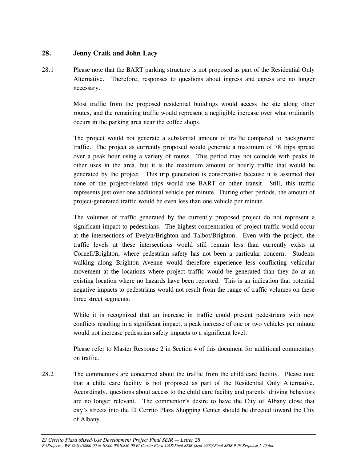# **28. Jenny Craik and John Lacy**

28.1 Please note that the BART parking structure is not proposed as part of the Residential Only Alternative. Therefore, responses to questions about ingress and egress are no longer necessary.

> Most traffic from the proposed residential buildings would access the site along other routes, and the remaining traffic would represent a negligible increase over what ordinarily occurs in the parking area near the coffee shops.

> The project would not generate a substantial amount of traffic compared to background traffic. The project as currently proposed would generate a maximum of 78 trips spread over a peak hour using a variety of routes. This period may not coincide with peaks in other uses in the area, but it is the maximum amount of hourly traffic that would be generated by the project. This trip generation is conservative because it is assumed that none of the project-related trips would use BART or other transit. Still, this traffic represents just over one additional vehicle per minute. During other periods, the amount of project-generated traffic would be even less than one vehicle per minute.

> The volumes of traffic generated by the currently proposed project do not represent a significant impact to pedestrians. The highest concentration of project traffic would occur at the intersections of Evelyn/Brighton and Talbot/Brighton. Even with the project, the traffic levels at these intersections would still remain less than currently exists at Cornell/Brighton, where pedestrian safety has not been a particular concern. Students walking along Brighton Avenue would therefore experience less conflicting vehicular movement at the locations where project traffic would be generated than they do at an existing location where no hazards have been reported. This is an indication that potential negative impacts to pedestrians would not result from the range of traffic volumes on these three street segments.

> While it is recognized that an increase in traffic could present pedestrians with new conflicts resulting in a significant impact, a peak increase of one or two vehicles per minute would not increase pedestrian safety impacts to a significant level.

> Please refer to Master Response 2 in Section 4 of this document for additional commentary on traffic.

28.2 The commentors are concerned about the traffic from the child care facility. Please note that a child care facility is not proposed as part of the Residential Only Alternative. Accordingly, questions about access to the child care facility and parents' driving behaviors are no longer relevant. The commentor's desire to have the City of Albany close that city's streets into the El Cerrito Plaza Shopping Center should be directed toward the City of Albany.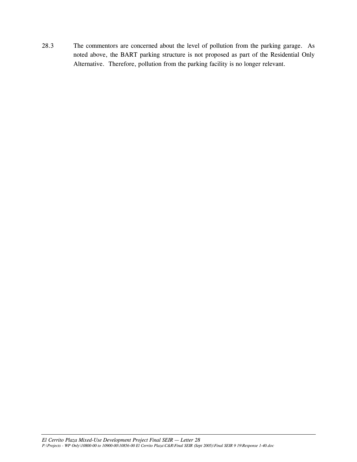28.3 The commentors are concerned about the level of pollution from the parking garage. As noted above, the BART parking structure is not proposed as part of the Residential Only Alternative. Therefore, pollution from the parking facility is no longer relevant.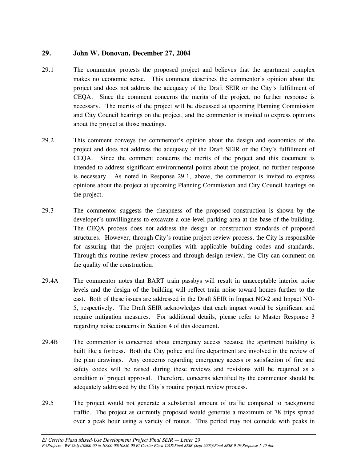# **29. John W. Donovan, December 27, 2004**

- 29.1 The commentor protests the proposed project and believes that the apartment complex makes no economic sense. This comment describes the commentor's opinion about the project and does not address the adequacy of the Draft SEIR or the City's fulfillment of CEQA. Since the comment concerns the merits of the project, no further response is necessary. The merits of the project will be discussed at upcoming Planning Commission and City Council hearings on the project, and the commentor is invited to express opinions about the project at those meetings.
- 29.2 This comment conveys the commentor's opinion about the design and economics of the project and does not address the adequacy of the Draft SEIR or the City's fulfillment of CEQA. Since the comment concerns the merits of the project and this document is intended to address significant environmental points about the project, no further response is necessary. As noted in Response 29.1, above, the commentor is invited to express opinions about the project at upcoming Planning Commission and City Council hearings on the project.
- 29.3 The commentor suggests the cheapness of the proposed construction is shown by the developer's unwillingness to excavate a one-level parking area at the base of the building. The CEQA process does not address the design or construction standards of proposed structures. However, through City's routine project review process, the City is responsible for assuring that the project complies with applicable building codes and standards. Through this routine review process and through design review, the City can comment on the quality of the construction.
- 29.4A The commentor notes that BART train passbys will result in unacceptable interior noise levels and the design of the building will reflect train noise toward homes further to the east. Both of these issues are addressed in the Draft SEIR in Impact NO-2 and Impact NO-5, respectively. The Draft SEIR acknowledges that each impact would be significant and require mitigation measures. For additional details, please refer to Master Response 3 regarding noise concerns in Section 4 of this document.
- 29.4B The commentor is concerned about emergency access because the apartment building is built like a fortress. Both the City police and fire department are involved in the review of the plan drawings. Any concerns regarding emergency access or satisfaction of fire and safety codes will be raised during these reviews and revisions will be required as a condition of project approval. Therefore, concerns identified by the commentor should be adequately addressed by the City's routine project review process.
- 29.5 The project would not generate a substantial amount of traffic compared to background traffic. The project as currently proposed would generate a maximum of 78 trips spread over a peak hour using a variety of routes. This period may not coincide with peaks in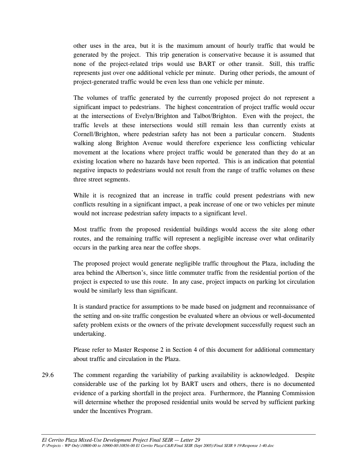other uses in the area, but it is the maximum amount of hourly traffic that would be generated by the project. This trip generation is conservative because it is assumed that none of the project-related trips would use BART or other transit. Still, this traffic represents just over one additional vehicle per minute. During other periods, the amount of project-generated traffic would be even less than one vehicle per minute.

 The volumes of traffic generated by the currently proposed project do not represent a significant impact to pedestrians. The highest concentration of project traffic would occur at the intersections of Evelyn/Brighton and Talbot/Brighton. Even with the project, the traffic levels at these intersections would still remain less than currently exists at Cornell/Brighton, where pedestrian safety has not been a particular concern. Students walking along Brighton Avenue would therefore experience less conflicting vehicular movement at the locations where project traffic would be generated than they do at an existing location where no hazards have been reported. This is an indication that potential negative impacts to pedestrians would not result from the range of traffic volumes on these three street segments.

 While it is recognized that an increase in traffic could present pedestrians with new conflicts resulting in a significant impact, a peak increase of one or two vehicles per minute would not increase pedestrian safety impacts to a significant level.

 Most traffic from the proposed residential buildings would access the site along other routes, and the remaining traffic will represent a negligible increase over what ordinarily occurs in the parking area near the coffee shops.

 The proposed project would generate negligible traffic throughout the Plaza, including the area behind the Albertson's, since little commuter traffic from the residential portion of the project is expected to use this route. In any case, project impacts on parking lot circulation would be similarly less than significant.

 It is standard practice for assumptions to be made based on judgment and reconnaissance of the setting and on-site traffic congestion be evaluated where an obvious or well-documented safety problem exists or the owners of the private development successfully request such an undertaking.

 Please refer to Master Response 2 in Section 4 of this document for additional commentary about traffic and circulation in the Plaza.

29.6 The comment regarding the variability of parking availability is acknowledged. Despite considerable use of the parking lot by BART users and others, there is no documented evidence of a parking shortfall in the project area. Furthermore, the Planning Commission will determine whether the proposed residential units would be served by sufficient parking under the Incentives Program.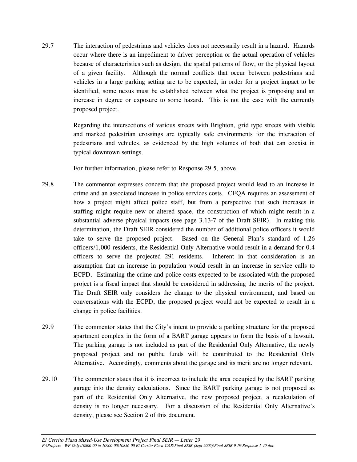29.7 The interaction of pedestrians and vehicles does not necessarily result in a hazard. Hazards occur where there is an impediment to driver perception or the actual operation of vehicles because of characteristics such as design, the spatial patterns of flow, or the physical layout of a given facility. Although the normal conflicts that occur between pedestrians and vehicles in a large parking setting are to be expected, in order for a project impact to be identified, some nexus must be established between what the project is proposing and an increase in degree or exposure to some hazard. This is not the case with the currently proposed project.

> Regarding the intersections of various streets with Brighton, grid type streets with visible and marked pedestrian crossings are typically safe environments for the interaction of pedestrians and vehicles, as evidenced by the high volumes of both that can coexist in typical downtown settings.

For further information, please refer to Response 29.5, above.

- 29.8 The commentor expresses concern that the proposed project would lead to an increase in crime and an associated increase in police services costs. CEQA requires an assessment of how a project might affect police staff, but from a perspective that such increases in staffing might require new or altered space, the construction of which might result in a substantial adverse physical impacts (see page 3.13-7 of the Draft SEIR). In making this determination, the Draft SEIR considered the number of additional police officers it would take to serve the proposed project. Based on the General Plan's standard of 1.26 officers/1,000 residents, the Residential Only Alternative would result in a demand for 0.4 officers to serve the projected 291 residents. Inherent in that consideration is an assumption that an increase in population would result in an increase in service calls to ECPD. Estimating the crime and police costs expected to be associated with the proposed project is a fiscal impact that should be considered in addressing the merits of the project. The Draft SEIR only considers the change to the physical environment, and based on conversations with the ECPD, the proposed project would not be expected to result in a change in police facilities.
- 29.9 The commentor states that the City's intent to provide a parking structure for the proposed apartment complex in the form of a BART garage appears to form the basis of a lawsuit. The parking garage is not included as part of the Residential Only Alternative, the newly proposed project and no public funds will be contributed to the Residential Only Alternative. Accordingly, comments about the garage and its merit are no longer relevant.
- 29.10 The commentor states that it is incorrect to include the area occupied by the BART parking garage into the density calculations. Since the BART parking garage is not proposed as part of the Residential Only Alternative, the new proposed project, a recalculation of density is no longer necessary. For a discussion of the Residential Only Alternative's density, please see Section 2 of this document.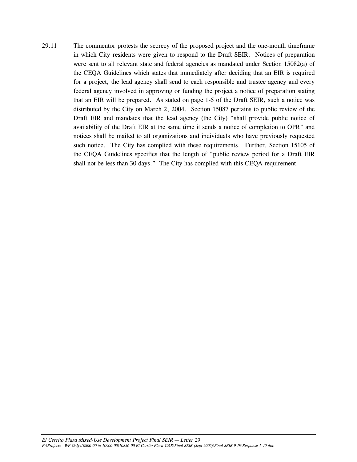29.11 The commentor protests the secrecy of the proposed project and the one-month timeframe in which City residents were given to respond to the Draft SEIR. Notices of preparation were sent to all relevant state and federal agencies as mandated under Section 15082(a) of the CEQA Guidelines which states that immediately after deciding that an EIR is required for a project, the lead agency shall send to each responsible and trustee agency and every federal agency involved in approving or funding the project a notice of preparation stating that an EIR will be prepared. As stated on page 1-5 of the Draft SEIR, such a notice was distributed by the City on March 2, 2004. Section 15087 pertains to public review of the Draft EIR and mandates that the lead agency (the City) "shall provide public notice of availability of the Draft EIR at the same time it sends a notice of completion to OPR" and notices shall be mailed to all organizations and individuals who have previously requested such notice. The City has complied with these requirements. Further, Section 15105 of the CEQA Guidelines specifies that the length of "public review period for a Draft EIR shall not be less than 30 days." The City has complied with this CEQA requirement.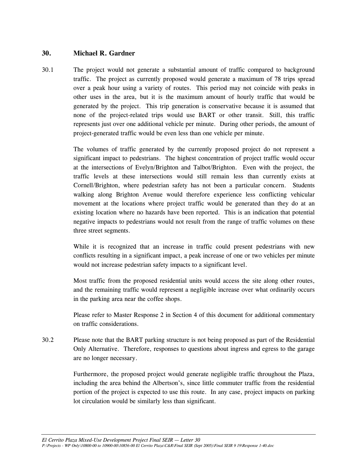## **30. Michael R. Gardner**

30.1 The project would not generate a substantial amount of traffic compared to background traffic. The project as currently proposed would generate a maximum of 78 trips spread over a peak hour using a variety of routes. This period may not coincide with peaks in other uses in the area, but it is the maximum amount of hourly traffic that would be generated by the project. This trip generation is conservative because it is assumed that none of the project-related trips would use BART or other transit. Still, this traffic represents just over one additional vehicle per minute. During other periods, the amount of project-generated traffic would be even less than one vehicle per minute.

> The volumes of traffic generated by the currently proposed project do not represent a significant impact to pedestrians. The highest concentration of project traffic would occur at the intersections of Evelyn/Brighton and Talbot/Brighton. Even with the project, the traffic levels at these intersections would still remain less than currently exists at Cornell/Brighton, where pedestrian safety has not been a particular concern. Students walking along Brighton Avenue would therefore experience less conflicting vehicular movement at the locations where project traffic would be generated than they do at an existing location where no hazards have been reported. This is an indication that potential negative impacts to pedestrians would not result from the range of traffic volumes on these three street segments.

> While it is recognized that an increase in traffic could present pedestrians with new conflicts resulting in a significant impact, a peak increase of one or two vehicles per minute would not increase pedestrian safety impacts to a significant level.

> Most traffic from the proposed residential units would access the site along other routes, and the remaining traffic would represent a negligible increase over what ordinarily occurs in the parking area near the coffee shops.

> Please refer to Master Response 2 in Section 4 of this document for additional commentary on traffic considerations.

30.2 Please note that the BART parking structure is not being proposed as part of the Residential Only Alternative. Therefore, responses to questions about ingress and egress to the garage are no longer necessary.

> Furthermore, the proposed project would generate negligible traffic throughout the Plaza, including the area behind the Albertson's, since little commuter traffic from the residential portion of the project is expected to use this route. In any case, project impacts on parking lot circulation would be similarly less than significant.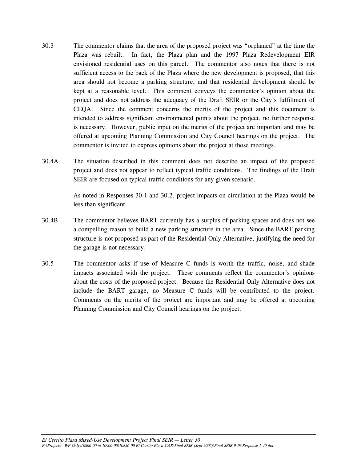- 30.3 The commentor claims that the area of the proposed project was "orphaned" at the time the Plaza was rebuilt. In fact, the Plaza plan and the 1997 Plaza Redevelopment EIR envisioned residential uses on this parcel. The commentor also notes that there is not sufficient access to the back of the Plaza where the new development is proposed, that this area should not become a parking structure, and that residential development should be kept at a reasonable level. This comment conveys the commentor's opinion about the project and does not address the adequacy of the Draft SEIR or the City's fulfillment of CEQA. Since the comment concerns the merits of the project and this document is intended to address significant environmental points about the project, no further response is necessary. However, public input on the merits of the project are important and may be offered at upcoming Planning Commission and City Council hearings on the project. The commentor is invited to express opinions about the project at those meetings.
- 30.4A The situation described in this comment does not describe an impact of the proposed project and does not appear to reflect typical traffic conditions. The findings of the Draft SEIR are focused on typical traffic conditions for any given scenario.

 As noted in Responses 30.1 and 30.2, project impacts on circulation at the Plaza would be less than significant.

- 30.4B The commentor believes BART currently has a surplus of parking spaces and does not see a compelling reason to build a new parking structure in the area. Since the BART parking structure is not proposed as part of the Residential Only Alternative, justifying the need for the garage is not necessary.
- 30.5 The commentor asks if use of Measure C funds is worth the traffic, noise, and shade impacts associated with the project. These comments reflect the commentor's opinions about the costs of the proposed project. Because the Residential Only Alternative does not include the BART garage, no Measure C funds will be contributed to the project. Comments on the merits of the project are important and may be offered at upcoming Planning Commission and City Council hearings on the project.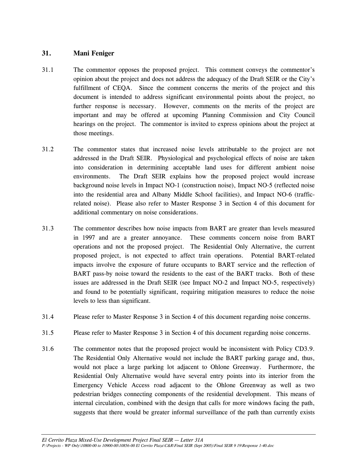## **31. Mani Feniger**

- 31.1 The commentor opposes the proposed project. This comment conveys the commentor's opinion about the project and does not address the adequacy of the Draft SEIR or the City's fulfillment of CEQA. Since the comment concerns the merits of the project and this document is intended to address significant environmental points about the project, no further response is necessary. However, comments on the merits of the project are important and may be offered at upcoming Planning Commission and City Council hearings on the project. The commentor is invited to express opinions about the project at those meetings.
- 31.2 The commentor states that increased noise levels attributable to the project are not addressed in the Draft SEIR. Physiological and psychological effects of noise are taken into consideration in determining acceptable land uses for different ambient noise environments. The Draft SEIR explains how the proposed project would increase background noise levels in Impact NO-1 (construction noise), Impact NO-5 (reflected noise into the residential area and Albany Middle School facilities), and Impact NO-6 (trafficrelated noise). Please also refer to Master Response 3 in Section 4 of this document for additional commentary on noise considerations.
- 31.3 The commentor describes how noise impacts from BART are greater than levels measured in 1997 and are a greater annoyance. These comments concern noise from BART operations and not the proposed project. The Residential Only Alternative, the current proposed project, is not expected to affect train operations. Potential BART-related impacts involve the exposure of future occupants to BART service and the reflection of BART pass-by noise toward the residents to the east of the BART tracks. Both of these issues are addressed in the Draft SEIR (see Impact NO-2 and Impact NO-5, respectively) and found to be potentially significant, requiring mitigation measures to reduce the noise levels to less than significant.
- 31.4 Please refer to Master Response 3 in Section 4 of this document regarding noise concerns.
- 31.5 Please refer to Master Response 3 in Section 4 of this document regarding noise concerns.
- 31.6 The commentor notes that the proposed project would be inconsistent with Policy CD3.9. The Residential Only Alternative would not include the BART parking garage and, thus, would not place a large parking lot adjacent to Ohlone Greenway. Furthermore, the Residential Only Alternative would have several entry points into its interior from the Emergency Vehicle Access road adjacent to the Ohlone Greenway as well as two pedestrian bridges connecting components of the residential development. This means of internal circulation, combined with the design that calls for more windows facing the path, suggests that there would be greater informal surveillance of the path than currently exists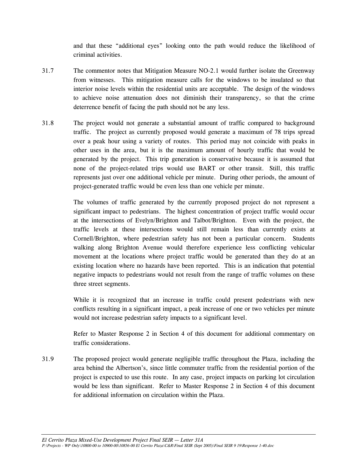and that these "additional eyes" looking onto the path would reduce the likelihood of criminal activities.

- 31.7 The commentor notes that Mitigation Measure NO-2.1 would further isolate the Greenway from witnesses. This mitigation measure calls for the windows to be insulated so that interior noise levels within the residential units are acceptable. The design of the windows to achieve noise attenuation does not diminish their transparency, so that the crime deterrence benefit of facing the path should not be any less.
- 31.8 The project would not generate a substantial amount of traffic compared to background traffic. The project as currently proposed would generate a maximum of 78 trips spread over a peak hour using a variety of routes. This period may not coincide with peaks in other uses in the area, but it is the maximum amount of hourly traffic that would be generated by the project. This trip generation is conservative because it is assumed that none of the project-related trips would use BART or other transit. Still, this traffic represents just over one additional vehicle per minute. During other periods, the amount of project-generated traffic would be even less than one vehicle per minute.

 The volumes of traffic generated by the currently proposed project do not represent a significant impact to pedestrians. The highest concentration of project traffic would occur at the intersections of Evelyn/Brighton and Talbot/Brighton. Even with the project, the traffic levels at these intersections would still remain less than currently exists at Cornell/Brighton, where pedestrian safety has not been a particular concern. Students walking along Brighton Avenue would therefore experience less conflicting vehicular movement at the locations where project traffic would be generated than they do at an existing location where no hazards have been reported. This is an indication that potential negative impacts to pedestrians would not result from the range of traffic volumes on these three street segments.

 While it is recognized that an increase in traffic could present pedestrians with new conflicts resulting in a significant impact, a peak increase of one or two vehicles per minute would not increase pedestrian safety impacts to a significant level.

 Refer to Master Response 2 in Section 4 of this document for additional commentary on traffic considerations.

31.9 The proposed project would generate negligible traffic throughout the Plaza, including the area behind the Albertson's, since little commuter traffic from the residential portion of the project is expected to use this route. In any case, project impacts on parking lot circulation would be less than significant. Refer to Master Response 2 in Section 4 of this document for additional information on circulation within the Plaza.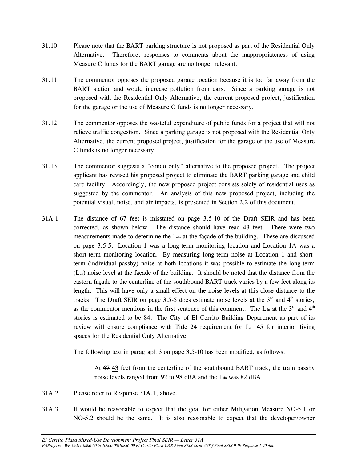- 31.10 Please note that the BART parking structure is not proposed as part of the Residential Only Alternative. Therefore, responses to comments about the inappropriateness of using Measure C funds for the BART garage are no longer relevant.
- 31.11 The commentor opposes the proposed garage location because it is too far away from the BART station and would increase pollution from cars. Since a parking garage is not proposed with the Residential Only Alternative, the current proposed project, justification for the garage or the use of Measure C funds is no longer necessary.
- 31.12 The commentor opposes the wasteful expenditure of public funds for a project that will not relieve traffic congestion. Since a parking garage is not proposed with the Residential Only Alternative, the current proposed project, justification for the garage or the use of Measure C funds is no longer necessary.
- 31.13 The commentor suggests a "condo only" alternative to the proposed project. The project applicant has revised his proposed project to eliminate the BART parking garage and child care facility. Accordingly, the new proposed project consists solely of residential uses as suggested by the commentor. An analysis of this new proposed project, including the potential visual, noise, and air impacts, is presented in Section 2.2 of this document.
- 31A.1 The distance of 67 feet is misstated on page 3.5-10 of the Draft SEIR and has been corrected, as shown below. The distance should have read 43 feet. There were two measurements made to determine the L<sub>dn</sub> at the façade of the building. These are discussed on page 3.5-5. Location 1 was a long-term monitoring location and Location 1A was a short-term monitoring location. By measuring long-term noise at Location 1 and shortterm (individual passby) noise at both locations it was possible to estimate the long-term (Ldn) noise level at the façade of the building. It should be noted that the distance from the eastern façade to the centerline of the southbound BART track varies by a few feet along its length. This will have only a small effect on the noise levels at this close distance to the tracks. The Draft SEIR on page 3.5-5 does estimate noise levels at the  $3<sup>rd</sup>$  and  $4<sup>th</sup>$  stories, as the commentor mentions in the first sentence of this comment. The  $L_{dn}$  at the  $3<sup>rd</sup>$  and  $4<sup>th</sup>$ stories is estimated to be 84. The City of El Cerrito Building Department as part of its review will ensure compliance with Title 24 requirement for L<sub>dn</sub> 45 for interior living spaces for the Residential Only Alternative.

The following text in paragraph 3 on page 3.5-10 has been modified, as follows:

 At 67 43 feet from the centerline of the southbound BART track, the train passby noise levels ranged from 92 to 98 dBA and the L<sub>dn</sub> was 82 dBA.

- 31A.2 Please refer to Response 31A.1, above.
- 31A.3 It would be reasonable to expect that the goal for either Mitigation Measure NO-5.1 or NO-5.2 should be the same. It is also reasonable to expect that the developer/owner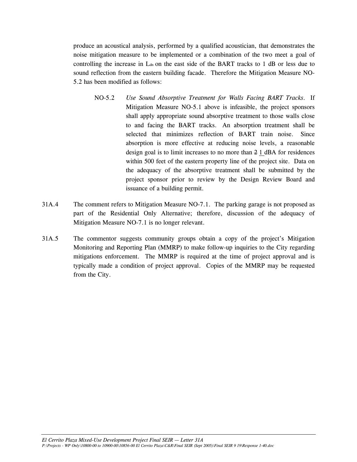produce an acoustical analysis, performed by a qualified acoustician, that demonstrates the noise mitigation measure to be implemented or a combination of the two meet a goal of controlling the increase in L<sub>dn</sub> on the east side of the BART tracks to 1 dB or less due to sound reflection from the eastern building facade. Therefore the Mitigation Measure NO-5.2 has been modified as follows:

- NO-5.2 *Use Sound Absorptive Treatment for Walls Facing BART Tracks.* If Mitigation Measure NO-5.1 above is infeasible, the project sponsors shall apply appropriate sound absorptive treatment to those walls close to and facing the BART tracks. An absorption treatment shall be selected that minimizes reflection of BART train noise. Since absorption is more effective at reducing noise levels, a reasonable design goal is to limit increases to no more than 2 1 dBA for residences within 500 feet of the eastern property line of the project site. Data on the adequacy of the absorptive treatment shall be submitted by the project sponsor prior to review by the Design Review Board and issuance of a building permit.
- 31A.4 The comment refers to Mitigation Measure NO-7.1. The parking garage is not proposed as part of the Residential Only Alternative; therefore, discussion of the adequacy of Mitigation Measure NO-7.1 is no longer relevant.
- 31A.5 The commentor suggests community groups obtain a copy of the project's Mitigation Monitoring and Reporting Plan (MMRP) to make follow-up inquiries to the City regarding mitigations enforcement. The MMRP is required at the time of project approval and is typically made a condition of project approval. Copies of the MMRP may be requested from the City.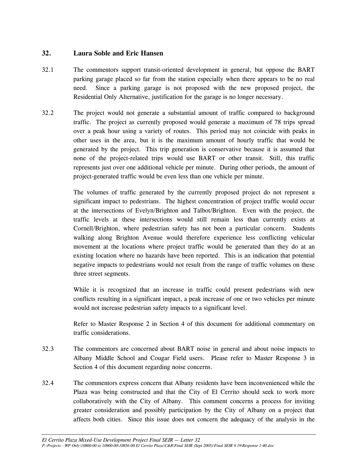# **32. Laura Soble and Eric Hansen**

- 32.1 The commentors support transit-oriented development in general, but oppose the BART parking garage placed so far from the station especially when there appears to be no real need. Since a parking garage is not proposed with the new proposed project, the Residential Only Alternative, justification for the garage is no longer necessary.
- 32.2 The project would not generate a substantial amount of traffic compared to background traffic. The project as currently proposed would generate a maximum of 78 trips spread over a peak hour using a variety of routes. This period may not coincide with peaks in other uses in the area, but it is the maximum amount of hourly traffic that would be generated by the project. This trip generation is conservative because it is assumed that none of the project-related trips would use BART or other transit. Still, this traffic represents just over one additional vehicle per minute. During other periods, the amount of project-generated traffic would be even less than one vehicle per minute.

 The volumes of traffic generated by the currently proposed project do not represent a significant impact to pedestrians. The highest concentration of project traffic would occur at the intersections of Evelyn/Brighton and Talbot/Brighton. Even with the project, the traffic levels at these intersections would still remain less than currently exists at Cornell/Brighton, where pedestrian safety has not been a particular concern. Students walking along Brighton Avenue would therefore experience less conflicting vehicular movement at the locations where project traffic would be generated than they do at an existing location where no hazards have been reported. This is an indication that potential negative impacts to pedestrians would not result from the range of traffic volumes on these three street segments.

 While it is recognized that an increase in traffic could present pedestrians with new conflicts resulting in a significant impact, a peak increase of one or two vehicles per minute would not increase pedestrian safety impacts to a significant level.

 Refer to Master Response 2 in Section 4 of this document for additional commentary on traffic considerations.

- 32.3 The commentors are concerned about BART noise in general and about noise impacts to Albany Middle School and Cougar Field users. Please refer to Master Response 3 in Section 4 of this document regarding noise concerns.
- 32.4 The commentors express concern that Albany residents have been inconvenienced while the Plaza was being constructed and that the City of El Cerrito should seek to work more collaboratively with the City of Albany. This comment concerns a process for inviting greater consideration and possibly participation by the City of Albany on a project that affects both cities. Since this issue does not concern the adequacy of the analysis in the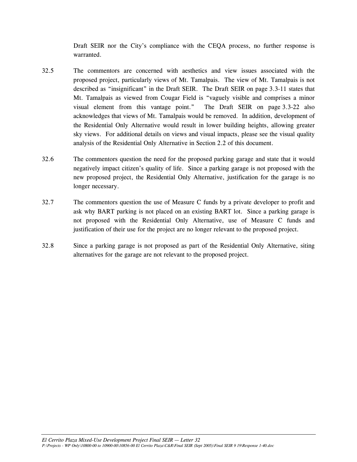Draft SEIR nor the City's compliance with the CEQA process, no further response is warranted.

- 32.5 The commentors are concerned with aesthetics and view issues associated with the proposed project, particularly views of Mt. Tamalpais. The view of Mt. Tamalpais is not described as "insignificant" in the Draft SEIR. The Draft SEIR on page 3.3-11 states that Mt. Tamalpais as viewed from Cougar Field is "vaguely visible and comprises a minor visual element from this vantage point." The Draft SEIR on page 3.3-22 also acknowledges that views of Mt. Tamalpais would be removed. In addition, development of the Residential Only Alternative would result in lower building heights, allowing greater sky views. For additional details on views and visual impacts, please see the visual quality analysis of the Residential Only Alternative in Section 2.2 of this document.
- 32.6 The commentors question the need for the proposed parking garage and state that it would negatively impact citizen's quality of life. Since a parking garage is not proposed with the new proposed project, the Residential Only Alternative, justification for the garage is no longer necessary.
- 32.7 The commentors question the use of Measure C funds by a private developer to profit and ask why BART parking is not placed on an existing BART lot. Since a parking garage is not proposed with the Residential Only Alternative, use of Measure C funds and justification of their use for the project are no longer relevant to the proposed project.
- 32.8 Since a parking garage is not proposed as part of the Residential Only Alternative, siting alternatives for the garage are not relevant to the proposed project.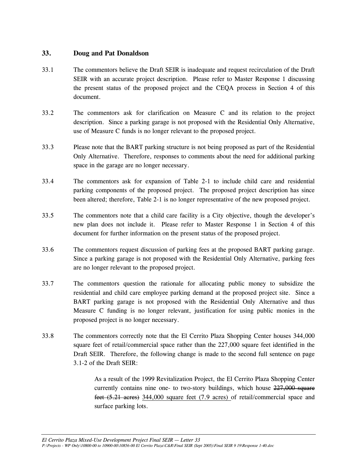## **33. Doug and Pat Donaldson**

- 33.1 The commentors believe the Draft SEIR is inadequate and request recirculation of the Draft SEIR with an accurate project description. Please refer to Master Response 1 discussing the present status of the proposed project and the CEQA process in Section 4 of this document.
- 33.2 The commentors ask for clarification on Measure C and its relation to the project description. Since a parking garage is not proposed with the Residential Only Alternative, use of Measure C funds is no longer relevant to the proposed project.
- 33.3 Please note that the BART parking structure is not being proposed as part of the Residential Only Alternative. Therefore, responses to comments about the need for additional parking space in the garage are no longer necessary.
- 33.4 The commentors ask for expansion of Table 2-1 to include child care and residential parking components of the proposed project. The proposed project description has since been altered; therefore, Table 2-1 is no longer representative of the new proposed project.
- 33.5 The commentors note that a child care facility is a City objective, though the developer's new plan does not include it. Please refer to Master Response 1 in Section 4 of this document for further information on the present status of the proposed project.
- 33.6 The commentors request discussion of parking fees at the proposed BART parking garage. Since a parking garage is not proposed with the Residential Only Alternative, parking fees are no longer relevant to the proposed project.
- 33.7 The commentors question the rationale for allocating public money to subsidize the residential and child care employee parking demand at the proposed project site. Since a BART parking garage is not proposed with the Residential Only Alternative and thus Measure C funding is no longer relevant, justification for using public monies in the proposed project is no longer necessary.
- 33.8 The commentors correctly note that the El Cerrito Plaza Shopping Center houses 344,000 square feet of retail/commercial space rather than the 227,000 square feet identified in the Draft SEIR. Therefore, the following change is made to the second full sentence on page 3.1-2 of the Draft SEIR:

As a result of the 1999 Revitalization Project, the El Cerrito Plaza Shopping Center currently contains nine one- to two-story buildings, which house  $227,000$  square feet (5.21 acres) 344,000 square feet (7.9 acres) of retail/commercial space and surface parking lots.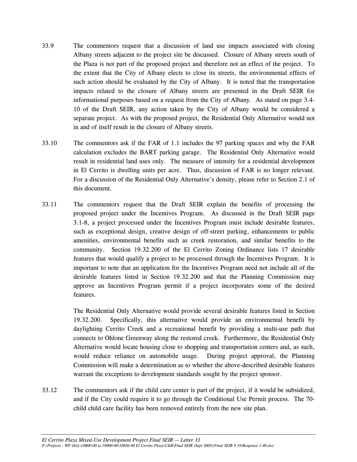- 33.9 The commentors request that a discussion of land use impacts associated with closing Albany streets adjacent to the project site be discussed. Closure of Albany streets south of the Plaza is not part of the proposed project and therefore not an effect of the project. To the extent that the City of Albany elects to close its streets, the environmental effects of such action should be evaluated by the City of Albany. It is noted that the transportation impacts related to the closure of Albany streets are presented in the Draft SEIR for informational purposes based on a request from the City of Albany. As stated on page 3.4- 10 of the Draft SEIR, any action taken by the City of Albany would be considered a separate project. As with the proposed project, the Residential Only Alternative would not in and of itself result in the closure of Albany streets.
- 33.10 The commentors ask if the FAR of 1.1 includes the 97 parking spaces and why the FAR calculation excludes the BART parking garage. The Residential Only Alternative would result in residential land uses only. The measure of intensity for a residential development in El Cerrito is dwelling units per acre. Thus, discussion of FAR is no longer relevant. For a discussion of the Residential Only Alternative's density, please refer to Section 2.1 of this document.
- 33.11 The commentors request that the Draft SEIR explain the benefits of processing the proposed project under the Incentives Program. As discussed in the Draft SEIR page 3.1-8, a project processed under the Incentives Program must include desirable features, such as exceptional design, creative design of off-street parking, enhancements to public amenities, environmental benefits such as creek restoration, and similar benefits to the community. Section 19.32.200 of the El Cerrito Zoning Ordinance lists 17 desirable features that would qualify a project to be processed through the Incentives Program. It is important to note that an application for the Incentives Program need not include all of the desirable features listed in Section 19.32.200 and that the Planning Commission may approve an Incentives Program permit if a project incorporates some of the desired features.

 The Residential Only Alternative would provide several desirable features listed in Section 19.32.200. Specifically, this alternative would provide an environmental benefit by daylighting Cerrito Creek and a recreational benefit by providing a multi-use path that connects to Ohlone Greenway along the restored creek. Furthermore, the Residential Only Alternative would locate housing close to shopping and transportation centers and, as such, would reduce reliance on automobile usage. During project approval, the Planning Commission will make a determination as to whether the above-described desirable features warrant the exceptions to development standards sought by the project sponsor.

33.12 The commentors ask if the child care center is part of the project, if it would be subsidized, and if the City could require it to go through the Conditional Use Permit process. The 70 child child care facility has been removed entirely from the new site plan.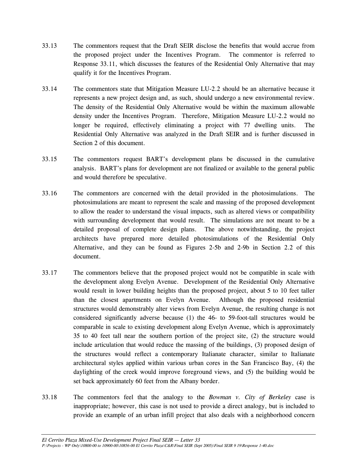- 33.13 The commentors request that the Draft SEIR disclose the benefits that would accrue from the proposed project under the Incentives Program. The commentor is referred to Response 33.11, which discusses the features of the Residential Only Alternative that may qualify it for the Incentives Program.
- 33.14 The commentors state that Mitigation Measure LU-2.2 should be an alternative because it represents a new project design and, as such, should undergo a new environmental review. The density of the Residential Only Alternative would be within the maximum allowable density under the Incentives Program. Therefore, Mitigation Measure LU-2.2 would no longer be required, effectively eliminating a project with 77 dwelling units. The Residential Only Alternative was analyzed in the Draft SEIR and is further discussed in Section 2 of this document.
- 33.15 The commentors request BART's development plans be discussed in the cumulative analysis. BART's plans for development are not finalized or available to the general public and would therefore be speculative.
- 33.16 The commentors are concerned with the detail provided in the photosimulations. The photosimulations are meant to represent the scale and massing of the proposed development to allow the reader to understand the visual impacts, such as altered views or compatibility with surrounding development that would result. The simulations are not meant to be a detailed proposal of complete design plans. The above notwithstanding, the project architects have prepared more detailed photosimulations of the Residential Only Alternative, and they can be found as Figures 2-5b and 2-9b in Section 2.2 of this document.
- 33.17 The commentors believe that the proposed project would not be compatible in scale with the development along Evelyn Avenue. Development of the Residential Only Alternative would result in lower building heights than the proposed project, about 5 to 10 feet taller than the closest apartments on Evelyn Avenue. Although the proposed residential structures would demonstrably alter views from Evelyn Avenue, the resulting change is not considered significantly adverse because (1) the 46- to 59-foot-tall structures would be comparable in scale to existing development along Evelyn Avenue, which is approximately 35 to 40 feet tall near the southern portion of the project site, (2) the structure would include articulation that would reduce the massing of the buildings, (3) proposed design of the structures would reflect a contemporary Italianate character, similar to Italianate architectural styles applied within various urban cores in the San Francisco Bay, (4) the daylighting of the creek would improve foreground views, and (5) the building would be set back approximately 60 feet from the Albany border.
- 33.18 The commentors feel that the analogy to the *Bowman v. City of Berkeley* case is inappropriate; however, this case is not used to provide a direct analogy, but is included to provide an example of an urban infill project that also deals with a neighborhood concern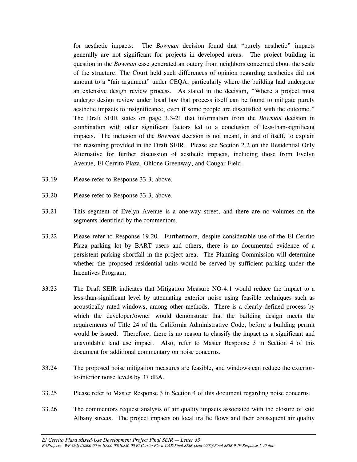for aesthetic impacts. The *Bowman* decision found that "purely aesthetic" impacts generally are not significant for projects in developed areas. The project building in question in the *Bowman* case generated an outcry from neighbors concerned about the scale of the structure. The Court held such differences of opinion regarding aesthetics did not amount to a "fair argument" under CEQA, particularly where the building had undergone an extensive design review process. As stated in the decision, "Where a project must undergo design review under local law that process itself can be found to mitigate purely aesthetic impacts to insignificance, even if some people are dissatisfied with the outcome." The Draft SEIR states on page 3.3-21 that information from the *Bowman* decision in combination with other significant factors led to a conclusion of less-than-significant impacts. The inclusion of the *Bowman* decision is not meant, in and of itself, to explain the reasoning provided in the Draft SEIR. Please see Section 2.2 on the Residential Only Alternative for further discussion of aesthetic impacts, including those from Evelyn Avenue, El Cerrito Plaza, Ohlone Greenway, and Cougar Field.

- 33.19 Please refer to Response 33.3, above.
- 33.20 Please refer to Response 33.3, above.
- 33.21 This segment of Evelyn Avenue is a one-way street, and there are no volumes on the segments identified by the commentors.
- 33.22 Please refer to Response 19.20. Furthermore, despite considerable use of the El Cerrito Plaza parking lot by BART users and others, there is no documented evidence of a persistent parking shortfall in the project area. The Planning Commission will determine whether the proposed residential units would be served by sufficient parking under the Incentives Program.
- 33.23 The Draft SEIR indicates that Mitigation Measure NO-4.1 would reduce the impact to a less-than-significant level by attenuating exterior noise using feasible techniques such as acoustically rated windows, among other methods. There is a clearly defined process by which the developer/owner would demonstrate that the building design meets the requirements of Title 24 of the California Administrative Code, before a building permit would be issued. Therefore, there is no reason to classify the impact as a significant and unavoidable land use impact. Also, refer to Master Response 3 in Section 4 of this document for additional commentary on noise concerns.
- 33.24 The proposed noise mitigation measures are feasible, and windows can reduce the exteriorto-interior noise levels by 37 dBA.
- 33.25 Please refer to Master Response 3 in Section 4 of this document regarding noise concerns.
- 33.26 The commentors request analysis of air quality impacts associated with the closure of said Albany streets. The project impacts on local traffic flows and their consequent air quality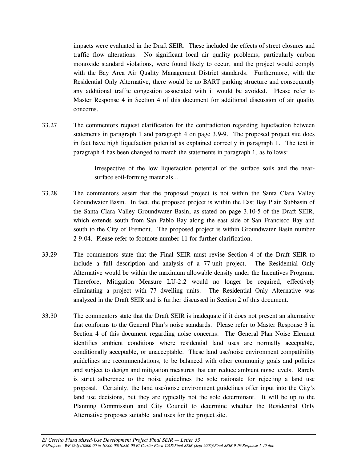impacts were evaluated in the Draft SEIR. These included the effects of street closures and traffic flow alterations. No significant local air quality problems, particularly carbon monoxide standard violations, were found likely to occur, and the project would comply with the Bay Area Air Quality Management District standards. Furthermore, with the Residential Only Alternative, there would be no BART parking structure and consequently any additional traffic congestion associated with it would be avoided. Please refer to Master Response 4 in Section 4 of this document for additional discussion of air quality concerns.

33.27 The commentors request clarification for the contradiction regarding liquefaction between statements in paragraph 1 and paragraph 4 on page 3.9-9. The proposed project site does in fact have high liquefaction potential as explained correctly in paragraph 1. The text in paragraph 4 has been changed to match the statements in paragraph 1, as follows:

> Irrespective of the low liquefaction potential of the surface soils and the nearsurface soil-forming materials…

- 33.28 The commentors assert that the proposed project is not within the Santa Clara Valley Groundwater Basin. In fact, the proposed project is within the East Bay Plain Subbasin of the Santa Clara Valley Groundwater Basin, as stated on page 3.10-5 of the Draft SEIR, which extends south from San Pablo Bay along the east side of San Francisco Bay and south to the City of Fremont. The proposed project is within Groundwater Basin number 2-9.04. Please refer to footnote number 11 for further clarification.
- 33.29 The commentors state that the Final SEIR must revise Section 4 of the Draft SEIR to include a full description and analysis of a 77-unit project. The Residential Only Alternative would be within the maximum allowable density under the Incentives Program. Therefore, Mitigation Measure LU-2.2 would no longer be required, effectively eliminating a project with 77 dwelling units. The Residential Only Alternative was analyzed in the Draft SEIR and is further discussed in Section 2 of this document.
- 33.30 The commentors state that the Draft SEIR is inadequate if it does not present an alternative that conforms to the General Plan's noise standards. Please refer to Master Response 3 in Section 4 of this document regarding noise concerns. The General Plan Noise Element identifies ambient conditions where residential land uses are normally acceptable, conditionally acceptable, or unacceptable. These land use/noise environment compatibility guidelines are recommendations, to be balanced with other community goals and policies and subject to design and mitigation measures that can reduce ambient noise levels. Rarely is strict adherence to the noise guidelines the sole rationale for rejecting a land use proposal. Certainly, the land use/noise environment guidelines offer input into the City's land use decisions, but they are typically not the sole determinant. It will be up to the Planning Commission and City Council to determine whether the Residential Only Alternative proposes suitable land uses for the project site.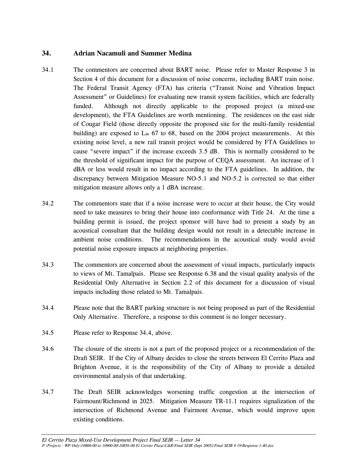# **34. Adrian Nacamuli and Summer Medina**

- 34.1 The commentors are concerned about BART noise. Please refer to Master Response 3 in Section 4 of this document for a discussion of noise concerns, including BART train noise. The Federal Transit Agency (FTA) has criteria ("Transit Noise and Vibration Impact Assessment" or Guidelines) for evaluating new transit system facilities, which are federally funded. Although not directly applicable to the proposed project (a mixed-use development), the FTA Guidelines are worth mentioning. The residences on the east side of Cougar Field (those directly opposite the proposed site for the multi-family residential building) are exposed to  $L_{dn}$  67 to 68, based on the 2004 project measurements. At this existing noise level, a new rail transit project would be considered by FTA Guidelines to cause "severe impact" if the increase exceeds 3.5 dB. This is normally considered to be the threshold of significant impact for the purpose of CEQA assessment. An increase of 1 dBA or less would result in no impact according to the FTA guidelines. In addition, the discrepancy between Mitigation Measure NO-5.1 and NO-5.2 is corrected so that either mitigation measure allows only a 1 dBA increase.
- 34.2 The commentors state that if a noise increase were to occur at their house, the City would need to take measures to bring their house into conformance with Title 24. At the time a building permit is issued, the project sponsor will have had to present a study by an acoustical consultant that the building design would not result in a detectable increase in ambient noise conditions. The recommendations in the acoustical study would avoid potential noise exposure impacts at neighboring properties.
- 34.3 The commentors are concerned about the assessment of visual impacts, particularly impacts to views of Mt. Tamalpais. Please see Response 6.38 and the visual quality analysis of the Residential Only Alternative in Section 2.2 of this document for a discussion of visual impacts including those related to Mt. Tamalpais.
- 34.4 Please note that the BART parking structure is not being proposed as part of the Residential Only Alternative. Therefore, a response to this comment is no longer necessary.
- 34.5 Please refer to Response 34.4, above.
- 34.6 The closure of the streets is not a part of the proposed project or a recommendation of the Draft SEIR. If the City of Albany decides to close the streets between El Cerrito Plaza and Brighton Avenue, it is the responsibility of the City of Albany to provide a detailed environmental analysis of that undertaking.
- 34.7 The Draft SEIR acknowledges worsening traffic congestion at the intersection of Fairmount/Richmond in 2025. Mitigation Measure TR-11.1 requires signalization of the intersection of Richmond Avenue and Fairmont Avenue, which would improve upon existing conditions.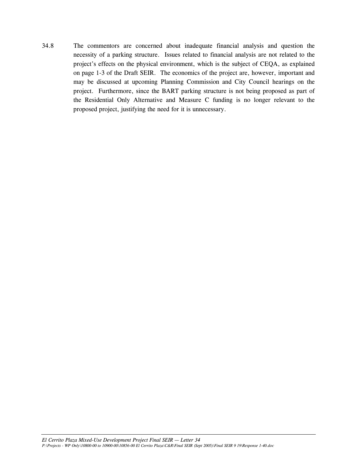34.8 The commentors are concerned about inadequate financial analysis and question the necessity of a parking structure. Issues related to financial analysis are not related to the project's effects on the physical environment, which is the subject of CEQA, as explained on page 1-3 of the Draft SEIR. The economics of the project are, however, important and may be discussed at upcoming Planning Commission and City Council hearings on the project. Furthermore, since the BART parking structure is not being proposed as part of the Residential Only Alternative and Measure C funding is no longer relevant to the proposed project, justifying the need for it is unnecessary.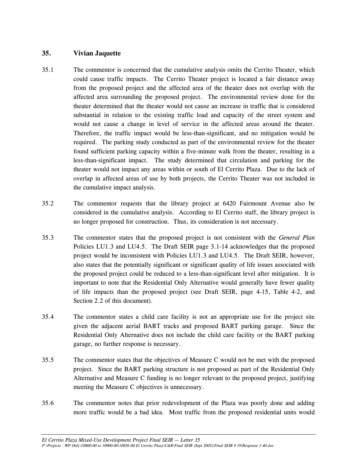# **35. Vivian Jaquette**

- 35.1 The commentor is concerned that the cumulative analysis omits the Cerrito Theater, which could cause traffic impacts. The Cerrito Theater project is located a fair distance away from the proposed project and the affected area of the theater does not overlap with the affected area surrounding the proposed project. The environmental review done for the theater determined that the theater would not cause an increase in traffic that is considered substantial in relation to the existing traffic load and capacity of the street system and would not cause a change in level of service in the affected areas around the theater. Therefore, the traffic impact would be less-than-significant, and no mitigation would be required. The parking study conducted as part of the environmental review for the theater found sufficient parking capacity within a five-minute walk from the theater, resulting in a less-than-significant impact. The study determined that circulation and parking for the theater would not impact any areas within or south of El Cerrito Plaza. Due to the lack of overlap in affected areas of use by both projects, the Cerrito Theater was not included in the cumulative impact analysis.
- 35.2 The commentor requests that the library project at 6420 Fairmount Avenue also be considered in the cumulative analysis. According to El Cerrito staff, the library project is no longer proposed for construction. Thus, its consideration is not necessary.
- 35.3 The commentor states that the proposed project is not consistent with the *General Plan* Policies LU1.3 and LU4.5. The Draft SEIR page 3.1-14 acknowledges that the proposed project would be inconsistent with Policies LU1.3 and LU4.5. The Draft SEIR, however, also states that the potentially significant or significant quality of life issues associated with the proposed project could be reduced to a less-than-significant level after mitigation. It is important to note that the Residential Only Alternative would generally have fewer quality of life impacts than the proposed project (see Draft SEIR, page 4-15, Table 4-2, and Section 2.2 of this document).
- 35.4 The commentor states a child care facility is not an appropriate use for the project site given the adjacent aerial BART tracks and proposed BART parking garage. Since the Residential Only Alternative does not include the child care facility or the BART parking garage, no further response is necessary.
- 35.5 The commentor states that the objectives of Measure C would not be met with the proposed project. Since the BART parking structure is not proposed as part of the Residential Only Alternative and Measure C funding is no longer relevant to the proposed project, justifying meeting the Measure C objectives is unnecessary.
- 35.6 The commentor notes that prior redevelopment of the Plaza was poorly done and adding more traffic would be a bad idea. Most traffic from the proposed residential units would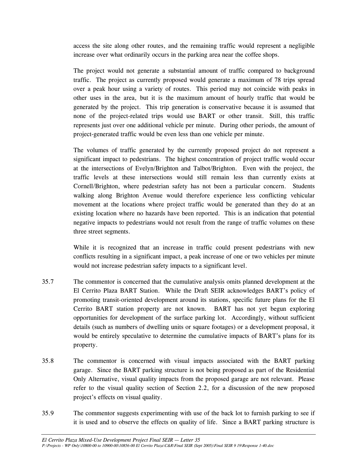access the site along other routes, and the remaining traffic would represent a negligible increase over what ordinarily occurs in the parking area near the coffee shops.

 The project would not generate a substantial amount of traffic compared to background traffic. The project as currently proposed would generate a maximum of 78 trips spread over a peak hour using a variety of routes. This period may not coincide with peaks in other uses in the area, but it is the maximum amount of hourly traffic that would be generated by the project. This trip generation is conservative because it is assumed that none of the project-related trips would use BART or other transit. Still, this traffic represents just over one additional vehicle per minute. During other periods, the amount of project-generated traffic would be even less than one vehicle per minute.

 The volumes of traffic generated by the currently proposed project do not represent a significant impact to pedestrians. The highest concentration of project traffic would occur at the intersections of Evelyn/Brighton and Talbot/Brighton. Even with the project, the traffic levels at these intersections would still remain less than currently exists at Cornell/Brighton, where pedestrian safety has not been a particular concern. Students walking along Brighton Avenue would therefore experience less conflicting vehicular movement at the locations where project traffic would be generated than they do at an existing location where no hazards have been reported. This is an indication that potential negative impacts to pedestrians would not result from the range of traffic volumes on these three street segments.

While it is recognized that an increase in traffic could present pedestrians with new conflicts resulting in a significant impact, a peak increase of one or two vehicles per minute would not increase pedestrian safety impacts to a significant level.

- 35.7 The commentor is concerned that the cumulative analysis omits planned development at the El Cerrito Plaza BART Station. While the Draft SEIR acknowledges BART's policy of promoting transit-oriented development around its stations, specific future plans for the El Cerrito BART station property are not known. BART has not yet begun exploring opportunities for development of the surface parking lot. Accordingly, without sufficient details (such as numbers of dwelling units or square footages) or a development proposal, it would be entirely speculative to determine the cumulative impacts of BART's plans for its property.
- 35.8 The commentor is concerned with visual impacts associated with the BART parking garage. Since the BART parking structure is not being proposed as part of the Residential Only Alternative, visual quality impacts from the proposed garage are not relevant. Please refer to the visual quality section of Section 2.2, for a discussion of the new proposed project's effects on visual quality.
- 35.9 The commentor suggests experimenting with use of the back lot to furnish parking to see if it is used and to observe the effects on quality of life. Since a BART parking structure is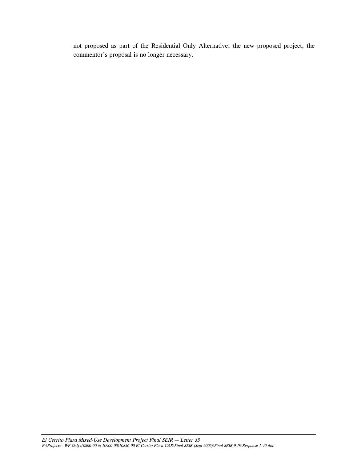not proposed as part of the Residential Only Alternative, the new proposed project, the commentor's proposal is no longer necessary.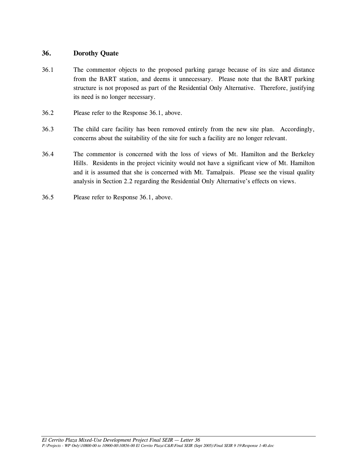### **36. Dorothy Quate**

- 36.1 The commentor objects to the proposed parking garage because of its size and distance from the BART station, and deems it unnecessary. Please note that the BART parking structure is not proposed as part of the Residential Only Alternative. Therefore, justifying its need is no longer necessary.
- 36.2 Please refer to the Response 36.1, above.
- 36.3 The child care facility has been removed entirely from the new site plan. Accordingly, concerns about the suitability of the site for such a facility are no longer relevant.
- 36.4 The commentor is concerned with the loss of views of Mt. Hamilton and the Berkeley Hills. Residents in the project vicinity would not have a significant view of Mt. Hamilton and it is assumed that she is concerned with Mt. Tamalpais. Please see the visual quality analysis in Section 2.2 regarding the Residential Only Alternative's effects on views.
- 36.5 Please refer to Response 36.1, above.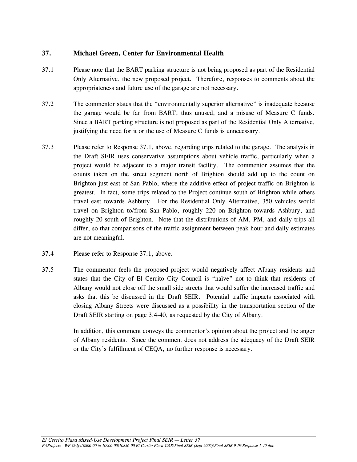# **37. Michael Green, Center for Environmental Health**

- 37.1 Please note that the BART parking structure is not being proposed as part of the Residential Only Alternative, the new proposed project. Therefore, responses to comments about the appropriateness and future use of the garage are not necessary.
- 37.2 The commentor states that the "environmentally superior alternative" is inadequate because the garage would be far from BART, thus unused, and a misuse of Measure C funds. Since a BART parking structure is not proposed as part of the Residential Only Alternative, justifying the need for it or the use of Measure C funds is unnecessary.
- 37.3 Please refer to Response 37.1, above, regarding trips related to the garage. The analysis in the Draft SEIR uses conservative assumptions about vehicle traffic, particularly when a project would be adjacent to a major transit facility. The commentor assumes that the counts taken on the street segment north of Brighton should add up to the count on Brighton just east of San Pablo, where the additive effect of project traffic on Brighton is greatest. In fact, some trips related to the Project continue south of Brighton while others travel east towards Ashbury. For the Residential Only Alternative, 350 vehicles would travel on Brighton to/from San Pablo, roughly 220 on Brighton towards Ashbury, and roughly 20 south of Brighton. Note that the distributions of AM, PM, and daily trips all differ, so that comparisons of the traffic assignment between peak hour and daily estimates are not meaningful.
- 37.4 Please refer to Response 37.1, above.
- 37.5 The commentor feels the proposed project would negatively affect Albany residents and states that the City of El Cerrito City Council is "naïve" not to think that residents of Albany would not close off the small side streets that would suffer the increased traffic and asks that this be discussed in the Draft SEIR. Potential traffic impacts associated with closing Albany Streets were discussed as a possibility in the transportation section of the Draft SEIR starting on page 3.4-40, as requested by the City of Albany.

In addition, this comment conveys the commentor's opinion about the project and the anger of Albany residents. Since the comment does not address the adequacy of the Draft SEIR or the City's fulfillment of CEQA, no further response is necessary.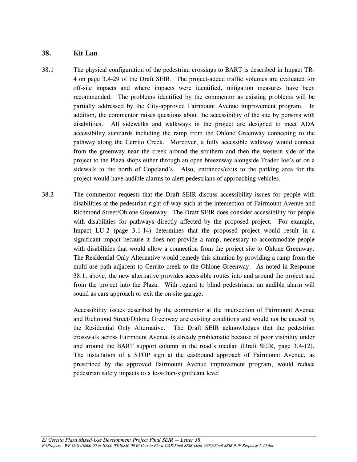# **38. Kit Lau**

- 38.1 The physical configuration of the pedestrian crossings to BART is described in Impact TR-4 on page 3.4-29 of the Draft SEIR. The project-added traffic volumes are evaluated for off-site impacts and where impacts were identified, mitigation measures have been recommended. The problems identified by the commentor as existing problems will be partially addressed by the City-approved Fairmount Avenue improvement program. In addition, the commentor raises questions about the accessibility of the site by persons with disabilities. All sidewalks and walkways in the project are designed to meet ADA accessibility standards including the ramp from the Ohlone Greenway connecting to the pathway along the Cerrito Creek. Moreover, a fully accessible walkway would connect from the greenway near the creek around the southern and then the western side of the project to the Plaza shops either through an open breezeway alongside Trader Joe's or on a sidewalk to the north of Copeland's. Also, entrances/exits to the parking area for the project would have audible alarms to alert pedestrians of approaching vehicles.
- 38.2 The commentor requests that the Draft SEIR discuss accessibility issues for people with disabilities at the pedestrian-right-of-way such at the intersection of Fairmount Avenue and Richmond Street/Ohlone Greenway. The Draft SEIR does consider accessibility for people with disabilities for pathways directly affected by the proposed project. For example, Impact LU-2 (page 3.1-14) determines that the proposed project would result in a significant impact because it does not provide a ramp, necessary to accommodate people with disabilities that would allow a connection from the project site to Ohlone Greenway. The Residential Only Alternative would remedy this situation by providing a ramp from the multi-use path adjacent to Cerrito creek to the Ohlone Greenway. As noted in Response 38.1, above, the new alternative provides accessible routes into and around the project and from the project into the Plaza. With regard to blind pedestrians, an audible alarm will sound as cars approach or exit the on-site garage.

 Accessibility issues described by the commentor at the intersection of Fairmount Avenue and Richmond Street/Ohlone Greenway are existing conditions and would not be caused by the Residential Only Alternative. The Draft SEIR acknowledges that the pedestrian crosswalk across Fairmount Avenue is already problematic because of poor visibility under and around the BART support column in the road's median (Draft SEIR, page 3.4-12). The installation of a STOP sign at the eastbound approach of Fairmount Avenue, as prescribed by the approved Fairmount Avenue improvement program, would reduce pedestrian safety impacts to a less-than-significant level.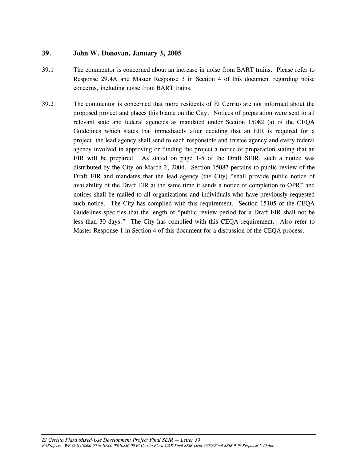## **39. John W. Donovan, January 3, 2005**

- 39.1 The commentor is concerned about an increase in noise from BART trains. Please refer to Response 29.4A and Master Response 3 in Section 4 of this document regarding noise concerns, including noise from BART trains.
- 39.2 The commentor is concerned that more residents of El Cerrito are not informed about the proposed project and places this blame on the City. Notices of preparation were sent to all relevant state and federal agencies as mandated under Section 15082 (a) of the CEQA Guidelines which states that immediately after deciding that an EIR is required for a project, the lead agency shall send to each responsible and trustee agency and every federal agency involved in approving or funding the project a notice of preparation stating that an EIR will be prepared. As stated on page 1-5 of the Draft SEIR, such a notice was distributed by the City on March 2, 2004. Section 15087 pertains to public review of the Draft EIR and mandates that the lead agency (the City) "shall provide public notice of availability of the Draft EIR at the same time it sends a notice of completion to OPR" and notices shall be mailed to all organizations and individuals who have previously requested such notice. The City has complied with this requirement. Section 15105 of the CEQA Guidelines specifies that the length of "public review period for a Draft EIR shall not be less than 30 days." The City has complied with this CEQA requirement. Also refer to Master Response 1 in Section 4 of this document for a discussion of the CEQA process.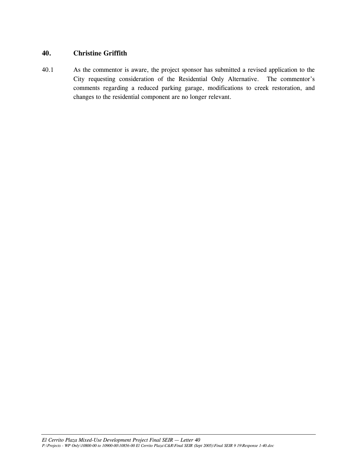## **40. Christine Griffith**

40.1 As the commentor is aware, the project sponsor has submitted a revised application to the City requesting consideration of the Residential Only Alternative. The commentor's comments regarding a reduced parking garage, modifications to creek restoration, and changes to the residential component are no longer relevant.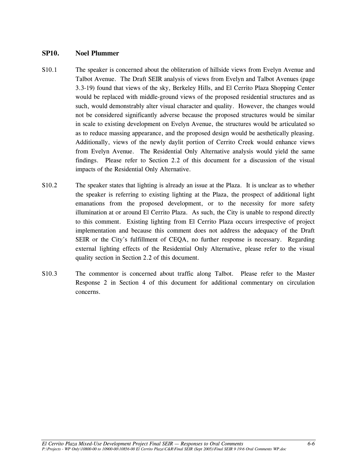#### **SP10. Noel Plummer**

- S10.1 The speaker is concerned about the obliteration of hillside views from Evelyn Avenue and Talbot Avenue. The Draft SEIR analysis of views from Evelyn and Talbot Avenues (page 3.3-19) found that views of the sky, Berkeley Hills, and El Cerrito Plaza Shopping Center would be replaced with middle-ground views of the proposed residential structures and as such, would demonstrably alter visual character and quality. However, the changes would not be considered significantly adverse because the proposed structures would be similar in scale to existing development on Evelyn Avenue, the structures would be articulated so as to reduce massing appearance, and the proposed design would be aesthetically pleasing. Additionally, views of the newly daylit portion of Cerrito Creek would enhance views from Evelyn Avenue. The Residential Only Alternative analysis would yield the same findings. Please refer to Section 2.2 of this document for a discussion of the visual impacts of the Residential Only Alternative.
- S10.2 The speaker states that lighting is already an issue at the Plaza. It is unclear as to whether the speaker is referring to existing lighting at the Plaza, the prospect of additional light emanations from the proposed development, or to the necessity for more safety illumination at or around El Cerrito Plaza. As such, the City is unable to respond directly to this comment. Existing lighting from El Cerrito Plaza occurs irrespective of project implementation and because this comment does not address the adequacy of the Draft SEIR or the City's fulfillment of CEQA, no further response is necessary. Regarding external lighting effects of the Residential Only Alternative, please refer to the visual quality section in Section 2.2 of this document.
- S10.3 The commentor is concerned about traffic along Talbot. Please refer to the Master Response 2 in Section 4 of this document for additional commentary on circulation concerns.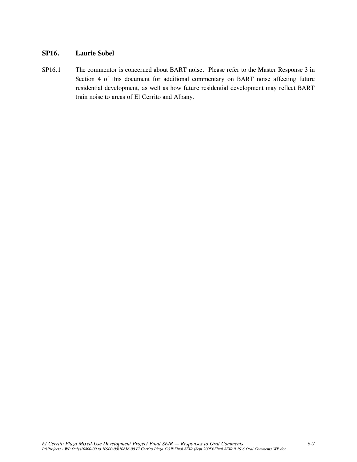### **SP16. Laurie Sobel**

SP16.1 The commentor is concerned about BART noise. Please refer to the Master Response 3 in Section 4 of this document for additional commentary on BART noise affecting future residential development, as well as how future residential development may reflect BART train noise to areas of El Cerrito and Albany.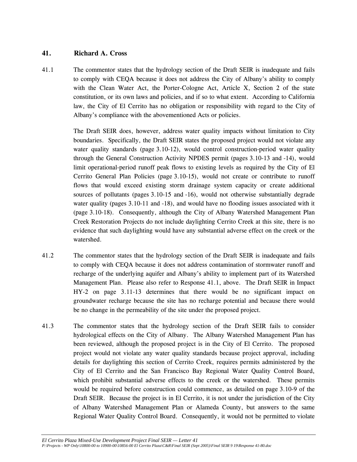# **41. Richard A. Cross**

41.1 The commentor states that the hydrology section of the Draft SEIR is inadequate and fails to comply with CEQA because it does not address the City of Albany's ability to comply with the Clean Water Act, the Porter-Cologne Act, Article X, Section 2 of the state constitution, or its own laws and policies, and if so to what extent. According to California law, the City of El Cerrito has no obligation or responsibility with regard to the City of Albany's compliance with the abovementioned Acts or policies.

> The Draft SEIR does, however, address water quality impacts without limitation to City boundaries. Specifically, the Draft SEIR states the proposed project would not violate any water quality standards (page 3.10-12), would control construction-period water quality through the General Construction Activity NPDES permit (pages 3.10-13 and -14), would limit operational-period runoff peak flows to existing levels as required by the City of El Cerrito General Plan Policies (page 3.10-15), would not create or contribute to runoff flows that would exceed existing storm drainage system capacity or create additional sources of pollutants (pages 3.10-15 and -16), would not otherwise substantially degrade water quality (pages 3.10-11 and -18), and would have no flooding issues associated with it (page 3.10-18). Consequently, although the City of Albany Watershed Management Plan Creek Restoration Projects do not include daylighting Cerrito Creek at this site, there is no evidence that such daylighting would have any substantial adverse effect on the creek or the watershed.

- 41.2 The commentor states that the hydrology section of the Draft SEIR is inadequate and fails to comply with CEQA because it does not address contamination of stormwater runoff and recharge of the underlying aquifer and Albany's ability to implement part of its Watershed Management Plan. Please also refer to Response 41.1, above. The Draft SEIR in Impact HY-2 on page 3.11-13 determines that there would be no significant impact on groundwater recharge because the site has no recharge potential and because there would be no change in the permeability of the site under the proposed project.
- 41.3 The commentor states that the hydrology section of the Draft SEIR fails to consider hydrological effects on the City of Albany. The Albany Watershed Management Plan has been reviewed, although the proposed project is in the City of El Cerrito. The proposed project would not violate any water quality standards because project approval, including details for daylighting this section of Cerrito Creek, requires permits administered by the City of El Cerrito and the San Francisco Bay Regional Water Quality Control Board, which prohibit substantial adverse effects to the creek or the watershed. These permits would be required before construction could commence, as detailed on page 3.10-9 of the Draft SEIR. Because the project is in El Cerrito, it is not under the jurisdiction of the City of Albany Watershed Management Plan or Alameda County, but answers to the same Regional Water Quality Control Board. Consequently, it would not be permitted to violate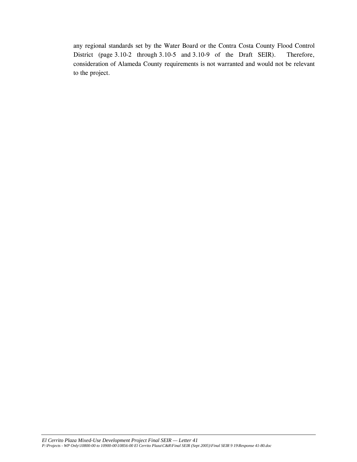any regional standards set by the Water Board or the Contra Costa County Flood Control District (page 3.10-2 through 3.10-5 and 3.10-9 of the Draft SEIR). Therefore, consideration of Alameda County requirements is not warranted and would not be relevant to the project.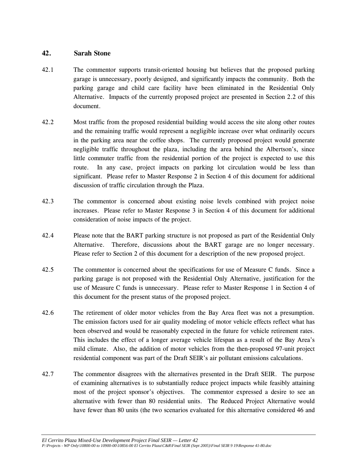### **42. Sarah Stone**

- 42.1 The commentor supports transit-oriented housing but believes that the proposed parking garage is unnecessary, poorly designed, and significantly impacts the community. Both the parking garage and child care facility have been eliminated in the Residential Only Alternative. Impacts of the currently proposed project are presented in Section 2.2 of this document.
- 42.2 Most traffic from the proposed residential building would access the site along other routes and the remaining traffic would represent a negligible increase over what ordinarily occurs in the parking area near the coffee shops. The currently proposed project would generate negligible traffic throughout the plaza, including the area behind the Albertson's, since little commuter traffic from the residential portion of the project is expected to use this route. In any case, project impacts on parking lot circulation would be less than significant. Please refer to Master Response 2 in Section 4 of this document for additional discussion of traffic circulation through the Plaza.
- 42.3 The commentor is concerned about existing noise levels combined with project noise increases. Please refer to Master Response 3 in Section 4 of this document for additional consideration of noise impacts of the project.
- 42.4 Please note that the BART parking structure is not proposed as part of the Residential Only Alternative. Therefore, discussions about the BART garage are no longer necessary. Please refer to Section 2 of this document for a description of the new proposed project.
- 42.5 The commentor is concerned about the specifications for use of Measure C funds. Since a parking garage is not proposed with the Residential Only Alternative, justification for the use of Measure C funds is unnecessary. Please refer to Master Response 1 in Section 4 of this document for the present status of the proposed project.
- 42.6 The retirement of older motor vehicles from the Bay Area fleet was not a presumption. The emission factors used for air quality modeling of motor vehicle effects reflect what has been observed and would be reasonably expected in the future for vehicle retirement rates. This includes the effect of a longer average vehicle lifespan as a result of the Bay Area's mild climate. Also, the addition of motor vehicles from the then-proposed 97-unit project residential component was part of the Draft SEIR's air pollutant emissions calculations.
- 42.7 The commentor disagrees with the alternatives presented in the Draft SEIR. The purpose of examining alternatives is to substantially reduce project impacts while feasibly attaining most of the project sponsor's objectives. The commentor expressed a desire to see an alternative with fewer than 80 residential units. The Reduced Project Alternative would have fewer than 80 units (the two scenarios evaluated for this alternative considered 46 and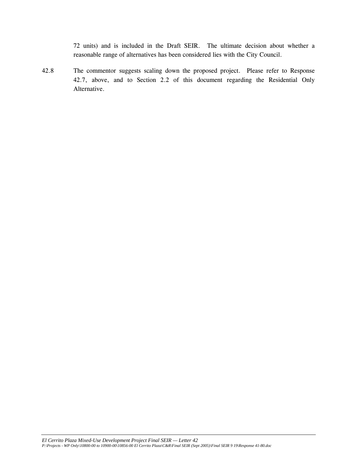72 units) and is included in the Draft SEIR. The ultimate decision about whether a reasonable range of alternatives has been considered lies with the City Council.

42.8 The commentor suggests scaling down the proposed project. Please refer to Response 42.7, above, and to Section 2.2 of this document regarding the Residential Only Alternative.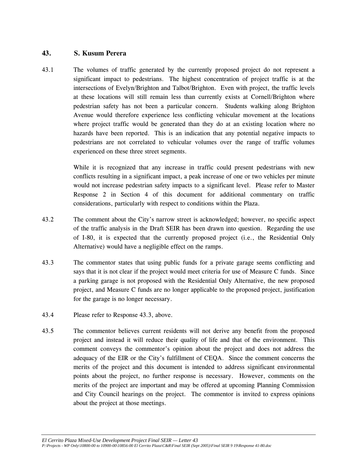# **43. S. Kusum Perera**

43.1 The volumes of traffic generated by the currently proposed project do not represent a significant impact to pedestrians. The highest concentration of project traffic is at the intersections of Evelyn/Brighton and Talbot/Brighton. Even with project, the traffic levels at these locations will still remain less than currently exists at Cornell/Brighton where pedestrian safety has not been a particular concern. Students walking along Brighton Avenue would therefore experience less conflicting vehicular movement at the locations where project traffic would be generated than they do at an existing location where no hazards have been reported. This is an indication that any potential negative impacts to pedestrians are not correlated to vehicular volumes over the range of traffic volumes experienced on these three street segments.

> While it is recognized that any increase in traffic could present pedestrians with new conflicts resulting in a significant impact, a peak increase of one or two vehicles per minute would not increase pedestrian safety impacts to a significant level. Please refer to Master Response 2 in Section 4 of this document for additional commentary on traffic considerations, particularly with respect to conditions within the Plaza.

- 43.2 The comment about the City's narrow street is acknowledged; however, no specific aspect of the traffic analysis in the Draft SEIR has been drawn into question. Regarding the use of I-80, it is expected that the currently proposed project (i.e., the Residential Only Alternative) would have a negligible effect on the ramps.
- 43.3 The commentor states that using public funds for a private garage seems conflicting and says that it is not clear if the project would meet criteria for use of Measure C funds. Since a parking garage is not proposed with the Residential Only Alternative, the new proposed project, and Measure C funds are no longer applicable to the proposed project, justification for the garage is no longer necessary.
- 43.4 Please refer to Response 43.3, above.
- 43.5 The commentor believes current residents will not derive any benefit from the proposed project and instead it will reduce their quality of life and that of the environment. This comment conveys the commentor's opinion about the project and does not address the adequacy of the EIR or the City's fulfillment of CEQA. Since the comment concerns the merits of the project and this document is intended to address significant environmental points about the project, no further response is necessary. However, comments on the merits of the project are important and may be offered at upcoming Planning Commission and City Council hearings on the project. The commentor is invited to express opinions about the project at those meetings.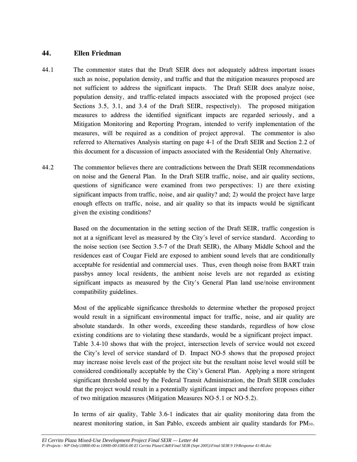### **44. Ellen Friedman**

- 44.1 The commentor states that the Draft SEIR does not adequately address important issues such as noise, population density, and traffic and that the mitigation measures proposed are not sufficient to address the significant impacts. The Draft SEIR does analyze noise, population density, and traffic-related impacts associated with the proposed project (see Sections 3.5, 3.1, and 3.4 of the Draft SEIR, respectively). The proposed mitigation measures to address the identified significant impacts are regarded seriously, and a Mitigation Monitoring and Reporting Program, intended to verify implementation of the measures, will be required as a condition of project approval. The commentor is also referred to Alternatives Analysis starting on page 4-1 of the Draft SEIR and Section 2.2 of this document for a discussion of impacts associated with the Residential Only Alternative.
- 44.2 The commentor believes there are contradictions between the Draft SEIR recommendations on noise and the General Plan. In the Draft SEIR traffic, noise, and air quality sections, questions of significance were examined from two perspectives: 1) are there existing significant impacts from traffic, noise, and air quality? and; 2) would the project have large enough effects on traffic, noise, and air quality so that its impacts would be significant given the existing conditions?

 Based on the documentation in the setting section of the Draft SEIR, traffic congestion is not at a significant level as measured by the City's level of service standard. According to the noise section (see Section 3.5-7 of the Draft SEIR), the Albany Middle School and the residences east of Cougar Field are exposed to ambient sound levels that are conditionally acceptable for residential and commercial uses. Thus, even though noise from BART train passbys annoy local residents, the ambient noise levels are not regarded as existing significant impacts as measured by the City's General Plan land use/noise environment compatibility guidelines.

 Most of the applicable significance thresholds to determine whether the proposed project would result in a significant environmental impact for traffic, noise, and air quality are absolute standards. In other words, exceeding these standards, regardless of how close existing conditions are to violating these standards, would be a significant project impact. Table 3.4-10 shows that with the project, intersection levels of service would not exceed the City's level of service standard of D. Impact NO-5 shows that the proposed project may increase noise levels east of the project site but the resultant noise level would still be considered conditionally acceptable by the City's General Plan. Applying a more stringent significant threshold used by the Federal Transit Administration, the Draft SEIR concludes that the project would result in a potentially significant impact and therefore proposes either of two mitigation measures (Mitigation Measures NO-5.1 or NO-5.2).

 In terms of air quality, Table 3.6-1 indicates that air quality monitoring data from the nearest monitoring station, in San Pablo, exceeds ambient air quality standards for PM10.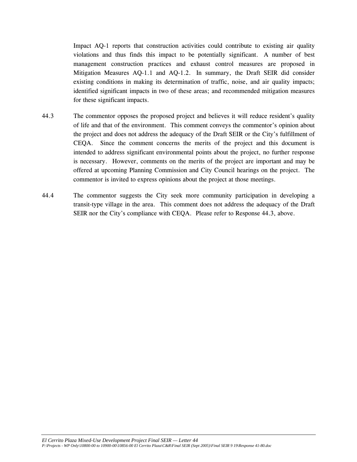Impact AQ-1 reports that construction activities could contribute to existing air quality violations and thus finds this impact to be potentially significant. A number of best management construction practices and exhaust control measures are proposed in Mitigation Measures AQ-1.1 and AQ-1.2. In summary, the Draft SEIR did consider existing conditions in making its determination of traffic, noise, and air quality impacts; identified significant impacts in two of these areas; and recommended mitigation measures for these significant impacts.

- 44.3 The commentor opposes the proposed project and believes it will reduce resident's quality of life and that of the environment. This comment conveys the commentor's opinion about the project and does not address the adequacy of the Draft SEIR or the City's fulfillment of CEQA. Since the comment concerns the merits of the project and this document is intended to address significant environmental points about the project, no further response is necessary. However, comments on the merits of the project are important and may be offered at upcoming Planning Commission and City Council hearings on the project. The commentor is invited to express opinions about the project at those meetings.
- 44.4 The commentor suggests the City seek more community participation in developing a transit-type village in the area. This comment does not address the adequacy of the Draft SEIR nor the City's compliance with CEQA. Please refer to Response 44.3, above.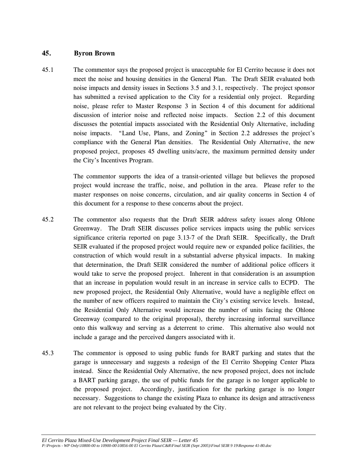### **45. Byron Brown**

45.1 The commentor says the proposed project is unacceptable for El Cerrito because it does not meet the noise and housing densities in the General Plan. The Draft SEIR evaluated both noise impacts and density issues in Sections 3.5 and 3.1, respectively. The project sponsor has submitted a revised application to the City for a residential only project. Regarding noise, please refer to Master Response 3 in Section 4 of this document for additional discussion of interior noise and reflected noise impacts. Section 2.2 of this document discusses the potential impacts associated with the Residential Only Alternative, including noise impacts. "Land Use, Plans, and Zoning" in Section 2.2 addresses the project's compliance with the General Plan densities. The Residential Only Alternative, the new proposed project, proposes 45 dwelling units/acre, the maximum permitted density under the City's Incentives Program.

> The commentor supports the idea of a transit-oriented village but believes the proposed project would increase the traffic, noise, and pollution in the area. Please refer to the master responses on noise concerns, circulation, and air quality concerns in Section 4 of this document for a response to these concerns about the project.

- 45.2 The commentor also requests that the Draft SEIR address safety issues along Ohlone Greenway. The Draft SEIR discusses police services impacts using the public services significance criteria reported on page 3.13-7 of the Draft SEIR. Specifically, the Draft SEIR evaluated if the proposed project would require new or expanded police facilities, the construction of which would result in a substantial adverse physical impacts. In making that determination, the Draft SEIR considered the number of additional police officers it would take to serve the proposed project. Inherent in that consideration is an assumption that an increase in population would result in an increase in service calls to ECPD. The new proposed project, the Residential Only Alternative, would have a negligible effect on the number of new officers required to maintain the City's existing service levels. Instead, the Residential Only Alternative would increase the number of units facing the Ohlone Greenway (compared to the original proposal), thereby increasing informal surveillance onto this walkway and serving as a deterrent to crime. This alternative also would not include a garage and the perceived dangers associated with it.
- 45.3 The commentor is opposed to using public funds for BART parking and states that the garage is unnecessary and suggests a redesign of the El Cerrito Shopping Center Plaza instead. Since the Residential Only Alternative, the new proposed project, does not include a BART parking garage, the use of public funds for the garage is no longer applicable to the proposed project. Accordingly, justification for the parking garage is no longer necessary. Suggestions to change the existing Plaza to enhance its design and attractiveness are not relevant to the project being evaluated by the City.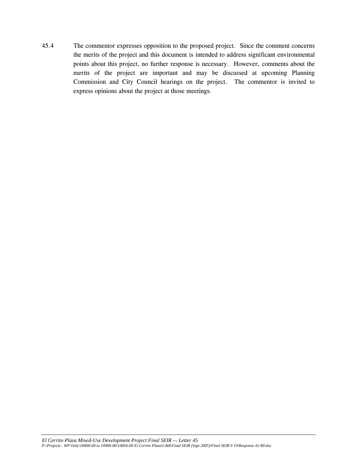45.4 The commentor expresses opposition to the proposed project. Since the comment concerns the merits of the project and this document is intended to address significant environmental points about this project, no further response is necessary. However, comments about the merits of the project are important and may be discussed at upcoming Planning Commission and City Council hearings on the project. The commentor is invited to express opinions about the project at those meetings.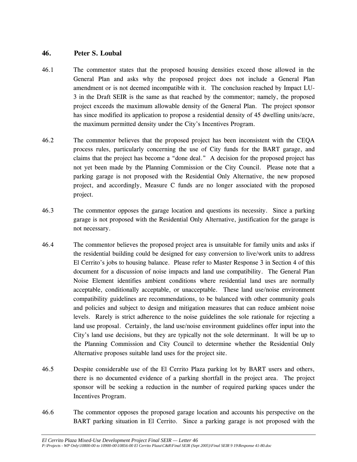## **46. Peter S. Loubal**

- 46.1 The commentor states that the proposed housing densities exceed those allowed in the General Plan and asks why the proposed project does not include a General Plan amendment or is not deemed incompatible with it. The conclusion reached by Impact LU-3 in the Draft SEIR is the same as that reached by the commentor; namely, the proposed project exceeds the maximum allowable density of the General Plan. The project sponsor has since modified its application to propose a residential density of 45 dwelling units/acre, the maximum permitted density under the City's Incentives Program.
- 46.2 The commentor believes that the proposed project has been inconsistent with the CEQA process rules, particularly concerning the use of City funds for the BART garage, and claims that the project has become a "done deal." A decision for the proposed project has not yet been made by the Planning Commission or the City Council. Please note that a parking garage is not proposed with the Residential Only Alternative, the new proposed project, and accordingly, Measure C funds are no longer associated with the proposed project.
- 46.3 The commentor opposes the garage location and questions its necessity. Since a parking garage is not proposed with the Residential Only Alternative, justification for the garage is not necessary.
- 46.4 The commentor believes the proposed project area is unsuitable for family units and asks if the residential building could be designed for easy conversion to live/work units to address El Cerrito's jobs to housing balance. Please refer to Master Response 3 in Section 4 of this document for a discussion of noise impacts and land use compatibility. The General Plan Noise Element identifies ambient conditions where residential land uses are normally acceptable, conditionally acceptable, or unacceptable. These land use/noise environment compatibility guidelines are recommendations, to be balanced with other community goals and policies and subject to design and mitigation measures that can reduce ambient noise levels. Rarely is strict adherence to the noise guidelines the sole rationale for rejecting a land use proposal. Certainly, the land use/noise environment guidelines offer input into the City's land use decisions, but they are typically not the sole determinant. It will be up to the Planning Commission and City Council to determine whether the Residential Only Alternative proposes suitable land uses for the project site.
- 46.5 Despite considerable use of the El Cerrito Plaza parking lot by BART users and others, there is no documented evidence of a parking shortfall in the project area. The project sponsor will be seeking a reduction in the number of required parking spaces under the Incentives Program.
- 46.6 The commentor opposes the proposed garage location and accounts his perspective on the BART parking situation in El Cerrito. Since a parking garage is not proposed with the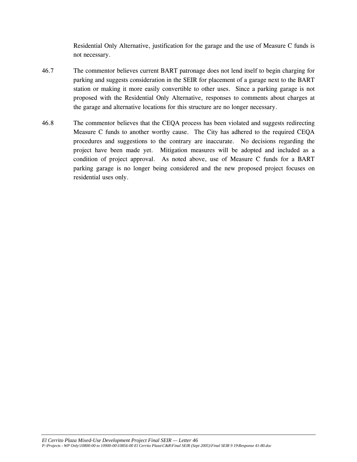Residential Only Alternative, justification for the garage and the use of Measure C funds is not necessary.

- 46.7 The commentor believes current BART patronage does not lend itself to begin charging for parking and suggests consideration in the SEIR for placement of a garage next to the BART station or making it more easily convertible to other uses. Since a parking garage is not proposed with the Residential Only Alternative, responses to comments about charges at the garage and alternative locations for this structure are no longer necessary.
- 46.8 The commentor believes that the CEQA process has been violated and suggests redirecting Measure C funds to another worthy cause. The City has adhered to the required CEQA procedures and suggestions to the contrary are inaccurate. No decisions regarding the project have been made yet. Mitigation measures will be adopted and included as a condition of project approval. As noted above, use of Measure C funds for a BART parking garage is no longer being considered and the new proposed project focuses on residential uses only.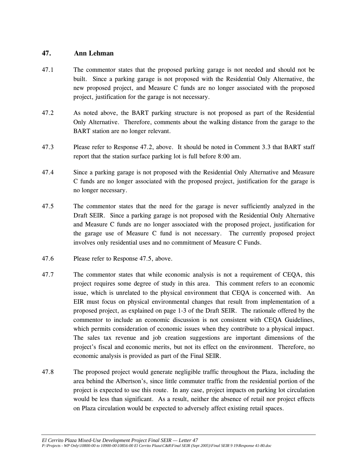### **47. Ann Lehman**

- 47.1 The commentor states that the proposed parking garage is not needed and should not be built. Since a parking garage is not proposed with the Residential Only Alternative, the new proposed project, and Measure C funds are no longer associated with the proposed project, justification for the garage is not necessary.
- 47.2 As noted above, the BART parking structure is not proposed as part of the Residential Only Alternative. Therefore, comments about the walking distance from the garage to the BART station are no longer relevant.
- 47.3 Please refer to Response 47.2, above. It should be noted in Comment 3.3 that BART staff report that the station surface parking lot is full before 8:00 am.
- 47.4 Since a parking garage is not proposed with the Residential Only Alternative and Measure C funds are no longer associated with the proposed project, justification for the garage is no longer necessary.
- 47.5 The commentor states that the need for the garage is never sufficiently analyzed in the Draft SEIR. Since a parking garage is not proposed with the Residential Only Alternative and Measure C funds are no longer associated with the proposed project, justification for the garage use of Measure C fund is not necessary. The currently proposed project involves only residential uses and no commitment of Measure C Funds.
- 47.6 Please refer to Response 47.5, above.
- 47.7 The commentor states that while economic analysis is not a requirement of CEQA, this project requires some degree of study in this area. This comment refers to an economic issue, which is unrelated to the physical environment that CEQA is concerned with. An EIR must focus on physical environmental changes that result from implementation of a proposed project, as explained on page 1-3 of the Draft SEIR. The rationale offered by the commentor to include an economic discussion is not consistent with CEQA Guidelines, which permits consideration of economic issues when they contribute to a physical impact. The sales tax revenue and job creation suggestions are important dimensions of the project's fiscal and economic merits, but not its effect on the environment. Therefore, no economic analysis is provided as part of the Final SEIR.
- 47.8 The proposed project would generate negligible traffic throughout the Plaza, including the area behind the Albertson's, since little commuter traffic from the residential portion of the project is expected to use this route. In any case, project impacts on parking lot circulation would be less than significant. As a result, neither the absence of retail nor project effects on Plaza circulation would be expected to adversely affect existing retail spaces.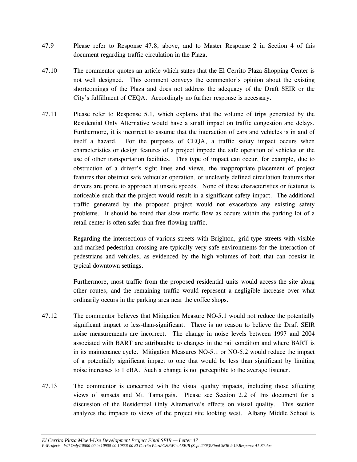- 47.9 Please refer to Response 47.8, above, and to Master Response 2 in Section 4 of this document regarding traffic circulation in the Plaza.
- 47.10 The commentor quotes an article which states that the El Cerrito Plaza Shopping Center is not well designed. This comment conveys the commentor's opinion about the existing shortcomings of the Plaza and does not address the adequacy of the Draft SEIR or the City's fulfillment of CEQA. Accordingly no further response is necessary.
- 47.11 Please refer to Response 5.1, which explains that the volume of trips generated by the Residential Only Alternative would have a small impact on traffic congestion and delays. Furthermore, it is incorrect to assume that the interaction of cars and vehicles is in and of itself a hazard. For the purposes of CEQA, a traffic safety impact occurs when characteristics or design features of a project impede the safe operation of vehicles or the use of other transportation facilities. This type of impact can occur, for example, due to obstruction of a driver's sight lines and views, the inappropriate placement of project features that obstruct safe vehicular operation, or unclearly defined circulation features that drivers are prone to approach at unsafe speeds. None of these characteristics or features is noticeable such that the project would result in a significant safety impact. The additional traffic generated by the proposed project would not exacerbate any existing safety problems. It should be noted that slow traffic flow as occurs within the parking lot of a retail center is often safer than free-flowing traffic.

 Regarding the intersections of various streets with Brighton, grid-type streets with visible and marked pedestrian crossing are typically very safe environments for the interaction of pedestrians and vehicles, as evidenced by the high volumes of both that can coexist in typical downtown settings.

 Furthermore, most traffic from the proposed residential units would access the site along other routes, and the remaining traffic would represent a negligible increase over what ordinarily occurs in the parking area near the coffee shops.

- 47.12 The commentor believes that Mitigation Measure NO-5.1 would not reduce the potentially significant impact to less-than-significant. There is no reason to believe the Draft SEIR noise measurements are incorrect. The change in noise levels between 1997 and 2004 associated with BART are attributable to changes in the rail condition and where BART is in its maintenance cycle. Mitigation Measures NO-5.1 or NO-5.2 would reduce the impact of a potentially significant impact to one that would be less than significant by limiting noise increases to 1 dBA. Such a change is not perceptible to the average listener.
- 47.13 The commentor is concerned with the visual quality impacts, including those affecting views of sunsets and Mt. Tamalpais. Please see Section 2.2 of this document for a discussion of the Residential Only Alternative's effects on visual quality. This section analyzes the impacts to views of the project site looking west. Albany Middle School is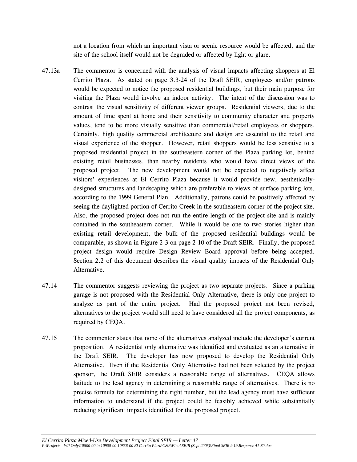not a location from which an important vista or scenic resource would be affected, and the site of the school itself would not be degraded or affected by light or glare.

- 47.13a The commentor is concerned with the analysis of visual impacts affecting shoppers at El Cerrito Plaza. As stated on page 3.3-24 of the Draft SEIR, employees and/or patrons would be expected to notice the proposed residential buildings, but their main purpose for visiting the Plaza would involve an indoor activity. The intent of the discussion was to contrast the visual sensitivity of different viewer groups. Residential viewers, due to the amount of time spent at home and their sensitivity to community character and property values, tend to be more visually sensitive than commercial/retail employees or shoppers. Certainly, high quality commercial architecture and design are essential to the retail and visual experience of the shopper. However, retail shoppers would be less sensitive to a proposed residential project in the southeastern corner of the Plaza parking lot, behind existing retail businesses, than nearby residents who would have direct views of the proposed project. The new development would not be expected to negatively affect visitors' experiences at El Cerrito Plaza because it would provide new, aestheticallydesigned structures and landscaping which are preferable to views of surface parking lots, according to the 1999 General Plan. Additionally, patrons could be positively affected by seeing the daylighted portion of Cerrito Creek in the southeastern corner of the project site. Also, the proposed project does not run the entire length of the project site and is mainly contained in the southeastern corner. While it would be one to two stories higher than existing retail development, the bulk of the proposed residential buildings would be comparable, as shown in Figure 2-3 on page 2-10 of the Draft SEIR. Finally, the proposed project design would require Design Review Board approval before being accepted. Section 2.2 of this document describes the visual quality impacts of the Residential Only Alternative.
- 47.14 The commentor suggests reviewing the project as two separate projects. Since a parking garage is not proposed with the Residential Only Alternative, there is only one project to analyze as part of the entire project. Had the proposed project not been revised, alternatives to the project would still need to have considered all the project components, as required by CEQA.
- 47.15 The commentor states that none of the alternatives analyzed include the developer's current proposition. A residential only alternative was identified and evaluated as an alternative in the Draft SEIR. The developer has now proposed to develop the Residential Only Alternative. Even if the Residential Only Alternative had not been selected by the project sponsor, the Draft SEIR considers a reasonable range of alternatives. CEQA allows latitude to the lead agency in determining a reasonable range of alternatives. There is no precise formula for determining the right number, but the lead agency must have sufficient information to understand if the project could be feasibly achieved while substantially reducing significant impacts identified for the proposed project.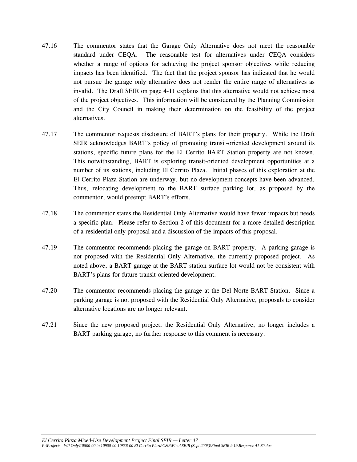- 47.16 The commentor states that the Garage Only Alternative does not meet the reasonable standard under CEQA. The reasonable test for alternatives under CEQA considers whether a range of options for achieving the project sponsor objectives while reducing impacts has been identified. The fact that the project sponsor has indicated that he would not pursue the garage only alternative does not render the entire range of alternatives as invalid. The Draft SEIR on page 4-11 explains that this alternative would not achieve most of the project objectives. This information will be considered by the Planning Commission and the City Council in making their determination on the feasibility of the project alternatives.
- 47.17 The commentor requests disclosure of BART's plans for their property. While the Draft SEIR acknowledges BART's policy of promoting transit-oriented development around its stations, specific future plans for the El Cerrito BART Station property are not known. This notwithstanding, BART is exploring transit-oriented development opportunities at a number of its stations, including El Cerrito Plaza. Initial phases of this exploration at the El Cerrito Plaza Station are underway, but no development concepts have been advanced. Thus, relocating development to the BART surface parking lot, as proposed by the commentor, would preempt BART's efforts.
- 47.18 The commentor states the Residential Only Alternative would have fewer impacts but needs a specific plan. Please refer to Section 2 of this document for a more detailed description of a residential only proposal and a discussion of the impacts of this proposal.
- 47.19 The commentor recommends placing the garage on BART property. A parking garage is not proposed with the Residential Only Alternative, the currently proposed project. As noted above, a BART garage at the BART station surface lot would not be consistent with BART's plans for future transit-oriented development.
- 47.20 The commentor recommends placing the garage at the Del Norte BART Station. Since a parking garage is not proposed with the Residential Only Alternative, proposals to consider alternative locations are no longer relevant.
- 47.21 Since the new proposed project, the Residential Only Alternative, no longer includes a BART parking garage, no further response to this comment is necessary.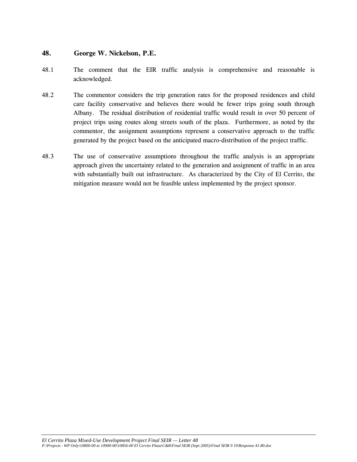### **48. George W. Nickelson, P.E.**

- 48.1 The comment that the EIR traffic analysis is comprehensive and reasonable is acknowledged.
- 48.2 The commentor considers the trip generation rates for the proposed residences and child care facility conservative and believes there would be fewer trips going south through Albany. The residual distribution of residential traffic would result in over 50 percent of project trips using routes along streets south of the plaza. Furthermore, as noted by the commentor, the assignment assumptions represent a conservative approach to the traffic generated by the project based on the anticipated macro-distribution of the project traffic.
- 48.3 The use of conservative assumptions throughout the traffic analysis is an appropriate approach given the uncertainty related to the generation and assignment of traffic in an area with substantially built out infrastructure. As characterized by the City of El Cerrito, the mitigation measure would not be feasible unless implemented by the project sponsor.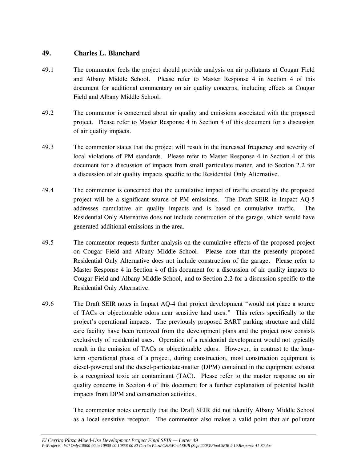## **49. Charles L. Blanchard**

- 49.1 The commentor feels the project should provide analysis on air pollutants at Cougar Field and Albany Middle School. Please refer to Master Response 4 in Section 4 of this document for additional commentary on air quality concerns, including effects at Cougar Field and Albany Middle School.
- 49.2 The commentor is concerned about air quality and emissions associated with the proposed project. Please refer to Master Response 4 in Section 4 of this document for a discussion of air quality impacts.
- 49.3 The commentor states that the project will result in the increased frequency and severity of local violations of PM standards. Please refer to Master Response 4 in Section 4 of this document for a discussion of impacts from small particulate matter, and to Section 2.2 for a discussion of air quality impacts specific to the Residential Only Alternative.
- 49.4 The commentor is concerned that the cumulative impact of traffic created by the proposed project will be a significant source of PM emissions. The Draft SEIR in Impact AQ-5 addresses cumulative air quality impacts and is based on cumulative traffic. The Residential Only Alternative does not include construction of the garage, which would have generated additional emissions in the area.
- 49.5 The commentor requests further analysis on the cumulative effects of the proposed project on Cougar Field and Albany Middle School. Please note that the presently proposed Residential Only Alternative does not include construction of the garage. Please refer to Master Response 4 in Section 4 of this document for a discussion of air quality impacts to Cougar Field and Albany Middle School, and to Section 2.2 for a discussion specific to the Residential Only Alternative.
- 49.6 The Draft SEIR notes in Impact AQ-4 that project development "would not place a source of TACs or objectionable odors near sensitive land uses." This refers specifically to the project's operational impacts. The previously proposed BART parking structure and child care facility have been removed from the development plans and the project now consists exclusively of residential uses. Operation of a residential development would not typically result in the emission of TACs or objectionable odors. However, in contrast to the longterm operational phase of a project, during construction, most construction equipment is diesel-powered and the diesel-particulate-matter (DPM) contained in the equipment exhaust is a recognized toxic air contaminant (TAC). Please refer to the master response on air quality concerns in Section 4 of this document for a further explanation of potential health impacts from DPM and construction activities.

 The commentor notes correctly that the Draft SEIR did not identify Albany Middle School as a local sensitive receptor. The commentor also makes a valid point that air pollutant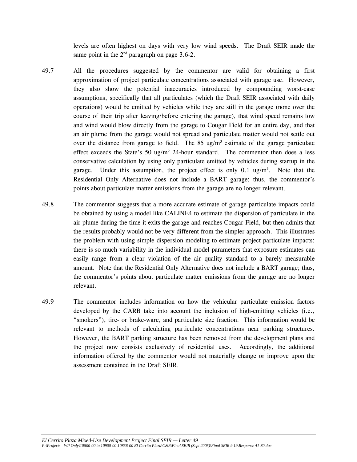levels are often highest on days with very low wind speeds. The Draft SEIR made the same point in the  $2<sup>nd</sup>$  paragraph on page 3.6-2.

- 49.7 All the procedures suggested by the commentor are valid for obtaining a first approximation of project particulate concentrations associated with garage use. However, they also show the potential inaccuracies introduced by compounding worst-case assumptions, specifically that all particulates (which the Draft SEIR associated with daily operations) would be emitted by vehicles while they are still in the garage (none over the course of their trip after leaving/before entering the garage), that wind speed remains low and wind would blow directly from the garage to Cougar Field for an entire day, and that an air plume from the garage would not spread and particulate matter would not settle out over the distance from garage to field. The  $85 \text{ ug/m}^3$  estimate of the garage particulate effect exceeds the State's  $50 \text{ ug/m}^3$  24-hour standard. The commentor then does a less conservative calculation by using only particulate emitted by vehicles during startup in the garage. Under this assumption, the project effect is only  $0.1 \text{ ug/m}^3$ . Note that the Residential Only Alternative does not include a BART garage; thus, the commentor's points about particulate matter emissions from the garage are no longer relevant.
- 49.8 The commentor suggests that a more accurate estimate of garage particulate impacts could be obtained by using a model like CALINE4 to estimate the dispersion of particulate in the air plume during the time it exits the garage and reaches Cougar Field, but then admits that the results probably would not be very different from the simpler approach. This illustrates the problem with using simple dispersion modeling to estimate project particulate impacts: there is so much variability in the individual model parameters that exposure estimates can easily range from a clear violation of the air quality standard to a barely measurable amount. Note that the Residential Only Alternative does not include a BART garage; thus, the commentor's points about particulate matter emissions from the garage are no longer relevant.
- 49.9 The commentor includes information on how the vehicular particulate emission factors developed by the CARB take into account the inclusion of high-emitting vehicles (i.e., "smokers"), tire- or brake-ware, and particulate size fraction. This information would be relevant to methods of calculating particulate concentrations near parking structures. However, the BART parking structure has been removed from the development plans and the project now consists exclusively of residential uses. Accordingly, the additional information offered by the commentor would not materially change or improve upon the assessment contained in the Draft SEIR.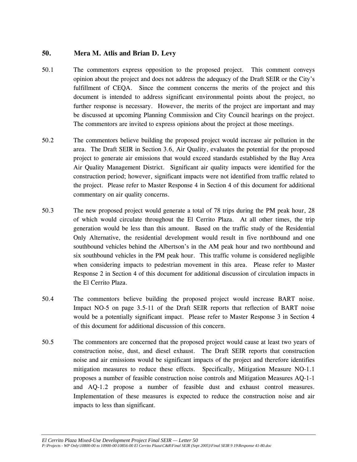## **50. Mera M. Atlis and Brian D. Levy**

- 50.1 The commentors express opposition to the proposed project. This comment conveys opinion about the project and does not address the adequacy of the Draft SEIR or the City's fulfillment of CEQA. Since the comment concerns the merits of the project and this document is intended to address significant environmental points about the project, no further response is necessary. However, the merits of the project are important and may be discussed at upcoming Planning Commission and City Council hearings on the project. The commentors are invited to express opinions about the project at those meetings.
- 50.2 The commentors believe building the proposed project would increase air pollution in the area. The Draft SEIR in Section 3.6, Air Quality, evaluates the potential for the proposed project to generate air emissions that would exceed standards established by the Bay Area Air Quality Management District. Significant air quality impacts were identified for the construction period; however, significant impacts were not identified from traffic related to the project. Please refer to Master Response 4 in Section 4 of this document for additional commentary on air quality concerns.
- 50.3 The new proposed project would generate a total of 78 trips during the PM peak hour, 28 of which would circulate throughout the El Cerrito Plaza. At all other times, the trip generation would be less than this amount. Based on the traffic study of the Residential Only Alternative, the residential development would result in five northbound and one southbound vehicles behind the Albertson's in the AM peak hour and two northbound and six southbound vehicles in the PM peak hour. This traffic volume is considered negligible when considering impacts to pedestrian movement in this area. Please refer to Master Response 2 in Section 4 of this document for additional discussion of circulation impacts in the El Cerrito Plaza.
- 50.4 The commentors believe building the proposed project would increase BART noise. Impact NO-5 on page 3.5-11 of the Draft SEIR reports that reflection of BART noise would be a potentially significant impact. Please refer to Master Response 3 in Section 4 of this document for additional discussion of this concern.
- 50.5 The commentors are concerned that the proposed project would cause at least two years of construction noise, dust, and diesel exhaust. The Draft SEIR reports that construction noise and air emissions would be significant impacts of the project and therefore identifies mitigation measures to reduce these effects. Specifically, Mitigation Measure NO-1.1 proposes a number of feasible construction noise controls and Mitigation Measures AQ-1-1 and AQ-1.2 propose a number of feasible dust and exhaust control measures. Implementation of these measures is expected to reduce the construction noise and air impacts to less than significant.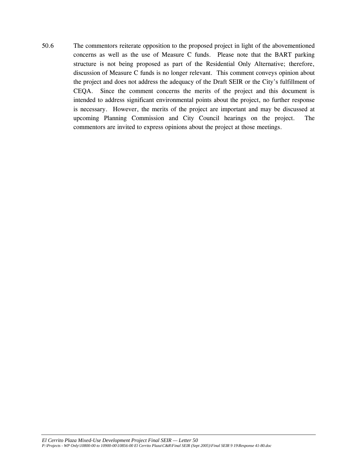50.6 The commentors reiterate opposition to the proposed project in light of the abovementioned concerns as well as the use of Measure C funds.Please note that the BART parking structure is not being proposed as part of the Residential Only Alternative; therefore, discussion of Measure C funds is no longer relevant. This comment conveys opinion about the project and does not address the adequacy of the Draft SEIR or the City's fulfillment of CEQA. Since the comment concerns the merits of the project and this document is intended to address significant environmental points about the project, no further response is necessary. However, the merits of the project are important and may be discussed at upcoming Planning Commission and City Council hearings on the project. The commentors are invited to express opinions about the project at those meetings.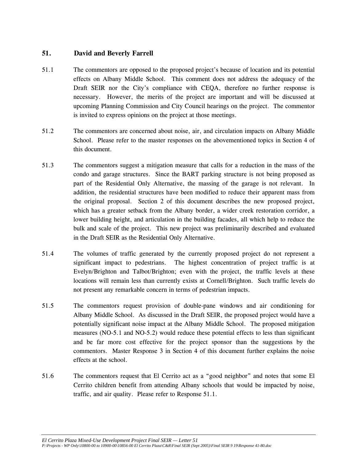# **51. David and Beverly Farrell**

- 51.1 The commentors are opposed to the proposed project's because of location and its potential effects on Albany Middle School. This comment does not address the adequacy of the Draft SEIR nor the City's compliance with CEQA, therefore no further response is necessary. However, the merits of the project are important and will be discussed at upcoming Planning Commission and City Council hearings on the project. The commentor is invited to express opinions on the project at those meetings.
- 51.2 The commentors are concerned about noise, air, and circulation impacts on Albany Middle School. Please refer to the master responses on the abovementioned topics in Section 4 of this document.
- 51.3 The commentors suggest a mitigation measure that calls for a reduction in the mass of the condo and garage structures. Since the BART parking structure is not being proposed as part of the Residential Only Alternative, the massing of the garage is not relevant. In addition, the residential structures have been modified to reduce their apparent mass from the original proposal. Section 2 of this document describes the new proposed project, which has a greater setback from the Albany border, a wider creek restoration corridor, a lower building height, and articulation in the building facades, all which help to reduce the bulk and scale of the project. This new project was preliminarily described and evaluated in the Draft SEIR as the Residential Only Alternative.
- 51.4 The volumes of traffic generated by the currently proposed project do not represent a significant impact to pedestrians. The highest concentration of project traffic is at Evelyn/Brighton and Talbot/Brighton; even with the project, the traffic levels at these locations will remain less than currently exists at Cornell/Brighton. Such traffic levels do not present any remarkable concern in terms of pedestrian impacts.
- 51.5 The commentors request provision of double-pane windows and air conditioning for Albany Middle School. As discussed in the Draft SEIR, the proposed project would have a potentially significant noise impact at the Albany Middle School. The proposed mitigation measures (NO-5.1 and NO-5.2) would reduce these potential effects to less than significant and be far more cost effective for the project sponsor than the suggestions by the commentors. Master Response 3 in Section 4 of this document further explains the noise effects at the school.
- 51.6 The commentors request that El Cerrito act as a "good neighbor" and notes that some El Cerrito children benefit from attending Albany schools that would be impacted by noise, traffic, and air quality. Please refer to Response 51.1.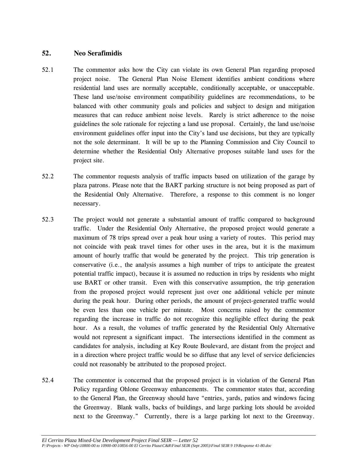## **52. Neo Serafimidis**

- 52.1 The commentor asks how the City can violate its own General Plan regarding proposed project noise. The General Plan Noise Element identifies ambient conditions where residential land uses are normally acceptable, conditionally acceptable, or unacceptable. These land use/noise environment compatibility guidelines are recommendations, to be balanced with other community goals and policies and subject to design and mitigation measures that can reduce ambient noise levels. Rarely is strict adherence to the noise guidelines the sole rationale for rejecting a land use proposal. Certainly, the land use/noise environment guidelines offer input into the City's land use decisions, but they are typically not the sole determinant. It will be up to the Planning Commission and City Council to determine whether the Residential Only Alternative proposes suitable land uses for the project site.
- 52.2 The commentor requests analysis of traffic impacts based on utilization of the garage by plaza patrons. Please note that the BART parking structure is not being proposed as part of the Residential Only Alternative. Therefore, a response to this comment is no longer necessary.
- 52.3 The project would not generate a substantial amount of traffic compared to background traffic. Under the Residential Only Alternative, the proposed project would generate a maximum of 78 trips spread over a peak hour using a variety of routes. This period may not coincide with peak travel times for other uses in the area, but it is the maximum amount of hourly traffic that would be generated by the project. This trip generation is conservative (i.e., the analysis assumes a high number of trips to anticipate the greatest potential traffic impact), because it is assumed no reduction in trips by residents who might use BART or other transit. Even with this conservative assumption, the trip generation from the proposed project would represent just over one additional vehicle per minute during the peak hour. During other periods, the amount of project-generated traffic would be even less than one vehicle per minute. Most concerns raised by the commentor regarding the increase in traffic do not recognize this negligible effect during the peak hour. As a result, the volumes of traffic generated by the Residential Only Alternative would not represent a significant impact. The intersections identified in the comment as candidates for analysis, including at Key Route Boulevard, are distant from the project and in a direction where project traffic would be so diffuse that any level of service deficiencies could not reasonably be attributed to the proposed project.
- 52.4 The commentor is concerned that the proposed project is in violation of the General Plan Policy regarding Ohlone Greenway enhancements. The commentor states that, according to the General Plan, the Greenway should have "entries, yards, patios and windows facing the Greenway. Blank walls, backs of buildings, and large parking lots should be avoided next to the Greenway." Currently, there is a large parking lot next to the Greenway.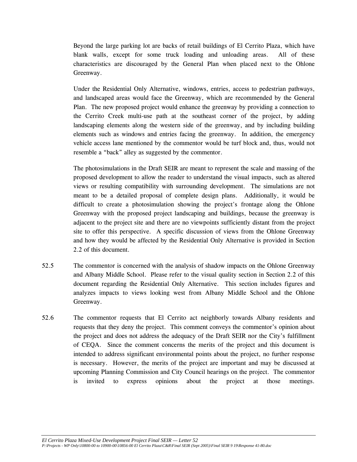Beyond the large parking lot are backs of retail buildings of El Cerrito Plaza, which have blank walls, except for some truck loading and unloading areas. All of these characteristics are discouraged by the General Plan when placed next to the Ohlone Greenway.

Under the Residential Only Alternative, windows, entries, access to pedestrian pathways, and landscaped areas would face the Greenway, which are recommended by the General Plan. The new proposed project would enhance the greenway by providing a connection to the Cerrito Creek multi-use path at the southeast corner of the project, by adding landscaping elements along the western side of the greenway, and by including building elements such as windows and entries facing the greenway. In addition, the emergency vehicle access lane mentioned by the commentor would be turf block and, thus, would not resemble a "back" alley as suggested by the commentor.

The photosimulations in the Draft SEIR are meant to represent the scale and massing of the proposed development to allow the reader to understand the visual impacts, such as altered views or resulting compatibility with surrounding development. The simulations are not meant to be a detailed proposal of complete design plans. Additionally, it would be difficult to create a photosimulation showing the project's frontage along the Ohlone Greenway with the proposed project landscaping and buildings, because the greenway is adjacent to the project site and there are no viewpoints sufficiently distant from the project site to offer this perspective. A specific discussion of views from the Ohlone Greenway and how they would be affected by the Residential Only Alternative is provided in Section 2.2 of this document.

- 52.5 The commentor is concerned with the analysis of shadow impacts on the Ohlone Greenway and Albany Middle School. Please refer to the visual quality section in Section 2.2 of this document regarding the Residential Only Alternative. This section includes figures and analyzes impacts to views looking west from Albany Middle School and the Ohlone Greenway.
- 52.6 The commentor requests that El Cerrito act neighborly towards Albany residents and requests that they deny the project. This comment conveys the commentor's opinion about the project and does not address the adequacy of the Draft SEIR nor the City's fulfillment of CEQA. Since the comment concerns the merits of the project and this document is intended to address significant environmental points about the project, no further response is necessary. However, the merits of the project are important and may be discussed at upcoming Planning Commission and City Council hearings on the project. The commentor is invited to express opinions about the project at those meetings.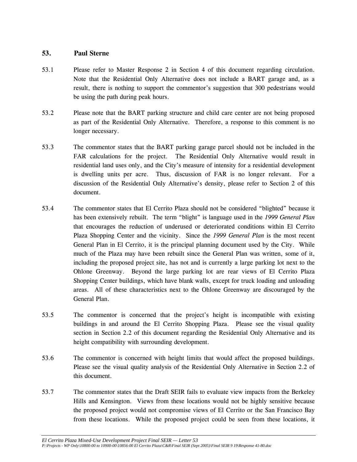## **53. Paul Sterne**

- 53.1 Please refer to Master Response 2 in Section 4 of this document regarding circulation. Note that the Residential Only Alternative does not include a BART garage and, as a result, there is nothing to support the commentor's suggestion that 300 pedestrians would be using the path during peak hours.
- 53.2 Please note that the BART parking structure and child care center are not being proposed as part of the Residential Only Alternative. Therefore, a response to this comment is no longer necessary.
- 53.3 The commentor states that the BART parking garage parcel should not be included in the FAR calculations for the project. The Residential Only Alternative would result in residential land uses only, and the City's measure of intensity for a residential development is dwelling units per acre. Thus, discussion of FAR is no longer relevant. For a discussion of the Residential Only Alternative's density, please refer to Section 2 of this document.
- 53.4 The commentor states that El Cerrito Plaza should not be considered "blighted" because it has been extensively rebuilt. The term "blight" is language used in the *1999 General Plan*  that encourages the reduction of underused or deteriorated conditions within El Cerrito Plaza Shopping Center and the vicinity. Since the *1999 General Plan* is the most recent General Plan in El Cerrito, it is the principal planning document used by the City. While much of the Plaza may have been rebuilt since the General Plan was written, some of it, including the proposed project site, has not and is currently a large parking lot next to the Ohlone Greenway. Beyond the large parking lot are rear views of El Cerrito Plaza Shopping Center buildings, which have blank walls, except for truck loading and unloading areas. All of these characteristics next to the Ohlone Greenway are discouraged by the General Plan.
- 53.5 The commentor is concerned that the project's height is incompatible with existing buildings in and around the El Cerrito Shopping Plaza. Please see the visual quality section in Section 2.2 of this document regarding the Residential Only Alternative and its height compatibility with surrounding development.
- 53.6 The commentor is concerned with height limits that would affect the proposed buildings. Please see the visual quality analysis of the Residential Only Alternative in Section 2.2 of this document.
- 53.7 The commentor states that the Draft SEIR fails to evaluate view impacts from the Berkeley Hills and Kensington. Views from these locations would not be highly sensitive because the proposed project would not compromise views of El Cerrito or the San Francisco Bay from these locations. While the proposed project could be seen from these locations, it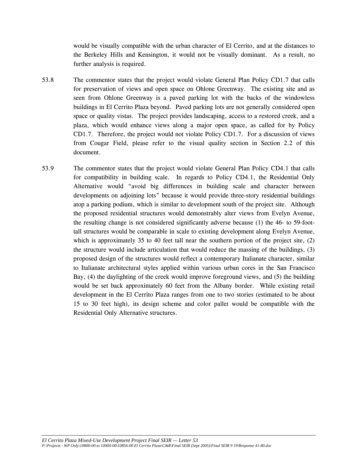would be visually compatible with the urban character of El Cerrito, and at the distances to the Berkeley Hills and Kensington, it would not be visually dominant. As a result, no further analysis is required.

- 53.8 The commentor states that the project would violate General Plan Policy CD1.7 that calls for preservation of views and open space on Ohlone Greenway. The existing site and as seen from Ohlone Greenway is a paved parking lot with the backs of the windowless buildings in El Cerrito Plaza beyond. Paved parking lots are not generally considered open space or quality vistas. The project provides landscaping, access to a restored creek, and a plaza, which would enhance views along a major open space, as called for by Policy CD1.7. Therefore, the project would not violate Policy CD1.7. For a discussion of views from Cougar Field, please refer to the visual quality section in Section 2.2 of this document.
- 53.9 The commentor states that the project would violate General Plan Policy CD4.1 that calls for compatibility in building scale. In regards to Policy CD4.1, the Residential Only Alternative would "avoid big differences in building scale and character between developments on adjoining lots" because it would provide three-story residential buildings atop a parking podium, which is similar to development south of the project site. Although the proposed residential structures would demonstrably alter views from Evelyn Avenue, the resulting change is not considered significantly adverse because (1) the 46- to 59-foottall structures would be comparable in scale to existing development along Evelyn Avenue, which is approximately 35 to 40 feet tall near the southern portion of the project site, (2) the structure would include articulation that would reduce the massing of the buildings, (3) proposed design of the structures would reflect a contemporary Italianate character, similar to Italianate architectural styles applied within various urban cores in the San Francisco Bay, (4) the daylighting of the creek would improve foreground views, and (5) the building would be set back approximately 60 feet from the Albany border. While existing retail development in the El Cerrito Plaza ranges from one to two stories (estimated to be about 15 to 30 feet high), its design scheme and color pallet would be compatible with the Residential Only Alternative structures.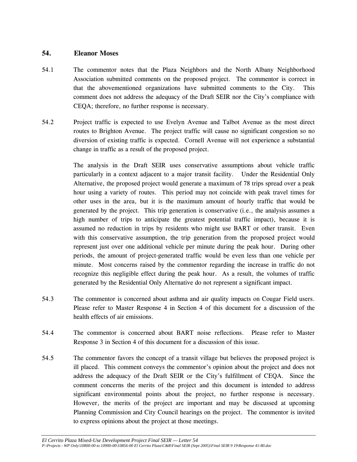#### **54. Eleanor Moses**

- 54.1 The commentor notes that the Plaza Neighbors and the North Albany Neighborhood Association submitted comments on the proposed project. The commentor is correct in that the abovementioned organizations have submitted comments to the City. This comment does not address the adequacy of the Draft SEIR nor the City's compliance with CEQA; therefore, no further response is necessary.
- 54.2 Project traffic is expected to use Evelyn Avenue and Talbot Avenue as the most direct routes to Brighton Avenue. The project traffic will cause no significant congestion so no diversion of existing traffic is expected. Cornell Avenue will not experience a substantial change in traffic as a result of the proposed project.

 The analysis in the Draft SEIR uses conservative assumptions about vehicle traffic particularly in a context adjacent to a major transit facility. Under the Residential Only Alternative, the proposed project would generate a maximum of 78 trips spread over a peak hour using a variety of routes. This period may not coincide with peak travel times for other uses in the area, but it is the maximum amount of hourly traffic that would be generated by the project. This trip generation is conservative (i.e., the analysis assumes a high number of trips to anticipate the greatest potential traffic impact), because it is assumed no reduction in trips by residents who might use BART or other transit. Even with this conservative assumption, the trip generation from the proposed project would represent just over one additional vehicle per minute during the peak hour. During other periods, the amount of project-generated traffic would be even less than one vehicle per minute. Most concerns raised by the commentor regarding the increase in traffic do not recognize this negligible effect during the peak hour. As a result, the volumes of traffic generated by the Residential Only Alternative do not represent a significant impact.

- 54.3 The commentor is concerned about asthma and air quality impacts on Cougar Field users. Please refer to Master Response 4 in Section 4 of this document for a discussion of the health effects of air emissions.
- 54.4 The commentor is concerned about BART noise reflections. Please refer to Master Response 3 in Section 4 of this document for a discussion of this issue.
- 54.5 The commentor favors the concept of a transit village but believes the proposed project is ill placed. This comment conveys the commentor's opinion about the project and does not address the adequacy of the Draft SEIR or the City's fulfillment of CEQA. Since the comment concerns the merits of the project and this document is intended to address significant environmental points about the project, no further response is necessary. However, the merits of the project are important and may be discussed at upcoming Planning Commission and City Council hearings on the project. The commentor is invited to express opinions about the project at those meetings.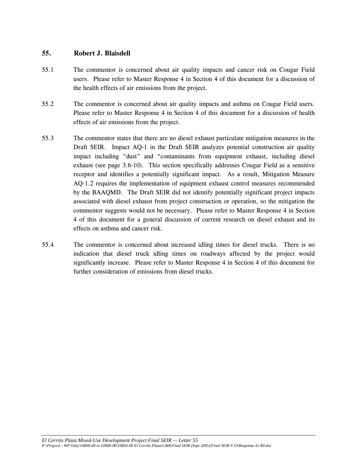## **55. Robert J. Blaisdell**

- 55.1 The commentor is concerned about air quality impacts and cancer risk on Cougar Field users. Please refer to Master Response 4 in Section 4 of this document for a discussion of the health effects of air emissions from the project.
- 55.2 The commentor is concerned about air quality impacts and asthma on Cougar Field users. Please refer to Master Response 4 in Section 4 of this document for a discussion of health effects of air emissions from the project.
- 55.3 The commentor states that there are no diesel exhaust particulate mitigation measures in the Draft SEIR. Impact AQ-1 in the Draft SEIR analyzes potential construction air quality impact including "dust" and "contaminants from equipment exhaust, including diesel exhaust (see page 3.6-10). This section specifically addresses Cougar Field as a sensitive receptor and identifies a potentially significant impact. As a result, Mitigation Measure AQ-1.2 requires the implementation of equipment exhaust control measures recommended by the BAAQMD. The Draft SEIR did not identify potentially significant project impacts associated with diesel exhaust from project construction or operation, so the mitigation the commentor suggests would not be necessary. Please refer to Master Response 4 in Section 4 of this document for a general discussion of current research on diesel exhaust and its effects on asthma and cancer risk.
- 55.4 The commentor is concerned about increased idling times for diesel trucks. There is no indication that diesel truck idling times on roadways affected by the project would significantly increase. Please refer to Master Response 4 in Section 4 of this document for further consideration of emissions from diesel trucks.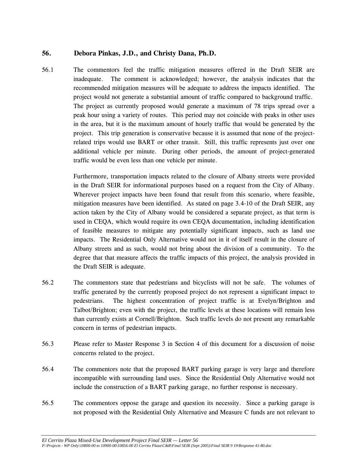# **56. Debora Pinkas, J.D., and Christy Dana, Ph.D.**

56.1 The commentors feel the traffic mitigation measures offered in the Draft SEIR are inadequate. The comment is acknowledged; however, the analysis indicates that the recommended mitigation measures will be adequate to address the impacts identified. The project would not generate a substantial amount of traffic compared to background traffic. The project as currently proposed would generate a maximum of 78 trips spread over a peak hour using a variety of routes. This period may not coincide with peaks in other uses in the area, but it is the maximum amount of hourly traffic that would be generated by the project. This trip generation is conservative because it is assumed that none of the projectrelated trips would use BART or other transit. Still, this traffic represents just over one additional vehicle per minute. During other periods, the amount of project-generated traffic would be even less than one vehicle per minute.

> Furthermore, transportation impacts related to the closure of Albany streets were provided in the Draft SEIR for informational purposes based on a request from the City of Albany. Wherever project impacts have been found that result from this scenario, where feasible, mitigation measures have been identified. As stated on page 3.4-10 of the Draft SEIR, any action taken by the City of Albany would be considered a separate project, as that term is used in CEQA, which would require its own CEQA documentation, including identification of feasible measures to mitigate any potentially significant impacts, such as land use impacts. The Residential Only Alternative would not in it of itself result in the closure of Albany streets and as such, would not bring about the division of a community. To the degree that that measure affects the traffic impacts of this project, the analysis provided in the Draft SEIR is adequate.

- 56.2 The commentors state that pedestrians and bicyclists will not be safe. The volumes of traffic generated by the currently proposed project do not represent a significant impact to pedestrians. The highest concentration of project traffic is at Evelyn/Brighton and Talbot/Brighton; even with the project, the traffic levels at these locations will remain less than currently exists at Cornell/Brighton. Such traffic levels do not present any remarkable concern in terms of pedestrian impacts.
- 56.3 Please refer to Master Response 3 in Section 4 of this document for a discussion of noise concerns related to the project.
- 56.4 The commentors note that the proposed BART parking garage is very large and therefore incompatible with surrounding land uses. Since the Residential Only Alternative would not include the construction of a BART parking garage, no further response is necessary.
- 56.5 The commentors oppose the garage and question its necessity. Since a parking garage is not proposed with the Residential Only Alternative and Measure C funds are not relevant to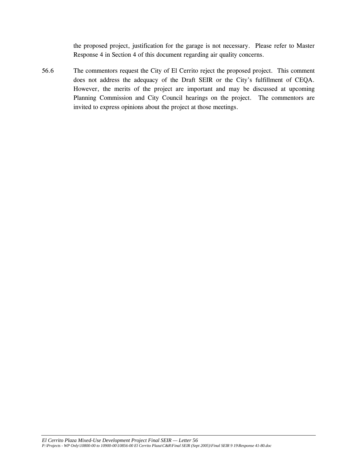the proposed project, justification for the garage is not necessary. Please refer to Master Response 4 in Section 4 of this document regarding air quality concerns.

56.6 The commentors request the City of El Cerrito reject the proposed project. This comment does not address the adequacy of the Draft SEIR or the City's fulfillment of CEQA. However, the merits of the project are important and may be discussed at upcoming Planning Commission and City Council hearings on the project. The commentors are invited to express opinions about the project at those meetings.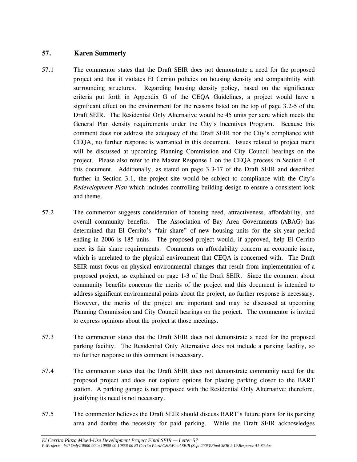# **57. Karen Summerly**

- 57.1 The commentor states that the Draft SEIR does not demonstrate a need for the proposed project and that it violates El Cerrito policies on housing density and compatibility with surrounding structures. Regarding housing density policy, based on the significance criteria put forth in Appendix G of the CEQA Guidelines, a project would have a significant effect on the environment for the reasons listed on the top of page 3.2-5 of the Draft SEIR. The Residential Only Alternative would be 45 units per acre which meets the General Plan density requirements under the City's Incentives Program. Because this comment does not address the adequacy of the Draft SEIR nor the City's compliance with CEQA, no further response is warranted in this document. Issues related to project merit will be discussed at upcoming Planning Commission and City Council hearings on the project. Please also refer to the Master Response 1 on the CEQA process in Section 4 of this document. Additionally, as stated on page 3.3-17 of the Draft SEIR and described further in Section 3.1, the project site would be subject to compliance with the City's *Redevelopment Plan* which includes controlling building design to ensure a consistent look and theme.
- 57.2 The commentor suggests consideration of housing need, attractiveness, affordability, and overall community benefits. The Association of Bay Area Governments (ABAG) has determined that El Cerrito's "fair share" of new housing units for the six-year period ending in 2006 is 185 units. The proposed project would, if approved, help El Cerrito meet its fair share requirements. Comments on affordability concern an economic issue, which is unrelated to the physical environment that CEQA is concerned with. The Draft SEIR must focus on physical environmental changes that result from implementation of a proposed project, as explained on page 1-3 of the Draft SEIR. Since the comment about community benefits concerns the merits of the project and this document is intended to address significant environmental points about the project, no further response is necessary. However, the merits of the project are important and may be discussed at upcoming Planning Commission and City Council hearings on the project. The commentor is invited to express opinions about the project at those meetings.
- 57.3 The commentor states that the Draft SEIR does not demonstrate a need for the proposed parking facility. The Residential Only Alternative does not include a parking facility, so no further response to this comment is necessary.
- 57.4 The commentor states that the Draft SEIR does not demonstrate community need for the proposed project and does not explore options for placing parking closer to the BART station. A parking garage is not proposed with the Residential Only Alternative; therefore, justifying its need is not necessary.
- 57.5 The commentor believes the Draft SEIR should discuss BART's future plans for its parking area and doubts the necessity for paid parking. While the Draft SEIR acknowledges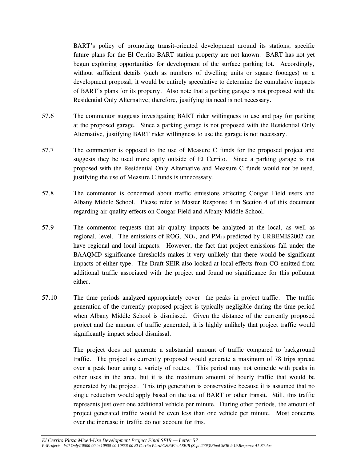BART's policy of promoting transit-oriented development around its stations, specific future plans for the El Cerrito BART station property are not known. BART has not yet begun exploring opportunities for development of the surface parking lot. Accordingly, without sufficient details (such as numbers of dwelling units or square footages) or a development proposal, it would be entirely speculative to determine the cumulative impacts of BART's plans for its property. Also note that a parking garage is not proposed with the Residential Only Alternative; therefore, justifying its need is not necessary.

- 57.6 The commentor suggests investigating BART rider willingness to use and pay for parking at the proposed garage. Since a parking garage is not proposed with the Residential Only Alternative, justifying BART rider willingness to use the garage is not necessary.
- 57.7 The commentor is opposed to the use of Measure C funds for the proposed project and suggests they be used more aptly outside of El Cerrito. Since a parking garage is not proposed with the Residential Only Alternative and Measure C funds would not be used, justifying the use of Measure C funds is unnecessary.
- 57.8 The commentor is concerned about traffic emissions affecting Cougar Field users and Albany Middle School. Please refer to Master Response 4 in Section 4 of this document regarding air quality effects on Cougar Field and Albany Middle School.
- 57.9 The commentor requests that air quality impacts be analyzed at the local, as well as regional, level. The emissions of ROG, NO<sub>x</sub>, and PM<sub>10</sub> predicted by URBEMIS2002 can have regional and local impacts. However, the fact that project emissions fall under the BAAQMD significance thresholds makes it very unlikely that there would be significant impacts of either type. The Draft SEIR also looked at local effects from CO emitted from additional traffic associated with the project and found no significance for this pollutant either.
- 57.10 The time periods analyzed appropriately cover the peaks in project traffic. The traffic generation of the currently proposed project is typically negligible during the time period when Albany Middle School is dismissed. Given the distance of the currently proposed project and the amount of traffic generated, it is highly unlikely that project traffic would significantly impact school dismissal.

The project does not generate a substantial amount of traffic compared to background traffic. The project as currently proposed would generate a maximum of 78 trips spread over a peak hour using a variety of routes. This period may not coincide with peaks in other uses in the area, but it is the maximum amount of hourly traffic that would be generated by the project. This trip generation is conservative because it is assumed that no single reduction would apply based on the use of BART or other transit. Still, this traffic represents just over one additional vehicle per minute. During other periods, the amount of project generated traffic would be even less than one vehicle per minute. Most concerns over the increase in traffic do not account for this.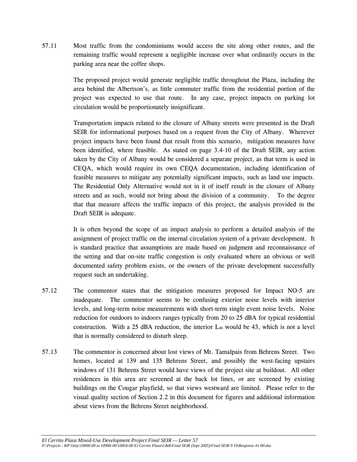57.11 Most traffic from the condominiums would access the site along other routes, and the remaining traffic would represent a negligible increase over what ordinarily occurs in the parking area near the coffee shops.

> The proposed project would generate negligible traffic throughout the Plaza, including the area behind the Albertson's, as little commuter traffic from the residential portion of the project was expected to use that route. In any case, project impacts on parking lot circulation would be proportionately insignificant.

> Transportation impacts related to the closure of Albany streets were presented in the Draft SEIR for informational purposes based on a request from the City of Albany. Wherever project impacts have been found that result from this scenario, mitigation measures have been identified, where feasible. As stated on page 3.4-10 of the Draft SEIR, any action taken by the City of Albany would be considered a separate project, as that term is used in CEQA, which would require its own CEQA documentation, including identification of feasible measures to mitigate any potentially significant impacts, such as land use impacts. The Residential Only Alternative would not in it of itself result in the closure of Albany streets and as such, would not bring about the division of a community. To the degree that that measure affects the traffic impacts of this project, the analysis provided in the Draft SEIR is adequate.

> It is often beyond the scope of an impact analysis to perform a detailed analysis of the assignment of project traffic on the internal circulation system of a private development. It is standard practice that assumptions are made based on judgment and reconnaissance of the setting and that on-site traffic congestion is only evaluated where an obvious or well documented safety problem exists, or the owners of the private development successfully request such an undertaking.

- 57.12 The commentor states that the mitigation measures proposed for Impact NO-5 are inadequate. The commentor seems to be confusing exterior noise levels with interior levels, and long-term noise measurements with short-term single event noise levels. Noise reduction for outdoors to indoors ranges typically from 20 to 25 dBA for typical residential construction. With a 25 dBA reduction, the interior  $L_{dn}$  would be 43, which is not a level that is normally considered to disturb sleep.
- 57.13 The commentor is concerned about lost views of Mt. Tamalpais from Behrens Street. Two homes, located at 139 and 135 Behrens Street, and possibly the west-facing upstairs windows of 131 Behrens Street would have views of the project site at buildout. All other residences in this area are screened at the back lot lines, or are screened by existing buildings on the Cougar playfield, so that views westward are limited. Please refer to the visual quality section of Section 2.2 in this document for figures and additional information about views from the Behrens Street neighborhood.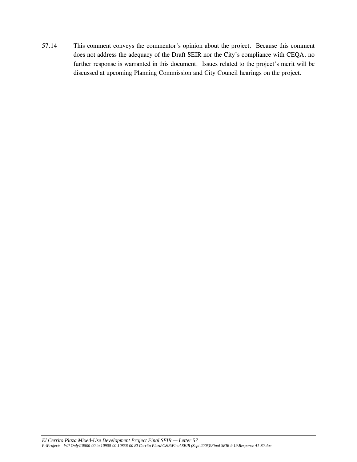57.14 This comment conveys the commentor's opinion about the project. Because this comment does not address the adequacy of the Draft SEIR nor the City's compliance with CEQA, no further response is warranted in this document. Issues related to the project's merit will be discussed at upcoming Planning Commission and City Council hearings on the project.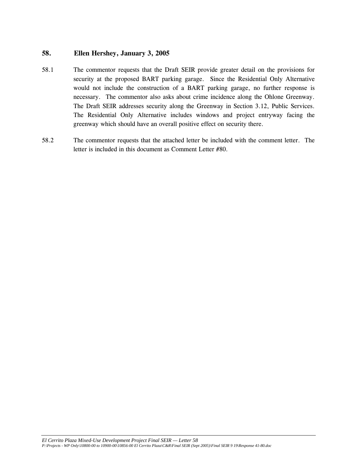## **58. Ellen Hershey, January 3, 2005**

- 58.1 The commentor requests that the Draft SEIR provide greater detail on the provisions for security at the proposed BART parking garage. Since the Residential Only Alternative would not include the construction of a BART parking garage, no further response is necessary. The commentor also asks about crime incidence along the Ohlone Greenway. The Draft SEIR addresses security along the Greenway in Section 3.12, Public Services. The Residential Only Alternative includes windows and project entryway facing the greenway which should have an overall positive effect on security there.
- 58.2 The commentor requests that the attached letter be included with the comment letter. The letter is included in this document as Comment Letter #80.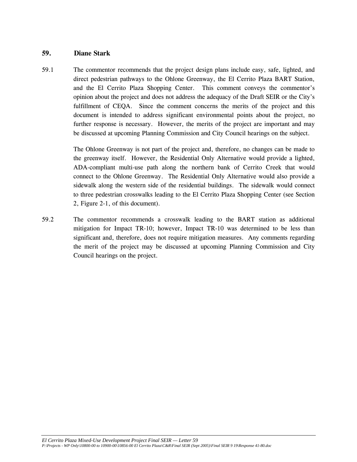#### **59. Diane Stark**

59.1 The commentor recommends that the project design plans include easy, safe, lighted, and direct pedestrian pathways to the Ohlone Greenway, the El Cerrito Plaza BART Station, and the El Cerrito Plaza Shopping Center. This comment conveys the commentor's opinion about the project and does not address the adequacy of the Draft SEIR or the City's fulfillment of CEQA. Since the comment concerns the merits of the project and this document is intended to address significant environmental points about the project, no further response is necessary. However, the merits of the project are important and may be discussed at upcoming Planning Commission and City Council hearings on the subject.

> The Ohlone Greenway is not part of the project and, therefore, no changes can be made to the greenway itself. However, the Residential Only Alternative would provide a lighted, ADA-compliant multi-use path along the northern bank of Cerrito Creek that would connect to the Ohlone Greenway. The Residential Only Alternative would also provide a sidewalk along the western side of the residential buildings. The sidewalk would connect to three pedestrian crosswalks leading to the El Cerrito Plaza Shopping Center (see Section 2, Figure 2-1, of this document).

59.2 The commentor recommends a crosswalk leading to the BART station as additional mitigation for Impact TR-10; however, Impact TR-10 was determined to be less than significant and, therefore, does not require mitigation measures. Any comments regarding the merit of the project may be discussed at upcoming Planning Commission and City Council hearings on the project.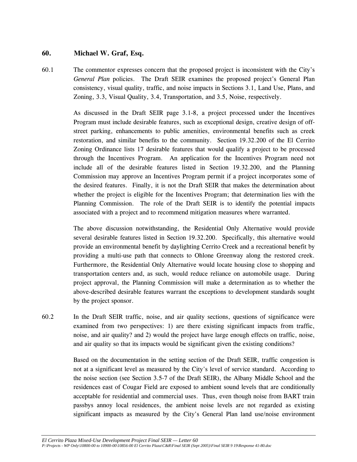## **60. Michael W. Graf, Esq.**

60.1 The commentor expresses concern that the proposed project is inconsistent with the City's *General Plan* policies. The Draft SEIR examines the proposed project's General Plan consistency, visual quality, traffic, and noise impacts in Sections 3.1, Land Use, Plans, and Zoning, 3.3, Visual Quality, 3.4, Transportation, and 3.5, Noise, respectively.

> As discussed in the Draft SEIR page 3.1-8, a project processed under the Incentives Program must include desirable features, such as exceptional design, creative design of offstreet parking, enhancements to public amenities, environmental benefits such as creek restoration, and similar benefits to the community. Section 19.32.200 of the El Cerrito Zoning Ordinance lists 17 desirable features that would qualify a project to be processed through the Incentives Program. An application for the Incentives Program need not include all of the desirable features listed in Section 19.32.200, and the Planning Commission may approve an Incentives Program permit if a project incorporates some of the desired features. Finally, it is not the Draft SEIR that makes the determination about whether the project is eligible for the Incentives Program; that determination lies with the Planning Commission. The role of the Draft SEIR is to identify the potential impacts associated with a project and to recommend mitigation measures where warranted.

> The above discussion notwithstanding, the Residential Only Alternative would provide several desirable features listed in Section 19.32.200. Specifically, this alternative would provide an environmental benefit by daylighting Cerrito Creek and a recreational benefit by providing a multi-use path that connects to Ohlone Greenway along the restored creek. Furthermore, the Residential Only Alternative would locate housing close to shopping and transportation centers and, as such, would reduce reliance on automobile usage. During project approval, the Planning Commission will make a determination as to whether the above-described desirable features warrant the exceptions to development standards sought by the project sponsor.

60.2 In the Draft SEIR traffic, noise, and air quality sections, questions of significance were examined from two perspectives: 1) are there existing significant impacts from traffic, noise, and air quality? and 2) would the project have large enough effects on traffic, noise, and air quality so that its impacts would be significant given the existing conditions?

> Based on the documentation in the setting section of the Draft SEIR, traffic congestion is not at a significant level as measured by the City's level of service standard. According to the noise section (see Section 3.5-7 of the Draft SEIR), the Albany Middle School and the residences east of Cougar Field are exposed to ambient sound levels that are conditionally acceptable for residential and commercial uses. Thus, even though noise from BART train passbys annoy local residences, the ambient noise levels are not regarded as existing significant impacts as measured by the City's General Plan land use/noise environment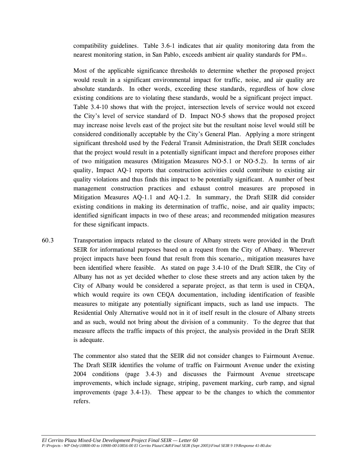compatibility guidelines. Table 3.6-1 indicates that air quality monitoring data from the nearest monitoring station, in San Pablo, exceeds ambient air quality standards for PM10.

 Most of the applicable significance thresholds to determine whether the proposed project would result in a significant environmental impact for traffic, noise, and air quality are absolute standards. In other words, exceeding these standards, regardless of how close existing conditions are to violating these standards, would be a significant project impact. Table 3.4-10 shows that with the project, intersection levels of service would not exceed the City's level of service standard of D. Impact NO-5 shows that the proposed project may increase noise levels east of the project site but the resultant noise level would still be considered conditionally acceptable by the City's General Plan. Applying a more stringent significant threshold used by the Federal Transit Administration, the Draft SEIR concludes that the project would result in a potentially significant impact and therefore proposes either of two mitigation measures (Mitigation Measures NO-5.1 or NO-5.2). In terms of air quality, Impact AQ-1 reports that construction activities could contribute to existing air quality violations and thus finds this impact to be potentially significant. A number of best management construction practices and exhaust control measures are proposed in Mitigation Measures AQ-1.1 and AQ-1.2. In summary, the Draft SEIR did consider existing conditions in making its determination of traffic, noise, and air quality impacts; identified significant impacts in two of these areas; and recommended mitigation measures for these significant impacts.

60.3 Transportation impacts related to the closure of Albany streets were provided in the Draft SEIR for informational purposes based on a request from the City of Albany. Wherever project impacts have been found that result from this scenario,, mitigation measures have been identified where feasible. As stated on page 3.4-10 of the Draft SEIR, the City of Albany has not as yet decided whether to close these streets and any action taken by the City of Albany would be considered a separate project, as that term is used in CEQA, which would require its own CEQA documentation, including identification of feasible measures to mitigate any potentially significant impacts, such as land use impacts. The Residential Only Alternative would not in it of itself result in the closure of Albany streets and as such, would not bring about the division of a community. To the degree that that measure affects the traffic impacts of this project, the analysis provided in the Draft SEIR is adequate.

> The commentor also stated that the SEIR did not consider changes to Fairmount Avenue. The Draft SEIR identifies the volume of traffic on Fairmount Avenue under the existing 2004 conditions (page 3.4-3) and discusses the Fairmount Avenue streetscape improvements, which include signage, striping, pavement marking, curb ramp, and signal improvements (page 3.4-13). These appear to be the changes to which the commentor refers.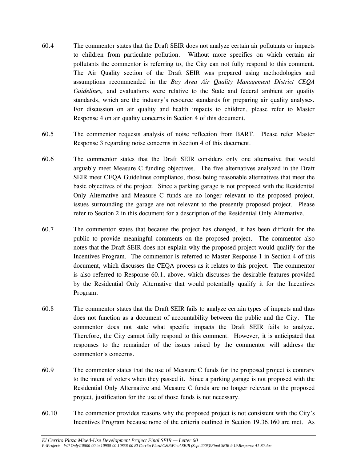- 60.4 The commentor states that the Draft SEIR does not analyze certain air pollutants or impacts to children from particulate pollution. Without more specifics on which certain air pollutants the commentor is referring to, the City can not fully respond to this comment. The Air Quality section of the Draft SEIR was prepared using methodologies and assumptions recommended in the *Bay Area Air Quality Management District CEQA Guidelines,* and evaluations were relative to the State and federal ambient air quality standards, which are the industry's resource standards for preparing air quality analyses. For discussion on air quality and health impacts to children, please refer to Master Response 4 on air quality concerns in Section 4 of this document.
- 60.5 The commentor requests analysis of noise reflection from BART. Please refer Master Response 3 regarding noise concerns in Section 4 of this document.
- 60.6 The commentor states that the Draft SEIR considers only one alternative that would arguably meet Measure C funding objectives. The five alternatives analyzed in the Draft SEIR meet CEQA Guidelines compliance, those being reasonable alternatives that meet the basic objectives of the project. Since a parking garage is not proposed with the Residential Only Alternative and Measure C funds are no longer relevant to the proposed project, issues surrounding the garage are not relevant to the presently proposed project. Please refer to Section 2 in this document for a description of the Residential Only Alternative.
- 60.7 The commentor states that because the project has changed, it has been difficult for the public to provide meaningful comments on the proposed project. The commentor also notes that the Draft SEIR does not explain why the proposed project would qualify for the Incentives Program. The commentor is referred to Master Response 1 in Section 4 of this document, which discusses the CEQA process as it relates to this project. The commentor is also referred to Response 60.1, above, which discusses the desirable features provided by the Residential Only Alternative that would potentially qualify it for the Incentives Program.
- 60.8 The commentor states that the Draft SEIR fails to analyze certain types of impacts and thus does not function as a document of accountability between the public and the City. The commentor does not state what specific impacts the Draft SEIR fails to analyze. Therefore, the City cannot fully respond to this comment. However, it is anticipated that responses to the remainder of the issues raised by the commentor will address the commentor's concerns.
- 60.9 The commentor states that the use of Measure C funds for the proposed project is contrary to the intent of voters when they passed it. Since a parking garage is not proposed with the Residential Only Alternative and Measure C funds are no longer relevant to the proposed project, justification for the use of those funds is not necessary.
- 60.10 The commentor provides reasons why the proposed project is not consistent with the City's Incentives Program because none of the criteria outlined in Section 19.36.160 are met. As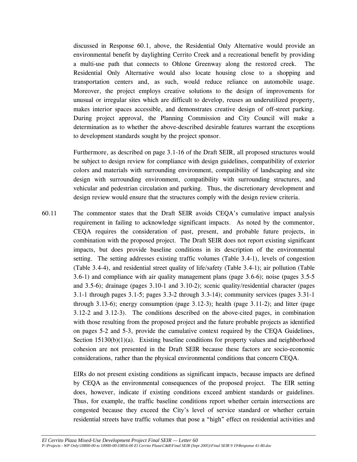discussed in Response 60.1, above, the Residential Only Alternative would provide an environmental benefit by daylighting Cerrito Creek and a recreational benefit by providing a multi-use path that connects to Ohlone Greenway along the restored creek. The Residential Only Alternative would also locate housing close to a shopping and transportation centers and, as such, would reduce reliance on automobile usage. Moreover, the project employs creative solutions to the design of improvements for unusual or irregular sites which are difficult to develop, reuses an underutilized property, makes interior spaces accessible, and demonstrates creative design of off-street parking. During project approval, the Planning Commission and City Council will make a determination as to whether the above-described desirable features warrant the exceptions to development standards sought by the project sponsor.

 Furthermore, as described on page 3.1-16 of the Draft SEIR, all proposed structures would be subject to design review for compliance with design guidelines, compatibility of exterior colors and materials with surrounding environment, compatibility of landscaping and site design with surrounding environment, compatibility with surrounding structures, and vehicular and pedestrian circulation and parking. Thus, the discretionary development and design review would ensure that the structures comply with the design review criteria.

60.11 The commentor states that the Draft SEIR avoids CEQA's cumulative impact analysis requirement in failing to acknowledge significant impacts. As noted by the commentor, CEQA requires the consideration of past, present, and probable future projects, in combination with the proposed project. The Draft SEIR does not report existing significant impacts, but does provide baseline conditions in its description of the environmental setting. The setting addresses existing traffic volumes (Table 3.4-1), levels of congestion (Table 3.4-4), and residential street quality of life/safety (Table 3.4-1); air pollution (Table 3.6-1) and compliance with air quality management plans (page 3.6-6); noise (pages 3.5-5 and 3.5-6); drainage (pages 3.10-1 and 3.10-2); scenic quality/residential character (pages 3.1-1 through pages 3.1-5; pages 3.3-2 through 3.3-14); community services (pages 3.31-1 through 3.13-6); energy consumption (page  $3.12$ -3); health (page  $3.11$ -2); and litter (page 3.12-2 and 3.12-3). The conditions described on the above-cited pages, in combination with those resulting from the proposed project and the future probable projects as identified on pages 5-2 and 5-3, provide the cumulative context required by the CEQA Guidelines, Section 15130(b)(1)(a). Existing baseline conditions for property values and neighborhood cohesion are not presented in the Draft SEIR because these factors are socio-economic considerations, rather than the physical environmental conditions that concern CEQA.

> EIRs do not present existing conditions as significant impacts, because impacts are defined by CEQA as the environmental consequences of the proposed project. The EIR setting does, however, indicate if existing conditions exceed ambient standards or guidelines. Thus, for example, the traffic baseline conditions report whether certain intersections are congested because they exceed the City's level of service standard or whether certain residential streets have traffic volumes that pose a "high" effect on residential activities and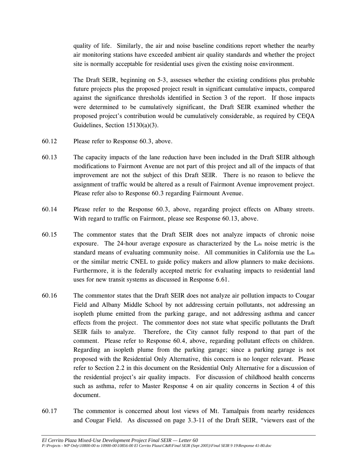quality of life. Similarly, the air and noise baseline conditions report whether the nearby air monitoring stations have exceeded ambient air quality standards and whether the project site is normally acceptable for residential uses given the existing noise environment.

The Draft SEIR, beginning on 5-3, assesses whether the existing conditions plus probable future projects plus the proposed project result in significant cumulative impacts, compared against the significance thresholds identified in Section 3 of the report. If those impacts were determined to be cumulatively significant, the Draft SEIR examined whether the proposed project's contribution would be cumulatively considerable, as required by CEQA Guidelines, Section 15130(a)(3).

- 60.12 Please refer to Response 60.3, above.
- 60.13 The capacity impacts of the lane reduction have been included in the Draft SEIR although modifications to Fairmont Avenue are not part of this project and all of the impacts of that improvement are not the subject of this Draft SEIR. There is no reason to believe the assignment of traffic would be altered as a result of Fairmont Avenue improvement project. Please refer also to Response 60.3 regarding Fairmount Avenue.
- 60.14 Please refer to the Response 60.3, above, regarding project effects on Albany streets. With regard to traffic on Fairmont, please see Response 60.13, above.
- 60.15 The commentor states that the Draft SEIR does not analyze impacts of chronic noise exposure. The 24-hour average exposure as characterized by the L<sub>dn</sub> noise metric is the standard means of evaluating community noise. All communities in California use the  $L_{dn}$ or the similar metric CNEL to guide policy makers and allow planners to make decisions. Furthermore, it is the federally accepted metric for evaluating impacts to residential land uses for new transit systems as discussed in Response 6.61.
- 60.16 The commentor states that the Draft SEIR does not analyze air pollution impacts to Cougar Field and Albany Middle School by not addressing certain pollutants, not addressing an isopleth plume emitted from the parking garage, and not addressing asthma and cancer effects from the project. The commentor does not state what specific pollutants the Draft SEIR fails to analyze. Therefore, the City cannot fully respond to that part of the comment. Please refer to Response 60.4, above, regarding pollutant effects on children. Regarding an isopleth plume from the parking garage; since a parking garage is not proposed with the Residential Only Alternative, this concern is no longer relevant. Please refer to Section 2.2 in this document on the Residential Only Alternative for a discussion of the residential project's air quality impacts. For discussion of childhood health concerns such as asthma, refer to Master Response 4 on air quality concerns in Section 4 of this document.
- 60.17 The commentor is concerned about lost views of Mt. Tamalpais from nearby residences and Cougar Field. As discussed on page 3.3-11 of the Draft SEIR, "viewers east of the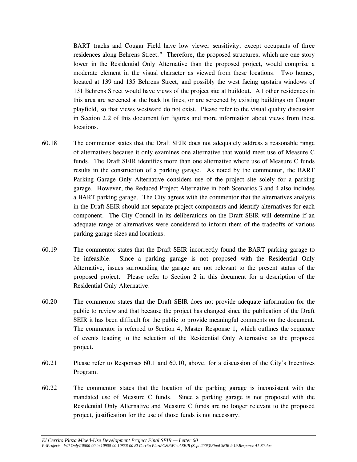BART tracks and Cougar Field have low viewer sensitivity, except occupants of three residences along Behrens Street." Therefore, the proposed structures, which are one story lower in the Residential Only Alternative than the proposed project, would comprise a moderate element in the visual character as viewed from these locations. Two homes, located at 139 and 135 Behrens Street, and possibly the west facing upstairs windows of 131 Behrens Street would have views of the project site at buildout. All other residences in this area are screened at the back lot lines, or are screened by existing buildings on Cougar playfield, so that views westward do not exist. Please refer to the visual quality discussion in Section 2.2 of this document for figures and more information about views from these locations.

- 60.18 The commentor states that the Draft SEIR does not adequately address a reasonable range of alternatives because it only examines one alternative that would meet use of Measure C funds. The Draft SEIR identifies more than one alternative where use of Measure C funds results in the construction of a parking garage. As noted by the commentor, the BART Parking Garage Only Alternative considers use of the project site solely for a parking garage. However, the Reduced Project Alternative in both Scenarios 3 and 4 also includes a BART parking garage. The City agrees with the commentor that the alternatives analysis in the Draft SEIR should not separate project components and identify alternatives for each component. The City Council in its deliberations on the Draft SEIR will determine if an adequate range of alternatives were considered to inform them of the tradeoffs of various parking garage sizes and locations.
- 60.19 The commentor states that the Draft SEIR incorrectly found the BART parking garage to be infeasible. Since a parking garage is not proposed with the Residential Only Alternative, issues surrounding the garage are not relevant to the present status of the proposed project. Please refer to Section 2 in this document for a description of the Residential Only Alternative.
- 60.20 The commentor states that the Draft SEIR does not provide adequate information for the public to review and that because the project has changed since the publication of the Draft SEIR it has been difficult for the public to provide meaningful comments on the document. The commentor is referred to Section 4, Master Response 1, which outlines the sequence of events leading to the selection of the Residential Only Alternative as the proposed project.
- 60.21 Please refer to Responses 60.1 and 60.10, above, for a discussion of the City's Incentives Program.
- 60.22 The commentor states that the location of the parking garage is inconsistent with the mandated use of Measure C funds. Since a parking garage is not proposed with the Residential Only Alternative and Measure C funds are no longer relevant to the proposed project, justification for the use of those funds is not necessary.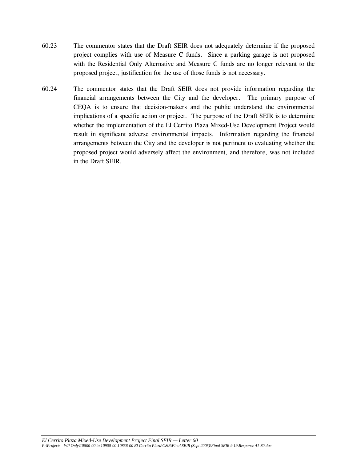- 60.23 The commentor states that the Draft SEIR does not adequately determine if the proposed project complies with use of Measure C funds. Since a parking garage is not proposed with the Residential Only Alternative and Measure C funds are no longer relevant to the proposed project, justification for the use of those funds is not necessary.
- 60.24 The commentor states that the Draft SEIR does not provide information regarding the financial arrangements between the City and the developer. The primary purpose of CEQA is to ensure that decision-makers and the public understand the environmental implications of a specific action or project. The purpose of the Draft SEIR is to determine whether the implementation of the El Cerrito Plaza Mixed-Use Development Project would result in significant adverse environmental impacts. Information regarding the financial arrangements between the City and the developer is not pertinent to evaluating whether the proposed project would adversely affect the environment, and therefore, was not included in the Draft SEIR.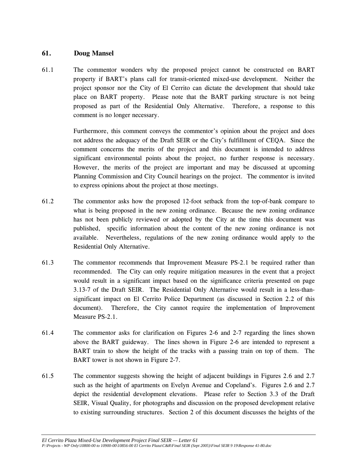#### **61. Doug Mansel**

61.1 The commentor wonders why the proposed project cannot be constructed on BART property if BART's plans call for transit-oriented mixed-use development. Neither the project sponsor nor the City of El Cerrito can dictate the development that should take place on BART property. Please note that the BART parking structure is not being proposed as part of the Residential Only Alternative. Therefore, a response to this comment is no longer necessary.

> Furthermore, this comment conveys the commentor's opinion about the project and does not address the adequacy of the Draft SEIR or the City's fulfillment of CEQA. Since the comment concerns the merits of the project and this document is intended to address significant environmental points about the project, no further response is necessary. However, the merits of the project are important and may be discussed at upcoming Planning Commission and City Council hearings on the project. The commentor is invited to express opinions about the project at those meetings.

- 61.2 The commentor asks how the proposed 12-foot setback from the top-of-bank compare to what is being proposed in the new zoning ordinance. Because the new zoning ordinance has not been publicly reviewed or adopted by the City at the time this document was published, specific information about the content of the new zoning ordinance is not available. Nevertheless, regulations of the new zoning ordinance would apply to the Residential Only Alternative.
- 61.3 The commentor recommends that Improvement Measure PS-2.1 be required rather than recommended. The City can only require mitigation measures in the event that a project would result in a significant impact based on the significance criteria presented on page 3.13-7 of the Draft SEIR. The Residential Only Alternative would result in a less-thansignificant impact on El Cerrito Police Department (as discussed in Section 2.2 of this document). Therefore, the City cannot require the implementation of Improvement Measure PS-2.1.
- 61.4 The commentor asks for clarification on Figures 2-6 and 2-7 regarding the lines shown above the BART guideway. The lines shown in Figure 2-6 are intended to represent a BART train to show the height of the tracks with a passing train on top of them. The BART tower is not shown in Figure 2-7.
- 61.5 The commentor suggests showing the height of adjacent buildings in Figures 2.6 and 2.7 such as the height of apartments on Evelyn Avenue and Copeland's. Figures 2.6 and 2.7 depict the residential development elevations. Please refer to Section 3.3 of the Draft SEIR, Visual Quality, for photographs and discussion on the proposed development relative to existing surrounding structures. Section 2 of this document discusses the heights of the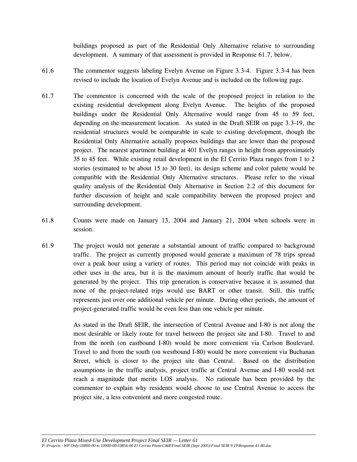buildings proposed as part of the Residential Only Alternative relative to surrounding development. A summary of that assessment is provided in Response 61.7, below.

- 61.6 The commentor suggests labeling Evelyn Avenue on Figure 3.3-4. Figure 3.3-4 has been revised to include the location of Evelyn Avenue and is included on the following page.
- 61.7 The commentor is concerned with the scale of the proposed project in relation to the existing residential development along Evelyn Avenue. The heights of the proposed buildings under the Residential Only Alternative would range from 45 to 59 feet, depending on the measurement location. As stated in the Draft SEIR on page 3.3-19, the residential structures would be comparable in scale to existing development, though the Residential Only Alternative actually proposes buildings that are lower than the proposed project. The nearest apartment building at 401 Evelyn ranges in height from approximately 35 to 45 feet. While existing retail development in the El Cerrito Plaza ranges from 1 to 2 stories (estimated to be about 15 to 30 feet), its design scheme and color palette would be compatible with the Residential Only Alternative structures. Please refer to the visual quality analysis of the Residential Only Alternative in Section 2.2 of this document for further discussion of height and scale compatibility between the proposed project and surrounding development.
- 61.8 Counts were made on January 13, 2004 and January 21, 2004 when schools were in session.
- 61.9 The project would not generate a substantial amount of traffic compared to background traffic. The project as currently proposed would generate a maximum of 78 trips spread over a peak hour using a variety of routes. This period may not coincide with peaks in other uses in the area, but it is the maximum amount of hourly traffic that would be generated by the project. This trip generation is conservative because it is assumed that none of the project-related trips would use BART or other transit. Still, this traffic represents just over one additional vehicle per minute. During other periods, the amount of project-generated traffic would be even less than one vehicle per minute.

 As stated in the Draft SEIR, the intersection of Central Avenue and I-80 is not along the most desirable or likely route for travel between the project site and I-80. Travel to and from the north (on eastbound I-80) would be more convenient via Carlson Boulevard. Travel to and from the south (on westbound I-80) would be more convenient via Buchanan Street, which is closer to the project site than Central. Based on the distribution assumptions in the traffic analysis, project traffic at Central Avenue and I-80 would not reach a magnitude that merits LOS analysis. No rationale has been provided by the commentor to explain why residents would choose to use Central Avenue to access the project site, a less convenient and more congested route.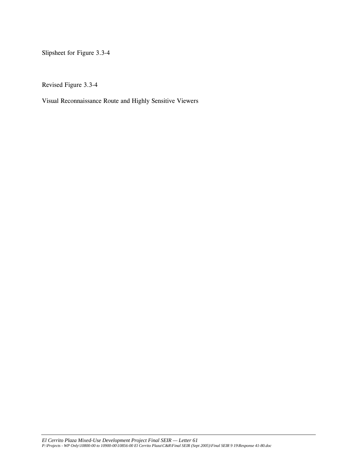Slipsheet for Figure 3.3-4

Revised Figure 3.3-4

Visual Reconnaissance Route and Highly Sensitive Viewers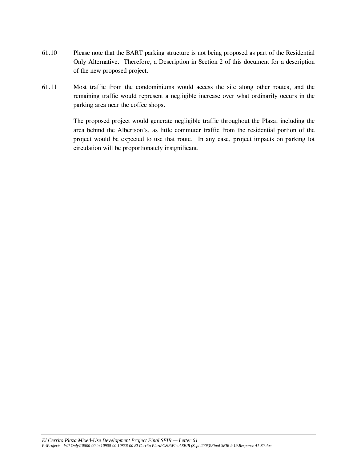- 61.10 Please note that the BART parking structure is not being proposed as part of the Residential Only Alternative. Therefore, a Description in Section 2 of this document for a description of the new proposed project.
- 61.11 Most traffic from the condominiums would access the site along other routes, and the remaining traffic would represent a negligible increase over what ordinarily occurs in the parking area near the coffee shops.

 The proposed project would generate negligible traffic throughout the Plaza, including the area behind the Albertson's, as little commuter traffic from the residential portion of the project would be expected to use that route. In any case, project impacts on parking lot circulation will be proportionately insignificant.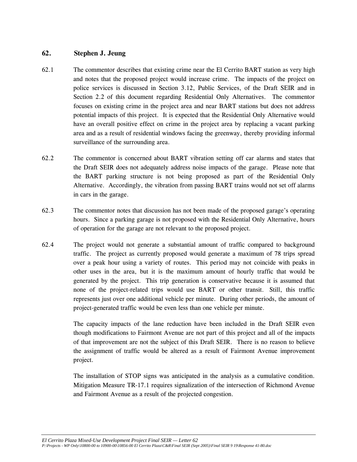## **62. Stephen J. Jeung**

- 62.1 The commentor describes that existing crime near the El Cerrito BART station as very high and notes that the proposed project would increase crime. The impacts of the project on police services is discussed in Section 3.12, Public Services, of the Draft SEIR and in Section 2.2 of this document regarding Residential Only Alternatives. The commentor focuses on existing crime in the project area and near BART stations but does not address potential impacts of this project. It is expected that the Residential Only Alternative would have an overall positive effect on crime in the project area by replacing a vacant parking area and as a result of residential windows facing the greenway, thereby providing informal surveillance of the surrounding area.
- 62.2 The commentor is concerned about BART vibration setting off car alarms and states that the Draft SEIR does not adequately address noise impacts of the garage. Please note that the BART parking structure is not being proposed as part of the Residential Only Alternative. Accordingly, the vibration from passing BART trains would not set off alarms in cars in the garage.
- 62.3 The commentor notes that discussion has not been made of the proposed garage's operating hours. Since a parking garage is not proposed with the Residential Only Alternative, hours of operation for the garage are not relevant to the proposed project.
- 62.4 The project would not generate a substantial amount of traffic compared to background traffic. The project as currently proposed would generate a maximum of 78 trips spread over a peak hour using a variety of routes. This period may not coincide with peaks in other uses in the area, but it is the maximum amount of hourly traffic that would be generated by the project. This trip generation is conservative because it is assumed that none of the project-related trips would use BART or other transit. Still, this traffic represents just over one additional vehicle per minute. During other periods, the amount of project-generated traffic would be even less than one vehicle per minute.

 The capacity impacts of the lane reduction have been included in the Draft SEIR even though modifications to Fairmont Avenue are not part of this project and all of the impacts of that improvement are not the subject of this Draft SEIR. There is no reason to believe the assignment of traffic would be altered as a result of Fairmont Avenue improvement project.

The installation of STOP signs was anticipated in the analysis as a cumulative condition. Mitigation Measure TR-17.1 requires signalization of the intersection of Richmond Avenue and Fairmont Avenue as a result of the projected congestion.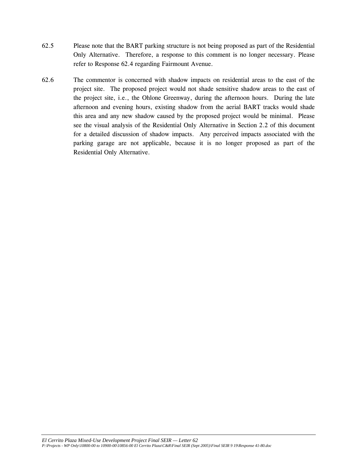- 62.5 Please note that the BART parking structure is not being proposed as part of the Residential Only Alternative. Therefore, a response to this comment is no longer necessary. Please refer to Response 62.4 regarding Fairmount Avenue.
- 62.6 The commentor is concerned with shadow impacts on residential areas to the east of the project site. The proposed project would not shade sensitive shadow areas to the east of the project site, i.e., the Ohlone Greenway, during the afternoon hours. During the late afternoon and evening hours, existing shadow from the aerial BART tracks would shade this area and any new shadow caused by the proposed project would be minimal. Please see the visual analysis of the Residential Only Alternative in Section 2.2 of this document for a detailed discussion of shadow impacts. Any perceived impacts associated with the parking garage are not applicable, because it is no longer proposed as part of the Residential Only Alternative.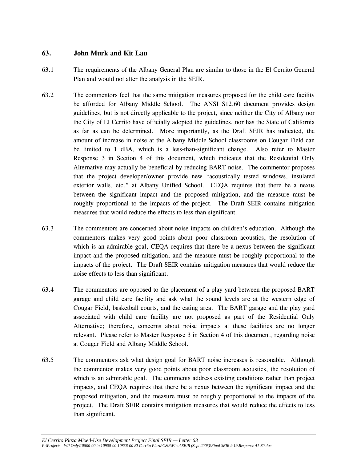# **63. John Murk and Kit Lau**

- 63.1 The requirements of the Albany General Plan are similar to those in the El Cerrito General Plan and would not alter the analysis in the SEIR.
- 63.2 The commentors feel that the same mitigation measures proposed for the child care facility be afforded for Albany Middle School. The ANSI S12.60 document provides design guidelines, but is not directly applicable to the project, since neither the City of Albany nor the City of El Cerrito have officially adopted the guidelines, nor has the State of California as far as can be determined. More importantly, as the Draft SEIR has indicated, the amount of increase in noise at the Albany Middle School classrooms on Cougar Field can be limited to 1 dBA, which is a less-than-significant change. Also refer to Master Response 3 in Section 4 of this document, which indicates that the Residential Only Alternative may actually be beneficial by reducing BART noise. The commentor proposes that the project developer/owner provide new "acoustically tested windows, insulated exterior walls, etc." at Albany Unified School. CEQA requires that there be a nexus between the significant impact and the proposed mitigation, and the measure must be roughly proportional to the impacts of the project. The Draft SEIR contains mitigation measures that would reduce the effects to less than significant.
- 63.3 The commentors are concerned about noise impacts on children's education. Although the commentors makes very good points about poor classroom acoustics, the resolution of which is an admirable goal, CEQA requires that there be a nexus between the significant impact and the proposed mitigation, and the measure must be roughly proportional to the impacts of the project. The Draft SEIR contains mitigation measures that would reduce the noise effects to less than significant.
- 63.4 The commentors are opposed to the placement of a play yard between the proposed BART garage and child care facility and ask what the sound levels are at the western edge of Cougar Field, basketball courts, and the eating area. The BART garage and the play yard associated with child care facility are not proposed as part of the Residential Only Alternative; therefore, concerns about noise impacts at these facilities are no longer relevant. Please refer to Master Response 3 in Section 4 of this document, regarding noise at Cougar Field and Albany Middle School.
- 63.5 The commentors ask what design goal for BART noise increases is reasonable. Although the commentor makes very good points about poor classroom acoustics, the resolution of which is an admirable goal. The comments address existing conditions rather than project impacts, and CEQA requires that there be a nexus between the significant impact and the proposed mitigation, and the measure must be roughly proportional to the impacts of the project. The Draft SEIR contains mitigation measures that would reduce the effects to less than significant.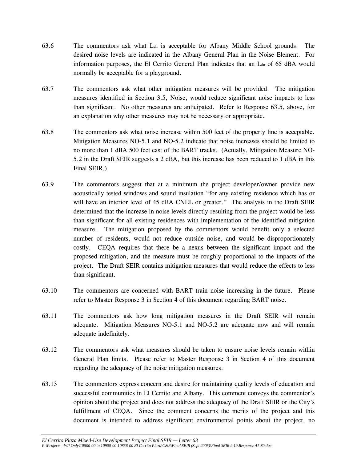- 63.6 The commentors ask what  $L_{dn}$  is acceptable for Albany Middle School grounds. The desired noise levels are indicated in the Albany General Plan in the Noise Element. For information purposes, the El Cerrito General Plan indicates that an L<sub>dn</sub> of 65 dBA would normally be acceptable for a playground.
- 63.7 The commentors ask what other mitigation measures will be provided. The mitigation measures identified in Section 3.5, Noise, would reduce significant noise impacts to less than significant. No other measures are anticipated. Refer to Response 63.5, above, for an explanation why other measures may not be necessary or appropriate.
- 63.8 The commentors ask what noise increase within 500 feet of the property line is acceptable. Mitigation Measures NO-5.1 and NO-5.2 indicate that noise increases should be limited to no more than 1 dBA 500 feet east of the BART tracks. (Actually, Mitigation Measure NO-5.2 in the Draft SEIR suggests a 2 dBA, but this increase has been reduced to 1 dBA in this Final SEIR.)
- 63.9 The commentors suggest that at a minimum the project developer/owner provide new acoustically tested windows and sound insulation "for any existing residence which has or will have an interior level of 45 dBA CNEL or greater." The analysis in the Draft SEIR determined that the increase in noise levels directly resulting from the project would be less than significant for all existing residences with implementation of the identified mitigation measure. The mitigation proposed by the commentors would benefit only a selected number of residents, would not reduce outside noise, and would be disproportionately costly. CEQA requires that there be a nexus between the significant impact and the proposed mitigation, and the measure must be roughly proportional to the impacts of the project. The Draft SEIR contains mitigation measures that would reduce the effects to less than significant.
- 63.10 The commentors are concerned with BART train noise increasing in the future. Please refer to Master Response 3 in Section 4 of this document regarding BART noise.
- 63.11 The commentors ask how long mitigation measures in the Draft SEIR will remain adequate. Mitigation Measures NO-5.1 and NO-5.2 are adequate now and will remain adequate indefinitely.
- 63.12 The commentors ask what measures should be taken to ensure noise levels remain within General Plan limits. Please refer to Master Response 3 in Section 4 of this document regarding the adequacy of the noise mitigation measures.
- 63.13 The commentors express concern and desire for maintaining quality levels of education and successful communities in El Cerrito and Albany. This comment conveys the commentor's opinion about the project and does not address the adequacy of the Draft SEIR or the City's fulfillment of CEQA. Since the comment concerns the merits of the project and this document is intended to address significant environmental points about the project, no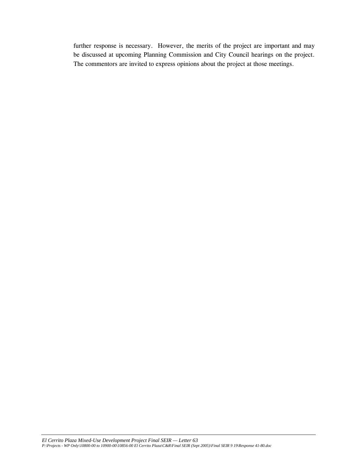further response is necessary. However, the merits of the project are important and may be discussed at upcoming Planning Commission and City Council hearings on the project. The commentors are invited to express opinions about the project at those meetings.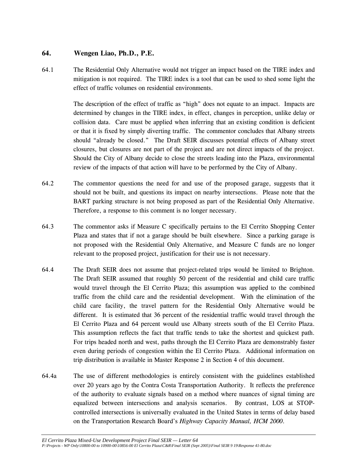## **64. Wengen Liao, Ph.D., P.E.**

64.1 The Residential Only Alternative would not trigger an impact based on the TIRE index and mitigation is not required. The TIRE index is a tool that can be used to shed some light the effect of traffic volumes on residential environments.

> The description of the effect of traffic as "high" does not equate to an impact. Impacts are determined by changes in the TIRE index, in effect, changes in perception, unlike delay or collision data. Care must be applied when inferring that an existing condition is deficient or that it is fixed by simply diverting traffic. The commentor concludes that Albany streets should "already be closed." The Draft SEIR discusses potential effects of Albany street closures, but closures are not part of the project and are not direct impacts of the project. Should the City of Albany decide to close the streets leading into the Plaza, environmental review of the impacts of that action will have to be performed by the City of Albany.

- 64.2 The commentor questions the need for and use of the proposed garage, suggests that it should not be built, and questions its impact on nearby intersections. Please note that the BART parking structure is not being proposed as part of the Residential Only Alternative. Therefore, a response to this comment is no longer necessary.
- 64.3 The commentor asks if Measure C specifically pertains to the El Cerrito Shopping Center Plaza and states that if not a garage should be built elsewhere. Since a parking garage is not proposed with the Residential Only Alternative, and Measure C funds are no longer relevant to the proposed project, justification for their use is not necessary.
- 64.4 The Draft SEIR does not assume that project-related trips would be limited to Brighton. The Draft SEIR assumed that roughly 50 percent of the residential and child care traffic would travel through the El Cerrito Plaza; this assumption was applied to the combined traffic from the child care and the residential development. With the elimination of the child care facility, the travel pattern for the Residential Only Alternative would be different. It is estimated that 36 percent of the residential traffic would travel through the El Cerrito Plaza and 64 percent would use Albany streets south of the El Cerrito Plaza. This assumption reflects the fact that traffic tends to take the shortest and quickest path. For trips headed north and west, paths through the El Cerrito Plaza are demonstrably faster even during periods of congestion within the El Cerrito Plaza. Additional information on trip distribution is available in Master Response 2 in Section 4 of this document.
- 64.4a The use of different methodologies is entirely consistent with the guidelines established over 20 years ago by the Contra Costa Transportation Authority. It reflects the preference of the authority to evaluate signals based on a method where nuances of signal timing are equalized between intersections and analysis scenarios. By contrast, LOS at STOPcontrolled intersections is universally evaluated in the United States in terms of delay based on the Transportation Research Board's *Highway Capacity Manual, HCM 2000*.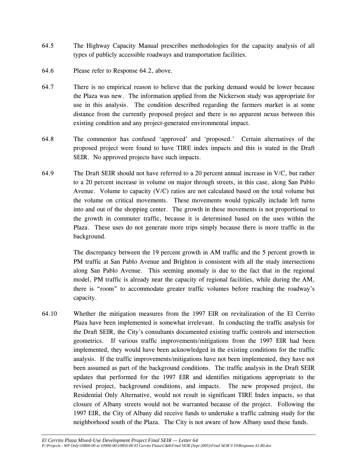- 64.5 The Highway Capacity Manual prescribes methodologies for the capacity analysis of all types of publicly accessible roadways and transportation facilities.
- 64.6 Please refer to Response 64.2, above.
- 64.7 There is no empirical reason to believe that the parking demand would be lower because the Plaza was new. The information applied from the Nickerson study was appropriate for use in this analysis. The condition described regarding the farmers market is at some distance from the currently proposed project and there is no apparent nexus between this existing condition and any project-generated environmental impact.
- 64.8 The commentor has confused 'approved' and 'proposed.' Certain alternatives of the proposed project were found to have TIRE index impacts and this is stated in the Draft SEIR. No approved projects have such impacts.
- 64.9 The Draft SEIR should not have referred to a 20 percent annual increase in V/C, but rather to a 20 percent increase in volume on major through streets, in this case, along San Pablo Avenue. Volume to capacity (V/C) ratios are not calculated based on the total volume but the volume on critical movements. These movements would typically include left turns into and out of the shopping center. The growth in these movements is not proportional to the growth in commuter traffic, because it is determined based on the uses within the Plaza. These uses do not generate more trips simply because there is more traffic in the background.

 The discrepancy between the 19 percent growth in AM traffic and the 5 percent growth in PM traffic at San Pablo Avenue and Brighton is consistent with all the study intersections along San Pablo Avenue. This seeming anomaly is due to the fact that in the regional model, PM traffic is already near the capacity of regional facilities, while during the AM, there is "room" to accommodate greater traffic volumes before reaching the roadway's capacity.

64.10 Whether the mitigation measures from the 1997 EIR on revitalization of the El Cerrito Plaza have been implemented is somewhat irrelevant. In conducting the traffic analysis for the Draft SEIR, the City's consultants documented existing traffic controls and intersection geometrics. If various traffic improvements/mitigations from the 1997 EIR had been implemented, they would have been acknowledged in the existing conditions for the traffic analysis. If the traffic improvements/mitigations have not been implemented, they have not been assumed as part of the background conditions. The traffic analysis in the Draft SEIR updates that performed for the 1997 EIR and identifies mitigations appropriate to the revised project, background conditions, and impacts. The new proposed project, the Residential Only Alternative, would not result in significant TIRE Index impacts, so that closure of Albany streets would not be warranted because of the project. Following the 1997 EIR, the City of Albany did receive funds to undertake a traffic calming study for the neighborhood south of the Plaza. The City is not aware of how Albany used these funds.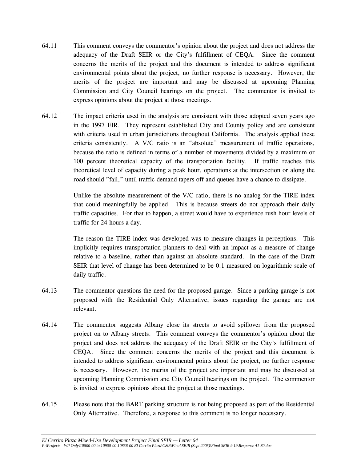- 64.11 This comment conveys the commentor's opinion about the project and does not address the adequacy of the Draft SEIR or the City's fulfillment of CEQA. Since the comment concerns the merits of the project and this document is intended to address significant environmental points about the project, no further response is necessary. However, the merits of the project are important and may be discussed at upcoming Planning Commission and City Council hearings on the project. The commentor is invited to express opinions about the project at those meetings.
- 64.12 The impact criteria used in the analysis are consistent with those adopted seven years ago in the 1997 EIR. They represent established City and County policy and are consistent with criteria used in urban jurisdictions throughout California. The analysis applied these criteria consistently. A V/C ratio is an "absolute" measurement of traffic operations, because the ratio is defined in terms of a number of movements divided by a maximum or 100 percent theoretical capacity of the transportation facility. If traffic reaches this theoretical level of capacity during a peak hour, operations at the intersection or along the road should "fail," until traffic demand tapers off and queues have a chance to dissipate.

Unlike the absolute measurement of the V/C ratio, there is no analog for the TIRE index that could meaningfully be applied. This is because streets do not approach their daily traffic capacities. For that to happen, a street would have to experience rush hour levels of traffic for 24-hours a day.

 The reason the TIRE index was developed was to measure changes in perceptions. This implicitly requires transportation planners to deal with an impact as a measure of change relative to a baseline, rather than against an absolute standard. In the case of the Draft SEIR that level of change has been determined to be 0.1 measured on logarithmic scale of daily traffic.

- 64.13 The commentor questions the need for the proposed garage. Since a parking garage is not proposed with the Residential Only Alternative, issues regarding the garage are not relevant.
- 64.14 The commentor suggests Albany close its streets to avoid spillover from the proposed project on to Albany streets. This comment conveys the commentor's opinion about the project and does not address the adequacy of the Draft SEIR or the City's fulfillment of CEQA. Since the comment concerns the merits of the project and this document is intended to address significant environmental points about the project, no further response is necessary. However, the merits of the project are important and may be discussed at upcoming Planning Commission and City Council hearings on the project. The commentor is invited to express opinions about the project at those meetings.
- 64.15 Please note that the BART parking structure is not being proposed as part of the Residential Only Alternative. Therefore, a response to this comment is no longer necessary.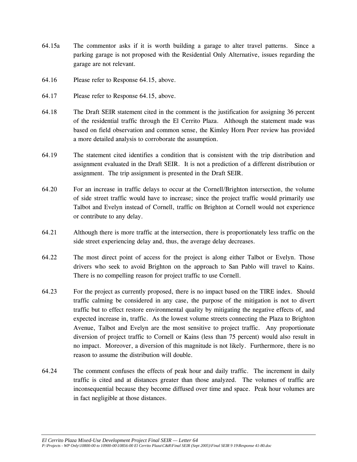- 64.15a The commentor asks if it is worth building a garage to alter travel patterns. Since a parking garage is not proposed with the Residential Only Alternative, issues regarding the garage are not relevant.
- 64.16 Please refer to Response 64.15, above.
- 64.17 Please refer to Response 64.15, above.
- 64.18 The Draft SEIR statement cited in the comment is the justification for assigning 36 percent of the residential traffic through the El Cerrito Plaza. Although the statement made was based on field observation and common sense, the Kimley Horn Peer review has provided a more detailed analysis to corroborate the assumption.
- 64.19 The statement cited identifies a condition that is consistent with the trip distribution and assignment evaluated in the Draft SEIR. It is not a prediction of a different distribution or assignment. The trip assignment is presented in the Draft SEIR.
- 64.20 For an increase in traffic delays to occur at the Cornell/Brighton intersection, the volume of side street traffic would have to increase; since the project traffic would primarily use Talbot and Evelyn instead of Cornell, traffic on Brighton at Cornell would not experience or contribute to any delay.
- 64.21 Although there is more traffic at the intersection, there is proportionately less traffic on the side street experiencing delay and, thus, the average delay decreases.
- 64.22 The most direct point of access for the project is along either Talbot or Evelyn. Those drivers who seek to avoid Brighton on the approach to San Pablo will travel to Kains. There is no compelling reason for project traffic to use Cornell.
- 64.23 For the project as currently proposed, there is no impact based on the TIRE index. Should traffic calming be considered in any case, the purpose of the mitigation is not to divert traffic but to effect restore environmental quality by mitigating the negative effects of, and expected increase in, traffic. As the lowest volume streets connecting the Plaza to Brighton Avenue, Talbot and Evelyn are the most sensitive to project traffic. Any proportionate diversion of project traffic to Cornell or Kains (less than 75 percent) would also result in no impact. Moreover, a diversion of this magnitude is not likely. Furthermore, there is no reason to assume the distribution will double.
- 64.24 The comment confuses the effects of peak hour and daily traffic. The increment in daily traffic is cited and at distances greater than those analyzed. The volumes of traffic are inconsequential because they become diffused over time and space. Peak hour volumes are in fact negligible at those distances.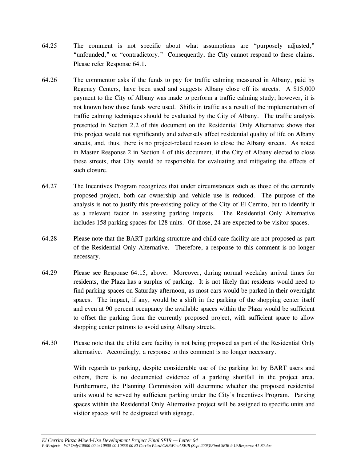- 64.25 The comment is not specific about what assumptions are "purposely adjusted," "unfounded," or "contradictory." Consequently, the City cannot respond to these claims. Please refer Response 64.1.
- 64.26 The commentor asks if the funds to pay for traffic calming measured in Albany, paid by Regency Centers, have been used and suggests Albany close off its streets. A \$15,000 payment to the City of Albany was made to perform a traffic calming study; however, it is not known how those funds were used. Shifts in traffic as a result of the implementation of traffic calming techniques should be evaluated by the City of Albany. The traffic analysis presented in Section 2.2 of this document on the Residential Only Alternative shows that this project would not significantly and adversely affect residential quality of life on Albany streets, and, thus, there is no project-related reason to close the Albany streets. As noted in Master Response 2 in Section 4 of this document, if the City of Albany elected to close these streets, that City would be responsible for evaluating and mitigating the effects of such closure.
- 64.27 The Incentives Program recognizes that under circumstances such as those of the currently proposed project, both car ownership and vehicle use is reduced. The purpose of the analysis is not to justify this pre-existing policy of the City of El Cerrito, but to identify it as a relevant factor in assessing parking impacts. The Residential Only Alternative includes 158 parking spaces for 128 units. Of those, 24 are expected to be visitor spaces.
- 64.28 Please note that the BART parking structure and child care facility are not proposed as part of the Residential Only Alternative. Therefore, a response to this comment is no longer necessary.
- 64.29 Please see Response 64.15, above. Moreover, during normal weekday arrival times for residents, the Plaza has a surplus of parking. It is not likely that residents would need to find parking spaces on Saturday afternoon, as most cars would be parked in their overnight spaces. The impact, if any, would be a shift in the parking of the shopping center itself and even at 90 percent occupancy the available spaces within the Plaza would be sufficient to offset the parking from the currently proposed project, with sufficient space to allow shopping center patrons to avoid using Albany streets.
- 64.30 Please note that the child care facility is not being proposed as part of the Residential Only alternative. Accordingly, a response to this comment is no longer necessary.

With regards to parking, despite considerable use of the parking lot by BART users and others, there is no documented evidence of a parking shortfall in the project area. Furthermore, the Planning Commission will determine whether the proposed residential units would be served by sufficient parking under the City's Incentives Program. Parking spaces within the Residential Only Alternative project will be assigned to specific units and visitor spaces will be designated with signage.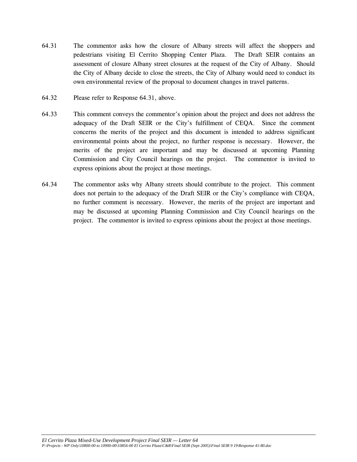- 64.31 The commentor asks how the closure of Albany streets will affect the shoppers and pedestrians visiting El Cerrito Shopping Center Plaza. The Draft SEIR contains an assessment of closure Albany street closures at the request of the City of Albany. Should the City of Albany decide to close the streets, the City of Albany would need to conduct its own environmental review of the proposal to document changes in travel patterns.
- 64.32 Please refer to Response 64.31, above.
- 64.33 This comment conveys the commentor's opinion about the project and does not address the adequacy of the Draft SEIR or the City's fulfillment of CEQA. Since the comment concerns the merits of the project and this document is intended to address significant environmental points about the project, no further response is necessary. However, the merits of the project are important and may be discussed at upcoming Planning Commission and City Council hearings on the project. The commentor is invited to express opinions about the project at those meetings.
- 64.34 The commentor asks why Albany streets should contribute to the project. This comment does not pertain to the adequacy of the Draft SEIR or the City's compliance with CEQA, no further comment is necessary. However, the merits of the project are important and may be discussed at upcoming Planning Commission and City Council hearings on the project. The commentor is invited to express opinions about the project at those meetings.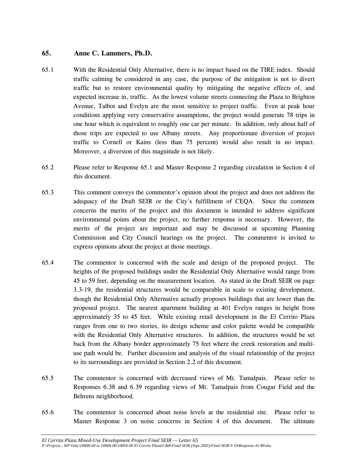# **65. Anne C. Lammers, Ph.D.**

- 65.1 With the Residential Only Alternative, there is no impact based on the TIRE index. Should traffic calming be considered in any case, the purpose of the mitigation is not to divert traffic but to restore environmental quality by mitigating the negative effects of, and expected increase in, traffic. As the lowest volume streets connecting the Plaza to Brighton Avenue, Talbot and Evelyn are the most sensitive to project traffic. Even at peak hour conditions applying very conservative assumptions, the project would generate 78 trips in one hour which is equivalent to roughly one car per minute. In addition, only about half of those trips are expected to use Albany streets. Any proportionate diversion of project traffic to Cornell or Kains (less than 75 percent) would also result in no impact. Moreover, a diversion of this magnitude is not likely.
- 65.2 Please refer to Response 65.1 and Master Response 2 regarding circulation in Section 4 of this document.
- 65.3 This comment conveys the commentor's opinion about the project and does not address the adequacy of the Draft SEIR or the City's fulfillment of CEQA. Since the comment concerns the merits of the project and this document is intended to address significant environmental points about the project, no further response is necessary. However, the merits of the project are important and may be discussed at upcoming Planning Commission and City Council hearings on the project. The commentor is invited to express opinions about the project at those meetings.
- 65.4 The commentor is concerned with the scale and design of the proposed project. The heights of the proposed buildings under the Residential Only Alternative would range from 45 to 59 feet, depending on the measurement location. As stated in the Draft SEIR on page 3.3-19, the residential structures would be comparable in scale to existing development, though the Residential Only Alternative actually proposes buildings that are lower than the proposed project. The nearest apartment building at 401 Evelyn ranges in height from approximately 35 to 45 feet. While existing retail development in the El Cerrito Plaza ranges from one to two stories, its design scheme and color palette would be compatible with the Residential Only Alternative structures. In addition, the structures would be set back from the Albany border approximately 75 feet where the creek restoration and multiuse path would be. Further discussion and analysis of the visual relationship of the project to its surroundings are provided in Section 2.2 of this document.
- 65.5 The commentor is concerned with decreased views of Mt. Tamalpais. Please refer to Responses 6.38 and 6.39 regarding views of Mt. Tamalpais from Cougar Field and the Behrens neighborhood.
- 65.6 The commentor is concerned about noise levels at the residential site. Please refer to Master Response 3 on noise concerns in Section 4 of this document. The ultimate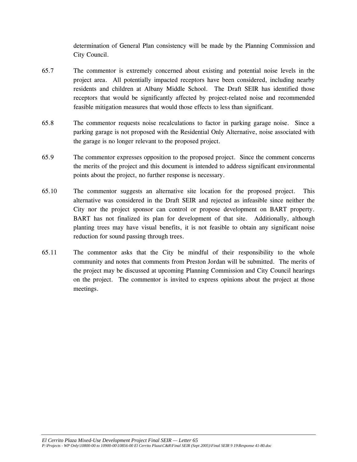determination of General Plan consistency will be made by the Planning Commission and City Council.

- 65.7 The commentor is extremely concerned about existing and potential noise levels in the project area. All potentially impacted receptors have been considered, including nearby residents and children at Albany Middle School. The Draft SEIR has identified those receptors that would be significantly affected by project-related noise and recommended feasible mitigation measures that would those effects to less than significant.
- 65.8 The commentor requests noise recalculations to factor in parking garage noise. Since a parking garage is not proposed with the Residential Only Alternative, noise associated with the garage is no longer relevant to the proposed project.
- 65.9 The commentor expresses opposition to the proposed project. Since the comment concerns the merits of the project and this document is intended to address significant environmental points about the project, no further response is necessary.
- 65.10 The commentor suggests an alternative site location for the proposed project. This alternative was considered in the Draft SEIR and rejected as infeasible since neither the City nor the project sponsor can control or propose development on BART property. BART has not finalized its plan for development of that site. Additionally, although planting trees may have visual benefits, it is not feasible to obtain any significant noise reduction for sound passing through trees.
- 65.11 The commentor asks that the City be mindful of their responsibility to the whole community and notes that comments from Preston Jordan will be submitted. The merits of the project may be discussed at upcoming Planning Commission and City Council hearings on the project. The commentor is invited to express opinions about the project at those meetings.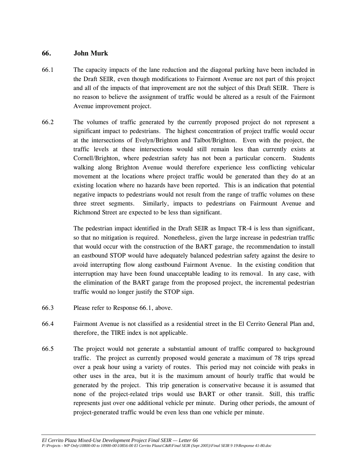### **66. John Murk**

- 66.1 The capacity impacts of the lane reduction and the diagonal parking have been included in the Draft SEIR, even though modifications to Fairmont Avenue are not part of this project and all of the impacts of that improvement are not the subject of this Draft SEIR. There is no reason to believe the assignment of traffic would be altered as a result of the Fairmont Avenue improvement project.
- 66.2 The volumes of traffic generated by the currently proposed project do not represent a significant impact to pedestrians. The highest concentration of project traffic would occur at the intersections of Evelyn/Brighton and Talbot/Brighton. Even with the project, the traffic levels at these intersections would still remain less than currently exists at Cornell/Brighton, where pedestrian safety has not been a particular concern. Students walking along Brighton Avenue would therefore experience less conflicting vehicular movement at the locations where project traffic would be generated than they do at an existing location where no hazards have been reported. This is an indication that potential negative impacts to pedestrians would not result from the range of traffic volumes on these three street segments. Similarly, impacts to pedestrians on Fairmount Avenue and Richmond Street are expected to be less than significant.

 The pedestrian impact identified in the Draft SEIR as Impact TR-4 is less than significant, so that no mitigation is required. Nonetheless, given the large increase in pedestrian traffic that would occur with the construction of the BART garage, the recommendation to install an eastbound STOP would have adequately balanced pedestrian safety against the desire to avoid interrupting flow along eastbound Fairmont Avenue. In the existing condition that interruption may have been found unacceptable leading to its removal. In any case, with the elimination of the BART garage from the proposed project, the incremental pedestrian traffic would no longer justify the STOP sign.

- 66.3 Please refer to Response 66.1, above.
- 66.4 Fairmont Avenue is not classified as a residential street in the El Cerrito General Plan and, therefore, the TIRE index is not applicable.
- 66.5 The project would not generate a substantial amount of traffic compared to background traffic. The project as currently proposed would generate a maximum of 78 trips spread over a peak hour using a variety of routes. This period may not coincide with peaks in other uses in the area, but it is the maximum amount of hourly traffic that would be generated by the project. This trip generation is conservative because it is assumed that none of the project-related trips would use BART or other transit. Still, this traffic represents just over one additional vehicle per minute. During other periods, the amount of project-generated traffic would be even less than one vehicle per minute.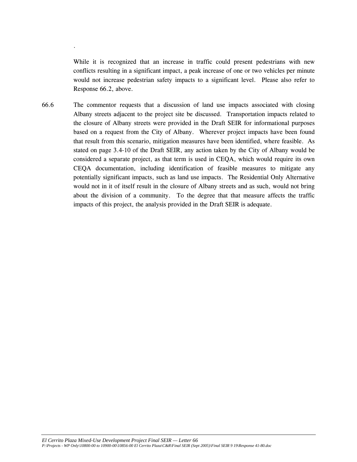While it is recognized that an increase in traffic could present pedestrians with new conflicts resulting in a significant impact, a peak increase of one or two vehicles per minute would not increase pedestrian safety impacts to a significant level. Please also refer to Response 66.2, above.

.

66.6 The commentor requests that a discussion of land use impacts associated with closing Albany streets adjacent to the project site be discussed. Transportation impacts related to the closure of Albany streets were provided in the Draft SEIR for informational purposes based on a request from the City of Albany. Wherever project impacts have been found that result from this scenario, mitigation measures have been identified, where feasible. As stated on page 3.4-10 of the Draft SEIR, any action taken by the City of Albany would be considered a separate project, as that term is used in CEQA, which would require its own CEQA documentation, including identification of feasible measures to mitigate any potentially significant impacts, such as land use impacts. The Residential Only Alternative would not in it of itself result in the closure of Albany streets and as such, would not bring about the division of a community. To the degree that that measure affects the traffic impacts of this project, the analysis provided in the Draft SEIR is adequate.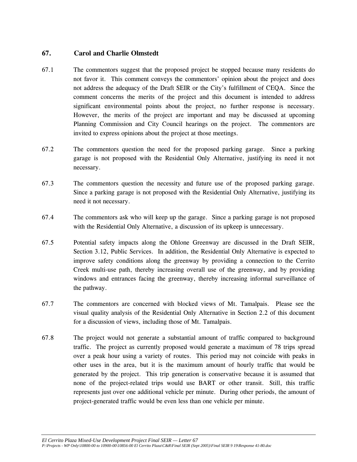# **67. Carol and Charlie Olmstedt**

- 67.1 The commentors suggest that the proposed project be stopped because many residents do not favor it. This comment conveys the commentors' opinion about the project and does not address the adequacy of the Draft SEIR or the City's fulfillment of CEQA. Since the comment concerns the merits of the project and this document is intended to address significant environmental points about the project, no further response is necessary. However, the merits of the project are important and may be discussed at upcoming Planning Commission and City Council hearings on the project. The commentors are invited to express opinions about the project at those meetings.
- 67.2 The commentors question the need for the proposed parking garage. Since a parking garage is not proposed with the Residential Only Alternative, justifying its need it not necessary.
- 67.3 The commentors question the necessity and future use of the proposed parking garage. Since a parking garage is not proposed with the Residential Only Alternative, justifying its need it not necessary.
- 67.4 The commentors ask who will keep up the garage. Since a parking garage is not proposed with the Residential Only Alternative, a discussion of its upkeep is unnecessary.
- 67.5 Potential safety impacts along the Ohlone Greenway are discussed in the Draft SEIR, Section 3.12, Public Services. In addition, the Residential Only Alternative is expected to improve safety conditions along the greenway by providing a connection to the Cerrito Creek multi-use path, thereby increasing overall use of the greenway, and by providing windows and entrances facing the greenway, thereby increasing informal surveillance of the pathway.
- 67.7 The commentors are concerned with blocked views of Mt. Tamalpais. Please see the visual quality analysis of the Residential Only Alternative in Section 2.2 of this document for a discussion of views, including those of Mt. Tamalpais.
- 67.8 The project would not generate a substantial amount of traffic compared to background traffic. The project as currently proposed would generate a maximum of 78 trips spread over a peak hour using a variety of routes. This period may not coincide with peaks in other uses in the area, but it is the maximum amount of hourly traffic that would be generated by the project. This trip generation is conservative because it is assumed that none of the project-related trips would use BART or other transit. Still, this traffic represents just over one additional vehicle per minute. During other periods, the amount of project-generated traffic would be even less than one vehicle per minute.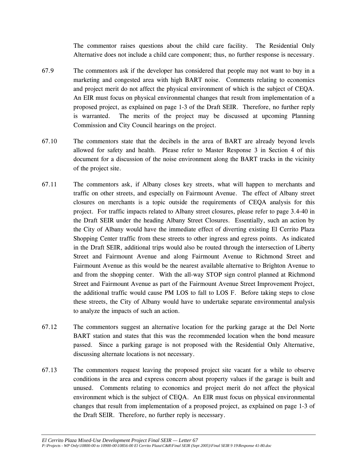The commentor raises questions about the child care facility. The Residential Only Alternative does not include a child care component; thus, no further response is necessary.

- 67.9 The commentors ask if the developer has considered that people may not want to buy in a marketing and congested area with high BART noise. Comments relating to economics and project merit do not affect the physical environment of which is the subject of CEQA. An EIR must focus on physical environmental changes that result from implementation of a proposed project, as explained on page 1-3 of the Draft SEIR. Therefore, no further reply is warranted. The merits of the project may be discussed at upcoming Planning Commission and City Council hearings on the project.
- 67.10 The commentors state that the decibels in the area of BART are already beyond levels allowed for safety and health. Please refer to Master Response 3 in Section 4 of this document for a discussion of the noise environment along the BART tracks in the vicinity of the project site.
- 67.11 The commentors ask, if Albany closes key streets, what will happen to merchants and traffic on other streets, and especially on Fairmount Avenue. The effect of Albany street closures on merchants is a topic outside the requirements of CEQA analysis for this project. For traffic impacts related to Albany street closures, please refer to page 3.4-40 in the Draft SEIR under the heading Albany Street Closures. Essentially, such an action by the City of Albany would have the immediate effect of diverting existing El Cerrito Plaza Shopping Center traffic from these streets to other ingress and egress points. As indicated in the Draft SEIR, additional trips would also be routed through the intersection of Liberty Street and Fairmount Avenue and along Fairmount Avenue to Richmond Street and Fairmount Avenue as this would be the nearest available alternative to Brighton Avenue to and from the shopping center. With the all-way STOP sign control planned at Richmond Street and Fairmount Avenue as part of the Fairmount Avenue Street Improvement Project, the additional traffic would cause PM LOS to fall to LOS F. Before taking steps to close these streets, the City of Albany would have to undertake separate environmental analysis to analyze the impacts of such an action.
- 67.12 The commentors suggest an alternative location for the parking garage at the Del Norte BART station and states that this was the recommended location when the bond measure passed. Since a parking garage is not proposed with the Residential Only Alternative, discussing alternate locations is not necessary.
- 67.13 The commentors request leaving the proposed project site vacant for a while to observe conditions in the area and express concern about property values if the garage is built and unused. Comments relating to economics and project merit do not affect the physical environment which is the subject of CEQA. An EIR must focus on physical environmental changes that result from implementation of a proposed project, as explained on page 1-3 of the Draft SEIR. Therefore, no further reply is necessary.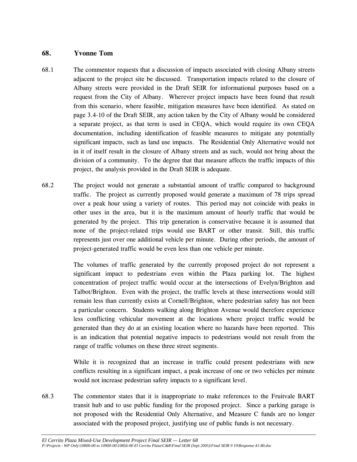#### **68. Yvonne Tom**

- 68.1 The commentor requests that a discussion of impacts associated with closing Albany streets adjacent to the project site be discussed. Transportation impacts related to the closure of Albany streets were provided in the Draft SEIR for informational purposes based on a request from the City of Albany. Wherever project impacts have been found that result from this scenario, where feasible, mitigation measures have been identified. As stated on page 3.4-10 of the Draft SEIR, any action taken by the City of Albany would be considered a separate project, as that term is used in CEQA, which would require its own CEQA documentation, including identification of feasible measures to mitigate any potentially significant impacts, such as land use impacts. The Residential Only Alternative would not in it of itself result in the closure of Albany streets and as such, would not bring about the division of a community. To the degree that that measure affects the traffic impacts of this project, the analysis provided in the Draft SEIR is adequate.
- 68.2 The project would not generate a substantial amount of traffic compared to background traffic. The project as currently proposed would generate a maximum of 78 trips spread over a peak hour using a variety of routes. This period may not coincide with peaks in other uses in the area, but it is the maximum amount of hourly traffic that would be generated by the project. This trip generation is conservative because it is assumed that none of the project-related trips would use BART or other transit. Still, this traffic represents just over one additional vehicle per minute. During other periods, the amount of project-generated traffic would be even less than one vehicle per minute.

 The volumes of traffic generated by the currently proposed project do not represent a significant impact to pedestrians even within the Plaza parking lot. The highest concentration of project traffic would occur at the intersections of Evelyn/Brighton and Talbot/Brighton. Even with the project, the traffic levels at these intersections would still remain less than currently exists at Cornell/Brighton, where pedestrian safety has not been a particular concern. Students walking along Brighton Avenue would therefore experience less conflicting vehicular movement at the locations where project traffic would be generated than they do at an existing location where no hazards have been reported. This is an indication that potential negative impacts to pedestrians would not result from the range of traffic volumes on these three street segments.

 While it is recognized that an increase in traffic could present pedestrians with new conflicts resulting in a significant impact, a peak increase of one or two vehicles per minute would not increase pedestrian safety impacts to a significant level.

68.3 The commentor states that it is inappropriate to make references to the Fruitvale BART transit hub and to use public funding for the proposed project. Since a parking garage is not proposed with the Residential Only Alternative, and Measure C funds are no longer associated with the proposed project, justifying use of public funds is not necessary.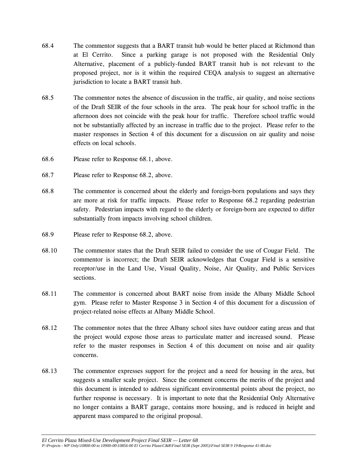- 68.4 The commentor suggests that a BART transit hub would be better placed at Richmond than at El Cerrito. Since a parking garage is not proposed with the Residential Only Alternative, placement of a publicly-funded BART transit hub is not relevant to the proposed project, nor is it within the required CEQA analysis to suggest an alternative jurisdiction to locate a BART transit hub.
- 68.5 The commentor notes the absence of discussion in the traffic, air quality, and noise sections of the Draft SEIR of the four schools in the area. The peak hour for school traffic in the afternoon does not coincide with the peak hour for traffic. Therefore school traffic would not be substantially affected by an increase in traffic due to the project. Please refer to the master responses in Section 4 of this document for a discussion on air quality and noise effects on local schools.
- 68.6 Please refer to Response 68.1, above.
- 68.7 Please refer to Response 68.2, above.
- 68.8 The commentor is concerned about the elderly and foreign-born populations and says they are more at risk for traffic impacts. Please refer to Response 68.2 regarding pedestrian safety. Pedestrian impacts with regard to the elderly or foreign-born are expected to differ substantially from impacts involving school children.
- 68.9 Please refer to Response 68.2, above.
- 68.10 The commentor states that the Draft SEIR failed to consider the use of Cougar Field. The commentor is incorrect; the Draft SEIR acknowledges that Cougar Field is a sensitive receptor/use in the Land Use, Visual Quality, Noise, Air Quality, and Public Services sections.
- 68.11 The commentor is concerned about BART noise from inside the Albany Middle School gym. Please refer to Master Response 3 in Section 4 of this document for a discussion of project-related noise effects at Albany Middle School.
- 68.12 The commentor notes that the three Albany school sites have outdoor eating areas and that the project would expose those areas to particulate matter and increased sound. Please refer to the master responses in Section 4 of this document on noise and air quality concerns.
- 68.13 The commentor expresses support for the project and a need for housing in the area, but suggests a smaller scale project. Since the comment concerns the merits of the project and this document is intended to address significant environmental points about the project, no further response is necessary. It is important to note that the Residential Only Alternative no longer contains a BART garage, contains more housing, and is reduced in height and apparent mass compared to the original proposal.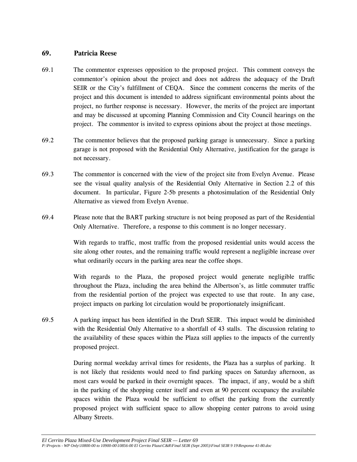### **69. Patricia Reese**

- 69.1 The commentor expresses opposition to the proposed project. This comment conveys the commentor's opinion about the project and does not address the adequacy of the Draft SEIR or the City's fulfillment of CEQA. Since the comment concerns the merits of the project and this document is intended to address significant environmental points about the project, no further response is necessary. However, the merits of the project are important and may be discussed at upcoming Planning Commission and City Council hearings on the project. The commentor is invited to express opinions about the project at those meetings.
- 69.2 The commentor believes that the proposed parking garage is unnecessary. Since a parking garage is not proposed with the Residential Only Alternative, justification for the garage is not necessary.
- 69.3 The commentor is concerned with the view of the project site from Evelyn Avenue. Please see the visual quality analysis of the Residential Only Alternative in Section 2.2 of this document. In particular, Figure 2-5b presents a photosimulation of the Residential Only Alternative as viewed from Evelyn Avenue.
- 69.4 Please note that the BART parking structure is not being proposed as part of the Residential Only Alternative. Therefore, a response to this comment is no longer necessary.

 With regards to traffic, most traffic from the proposed residential units would access the site along other routes, and the remaining traffic would represent a negligible increase over what ordinarily occurs in the parking area near the coffee shops.

 With regards to the Plaza, the proposed project would generate negligible traffic throughout the Plaza, including the area behind the Albertson's, as little commuter traffic from the residential portion of the project was expected to use that route. In any case, project impacts on parking lot circulation would be proportionately insignificant.

69.5 A parking impact has been identified in the Draft SEIR. This impact would be diminished with the Residential Only Alternative to a shortfall of 43 stalls. The discussion relating to the availability of these spaces within the Plaza still applies to the impacts of the currently proposed project.

> During normal weekday arrival times for residents, the Plaza has a surplus of parking. It is not likely that residents would need to find parking spaces on Saturday afternoon, as most cars would be parked in their overnight spaces. The impact, if any, would be a shift in the parking of the shopping center itself and even at 90 percent occupancy the available spaces within the Plaza would be sufficient to offset the parking from the currently proposed project with sufficient space to allow shopping center patrons to avoid using Albany Streets.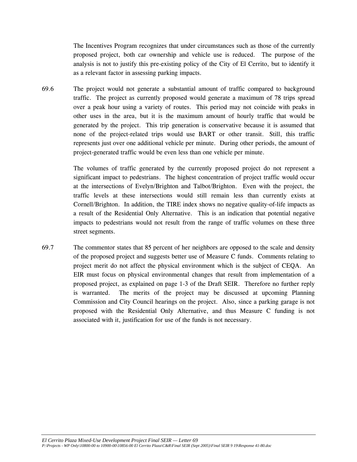The Incentives Program recognizes that under circumstances such as those of the currently proposed project, both car ownership and vehicle use is reduced. The purpose of the analysis is not to justify this pre-existing policy of the City of El Cerrito, but to identify it as a relevant factor in assessing parking impacts.

69.6 The project would not generate a substantial amount of traffic compared to background traffic. The project as currently proposed would generate a maximum of 78 trips spread over a peak hour using a variety of routes. This period may not coincide with peaks in other uses in the area, but it is the maximum amount of hourly traffic that would be generated by the project. This trip generation is conservative because it is assumed that none of the project-related trips would use BART or other transit. Still, this traffic represents just over one additional vehicle per minute. During other periods, the amount of project-generated traffic would be even less than one vehicle per minute.

> The volumes of traffic generated by the currently proposed project do not represent a significant impact to pedestrians. The highest concentration of project traffic would occur at the intersections of Evelyn/Brighton and Talbot/Brighton. Even with the project, the traffic levels at these intersections would still remain less than currently exists at Cornell/Brighton. In addition, the TIRE index shows no negative quality-of-life impacts as a result of the Residential Only Alternative. This is an indication that potential negative impacts to pedestrians would not result from the range of traffic volumes on these three street segments.

69.7 The commentor states that 85 percent of her neighbors are opposed to the scale and density of the proposed project and suggests better use of Measure C funds. Comments relating to project merit do not affect the physical environment which is the subject of CEQA. An EIR must focus on physical environmental changes that result from implementation of a proposed project, as explained on page 1-3 of the Draft SEIR. Therefore no further reply is warranted. The merits of the project may be discussed at upcoming Planning Commission and City Council hearings on the project. Also, since a parking garage is not proposed with the Residential Only Alternative, and thus Measure C funding is not associated with it, justification for use of the funds is not necessary.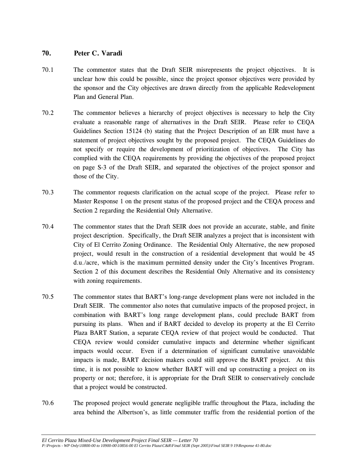### **70. Peter C. Varadi**

- 70.1 The commentor states that the Draft SEIR misrepresents the project objectives. It is unclear how this could be possible, since the project sponsor objectives were provided by the sponsor and the City objectives are drawn directly from the applicable Redevelopment Plan and General Plan.
- 70.2 The commentor believes a hierarchy of project objectives is necessary to help the City evaluate a reasonable range of alternatives in the Draft SEIR. Please refer to CEQA Guidelines Section 15124 (b) stating that the Project Description of an EIR must have a statement of project objectives sought by the proposed project. The CEQA Guidelines do not specify or require the development of prioritization of objectives. The City has complied with the CEQA requirements by providing the objectives of the proposed project on page S-3 of the Draft SEIR, and separated the objectives of the project sponsor and those of the City.
- 70.3 The commentor requests clarification on the actual scope of the project. Please refer to Master Response 1 on the present status of the proposed project and the CEQA process and Section 2 regarding the Residential Only Alternative.
- 70.4 The commentor states that the Draft SEIR does not provide an accurate, stable, and finite project description. Specifically, the Draft SEIR analyzes a project that is inconsistent with City of El Cerrito Zoning Ordinance. The Residential Only Alternative, the new proposed project, would result in the construction of a residential development that would be 45 d.u./acre, which is the maximum permitted density under the City's Incentives Program. Section 2 of this document describes the Residential Only Alternative and its consistency with zoning requirements.
- 70.5 The commentor states that BART's long-range development plans were not included in the Draft SEIR. The commentor also notes that cumulative impacts of the proposed project, in combination with BART's long range development plans, could preclude BART from pursuing its plans. When and if BART decided to develop its property at the El Cerrito Plaza BART Station, a separate CEQA review of that project would be conducted. That CEQA review would consider cumulative impacts and determine whether significant impacts would occur. Even if a determination of significant cumulative unavoidable impacts is made, BART decision makers could still approve the BART project. At this time, it is not possible to know whether BART will end up constructing a project on its property or not; therefore, it is appropriate for the Draft SEIR to conservatively conclude that a project would be constructed.
- 70.6 The proposed project would generate negligible traffic throughout the Plaza, including the area behind the Albertson's, as little commuter traffic from the residential portion of the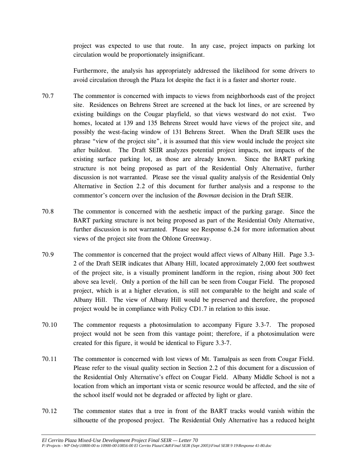project was expected to use that route. In any case, project impacts on parking lot circulation would be proportionately insignificant.

 Furthermore, the analysis has appropriately addressed the likelihood for some drivers to avoid circulation through the Plaza lot despite the fact it is a faster and shorter route.

- 70.7 The commentor is concerned with impacts to views from neighborhoods east of the project site. Residences on Behrens Street are screened at the back lot lines, or are screened by existing buildings on the Cougar playfield, so that views westward do not exist. Two homes, located at 139 and 135 Behrens Street would have views of the project site, and possibly the west-facing window of 131 Behrens Street. When the Draft SEIR uses the phrase "view of the project site", it is assumed that this view would include the project site after buildout. The Draft SEIR analyzes potential project impacts, not impacts of the existing surface parking lot, as those are already known. Since the BART parking structure is not being proposed as part of the Residential Only Alternative, further discussion is not warranted. Please see the visual quality analysis of the Residential Only Alternative in Section 2.2 of this document for further analysis and a response to the commentor's concern over the inclusion of the *Bowman* decision in the Draft SEIR.
- 70.8 The commentor is concerned with the aesthetic impact of the parking garage. Since the BART parking structure is not being proposed as part of the Residential Only Alternative, further discussion is not warranted. Please see Response 6.24 for more information about views of the project site from the Ohlone Greenway.
- 70.9 The commentor is concerned that the project would affect views of Albany Hill. Page 3.3- 2 of the Draft SEIR indicates that Albany Hill, located approximately 2,000 feet southwest of the project site, is a visually prominent landform in the region, rising about 300 feet above sea level(. Only a portion of the hill can be seen from Cougar Field. The proposed project, which is at a higher elevation, is still not comparable to the height and scale of Albany Hill. The view of Albany Hill would be preserved and therefore, the proposed project would be in compliance with Policy CD1.7 in relation to this issue.
- 70.10 The commentor requests a photosimulation to accompany Figure 3.3-7. The proposed project would not be seen from this vantage point; therefore, if a photosimulation were created for this figure, it would be identical to Figure 3.3-7.
- 70.11 The commentor is concerned with lost views of Mt. Tamalpais as seen from Cougar Field. Please refer to the visual quality section in Section 2.2 of this document for a discussion of the Residential Only Alternative's effect on Cougar Field. Albany Middle School is not a location from which an important vista or scenic resource would be affected, and the site of the school itself would not be degraded or affected by light or glare.
- 70.12 The commentor states that a tree in front of the BART tracks would vanish within the silhouette of the proposed project. The Residential Only Alternative has a reduced height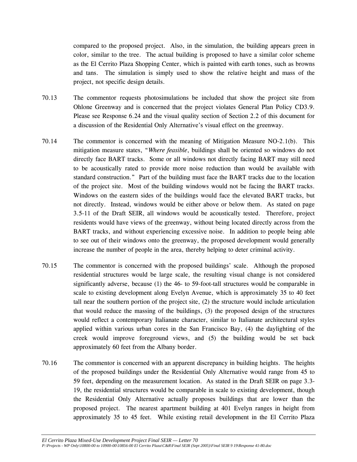compared to the proposed project. Also, in the simulation, the building appears green in color, similar to the tree. The actual building is proposed to have a similar color scheme as the El Cerrito Plaza Shopping Center, which is painted with earth tones, such as browns and tans. The simulation is simply used to show the relative height and mass of the project, not specific design details.

- 70.13 The commentor requests photosimulations be included that show the project site from Ohlone Greenway and is concerned that the project violates General Plan Policy CD3.9. Please see Response 6.24 and the visual quality section of Section 2.2 of this document for a discussion of the Residential Only Alternative's visual effect on the greenway.
- 70.14 The commentor is concerned with the meaning of Mitigation Measure NO-2.1(b). This mitigation measure states, "*Where feasible*, buildings shall be oriented so windows do not directly face BART tracks. Some or all windows not directly facing BART may still need to be acoustically rated to provide more noise reduction than would be available with standard construction." Part of the building must face the BART tracks due to the location of the project site. Most of the building windows would not be facing the BART tracks. Windows on the eastern sides of the buildings would face the elevated BART tracks, but not directly. Instead, windows would be either above or below them. As stated on page 3.5-11 of the Draft SEIR, all windows would be acoustically tested. Therefore, project residents would have views of the greenway, without being located directly across from the BART tracks, and without experiencing excessive noise. In addition to people being able to see out of their windows onto the greenway, the proposed development would generally increase the number of people in the area, thereby helping to deter criminal activity.
- 70.15 The commentor is concerned with the proposed buildings' scale. Although the proposed residential structures would be large scale, the resulting visual change is not considered significantly adverse, because (1) the 46- to 59-foot-tall structures would be comparable in scale to existing development along Evelyn Avenue, which is approximately 35 to 40 feet tall near the southern portion of the project site, (2) the structure would include articulation that would reduce the massing of the buildings, (3) the proposed design of the structures would reflect a contemporary Italianate character, similar to Italianate architectural styles applied within various urban cores in the San Francisco Bay, (4) the daylighting of the creek would improve foreground views, and (5) the building would be set back approximately 60 feet from the Albany border.
- 70.16 The commentor is concerned with an apparent discrepancy in building heights. The heights of the proposed buildings under the Residential Only Alternative would range from 45 to 59 feet, depending on the measurement location. As stated in the Draft SEIR on page 3.3- 19, the residential structures would be comparable in scale to existing development, though the Residential Only Alternative actually proposes buildings that are lower than the proposed project. The nearest apartment building at 401 Evelyn ranges in height from approximately 35 to 45 feet. While existing retail development in the El Cerrito Plaza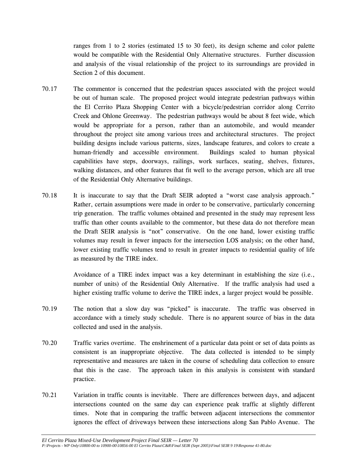ranges from 1 to 2 stories (estimated 15 to 30 feet), its design scheme and color palette would be compatible with the Residential Only Alternative structures. Further discussion and analysis of the visual relationship of the project to its surroundings are provided in Section 2 of this document.

- 70.17 The commentor is concerned that the pedestrian spaces associated with the project would be out of human scale. The proposed project would integrate pedestrian pathways within the El Cerrito Plaza Shopping Center with a bicycle/pedestrian corridor along Cerrito Creek and Ohlone Greenway. The pedestrian pathways would be about 8 feet wide, which would be appropriate for a person, rather than an automobile, and would meander throughout the project site among various trees and architectural structures. The project building designs include various patterns, sizes, landscape features, and colors to create a human-friendly and accessible environment. Buildings scaled to human physical capabilities have steps, doorways, railings, work surfaces, seating, shelves, fixtures, walking distances, and other features that fit well to the average person, which are all true of the Residential Only Alternative buildings.
- 70.18 It is inaccurate to say that the Draft SEIR adopted a "worst case analysis approach." Rather, certain assumptions were made in order to be conservative, particularly concerning trip generation. The traffic volumes obtained and presented in the study may represent less traffic than other counts available to the commentor, but these data do not therefore mean the Draft SEIR analysis is "not" conservative. On the one hand, lower existing traffic volumes may result in fewer impacts for the intersection LOS analysis; on the other hand, lower existing traffic volumes tend to result in greater impacts to residential quality of life as measured by the TIRE index.

 Avoidance of a TIRE index impact was a key determinant in establishing the size (i.e., number of units) of the Residential Only Alternative. If the traffic analysis had used a higher existing traffic volume to derive the TIRE index, a larger project would be possible.

- 70.19 The notion that a slow day was "picked" is inaccurate. The traffic was observed in accordance with a timely study schedule. There is no apparent source of bias in the data collected and used in the analysis.
- 70.20 Traffic varies overtime. The enshrinement of a particular data point or set of data points as consistent is an inappropriate objective. The data collected is intended to be simply representative and measures are taken in the course of scheduling data collection to ensure that this is the case. The approach taken in this analysis is consistent with standard practice.
- 70.21 Variation in traffic counts is inevitable. There are differences between days, and adjacent intersections counted on the same day can experience peak traffic at slightly different times. Note that in comparing the traffic between adjacent intersections the commentor ignores the effect of driveways between these intersections along San Pablo Avenue. The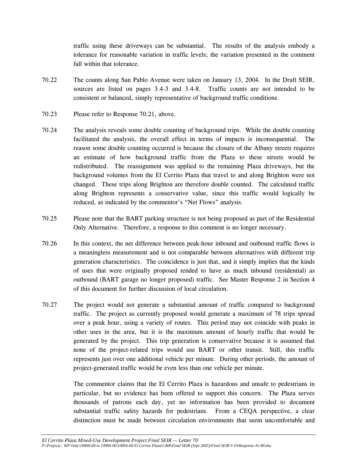traffic using these driveways can be substantial. The results of the analysis embody a tolerance for reasonable variation in traffic levels; the variation presented in the comment fall within that tolerance.

- 70.22 The counts along San Pablo Avenue were taken on January 13, 2004. In the Draft SEIR, sources are listed on pages 3.4-3 and 3.4-8. Traffic counts are not intended to be consistent or balanced, simply representative of background traffic conditions.
- 70.23 Please refer to Response 70.21, above.
- 70.24 The analysis reveals some double counting of background trips. While the double counting facilitated the analysis, the overall effect in terms of impacts is inconsequential. The reason some double counting occurred is because the closure of the Albany streets requires an estimate of how background traffic from the Plaza to these streets would be redistributed. The reassignment was applied to the remaining Plaza driveways, but the background volumes from the El Cerrito Plaza that travel to and along Brighton were not changed. These trips along Brighton are therefore double counted. The calculated traffic along Brighton represents a conservative value, since this traffic would logically be reduced, as indicated by the commentor's "Net Flows" analysis.
- 70.25 Please note that the BART parking structure is not being proposed as part of the Residential Only Alternative. Therefore, a response to this comment is no longer necessary.
- 70.26 In this context, the net difference between peak-hour inbound and outbound traffic flows is a meaningless measurement and is not comparable between alternatives with different trip generation characteristics. The coincidence is just that, and it simply implies that the kinds of uses that were originally proposed tended to have as much inbound (residential) as outbound (BART garage no longer proposed) traffic. See Master Response 2 in Section 4 of this document for further discussion of local circulation.
- 70.27 The project would not generate a substantial amount of traffic compared to background traffic. The project as currently proposed would generate a maximum of 78 trips spread over a peak hour, using a variety of routes. This period may not coincide with peaks in other uses in the area, but it is the maximum amount of hourly traffic that would be generated by the project. This trip generation is conservative because it is assumed that none of the project-related trips would use BART or other transit. Still, this traffic represents just over one additional vehicle per minute. During other periods, the amount of project-generated traffic would be even less than one vehicle per minute.

The commentor claims that the El Cerrito Plaza is hazardous and unsafe to pedestrians in particular, but no evidence has been offered to support this concern. The Plaza serves thousands of patrons each day, yet no information has been provided to document substantial traffic safety hazards for pedestrians. From a CEQA perspective, a clear distinction must be made between circulation environments that seem uncomfortable and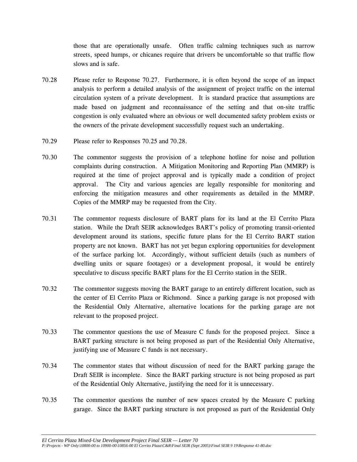those that are operationally unsafe. Often traffic calming techniques such as narrow streets, speed humps, or chicanes require that drivers be uncomfortable so that traffic flow slows and is safe.

- 70.28 Please refer to Response 70.27. Furthermore, it is often beyond the scope of an impact analysis to perform a detailed analysis of the assignment of project traffic on the internal circulation system of a private development. It is standard practice that assumptions are made based on judgment and reconnaissance of the setting and that on-site traffic congestion is only evaluated where an obvious or well documented safety problem exists or the owners of the private development successfully request such an undertaking.
- 70.29 Please refer to Responses 70.25 and 70.28.
- 70.30 The commentor suggests the provision of a telephone hotline for noise and pollution complaints during construction. A Mitigation Monitoring and Reporting Plan (MMRP) is required at the time of project approval and is typically made a condition of project approval. The City and various agencies are legally responsible for monitoring and enforcing the mitigation measures and other requirements as detailed in the MMRP. Copies of the MMRP may be requested from the City.
- 70.31 The commentor requests disclosure of BART plans for its land at the El Cerrito Plaza station. While the Draft SEIR acknowledges BART's policy of promoting transit-oriented development around its stations, specific future plans for the El Cerrito BART station property are not known. BART has not yet begun exploring opportunities for development of the surface parking lot. Accordingly, without sufficient details (such as numbers of dwelling units or square footages) or a development proposal, it would be entirely speculative to discuss specific BART plans for the El Cerrito station in the SEIR.
- 70.32 The commentor suggests moving the BART garage to an entirely different location, such as the center of El Cerrito Plaza or Richmond. Since a parking garage is not proposed with the Residential Only Alternative, alternative locations for the parking garage are not relevant to the proposed project.
- 70.33 The commentor questions the use of Measure C funds for the proposed project. Since a BART parking structure is not being proposed as part of the Residential Only Alternative, justifying use of Measure C funds is not necessary.
- 70.34 The commentor states that without discussion of need for the BART parking garage the Draft SEIR is incomplete. Since the BART parking structure is not being proposed as part of the Residential Only Alternative, justifying the need for it is unnecessary.
- 70.35 The commentor questions the number of new spaces created by the Measure C parking garage. Since the BART parking structure is not proposed as part of the Residential Only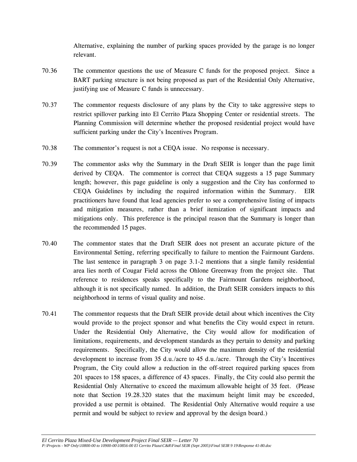Alternative, explaining the number of parking spaces provided by the garage is no longer relevant.

- 70.36 The commentor questions the use of Measure C funds for the proposed project. Since a BART parking structure is not being proposed as part of the Residential Only Alternative, justifying use of Measure C funds is unnecessary.
- 70.37 The commentor requests disclosure of any plans by the City to take aggressive steps to restrict spillover parking into El Cerrito Plaza Shopping Center or residential streets. The Planning Commission will determine whether the proposed residential project would have sufficient parking under the City's Incentives Program.
- 70.38 The commentor's request is not a CEQA issue. No response is necessary.
- 70.39 The commentor asks why the Summary in the Draft SEIR is longer than the page limit derived by CEQA. The commentor is correct that CEQA suggests a 15 page Summary length; however, this page guideline is only a suggestion and the City has conformed to CEQA Guidelines by including the required information within the Summary. EIR practitioners have found that lead agencies prefer to see a comprehensive listing of impacts and mitigation measures, rather than a brief itemization of significant impacts and mitigations only. This preference is the principal reason that the Summary is longer than the recommended 15 pages.
- 70.40 The commentor states that the Draft SEIR does not present an accurate picture of the Environmental Setting, referring specifically to failure to mention the Fairmount Gardens. The last sentence in paragraph 3 on page 3.1-2 mentions that a single family residential area lies north of Cougar Field across the Ohlone Greenway from the project site. That reference to residences speaks specifically to the Fairmount Gardens neighborhood, although it is not specifically named. In addition, the Draft SEIR considers impacts to this neighborhood in terms of visual quality and noise.
- 70.41 The commentor requests that the Draft SEIR provide detail about which incentives the City would provide to the project sponsor and what benefits the City would expect in return. Under the Residential Only Alternative, the City would allow for modification of limitations, requirements, and development standards as they pertain to density and parking requirements. Specifically, the City would allow the maximum density of the residential development to increase from 35 d.u./acre to 45 d.u./acre. Through the City's Incentives Program, the City could allow a reduction in the off-street required parking spaces from 201 spaces to 158 spaces, a difference of 43 spaces. Finally, the City could also permit the Residential Only Alternative to exceed the maximum allowable height of 35 feet. (Please note that Section 19.28.320 states that the maximum height limit may be exceeded, provided a use permit is obtained. The Residential Only Alternative would require a use permit and would be subject to review and approval by the design board.)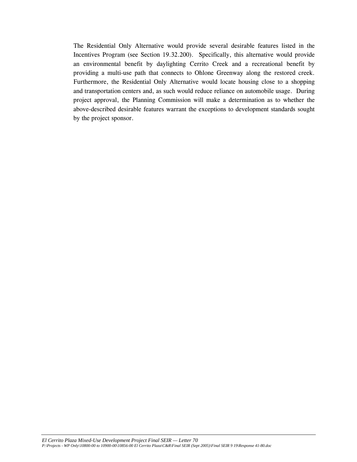The Residential Only Alternative would provide several desirable features listed in the Incentives Program (see Section 19.32.200). Specifically, this alternative would provide an environmental benefit by daylighting Cerrito Creek and a recreational benefit by providing a multi-use path that connects to Ohlone Greenway along the restored creek. Furthermore, the Residential Only Alternative would locate housing close to a shopping and transportation centers and, as such would reduce reliance on automobile usage. During project approval, the Planning Commission will make a determination as to whether the above-described desirable features warrant the exceptions to development standards sought by the project sponsor.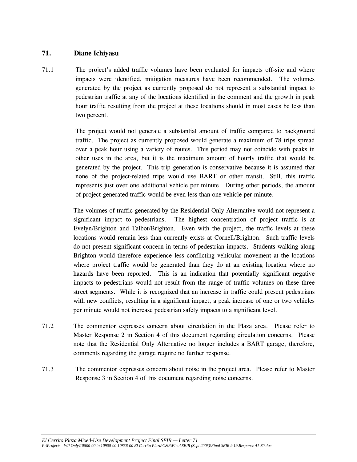### **71. Diane Ichiyasu**

71.1 The project's added traffic volumes have been evaluated for impacts off-site and where impacts were identified, mitigation measures have been recommended. The volumes generated by the project as currently proposed do not represent a substantial impact to pedestrian traffic at any of the locations identified in the comment and the growth in peak hour traffic resulting from the project at these locations should in most cases be less than two percent.

> The project would not generate a substantial amount of traffic compared to background traffic. The project as currently proposed would generate a maximum of 78 trips spread over a peak hour using a variety of routes. This period may not coincide with peaks in other uses in the area, but it is the maximum amount of hourly traffic that would be generated by the project. This trip generation is conservative because it is assumed that none of the project-related trips would use BART or other transit. Still, this traffic represents just over one additional vehicle per minute. During other periods, the amount of project-generated traffic would be even less than one vehicle per minute.

> The volumes of traffic generated by the Residential Only Alternative would not represent a significant impact to pedestrians. The highest concentration of project traffic is at Evelyn/Brighton and Talbot/Brighton. Even with the project, the traffic levels at these locations would remain less than currently exists at Cornell/Brighton. Such traffic levels do not present significant concern in terms of pedestrian impacts. Students walking along Brighton would therefore experience less conflicting vehicular movement at the locations where project traffic would be generated than they do at an existing location where no hazards have been reported. This is an indication that potentially significant negative impacts to pedestrians would not result from the range of traffic volumes on these three street segments. While it is recognized that an increase in traffic could present pedestrians with new conflicts, resulting in a significant impact, a peak increase of one or two vehicles per minute would not increase pedestrian safety impacts to a significant level.

- 71.2 The commentor expresses concern about circulation in the Plaza area. Please refer to Master Response 2 in Section 4 of this document regarding circulation concerns. Please note that the Residential Only Alternative no longer includes a BART garage, therefore, comments regarding the garage require no further response.
- 71.3 The commentor expresses concern about noise in the project area. Please refer to Master Response 3 in Section 4 of this document regarding noise concerns.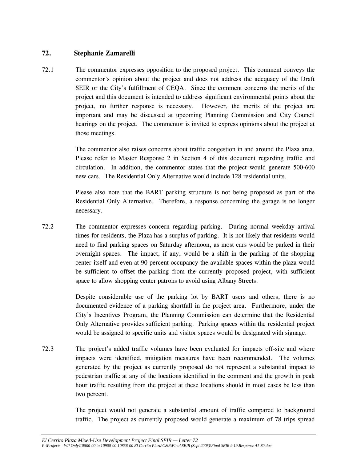### **72. Stephanie Zamarelli**

72.1 The commentor expresses opposition to the proposed project. This comment conveys the commentor's opinion about the project and does not address the adequacy of the Draft SEIR or the City's fulfillment of CEQA. Since the comment concerns the merits of the project and this document is intended to address significant environmental points about the project, no further response is necessary. However, the merits of the project are important and may be discussed at upcoming Planning Commission and City Council hearings on the project. The commentor is invited to express opinions about the project at those meetings.

> The commentor also raises concerns about traffic congestion in and around the Plaza area. Please refer to Master Response 2 in Section 4 of this document regarding traffic and circulation. In addition, the commentor states that the project would generate 500-600 new cars. The Residential Only Alternative would include 128 residential units.

> Please also note that the BART parking structure is not being proposed as part of the Residential Only Alternative. Therefore, a response concerning the garage is no longer necessary.

72.2 The commentor expresses concern regarding parking. During normal weekday arrival times for residents, the Plaza has a surplus of parking. It is not likely that residents would need to find parking spaces on Saturday afternoon, as most cars would be parked in their overnight spaces. The impact, if any, would be a shift in the parking of the shopping center itself and even at 90 percent occupancy the available spaces within the plaza would be sufficient to offset the parking from the currently proposed project, with sufficient space to allow shopping center patrons to avoid using Albany Streets.

> Despite considerable use of the parking lot by BART users and others, there is no documented evidence of a parking shortfall in the project area. Furthermore, under the City's Incentives Program, the Planning Commission can determine that the Residential Only Alternative provides sufficient parking. Parking spaces within the residential project would be assigned to specific units and visitor spaces would be designated with signage.

72.3 The project's added traffic volumes have been evaluated for impacts off-site and where impacts were identified, mitigation measures have been recommended. The volumes generated by the project as currently proposed do not represent a substantial impact to pedestrian traffic at any of the locations identified in the comment and the growth in peak hour traffic resulting from the project at these locations should in most cases be less than two percent.

> The project would not generate a substantial amount of traffic compared to background traffic. The project as currently proposed would generate a maximum of 78 trips spread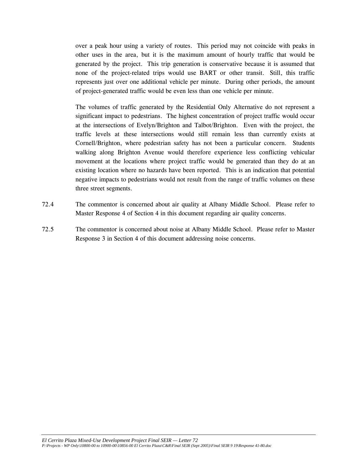over a peak hour using a variety of routes. This period may not coincide with peaks in other uses in the area, but it is the maximum amount of hourly traffic that would be generated by the project. This trip generation is conservative because it is assumed that none of the project-related trips would use BART or other transit. Still, this traffic represents just over one additional vehicle per minute. During other periods, the amount of project-generated traffic would be even less than one vehicle per minute.

 The volumes of traffic generated by the Residential Only Alternative do not represent a significant impact to pedestrians. The highest concentration of project traffic would occur at the intersections of Evelyn/Brighton and Talbot/Brighton. Even with the project, the traffic levels at these intersections would still remain less than currently exists at Cornell/Brighton, where pedestrian safety has not been a particular concern. Students walking along Brighton Avenue would therefore experience less conflicting vehicular movement at the locations where project traffic would be generated than they do at an existing location where no hazards have been reported. This is an indication that potential negative impacts to pedestrians would not result from the range of traffic volumes on these three street segments.

- 72.4 The commentor is concerned about air quality at Albany Middle School. Please refer to Master Response 4 of Section 4 in this document regarding air quality concerns.
- 72.5 The commentor is concerned about noise at Albany Middle School. Please refer to Master Response 3 in Section 4 of this document addressing noise concerns.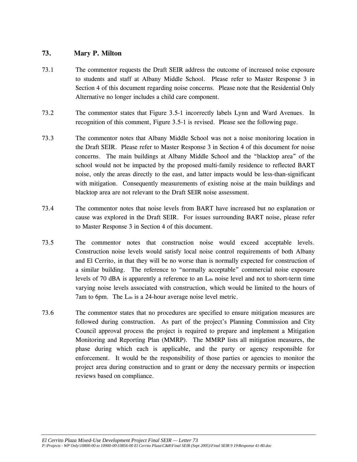### **73. Mary P. Milton**

- 73.1 The commentor requests the Draft SEIR address the outcome of increased noise exposure to students and staff at Albany Middle School. Please refer to Master Response 3 in Section 4 of this document regarding noise concerns. Please note that the Residential Only Alternative no longer includes a child care component.
- 73.2 The commentor states that Figure 3.5-1 incorrectly labels Lynn and Ward Avenues. In recognition of this comment, Figure 3.5-1 is revised. Please see the following page.
- 73.3 The commentor notes that Albany Middle School was not a noise monitoring location in the Draft SEIR. Please refer to Master Response 3 in Section 4 of this document for noise concerns. The main buildings at Albany Middle School and the "blacktop area" of the school would not be impacted by the proposed multi-family residence to reflected BART noise, only the areas directly to the east, and latter impacts would be less-than-significant with mitigation. Consequently measurements of existing noise at the main buildings and blacktop area are not relevant to the Draft SEIR noise assessment.
- 73.4 The commentor notes that noise levels from BART have increased but no explanation or cause was explored in the Draft SEIR. For issues surrounding BART noise, please refer to Master Response 3 in Section 4 of this document.
- 73.5 The commentor notes that construction noise would exceed acceptable levels. Construction noise levels would satisfy local noise control requirements of both Albany and El Cerrito, in that they will be no worse than is normally expected for construction of a similar building. The reference to "normally acceptable" commercial noise exposure levels of 70 dBA is apparently a reference to an  $L_{dn}$  noise level and not to short-term time varying noise levels associated with construction, which would be limited to the hours of 7am to 6pm. The L<sub>dn</sub> is a 24-hour average noise level metric.
- 73.6 The commentor states that no procedures are specified to ensure mitigation measures are followed during construction. As part of the project's Planning Commission and City Council approval process the project is required to prepare and implement a Mitigation Monitoring and Reporting Plan (MMRP). The MMRP lists all mitigation measures, the phase during which each is applicable, and the party or agency responsible for enforcement. It would be the responsibility of those parties or agencies to monitor the project area during construction and to grant or deny the necessary permits or inspection reviews based on compliance.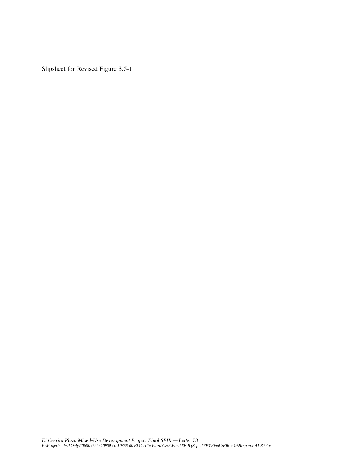Slipsheet for Revised Figure 3.5-1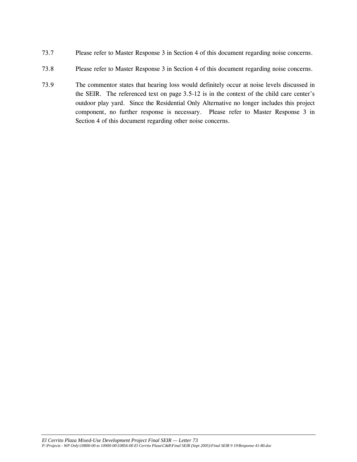- 73.7 Please refer to Master Response 3 in Section 4 of this document regarding noise concerns.
- 73.8 Please refer to Master Response 3 in Section 4 of this document regarding noise concerns.
- 73.9 The commentor states that hearing loss would definitely occur at noise levels discussed in the SEIR. The referenced text on page 3.5-12 is in the context of the child care center's outdoor play yard. Since the Residential Only Alternative no longer includes this project component, no further response is necessary. Please refer to Master Response 3 in Section 4 of this document regarding other noise concerns.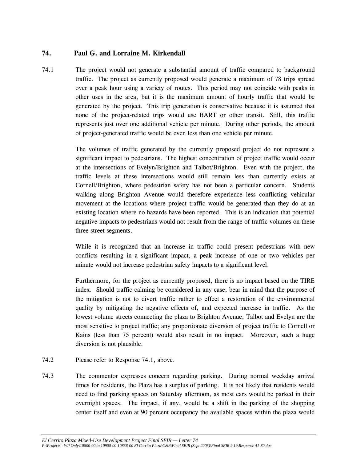# **74. Paul G. and Lorraine M. Kirkendall**

74.1 The project would not generate a substantial amount of traffic compared to background traffic. The project as currently proposed would generate a maximum of 78 trips spread over a peak hour using a variety of routes. This period may not coincide with peaks in other uses in the area, but it is the maximum amount of hourly traffic that would be generated by the project. This trip generation is conservative because it is assumed that none of the project-related trips would use BART or other transit. Still, this traffic represents just over one additional vehicle per minute. During other periods, the amount of project-generated traffic would be even less than one vehicle per minute.

> The volumes of traffic generated by the currently proposed project do not represent a significant impact to pedestrians. The highest concentration of project traffic would occur at the intersections of Evelyn/Brighton and Talbot/Brighton. Even with the project, the traffic levels at these intersections would still remain less than currently exists at Cornell/Brighton, where pedestrian safety has not been a particular concern. Students walking along Brighton Avenue would therefore experience less conflicting vehicular movement at the locations where project traffic would be generated than they do at an existing location where no hazards have been reported. This is an indication that potential negative impacts to pedestrians would not result from the range of traffic volumes on these three street segments.

> While it is recognized that an increase in traffic could present pedestrians with new conflicts resulting in a significant impact, a peak increase of one or two vehicles per minute would not increase pedestrian safety impacts to a significant level.

> Furthermore, for the project as currently proposed, there is no impact based on the TIRE index. Should traffic calming be considered in any case, bear in mind that the purpose of the mitigation is not to divert traffic rather to effect a restoration of the environmental quality by mitigating the negative effects of, and expected increase in traffic. As the lowest volume streets connecting the plaza to Brighton Avenue, Talbot and Evelyn are the most sensitive to project traffic; any proportionate diversion of project traffic to Cornell or Kains (less than 75 percent) would also result in no impact. Moreover, such a huge diversion is not plausible.

- 74.2 Please refer to Response 74.1, above.
- 74.3 The commentor expresses concern regarding parking. During normal weekday arrival times for residents, the Plaza has a surplus of parking. It is not likely that residents would need to find parking spaces on Saturday afternoon, as most cars would be parked in their overnight spaces. The impact, if any, would be a shift in the parking of the shopping center itself and even at 90 percent occupancy the available spaces within the plaza would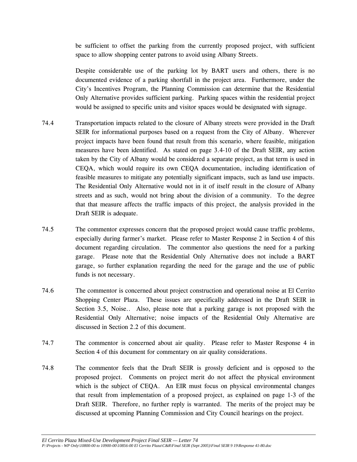be sufficient to offset the parking from the currently proposed project, with sufficient space to allow shopping center patrons to avoid using Albany Streets.

 Despite considerable use of the parking lot by BART users and others, there is no documented evidence of a parking shortfall in the project area. Furthermore, under the City's Incentives Program, the Planning Commission can determine that the Residential Only Alternative provides sufficient parking. Parking spaces within the residential project would be assigned to specific units and visitor spaces would be designated with signage.

- 74.4 Transportation impacts related to the closure of Albany streets were provided in the Draft SEIR for informational purposes based on a request from the City of Albany. Wherever project impacts have been found that result from this scenario, where feasible, mitigation measures have been identified. As stated on page 3.4-10 of the Draft SEIR, any action taken by the City of Albany would be considered a separate project, as that term is used in CEQA, which would require its own CEQA documentation, including identification of feasible measures to mitigate any potentially significant impacts, such as land use impacts. The Residential Only Alternative would not in it of itself result in the closure of Albany streets and as such, would not bring about the division of a community. To the degree that that measure affects the traffic impacts of this project, the analysis provided in the Draft SEIR is adequate.
- 74.5 The commentor expresses concern that the proposed project would cause traffic problems, especially during farmer's market. Please refer to Master Response 2 in Section 4 of this document regarding circulation. The commentor also questions the need for a parking garage. Please note that the Residential Only Alternative does not include a BART garage, so further explanation regarding the need for the garage and the use of public funds is not necessary.
- 74.6 The commentor is concerned about project construction and operational noise at El Cerrito Shopping Center Plaza. These issues are specifically addressed in the Draft SEIR in Section 3.5, Noise.. Also, please note that a parking garage is not proposed with the Residential Only Alternative; noise impacts of the Residential Only Alternative are discussed in Section 2.2 of this document.
- 74.7 The commentor is concerned about air quality. Please refer to Master Response 4 in Section 4 of this document for commentary on air quality considerations.
- 74.8 The commentor feels that the Draft SEIR is grossly deficient and is opposed to the proposed project. Comments on project merit do not affect the physical environment which is the subject of CEOA. An EIR must focus on physical environmental changes that result from implementation of a proposed project, as explained on page 1-3 of the Draft SEIR. Therefore, no further reply is warranted. The merits of the project may be discussed at upcoming Planning Commission and City Council hearings on the project.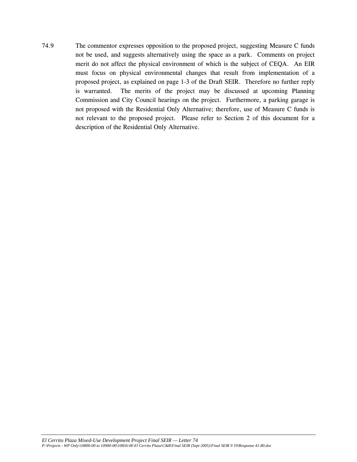74.9 The commentor expresses opposition to the proposed project, suggesting Measure C funds not be used, and suggests alternatively using the space as a park. Comments on project merit do not affect the physical environment of which is the subject of CEQA. An EIR must focus on physical environmental changes that result from implementation of a proposed project, as explained on page 1-3 of the Draft SEIR. Therefore no further reply is warranted. The merits of the project may be discussed at upcoming Planning Commission and City Council hearings on the project. Furthermore, a parking garage is not proposed with the Residential Only Alternative; therefore, use of Measure C funds is not relevant to the proposed project. Please refer to Section 2 of this document for a description of the Residential Only Alternative.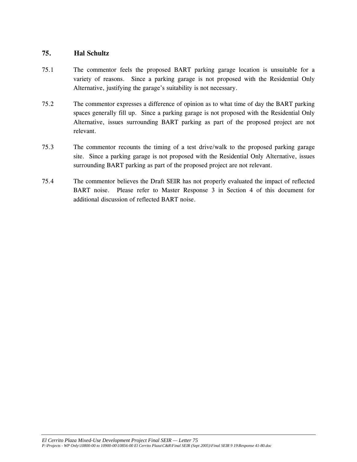### **75. Hal Schultz**

- 75.1 The commentor feels the proposed BART parking garage location is unsuitable for a variety of reasons. Since a parking garage is not proposed with the Residential Only Alternative, justifying the garage's suitability is not necessary.
- 75.2 The commentor expresses a difference of opinion as to what time of day the BART parking spaces generally fill up. Since a parking garage is not proposed with the Residential Only Alternative, issues surrounding BART parking as part of the proposed project are not relevant.
- 75.3 The commentor recounts the timing of a test drive/walk to the proposed parking garage site. Since a parking garage is not proposed with the Residential Only Alternative, issues surrounding BART parking as part of the proposed project are not relevant.
- 75.4 The commentor believes the Draft SEIR has not properly evaluated the impact of reflected BART noise. Please refer to Master Response 3 in Section 4 of this document for additional discussion of reflected BART noise.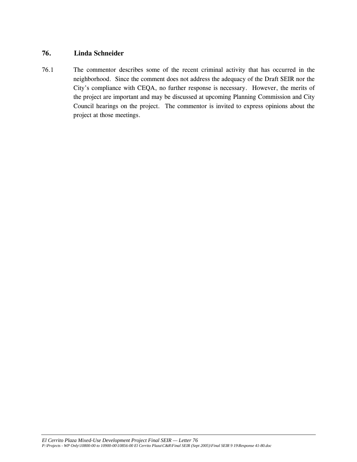# **76. Linda Schneider**

76.1 The commentor describes some of the recent criminal activity that has occurred in the neighborhood. Since the comment does not address the adequacy of the Draft SEIR nor the City's compliance with CEQA, no further response is necessary. However, the merits of the project are important and may be discussed at upcoming Planning Commission and City Council hearings on the project. The commentor is invited to express opinions about the project at those meetings.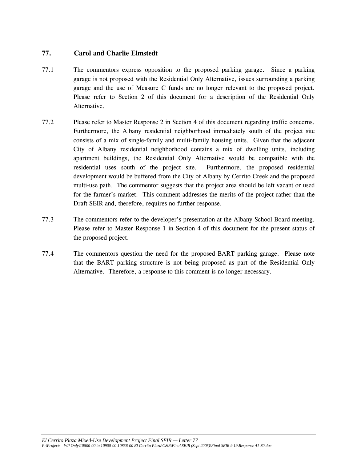# **77. Carol and Charlie Elmstedt**

- 77.1 The commentors express opposition to the proposed parking garage. Since a parking garage is not proposed with the Residential Only Alternative, issues surrounding a parking garage and the use of Measure C funds are no longer relevant to the proposed project. Please refer to Section 2 of this document for a description of the Residential Only Alternative.
- 77.2 Please refer to Master Response 2 in Section 4 of this document regarding traffic concerns. Furthermore, the Albany residential neighborhood immediately south of the project site consists of a mix of single-family and multi-family housing units. Given that the adjacent City of Albany residential neighborhood contains a mix of dwelling units, including apartment buildings, the Residential Only Alternative would be compatible with the residential uses south of the project site. Furthermore, the proposed residential development would be buffered from the City of Albany by Cerrito Creek and the proposed multi-use path. The commentor suggests that the project area should be left vacant or used for the farmer's market. This comment addresses the merits of the project rather than the Draft SEIR and, therefore, requires no further response.
- 77.3 The commentors refer to the developer's presentation at the Albany School Board meeting. Please refer to Master Response 1 in Section 4 of this document for the present status of the proposed project.
- 77.4 The commentors question the need for the proposed BART parking garage. Please note that the BART parking structure is not being proposed as part of the Residential Only Alternative. Therefore, a response to this comment is no longer necessary.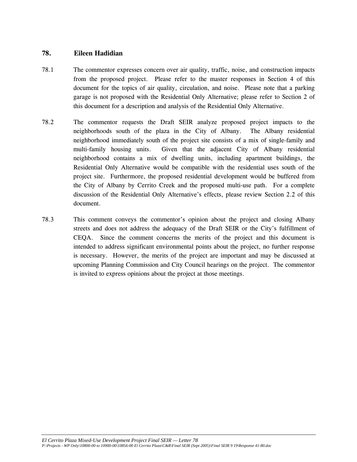### **78. Eileen Hadidian**

- 78.1 The commentor expresses concern over air quality, traffic, noise, and construction impacts from the proposed project. Please refer to the master responses in Section 4 of this document for the topics of air quality, circulation, and noise. Please note that a parking garage is not proposed with the Residential Only Alternative; please refer to Section 2 of this document for a description and analysis of the Residential Only Alternative.
- 78.2 The commentor requests the Draft SEIR analyze proposed project impacts to the neighborhoods south of the plaza in the City of Albany. The Albany residential neighborhood immediately south of the project site consists of a mix of single-family and multi-family housing units. Given that the adjacent City of Albany residential neighborhood contains a mix of dwelling units, including apartment buildings, the Residential Only Alternative would be compatible with the residential uses south of the project site. Furthermore, the proposed residential development would be buffered from the City of Albany by Cerrito Creek and the proposed multi-use path. For a complete discussion of the Residential Only Alternative's effects, please review Section 2.2 of this document.
- 78.3 This comment conveys the commentor's opinion about the project and closing Albany streets and does not address the adequacy of the Draft SEIR or the City's fulfillment of CEQA. Since the comment concerns the merits of the project and this document is intended to address significant environmental points about the project, no further response is necessary. However, the merits of the project are important and may be discussed at upcoming Planning Commission and City Council hearings on the project. The commentor is invited to express opinions about the project at those meetings.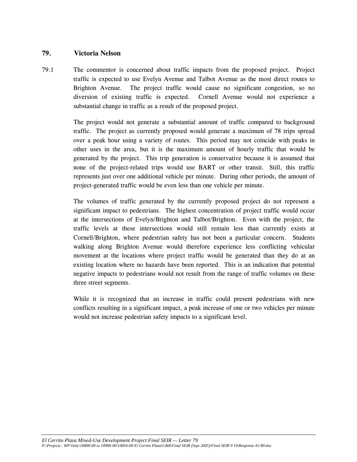## **79. Victoria Nelson**

79.1 The commentor is concerned about traffic impacts from the proposed project. Project traffic is expected to use Evelyn Avenue and Talbot Avenue as the most direct routes to Brighton Avenue. The project traffic would cause no significant congestion, so no diversion of existing traffic is expected. Cornell Avenue would not experience a substantial change in traffic as a result of the proposed project.

> The project would not generate a substantial amount of traffic compared to background traffic. The project as currently proposed would generate a maximum of 78 trips spread over a peak hour using a variety of routes. This period may not coincide with peaks in other uses in the area, but it is the maximum amount of hourly traffic that would be generated by the project. This trip generation is conservative because it is assumed that none of the project-related trips would use BART or other transit. Still, this traffic represents just over one additional vehicle per minute. During other periods, the amount of project-generated traffic would be even less than one vehicle per minute.

> The volumes of traffic generated by the currently proposed project do not represent a significant impact to pedestrians. The highest concentration of project traffic would occur at the intersections of Evelyn/Brighton and Talbot/Brighton. Even with the project, the traffic levels at these intersections would still remain less than currently exists at Cornell/Brighton, where pedestrian safety has not been a particular concern. Students walking along Brighton Avenue would therefore experience less conflicting vehicular movement at the locations where project traffic would be generated than they do at an existing location where no hazards have been reported. This is an indication that potential negative impacts to pedestrians would not result from the range of traffic volumes on these three street segments.

> While it is recognized that an increase in traffic could present pedestrians with new conflicts resulting in a significant impact, a peak increase of one or two vehicles per minute would not increase pedestrian safety impacts to a significant level.